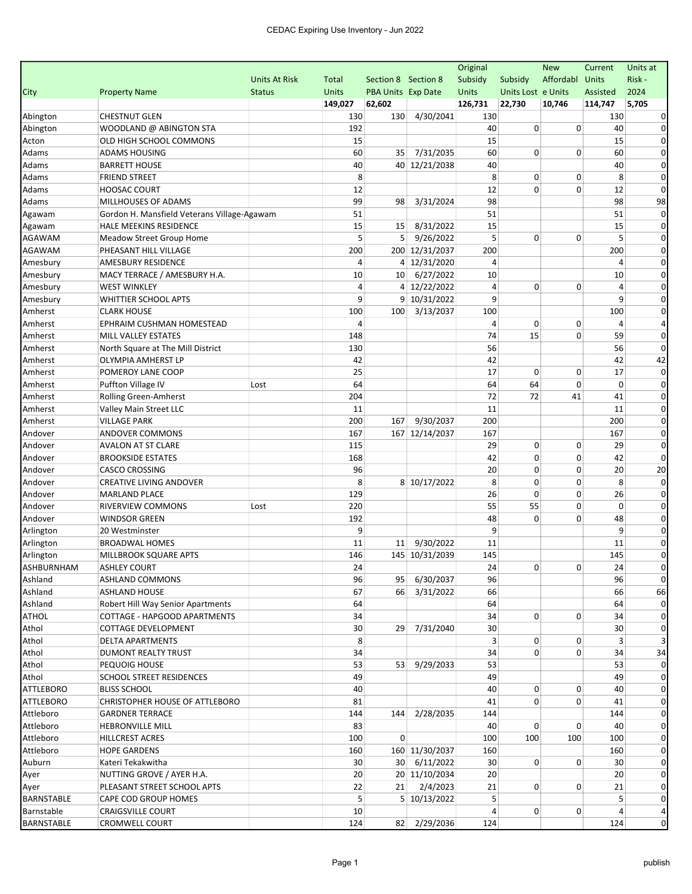|                   |                                             |                      |         |                           |                | Original |                    | <b>New</b>  | Current      | Units at    |
|-------------------|---------------------------------------------|----------------------|---------|---------------------------|----------------|----------|--------------------|-------------|--------------|-------------|
|                   |                                             | <b>Units At Risk</b> | Total   | Section 8 Section 8       |                | Subsidy  | Subsidy            | Affordabl   | <b>Units</b> | Risk-       |
| City              | <b>Property Name</b>                        | <b>Status</b>        | Units   | <b>PBA Units Exp Date</b> |                | Units    | Units Lost e Units |             | Assisted     | 2024        |
|                   |                                             |                      | 149,027 | 62,602                    |                | 126,731  | 22,730             | 10,746      | 114,747      | 5,705       |
| Abington          | <b>CHESTNUT GLEN</b>                        |                      | 130     | 130                       | 4/30/2041      | 130      |                    |             | 130          |             |
| Abington          | WOODLAND @ ABINGTON STA                     |                      | 192     |                           |                | 40       | 0                  | 0           | 40           |             |
| Acton             | OLD HIGH SCHOOL COMMONS                     |                      | 15      |                           |                | 15       |                    |             | 15           |             |
| Adams             | ADAMS HOUSING                               |                      | 60      | 35                        | 7/31/2035      | 60       | 0                  | $\mathbf 0$ | 60           | 0           |
| Adams             | <b>BARRETT HOUSE</b>                        |                      | 40      |                           | 40 12/21/2038  | 40       |                    |             | 40           |             |
| Adams             | <b>FRIEND STREET</b>                        |                      | 8       |                           |                | 8        | 0                  | 0           | 8            | 0           |
| Adams             | <b>HOOSAC COURT</b>                         |                      | 12      |                           |                | 12       | 0                  | $\mathbf 0$ | 12           | 0           |
| Adams             | MILLHOUSES OF ADAMS                         |                      | 99      | 98                        | 3/31/2024      | 98       |                    |             | 98           | 98          |
| Agawam            | Gordon H. Mansfield Veterans Village-Agawam |                      | 51      |                           |                | 51       |                    |             | 51           | $\Omega$    |
| Agawam            | HALE MEEKINS RESIDENCE                      |                      | 15      | 15                        | 8/31/2022      | 15       |                    |             | 15           |             |
| AGAWAM            | Meadow Street Group Home                    |                      | 5       | 5                         | 9/26/2022      | 5        | 0                  | 0           | 5            | $\Omega$    |
| AGAWAM            | PHEASANT HILL VILLAGE                       |                      | 200     |                           | 200 12/31/2037 | 200      |                    |             | 200          | $\Omega$    |
| Amesbury          | AMESBURY RESIDENCE                          |                      | 4       |                           | 4 12/31/2020   | 4        |                    |             | 4            | 0           |
| Amesbury          | MACY TERRACE / AMESBURY H.A.                |                      | 10      | 10                        | 6/27/2022      | 10       |                    |             | 10           | 0           |
| Amesbury          | <b>WEST WINKLEY</b>                         |                      | 4       |                           | 4 12/22/2022   | 4        | 0                  | 0           | 4            |             |
| Amesbury          | <b>WHITTIER SCHOOL APTS</b>                 |                      | 9       |                           | 9 10/31/2022   | 9        |                    |             | 9            | 0           |
| Amherst           | <b>CLARK HOUSE</b>                          |                      | 100     | 100                       | 3/13/2037      | 100      |                    |             | 100          | 0           |
| Amherst           | EPHRAIM CUSHMAN HOMESTEAD                   |                      | 4       |                           |                | 4        | 0                  | 0           | 4            |             |
| Amherst           | <b>MILL VALLEY ESTATES</b>                  |                      | 148     |                           |                | 74       | 15                 | 0           | 59           | 0           |
| Amherst           | North Square at The Mill District           |                      | 130     |                           |                | 56       |                    |             | 56           | $\Omega$    |
| Amherst           | OLYMPIA AMHERST LP                          |                      | 42      |                           |                | 42       |                    |             | 42           | 42          |
| Amherst           | POMEROY LANE COOP                           |                      | 25      |                           |                | 17       | 0                  | 0           | 17           | $\Omega$    |
| Amherst           | Puffton Village IV                          | Lost                 | 64      |                           |                | 64       | 64                 | $\Omega$    | $\mathbf 0$  | 0           |
| Amherst           | Rolling Green-Amherst                       |                      | 204     |                           |                | 72       | 72                 | 41          | 41           | 0           |
| Amherst           | Valley Main Street LLC                      |                      | 11      |                           |                | 11       |                    |             | 11           |             |
| Amherst           | <b>VILLAGE PARK</b>                         |                      | 200     | 167                       | 9/30/2037      | 200      |                    |             | 200          | 0           |
| Andover           | ANDOVER COMMONS                             |                      | 167     |                           | 167 12/14/2037 | 167      |                    |             | 167          | 0           |
| Andover           | <b>AVALON AT ST CLARE</b>                   |                      | 115     |                           |                | 29       | 0                  | 0           | 29           | $\Omega$    |
| Andover           | <b>BROOKSIDE ESTATES</b>                    |                      | 168     |                           |                | 42       | 0                  | 0           | 42           | 0           |
| Andover           | <b>CASCO CROSSING</b>                       |                      | 96      |                           |                | 20       | 0                  | 0           | 20           | 20          |
| Andover           | <b>CREATIVE LIVING ANDOVER</b>              |                      | 8       |                           | 8 10/17/2022   | 8        | 0                  | 0           | 8            | $\Omega$    |
| Andover           | <b>MARLAND PLACE</b>                        |                      | 129     |                           |                | 26       | 0                  | $\mathbf 0$ | 26           | 0           |
| Andover           | RIVERVIEW COMMONS                           | Lost                 | 220     |                           |                | 55       | 55                 | 0           | $\mathbf 0$  | $\Omega$    |
| Andover           | <b>WINDSOR GREEN</b>                        |                      | 192     |                           |                | 48       | 0                  | $\mathbf 0$ | 48           | 0           |
| Arlington         | 20 Westminster                              |                      | 9       |                           |                | 9        |                    |             | 9            |             |
| Arlington         | <b>BROADWAL HOMES</b>                       |                      | 11      | 11                        | 9/30/2022      | 11       |                    |             | 11           | $\Omega$    |
| Arlington         | MILLBROOK SQUARE APTS                       |                      | 146     |                           | 145 10/31/2039 | 145      |                    |             | 145          | 0           |
| ASHBURNHAM        | <b>ASHLEY COURT</b>                         |                      | 24      |                           |                | 24       | 0                  | 0           | 24           |             |
| Ashland           | ASHLAND COMMONS                             |                      | 96      |                           | 95 6/30/2037   | 96       |                    |             | 96           | $\mathbf 0$ |
| Ashland           | <b>ASHLAND HOUSE</b>                        |                      | 67      |                           | 66 3/31/2022   | 66       |                    |             | 66           | 66          |
| Ashland           | Robert Hill Way Senior Apartments           |                      | 64      |                           |                | 64       |                    |             | 64           |             |
| ATHOL             | COTTAGE - HAPGOOD APARTMENTS                |                      | 34      |                           |                | 34       | $\overline{0}$     | 0           | 34           |             |
| Athol             | COTTAGE DEVELOPMENT                         |                      | 30      |                           | 29 7/31/2040   | 30       |                    |             | 30           |             |
| Athol             | <b>DELTA APARTMENTS</b>                     |                      | 8       |                           |                | 3        | 0                  | $\mathbf 0$ | 3            |             |
| Athol             | DUMONT REALTY TRUST                         |                      | 34      |                           |                | 34       | $\overline{0}$     | 0           | 34           | 34          |
| Athol             | PEQUOIG HOUSE                               |                      | 53      |                           | 53 9/29/2033   | 53       |                    |             | 53           |             |
| Athol             | SCHOOL STREET RESIDENCES                    |                      | 49      |                           |                | 49       |                    |             | 49           | 0           |
| ATTLEBORO         | <b>BLISS SCHOOL</b>                         |                      | 40      |                           |                | 40       | 0                  | 0           | 40           |             |
| ATTLEBORO         | CHRISTOPHER HOUSE OF ATTLEBORO              |                      | 81      |                           |                | 41       | 0                  | 0           | 41           |             |
| Attleboro         | <b>GARDNER TERRACE</b>                      |                      | 144     |                           | 144 2/28/2035  | 144      |                    |             | 144          |             |
| Attleboro         | <b>HEBRONVILLE MILL</b>                     |                      | 83      |                           |                | 40       | 0                  | 0           | 40           |             |
| Attleboro         | HILLCREST ACRES                             |                      | 100     | $\overline{0}$            |                | 100      | 100                | 100         | 100          | 0           |
| Attleboro         | <b>HOPE GARDENS</b>                         |                      | 160     |                           | 160 11/30/2037 | 160      |                    |             | 160          | $\Omega$    |
| Auburn            | Kateri Tekakwitha                           |                      | 30      |                           | 30 6/11/2022   | 30       | 0                  | 0           | 30           | 0           |
| Ayer              | NUTTING GROVE / AYER H.A.                   |                      | 20      |                           | 20 11/10/2034  | 20       |                    |             | 20           | 0           |
| Ayer              | PLEASANT STREET SCHOOL APTS                 |                      | 22      | 21                        | 2/4/2023       | 21       | 0                  | 0           | 21           | 0           |
| BARNSTABLE        | CAPE COD GROUP HOMES                        |                      | 5       |                           | 5 10/13/2022   | 5        |                    |             | 5            | 0           |
| Barnstable        | <b>CRAIGSVILLE COURT</b>                    |                      | 10      |                           |                | 4        | $\overline{0}$     | 0           | 4            |             |
| <b>BARNSTABLE</b> | <b>CROMWELL COURT</b>                       |                      | 124     |                           | 82 2/29/2036   | 124      |                    |             | 124          | $\mathbf 0$ |
|                   |                                             |                      |         |                           |                |          |                    |             |              |             |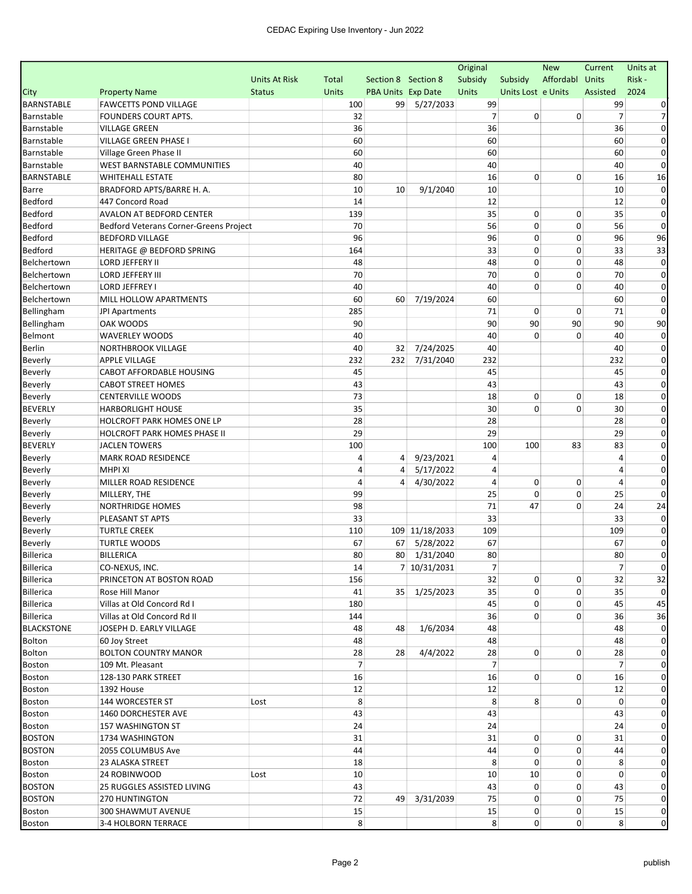|                           |                                             |                      |              |                     |                | Original       |                    | <b>New</b>     | Current        | Units at     |
|---------------------------|---------------------------------------------|----------------------|--------------|---------------------|----------------|----------------|--------------------|----------------|----------------|--------------|
|                           |                                             | <b>Units At Risk</b> | Total        | Section 8 Section 8 |                | Subsidy        | Subsidy            | Affordabl      | <b>Units</b>   | Risk-        |
| City                      | <b>Property Name</b>                        | <b>Status</b>        | <b>Units</b> | PBA Units Exp Date  |                | Units          | Units Lost e Units |                | Assisted       | 2024         |
| <b>BARNSTABLE</b>         | <b>FAWCETTS POND VILLAGE</b>                |                      | 100          |                     | 99 5/27/2033   | 99             |                    |                | 99             |              |
| Barnstable                | FOUNDERS COURT APTS.                        |                      | 32           |                     |                | $\overline{7}$ | 0                  | 0              | 7              |              |
| Barnstable                | <b>VILLAGE GREEN</b>                        |                      | 36           |                     |                | 36             |                    |                | 36             | $\Omega$     |
| Barnstable                | <b>VILLAGE GREEN PHASE I</b>                |                      | 60           |                     |                | 60             |                    |                | 60             | $\Omega$     |
| Barnstable                | Village Green Phase II                      |                      | 60           |                     |                | 60             |                    |                | 60             | 0            |
| Barnstable                | WEST BARNSTABLE COMMUNITIES                 |                      | 40           |                     |                | 40             |                    |                | 40             | $\Omega$     |
| <b>BARNSTABLE</b>         | <b>WHITEHALL ESTATE</b>                     |                      | 80           |                     |                | 16             | 0                  | 0              | 16             | 16           |
| Barre                     | BRADFORD APTS/BARRE H. A.                   |                      | 10           | 10                  | 9/1/2040       | 10             |                    |                | 10             | $\Omega$     |
| <b>Bedford</b>            | 447 Concord Road                            |                      | 14           |                     |                | 12             |                    |                | 12             | 0            |
| Bedford                   | AVALON AT BEDFORD CENTER                    |                      | 139          |                     |                | 35             | 0                  | $\mathbf 0$    | 35             | 0            |
| <b>Bedford</b>            | Bedford Veterans Corner-Greens Project      |                      | 70           |                     |                | 56             | 0                  | 0              | 56             | $\Omega$     |
| <b>Bedford</b>            | <b>BEDFORD VILLAGE</b>                      |                      | 96           |                     |                | 96             | 0                  | 0              | 96             | 96           |
| <b>Bedford</b>            | HERITAGE @ BEDFORD SPRING                   |                      | 164          |                     |                | 33             | 0                  | 0              | 33             | 33           |
| Belchertown               | LORD JEFFERY II                             |                      | 48           |                     |                | 48             | 0                  | $\mathbf 0$    | 48             | $\Omega$     |
| Belchertown               | <b>LORD JEFFERY III</b>                     |                      | 70           |                     |                | 70             | 0                  | 0              | 70             | 0            |
| Belchertown               | LORD JEFFREY I                              |                      | 40           |                     |                | 40             | 0                  | 0              | 40             | 0            |
| Belchertown               | MILL HOLLOW APARTMENTS                      |                      | 60           | 60                  | 7/19/2024      | 60             |                    |                | 60             | $\Omega$     |
| Bellingham                | JPI Apartments                              |                      | 285          |                     |                | 71             | 0                  | 0              | 71             | $\Omega$     |
| Bellingham                | OAK WOODS                                   |                      | 90           |                     |                | 90             | 90                 | 90             | 90             | 90           |
| Belmont                   | <b>WAVERLEY WOODS</b>                       |                      | 40           |                     |                | 40             | $\Omega$           | 0              | 40             | 0            |
| <b>Berlin</b>             | NORTHBROOK VILLAGE                          |                      | 40           | 32                  | 7/24/2025      | 40             |                    |                | 40             | $\Omega$     |
| Beverly                   | <b>APPLE VILLAGE</b>                        |                      | 232          | 232                 | 7/31/2040      | 232            |                    |                | 232            | 0            |
| Beverly                   | CABOT AFFORDABLE HOUSING                    |                      | 45           |                     |                | 45             |                    |                | 45             | $\Omega$     |
| Beverly                   | <b>CABOT STREET HOMES</b>                   |                      | 43           |                     |                | 43             |                    |                | 43             | 0            |
| Beverly                   | <b>CENTERVILLE WOODS</b>                    |                      | 73           |                     |                | 18             | 0                  | 0              | 18             | 0            |
| <b>BEVERLY</b>            | <b>HARBORLIGHT HOUSE</b>                    |                      | 35           |                     |                | 30             | 0                  | 0              | 30             | 0            |
| Beverly                   | HOLCROFT PARK HOMES ONE LP                  |                      | 28           |                     |                | 28             |                    |                | 28             | $\Omega$     |
| Beverly                   | HOLCROFT PARK HOMES PHASE II                |                      | 29           |                     |                | 29             |                    |                | 29             | $\Omega$     |
| <b>BEVERLY</b>            | <b>JACLEN TOWERS</b>                        |                      | 100          |                     |                | 100            | 100                | 83             | 83             | 0            |
| Beverly                   | <b>MARK ROAD RESIDENCE</b>                  |                      | 4            | 4                   | 9/23/2021      | 4              |                    |                | 4              | 0            |
| Beverly                   | <b>MHPI XI</b>                              |                      | 4            | 4                   | 5/17/2022      | 4              |                    |                | 4              | 0            |
| Beverly                   | MILLER ROAD RESIDENCE                       |                      | 4            | 4                   | 4/30/2022      | 4              | 0                  | 0              | 4              | 0            |
| Beverly                   | MILLERY, THE                                |                      | 99           |                     |                | 25             | 0                  | $\mathbf 0$    | 25             | $\Omega$     |
|                           | NORTHRIDGE HOMES                            |                      | 98           |                     |                | 71             | 47                 | $\Omega$       | 24             | 24           |
| <b>Beverly</b><br>Beverly | PLEASANT ST APTS                            |                      | 33           |                     |                | 33             |                    |                | 33             | 0            |
| Beverly                   | <b>TURTLE CREEK</b>                         |                      | 110          |                     | 109 11/18/2033 | 109            |                    |                | 109            | 0            |
| Beverly                   | <b>TURTLE WOODS</b>                         |                      | 67           | 67                  | 5/28/2022      | 67             |                    |                | 67             | 0            |
| Billerica                 | <b>BILLERICA</b>                            |                      | 80           |                     | 80 1/31/2040   | 80             |                    |                | 80             | 0            |
| Billerica                 | CO-NEXUS, INC.                              |                      | $14\,$       |                     | 7 10/31/2031   | $\overline{7}$ |                    |                | 7              |              |
|                           |                                             |                      |              |                     |                |                | 0                  | 0              |                |              |
| Billerica                 | PRINCETON AT BOSTON ROAD<br>Rose Hill Manor |                      | 156          |                     | 35 1/25/2023   | 32             | 0                  | 0              | 32             | 32           |
| Billerica                 | Villas at Old Concord Rd I                  |                      | 41           |                     |                | 35<br>45       | 0                  | 0              | 35<br>45       | 45           |
| Billerica                 |                                             |                      | 180          |                     |                |                | 0                  |                |                | 36           |
| Billerica                 | Villas at Old Concord Rd II                 |                      | 144          |                     |                | 36             |                    | 0              | 36             |              |
| <b>BLACKSTONE</b>         | JOSEPH D. EARLY VILLAGE                     |                      | 48           | 48                  | 1/6/2034       | 48             |                    |                | 48             |              |
| Bolton                    | 60 Joy Street                               |                      | 48           |                     |                | 48             |                    |                | 48             |              |
| <b>Bolton</b>             | <b>BOLTON COUNTRY MANOR</b>                 |                      | 28           | 28                  | 4/4/2022       | 28             | $\overline{0}$     | 0              | 28             | 0            |
| <b>Boston</b>             | 109 Mt. Pleasant                            |                      | 7            |                     |                | $\overline{7}$ |                    |                | 7              | 0            |
| <b>Boston</b>             | 128-130 PARK STREET                         |                      | 16           |                     |                | 16             | $\mathbf{0}$       | 0              | 16             | $\Omega$     |
| <b>Boston</b>             | 1392 House                                  |                      | 12           |                     |                | 12             |                    |                | 12             | $\Omega$     |
| <b>Boston</b>             | 144 WORCESTER ST                            | Lost                 | 8            |                     |                | 8              | 8                  | 0              | 0              |              |
| <b>Boston</b>             | 1460 DORCHESTER AVE                         |                      | 43           |                     |                | 43             |                    |                | 43             |              |
| <b>Boston</b>             | 157 WASHINGTON ST                           |                      | 24           |                     |                | 24             |                    |                | 24             |              |
| <b>BOSTON</b>             | 1734 WASHINGTON                             |                      | 31           |                     |                | 31             | 0                  | 0              | 31             | $\Omega$     |
| <b>BOSTON</b>             | 2055 COLUMBUS Ave                           |                      | 44           |                     |                | 44             | 0                  | 0              | 44             | $\Omega$     |
| <b>Boston</b>             | 23 ALASKA STREET                            |                      | 18           |                     |                | 8              | 0                  | 0              | 8              | $\Omega$     |
| <b>Boston</b>             | 24 ROBINWOOD                                | Lost                 | 10           |                     |                | 10             | 10                 | 0              | 0              | 0            |
| <b>BOSTON</b>             | 25 RUGGLES ASSISTED LIVING                  |                      | 43           |                     |                | 43             | 0                  | 0              | 43             | 0            |
| <b>BOSTON</b>             | 270 HUNTINGTON                              |                      | 72           | 49                  | 3/31/2039      | 75             | 0                  | 0              | 75             | $\mathbf{0}$ |
| <b>Boston</b>             | 300 SHAWMUT AVENUE                          |                      | 15           |                     |                | 15             | 0                  | 0              | 15             | $\mathbf{0}$ |
| Boston                    | 3-4 HOLBORN TERRACE                         |                      | 8            |                     |                | 8              | $\overline{0}$     | $\overline{0}$ | 8 <sup>1</sup> | $\pmb{0}$    |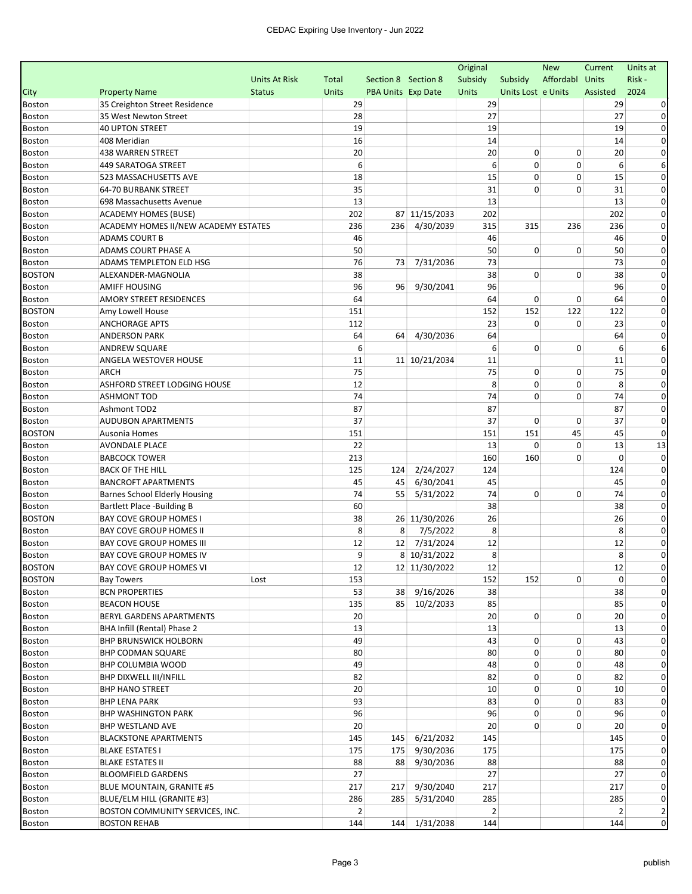|                                |                                                 |                      |              |                     |               | Original       |                    | <b>New</b> | Current  | Units at       |
|--------------------------------|-------------------------------------------------|----------------------|--------------|---------------------|---------------|----------------|--------------------|------------|----------|----------------|
|                                |                                                 | <b>Units At Risk</b> | Total        | Section 8 Section 8 |               | Subsidy        | Subsidy            | Affordabl  | Units    | Risk-          |
| City                           | <b>Property Name</b>                            | <b>Status</b>        | <b>Units</b> | PBA Units Exp Date  |               | Units          | Units Lost e Units |            | Assisted | 2024           |
| <b>Boston</b>                  | 35 Creighton Street Residence                   |                      | 29           |                     |               | 29             |                    |            | 29       |                |
| <b>Boston</b>                  | 35 West Newton Street                           |                      | 28           |                     |               | 27             |                    |            | 27       |                |
| <b>Boston</b>                  | <b>40 UPTON STREET</b>                          |                      | 19           |                     |               | 19             |                    |            | 19       |                |
| <b>Boston</b>                  | 408 Meridian                                    |                      | 16           |                     |               | 14             |                    |            | 14       |                |
| <b>Boston</b>                  | <b>438 WARREN STREET</b>                        |                      | 20           |                     |               | 20             | 0                  | 0          | 20       |                |
| Boston                         | <b>449 SARATOGA STREET</b>                      |                      | 6            |                     |               | 6              | 0                  | 0          | 6        |                |
| <b>Boston</b>                  | 523 MASSACHUSETTS AVE                           |                      | 18           |                     |               | 15             | 0                  | 0          | 15       |                |
| <b>Boston</b>                  | 64-70 BURBANK STREET                            |                      | 35           |                     |               | 31             | 0                  | 0          | 31       |                |
| <b>Boston</b>                  | 698 Massachusetts Avenue                        |                      | 13           |                     |               | 13             |                    |            | 13       | 0              |
| Boston                         | <b>ACADEMY HOMES (BUSE)</b>                     |                      | 202          |                     | 87 11/15/2033 | 202            |                    |            | 202      | 0              |
| Boston                         | ACADEMY HOMES II/NEW ACADEMY ESTATES            |                      | 236          | 236                 | 4/30/2039     | 315            | 315                | 236        | 236      | 0              |
| <b>Boston</b>                  | <b>ADAMS COURT B</b>                            |                      | 46           |                     |               | 46             |                    |            | 46       | $\Omega$       |
| Boston                         | ADAMS COURT PHASE A                             |                      | 50           |                     |               | 50             | 0                  | 0          | 50       |                |
| <b>Boston</b>                  | ADAMS TEMPLETON ELD HSG                         |                      | 76           | 73                  | 7/31/2036     | 73             |                    |            | 73       |                |
| <b>BOSTON</b>                  | ALEXANDER-MAGNOLIA                              |                      | 38           |                     |               | 38             | 0                  | 0          | 38       | $\Omega$       |
| Boston                         | <b>AMIFF HOUSING</b>                            |                      | 96           | 96                  | 9/30/2041     | 96             |                    |            | 96       |                |
| Boston                         | AMORY STREET RESIDENCES                         |                      | 64           |                     |               | 64             | 0                  | 0          | 64       |                |
| <b>BOSTON</b>                  | Amy Lowell House                                |                      | 151          |                     |               | 152            | 152                | 122        | 122      |                |
| <b>Boston</b>                  | <b>ANCHORAGE APTS</b>                           |                      | 112          |                     |               | 23             | 0                  | 0          | 23       | 0              |
| Boston                         | <b>ANDERSON PARK</b>                            |                      | 64           | 64                  | 4/30/2036     | 64             |                    |            | 64       | 0              |
| Boston                         | <b>ANDREW SQUARE</b>                            |                      | 6            |                     |               | 6              | 0                  | 0          | 6        |                |
| <b>Boston</b>                  | ANGELA WESTOVER HOUSE                           |                      | 11           |                     | 11 10/21/2034 | 11             |                    |            | 11       | 0              |
| <b>Boston</b>                  | <b>ARCH</b>                                     |                      | 75           |                     |               | 75             | 0                  | 0          | 75       |                |
| <b>Boston</b>                  | ASHFORD STREET LODGING HOUSE                    |                      | 12           |                     |               | 8              | 0                  | 0          | 8        |                |
|                                | <b>ASHMONT TOD</b>                              |                      | 74           |                     |               | 74             | 0                  | 0          | 74       |                |
| <b>Boston</b><br><b>Boston</b> | Ashmont TOD2                                    |                      | 87           |                     |               | 87             |                    |            | 87       |                |
|                                |                                                 |                      | 37           |                     |               | 37             | 0                  | 0          | 37       | $\Omega$       |
| Boston                         | <b>AUDUBON APARTMENTS</b>                       |                      | 151          |                     |               | 151            | 151                | 45         | 45       |                |
| <b>BOSTON</b>                  | Ausonia Homes                                   |                      | 22           |                     |               | 13             | 0                  | 0          |          | 13             |
| <b>Boston</b>                  | <b>AVONDALE PLACE</b>                           |                      |              |                     |               | 160            |                    | 0          | 13<br>0  | 0              |
| Boston                         | <b>BABCOCK TOWER</b><br><b>BACK OF THE HILL</b> |                      | 213          | 124                 | 2/24/2027     | 124            | 160                |            | 124      |                |
| Boston                         |                                                 |                      | 125          |                     |               |                |                    |            |          |                |
| <b>Boston</b>                  | <b>BANCROFT APARTMENTS</b>                      |                      | 45           | 45                  | 6/30/2041     | 45             |                    |            | 45       | 0              |
| Boston                         | <b>Barnes School Elderly Housing</b>            |                      | 74           | 55                  | 5/31/2022     | 74             | 0                  | 0          | 74       |                |
| <b>Boston</b>                  | <b>Bartlett Place -Building B</b>               |                      | 60           |                     |               | 38             |                    |            | 38       |                |
| <b>BOSTON</b>                  | <b>BAY COVE GROUP HOMES I</b>                   |                      | 38           |                     | 26 11/30/2026 | 26             |                    |            | 26       |                |
| <b>Boston</b>                  | <b>BAY COVE GROUP HOMES II</b>                  |                      | 8            | 8                   | 7/5/2022      | 8              |                    |            | 8        |                |
| Boston                         | BAY COVE GROUP HOMES III                        |                      | 12           | 12                  | 7/31/2024     | 12             |                    |            | 12       | 0              |
| <b>Boston</b>                  | BAY COVE GROUP HOMES IV                         |                      | 9            |                     | 8 10/31/2022  | 8              |                    |            | 8        | 0              |
| <b>BOSTON</b>                  | BAY COVE GROUP HOMES VI                         |                      | 12           |                     | 12 11/30/2022 | 12             |                    |            | 12       |                |
| <b>BOSTON</b>                  | Bay Towers                                      | Lost                 | 153          |                     |               | 152            | 152                | 0          | 0        | $\overline{0}$ |
| Boston                         | <b>BCN PROPERTIES</b>                           |                      | 53           | 38 <sup>1</sup>     | 9/16/2026     | 38             |                    |            | 38       |                |
| Boston                         | <b>BEACON HOUSE</b>                             |                      | 135          |                     | 85 10/2/2033  | 85             |                    |            | 85       | 0              |
| Boston                         | BERYL GARDENS APARTMENTS                        |                      | 20           |                     |               | 20             | 0                  | 0          | 20       | $\Omega$       |
| Boston                         | BHA Infill (Rental) Phase 2                     |                      | 13           |                     |               | 13             |                    |            | 13       | 0              |
| Boston                         | <b>BHP BRUNSWICK HOLBORN</b>                    |                      | 49           |                     |               | 43             | 0                  | 0          | 43       | 0              |
| <b>Boston</b>                  | <b>BHP CODMAN SQUARE</b>                        |                      | 80           |                     |               | 80             | 0                  | 0          | 80       | $\Omega$       |
| Boston                         | BHP COLUMBIA WOOD                               |                      | 49           |                     |               | 48             | 0                  | 0          | 48       | $\Omega$       |
| Boston                         | BHP DIXWELL III/INFILL                          |                      | 82           |                     |               | 82             | 0                  | 0          | 82       | 0              |
| <b>Boston</b>                  | <b>BHP HANO STREET</b>                          |                      | 20           |                     |               | 10             | 0                  | 0          | 10       | 0              |
| <b>Boston</b>                  | <b>BHP LENA PARK</b>                            |                      | 93           |                     |               | 83             | 0                  | 0          | 83       | $\Omega$       |
| <b>Boston</b>                  | <b>BHP WASHINGTON PARK</b>                      |                      | 96           |                     |               | 96             | 0                  | 0          | 96       | 0              |
| Boston                         | <b>BHP WESTLAND AVE</b>                         |                      | 20           |                     |               | 20             | 0                  | 0          | 20       | $\Omega$       |
| Boston                         | <b>BLACKSTONE APARTMENTS</b>                    |                      | 145          | 145                 | 6/21/2032     | 145            |                    |            | 145      | $\Omega$       |
| <b>Boston</b>                  | <b>BLAKE ESTATES I</b>                          |                      | 175          |                     | 175 9/30/2036 | 175            |                    |            | 175      | 0              |
| <b>Boston</b>                  | <b>BLAKE ESTATES II</b>                         |                      | 88           | 88                  | 9/30/2036     | 88             |                    |            | 88       | 0              |
| <b>Boston</b>                  | <b>BLOOMFIELD GARDENS</b>                       |                      | 27           |                     |               | 27             |                    |            | 27       | 0              |
| Boston                         | <b>BLUE MOUNTAIN, GRANITE #5</b>                |                      | 217          | 217                 | 9/30/2040     | 217            |                    |            | 217      | 0              |
| Boston                         | BLUE/ELM HILL (GRANITE #3)                      |                      | 286          | 285                 | 5/31/2040     | 285            |                    |            | 285      | 0              |
| <b>Boston</b>                  | BOSTON COMMUNITY SERVICES, INC.                 |                      | 2            |                     |               | $\overline{2}$ |                    |            | 2        | 2              |
| Boston                         | <b>BOSTON REHAB</b>                             |                      | 144          |                     | 144 1/31/2038 | 144            |                    |            | 144      | $\mathbf 0$    |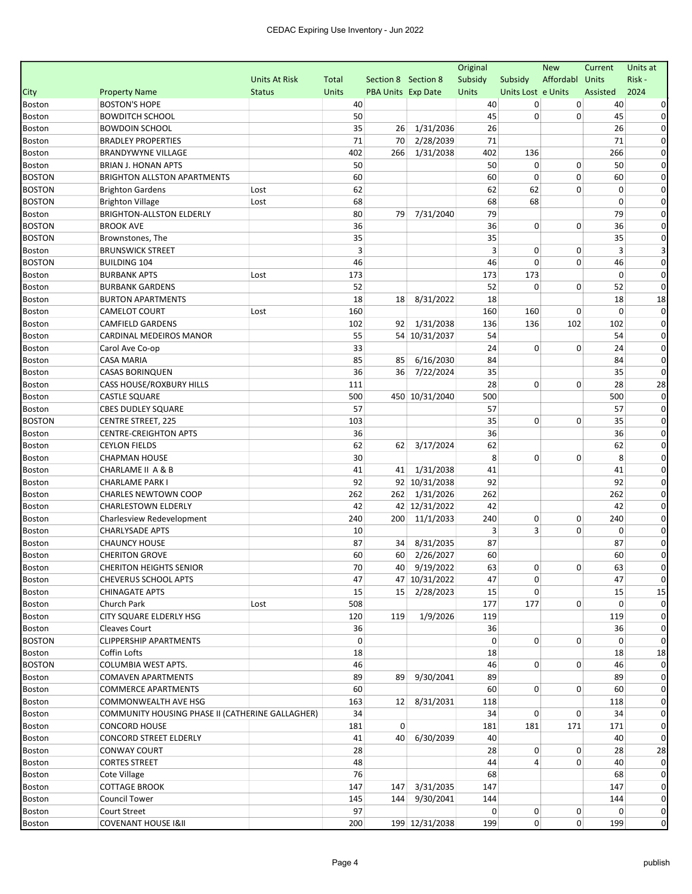| Affordabl Units<br>Risk-<br>Units At Risk<br>Section 8 Section 8<br>Subsidy<br>Subsidy<br>Total<br>2024<br><b>Property Name</b><br><b>Units</b><br><b>PBA Units Exp Date</b><br>Units<br>Units Lost e Units<br>Assisted<br><b>Status</b><br><b>BOSTON'S HOPE</b><br>40<br>40<br>40<br>0<br>0<br>0<br><b>BOWDITCH SCHOOL</b><br>50<br>45<br>0<br>45<br>0<br>26<br><b>BOWDOIN SCHOOL</b><br>35<br>1/31/2036<br>26<br>26<br>$\Omega$<br>71<br>2/28/2039<br>71<br>71<br><b>BRADLEY PROPERTIES</b><br>70<br>0<br>402<br><b>BRANDYWYNE VILLAGE</b><br>402<br>1/31/2038<br>136<br>266<br>0<br>266<br>50<br>50<br>0<br>0<br>50<br><b>BRIAN J. HONAN APTS</b><br>0<br>0<br><b>BRIGHTON ALLSTON APARTMENTS</b><br>60<br>60<br>0<br>60<br>0<br>62<br>62<br>62<br>$\mathbf 0$<br><b>Brighton Gardens</b><br>0<br>Lost<br>0<br>68<br>68<br>68<br>$\mathbf 0$<br><b>Brighton Village</b><br>Lost<br>0<br>7/31/2040<br>79<br>79<br><b>BRIGHTON-ALLSTON ELDERLY</b><br>80<br>79<br>$\Omega$<br>36<br>0<br><b>BROOK AVE</b><br>36<br>0<br>36<br>0<br>35<br>35<br>35<br>0<br>Brownstones, The<br>3<br>3<br>3<br><b>BRUNSWICK STREET</b><br>0<br>0<br>46<br>46<br>0<br>$\Omega$<br><b>BUILDING 104</b><br>46<br>0<br>173<br>173<br>173<br>0<br>0<br><b>BURBANK APTS</b><br>Lost<br>52<br>52<br>0<br>0<br>52<br>$\Omega$<br><b>BURBANK GARDENS</b><br>18<br>18<br><b>BURTON APARTMENTS</b><br>18<br>8/31/2022<br>18<br>18<br>160<br>$\mathbf 0$<br>CAMELOT COURT<br>160<br>160<br>0<br>0<br>Lost<br>102<br>1/31/2038<br>136<br>136<br>102<br>102<br><b>CAMFIELD GARDENS</b><br>92<br>0<br>55<br>54 10/31/2037<br>54<br>54<br>CARDINAL MEDEIROS MANOR<br>$\Omega$<br>33<br>24<br>0<br>$\Omega$<br>24<br>0<br>Carol Ave Co-op<br>85<br>6/16/2030<br>84<br><b>CASA MARIA</b><br>85<br>84<br>0<br>35<br>35<br><b>CASAS BORINQUEN</b><br>36<br>36<br>7/22/2024<br>0<br>28<br>0<br>0<br>28<br>28<br>CASS HOUSE/ROXBURY HILLS<br>111<br>500<br><b>CASTLE SQUARE</b><br>500<br>450 10/31/2040<br>500<br>0<br>57<br>57<br>57<br>0<br><b>CBES DUDLEY SQUARE</b><br>35<br>0<br>103<br>0<br>35<br><b>CENTRE STREET, 225</b><br>0<br>36<br>36<br>36<br><b>CENTRE-CREIGHTON APTS</b><br>0<br>62<br>3/17/2024<br>62<br>62<br><b>CEYLON FIELDS</b><br>62<br>0<br>30<br>8<br>0<br>8<br><b>CHAPMAN HOUSE</b><br>0<br>0<br>CHARLAME II A & B<br>41<br>1/31/2038<br>41<br>0<br>41<br>41<br>92<br>92<br>92 10/31/2038<br>92<br>0<br>CHARLAME PARK I<br>262<br>262<br>262<br><b>CHARLES NEWTOWN COOP</b><br>262<br>1/31/2026<br>0<br>42<br>42 12/31/2022<br>42<br>42<br><b>CHARLESTOWN ELDERLY</b><br>0<br>0<br>240<br>200<br>11/1/2033<br>240<br>0<br>240<br>$\Omega$<br>Charlesview Redevelopment<br>3<br>10<br>3<br>0<br>0<br><b>CHARLYSADE APTS</b><br>0<br><b>CHAUNCY HOUSE</b><br>87<br>8/31/2035<br>87<br>87<br>34<br>0<br>60<br>60<br>60<br>60 2/26/2027<br>0<br><b>CHERITON GROVE</b><br>70<br>40 9/19/2022<br>63<br>63<br><b>CHERITON HEIGHTS SENIOR</b><br>$\mathbf{0}$<br>0<br>47<br>47 10/31/2022<br>47<br>0<br>47<br>0<br><b>CHEVERUS SCHOOL APTS</b><br>15<br><b>CHINAGATE APTS</b><br>15 2/28/2023<br>15<br>0<br>15<br>15<br>0<br>Church Park<br>Lost<br>177<br>177<br>508<br>0<br>119<br>CITY SQUARE ELDERLY HSG<br>120<br>119<br>1/9/2026<br>119<br>36<br>36<br>Cleaves Court<br>36<br>0<br>$\mathbf 0$<br>$\overline{0}$<br><b>CLIPPERSHIP APARTMENTS</b><br>0<br>0<br>$\Omega$<br>0<br>18<br>Coffin Lofts<br>18<br>18<br>18<br>0<br>COLUMBIA WEST APTS.<br>46<br>46<br>0<br>$\Omega$<br>46<br>89<br>9/30/2041<br>89<br>89<br>89<br><b>COMAVEN APARTMENTS</b><br>0<br>0<br><b>COMMERCE APARTMENTS</b><br>60<br>60<br>0<br>60<br>$\Omega$<br>COMMONWEALTH AVE HSG<br>163<br>12 8/31/2031<br>118<br>$\Omega$<br>Boston<br>118<br>COMMUNITY HOUSING PHASE II (CATHERINE GALLAGHER)<br>34<br>34<br>0<br>0<br>34<br>0<br>0<br>181<br>181<br>171<br><b>Boston</b><br><b>CONCORD HOUSE</b><br>181<br>171<br>0<br>40<br>6/30/2039<br>CONCORD STREET ELDERLY<br>41<br>40<br>40<br>$\Omega$<br>28<br>0<br>28<br><b>CONWAY COURT</b><br>28<br>0<br>28<br><b>Boston</b><br>4<br>48<br>44<br>0<br><b>CORTES STREET</b><br>40<br>$\Omega$<br><b>Boston</b><br>76<br>68<br>68<br>0<br>Boston<br>Cote Village<br>147 3/31/2035<br><b>COTTAGE BROOK</b><br>147<br>0<br><b>Boston</b><br>147<br>147<br><b>Council Tower</b><br>145<br>144 9/30/2041<br>144<br>144<br>0<br>Boston<br>97<br>0<br>0<br>Court Street<br>0<br>0<br>$\mathbf{0}$<br>Boston<br>199<br>$\overline{0}$<br>$\overline{0}$<br>$\mathbf 0$<br><b>COVENANT HOUSE I&amp;II</b><br>200<br>199 12/31/2038<br>199 |               |  |  | Original | <b>New</b> | Current | Units at |
|-----------------------------------------------------------------------------------------------------------------------------------------------------------------------------------------------------------------------------------------------------------------------------------------------------------------------------------------------------------------------------------------------------------------------------------------------------------------------------------------------------------------------------------------------------------------------------------------------------------------------------------------------------------------------------------------------------------------------------------------------------------------------------------------------------------------------------------------------------------------------------------------------------------------------------------------------------------------------------------------------------------------------------------------------------------------------------------------------------------------------------------------------------------------------------------------------------------------------------------------------------------------------------------------------------------------------------------------------------------------------------------------------------------------------------------------------------------------------------------------------------------------------------------------------------------------------------------------------------------------------------------------------------------------------------------------------------------------------------------------------------------------------------------------------------------------------------------------------------------------------------------------------------------------------------------------------------------------------------------------------------------------------------------------------------------------------------------------------------------------------------------------------------------------------------------------------------------------------------------------------------------------------------------------------------------------------------------------------------------------------------------------------------------------------------------------------------------------------------------------------------------------------------------------------------------------------------------------------------------------------------------------------------------------------------------------------------------------------------------------------------------------------------------------------------------------------------------------------------------------------------------------------------------------------------------------------------------------------------------------------------------------------------------------------------------------------------------------------------------------------------------------------------------------------------------------------------------------------------------------------------------------------------------------------------------------------------------------------------------------------------------------------------------------------------------------------------------------------------------------------------------------------------------------------------------------------------------------------------------------------------------------------------------------------------------------------------------------------------------------------------------------------------------------------------------------------------------------------------------------------------------------------------------------------------------------------------------------------------------------------------------------------------------------------------------------------------------------------------------------------------------------------------------------------------------------------------------------------------------------------------------------------------------------------------------------------------------------------------------------------------------------------------------------------------------------------------------------------------------------------------------------------------------------|---------------|--|--|----------|------------|---------|----------|
|                                                                                                                                                                                                                                                                                                                                                                                                                                                                                                                                                                                                                                                                                                                                                                                                                                                                                                                                                                                                                                                                                                                                                                                                                                                                                                                                                                                                                                                                                                                                                                                                                                                                                                                                                                                                                                                                                                                                                                                                                                                                                                                                                                                                                                                                                                                                                                                                                                                                                                                                                                                                                                                                                                                                                                                                                                                                                                                                                                                                                                                                                                                                                                                                                                                                                                                                                                                                                                                                                                                                                                                                                                                                                                                                                                                                                                                                                                                                                                                                                                                                                                                                                                                                                                                                                                                                                                                                                                                                                                                                         |               |  |  |          |            |         |          |
|                                                                                                                                                                                                                                                                                                                                                                                                                                                                                                                                                                                                                                                                                                                                                                                                                                                                                                                                                                                                                                                                                                                                                                                                                                                                                                                                                                                                                                                                                                                                                                                                                                                                                                                                                                                                                                                                                                                                                                                                                                                                                                                                                                                                                                                                                                                                                                                                                                                                                                                                                                                                                                                                                                                                                                                                                                                                                                                                                                                                                                                                                                                                                                                                                                                                                                                                                                                                                                                                                                                                                                                                                                                                                                                                                                                                                                                                                                                                                                                                                                                                                                                                                                                                                                                                                                                                                                                                                                                                                                                                         | City          |  |  |          |            |         |          |
|                                                                                                                                                                                                                                                                                                                                                                                                                                                                                                                                                                                                                                                                                                                                                                                                                                                                                                                                                                                                                                                                                                                                                                                                                                                                                                                                                                                                                                                                                                                                                                                                                                                                                                                                                                                                                                                                                                                                                                                                                                                                                                                                                                                                                                                                                                                                                                                                                                                                                                                                                                                                                                                                                                                                                                                                                                                                                                                                                                                                                                                                                                                                                                                                                                                                                                                                                                                                                                                                                                                                                                                                                                                                                                                                                                                                                                                                                                                                                                                                                                                                                                                                                                                                                                                                                                                                                                                                                                                                                                                                         | <b>Boston</b> |  |  |          |            |         |          |
|                                                                                                                                                                                                                                                                                                                                                                                                                                                                                                                                                                                                                                                                                                                                                                                                                                                                                                                                                                                                                                                                                                                                                                                                                                                                                                                                                                                                                                                                                                                                                                                                                                                                                                                                                                                                                                                                                                                                                                                                                                                                                                                                                                                                                                                                                                                                                                                                                                                                                                                                                                                                                                                                                                                                                                                                                                                                                                                                                                                                                                                                                                                                                                                                                                                                                                                                                                                                                                                                                                                                                                                                                                                                                                                                                                                                                                                                                                                                                                                                                                                                                                                                                                                                                                                                                                                                                                                                                                                                                                                                         | <b>Boston</b> |  |  |          |            |         |          |
|                                                                                                                                                                                                                                                                                                                                                                                                                                                                                                                                                                                                                                                                                                                                                                                                                                                                                                                                                                                                                                                                                                                                                                                                                                                                                                                                                                                                                                                                                                                                                                                                                                                                                                                                                                                                                                                                                                                                                                                                                                                                                                                                                                                                                                                                                                                                                                                                                                                                                                                                                                                                                                                                                                                                                                                                                                                                                                                                                                                                                                                                                                                                                                                                                                                                                                                                                                                                                                                                                                                                                                                                                                                                                                                                                                                                                                                                                                                                                                                                                                                                                                                                                                                                                                                                                                                                                                                                                                                                                                                                         | Boston        |  |  |          |            |         |          |
|                                                                                                                                                                                                                                                                                                                                                                                                                                                                                                                                                                                                                                                                                                                                                                                                                                                                                                                                                                                                                                                                                                                                                                                                                                                                                                                                                                                                                                                                                                                                                                                                                                                                                                                                                                                                                                                                                                                                                                                                                                                                                                                                                                                                                                                                                                                                                                                                                                                                                                                                                                                                                                                                                                                                                                                                                                                                                                                                                                                                                                                                                                                                                                                                                                                                                                                                                                                                                                                                                                                                                                                                                                                                                                                                                                                                                                                                                                                                                                                                                                                                                                                                                                                                                                                                                                                                                                                                                                                                                                                                         | <b>Boston</b> |  |  |          |            |         |          |
|                                                                                                                                                                                                                                                                                                                                                                                                                                                                                                                                                                                                                                                                                                                                                                                                                                                                                                                                                                                                                                                                                                                                                                                                                                                                                                                                                                                                                                                                                                                                                                                                                                                                                                                                                                                                                                                                                                                                                                                                                                                                                                                                                                                                                                                                                                                                                                                                                                                                                                                                                                                                                                                                                                                                                                                                                                                                                                                                                                                                                                                                                                                                                                                                                                                                                                                                                                                                                                                                                                                                                                                                                                                                                                                                                                                                                                                                                                                                                                                                                                                                                                                                                                                                                                                                                                                                                                                                                                                                                                                                         | Boston        |  |  |          |            |         |          |
|                                                                                                                                                                                                                                                                                                                                                                                                                                                                                                                                                                                                                                                                                                                                                                                                                                                                                                                                                                                                                                                                                                                                                                                                                                                                                                                                                                                                                                                                                                                                                                                                                                                                                                                                                                                                                                                                                                                                                                                                                                                                                                                                                                                                                                                                                                                                                                                                                                                                                                                                                                                                                                                                                                                                                                                                                                                                                                                                                                                                                                                                                                                                                                                                                                                                                                                                                                                                                                                                                                                                                                                                                                                                                                                                                                                                                                                                                                                                                                                                                                                                                                                                                                                                                                                                                                                                                                                                                                                                                                                                         | Boston        |  |  |          |            |         |          |
|                                                                                                                                                                                                                                                                                                                                                                                                                                                                                                                                                                                                                                                                                                                                                                                                                                                                                                                                                                                                                                                                                                                                                                                                                                                                                                                                                                                                                                                                                                                                                                                                                                                                                                                                                                                                                                                                                                                                                                                                                                                                                                                                                                                                                                                                                                                                                                                                                                                                                                                                                                                                                                                                                                                                                                                                                                                                                                                                                                                                                                                                                                                                                                                                                                                                                                                                                                                                                                                                                                                                                                                                                                                                                                                                                                                                                                                                                                                                                                                                                                                                                                                                                                                                                                                                                                                                                                                                                                                                                                                                         | <b>BOSTON</b> |  |  |          |            |         |          |
|                                                                                                                                                                                                                                                                                                                                                                                                                                                                                                                                                                                                                                                                                                                                                                                                                                                                                                                                                                                                                                                                                                                                                                                                                                                                                                                                                                                                                                                                                                                                                                                                                                                                                                                                                                                                                                                                                                                                                                                                                                                                                                                                                                                                                                                                                                                                                                                                                                                                                                                                                                                                                                                                                                                                                                                                                                                                                                                                                                                                                                                                                                                                                                                                                                                                                                                                                                                                                                                                                                                                                                                                                                                                                                                                                                                                                                                                                                                                                                                                                                                                                                                                                                                                                                                                                                                                                                                                                                                                                                                                         | <b>BOSTON</b> |  |  |          |            |         |          |
|                                                                                                                                                                                                                                                                                                                                                                                                                                                                                                                                                                                                                                                                                                                                                                                                                                                                                                                                                                                                                                                                                                                                                                                                                                                                                                                                                                                                                                                                                                                                                                                                                                                                                                                                                                                                                                                                                                                                                                                                                                                                                                                                                                                                                                                                                                                                                                                                                                                                                                                                                                                                                                                                                                                                                                                                                                                                                                                                                                                                                                                                                                                                                                                                                                                                                                                                                                                                                                                                                                                                                                                                                                                                                                                                                                                                                                                                                                                                                                                                                                                                                                                                                                                                                                                                                                                                                                                                                                                                                                                                         | <b>BOSTON</b> |  |  |          |            |         |          |
|                                                                                                                                                                                                                                                                                                                                                                                                                                                                                                                                                                                                                                                                                                                                                                                                                                                                                                                                                                                                                                                                                                                                                                                                                                                                                                                                                                                                                                                                                                                                                                                                                                                                                                                                                                                                                                                                                                                                                                                                                                                                                                                                                                                                                                                                                                                                                                                                                                                                                                                                                                                                                                                                                                                                                                                                                                                                                                                                                                                                                                                                                                                                                                                                                                                                                                                                                                                                                                                                                                                                                                                                                                                                                                                                                                                                                                                                                                                                                                                                                                                                                                                                                                                                                                                                                                                                                                                                                                                                                                                                         | Boston        |  |  |          |            |         |          |
|                                                                                                                                                                                                                                                                                                                                                                                                                                                                                                                                                                                                                                                                                                                                                                                                                                                                                                                                                                                                                                                                                                                                                                                                                                                                                                                                                                                                                                                                                                                                                                                                                                                                                                                                                                                                                                                                                                                                                                                                                                                                                                                                                                                                                                                                                                                                                                                                                                                                                                                                                                                                                                                                                                                                                                                                                                                                                                                                                                                                                                                                                                                                                                                                                                                                                                                                                                                                                                                                                                                                                                                                                                                                                                                                                                                                                                                                                                                                                                                                                                                                                                                                                                                                                                                                                                                                                                                                                                                                                                                                         | <b>BOSTON</b> |  |  |          |            |         |          |
|                                                                                                                                                                                                                                                                                                                                                                                                                                                                                                                                                                                                                                                                                                                                                                                                                                                                                                                                                                                                                                                                                                                                                                                                                                                                                                                                                                                                                                                                                                                                                                                                                                                                                                                                                                                                                                                                                                                                                                                                                                                                                                                                                                                                                                                                                                                                                                                                                                                                                                                                                                                                                                                                                                                                                                                                                                                                                                                                                                                                                                                                                                                                                                                                                                                                                                                                                                                                                                                                                                                                                                                                                                                                                                                                                                                                                                                                                                                                                                                                                                                                                                                                                                                                                                                                                                                                                                                                                                                                                                                                         | <b>BOSTON</b> |  |  |          |            |         |          |
|                                                                                                                                                                                                                                                                                                                                                                                                                                                                                                                                                                                                                                                                                                                                                                                                                                                                                                                                                                                                                                                                                                                                                                                                                                                                                                                                                                                                                                                                                                                                                                                                                                                                                                                                                                                                                                                                                                                                                                                                                                                                                                                                                                                                                                                                                                                                                                                                                                                                                                                                                                                                                                                                                                                                                                                                                                                                                                                                                                                                                                                                                                                                                                                                                                                                                                                                                                                                                                                                                                                                                                                                                                                                                                                                                                                                                                                                                                                                                                                                                                                                                                                                                                                                                                                                                                                                                                                                                                                                                                                                         | Boston        |  |  |          |            |         |          |
|                                                                                                                                                                                                                                                                                                                                                                                                                                                                                                                                                                                                                                                                                                                                                                                                                                                                                                                                                                                                                                                                                                                                                                                                                                                                                                                                                                                                                                                                                                                                                                                                                                                                                                                                                                                                                                                                                                                                                                                                                                                                                                                                                                                                                                                                                                                                                                                                                                                                                                                                                                                                                                                                                                                                                                                                                                                                                                                                                                                                                                                                                                                                                                                                                                                                                                                                                                                                                                                                                                                                                                                                                                                                                                                                                                                                                                                                                                                                                                                                                                                                                                                                                                                                                                                                                                                                                                                                                                                                                                                                         | <b>BOSTON</b> |  |  |          |            |         |          |
|                                                                                                                                                                                                                                                                                                                                                                                                                                                                                                                                                                                                                                                                                                                                                                                                                                                                                                                                                                                                                                                                                                                                                                                                                                                                                                                                                                                                                                                                                                                                                                                                                                                                                                                                                                                                                                                                                                                                                                                                                                                                                                                                                                                                                                                                                                                                                                                                                                                                                                                                                                                                                                                                                                                                                                                                                                                                                                                                                                                                                                                                                                                                                                                                                                                                                                                                                                                                                                                                                                                                                                                                                                                                                                                                                                                                                                                                                                                                                                                                                                                                                                                                                                                                                                                                                                                                                                                                                                                                                                                                         | <b>Boston</b> |  |  |          |            |         |          |
|                                                                                                                                                                                                                                                                                                                                                                                                                                                                                                                                                                                                                                                                                                                                                                                                                                                                                                                                                                                                                                                                                                                                                                                                                                                                                                                                                                                                                                                                                                                                                                                                                                                                                                                                                                                                                                                                                                                                                                                                                                                                                                                                                                                                                                                                                                                                                                                                                                                                                                                                                                                                                                                                                                                                                                                                                                                                                                                                                                                                                                                                                                                                                                                                                                                                                                                                                                                                                                                                                                                                                                                                                                                                                                                                                                                                                                                                                                                                                                                                                                                                                                                                                                                                                                                                                                                                                                                                                                                                                                                                         | Boston        |  |  |          |            |         |          |
|                                                                                                                                                                                                                                                                                                                                                                                                                                                                                                                                                                                                                                                                                                                                                                                                                                                                                                                                                                                                                                                                                                                                                                                                                                                                                                                                                                                                                                                                                                                                                                                                                                                                                                                                                                                                                                                                                                                                                                                                                                                                                                                                                                                                                                                                                                                                                                                                                                                                                                                                                                                                                                                                                                                                                                                                                                                                                                                                                                                                                                                                                                                                                                                                                                                                                                                                                                                                                                                                                                                                                                                                                                                                                                                                                                                                                                                                                                                                                                                                                                                                                                                                                                                                                                                                                                                                                                                                                                                                                                                                         | Boston        |  |  |          |            |         |          |
|                                                                                                                                                                                                                                                                                                                                                                                                                                                                                                                                                                                                                                                                                                                                                                                                                                                                                                                                                                                                                                                                                                                                                                                                                                                                                                                                                                                                                                                                                                                                                                                                                                                                                                                                                                                                                                                                                                                                                                                                                                                                                                                                                                                                                                                                                                                                                                                                                                                                                                                                                                                                                                                                                                                                                                                                                                                                                                                                                                                                                                                                                                                                                                                                                                                                                                                                                                                                                                                                                                                                                                                                                                                                                                                                                                                                                                                                                                                                                                                                                                                                                                                                                                                                                                                                                                                                                                                                                                                                                                                                         | Boston        |  |  |          |            |         |          |
|                                                                                                                                                                                                                                                                                                                                                                                                                                                                                                                                                                                                                                                                                                                                                                                                                                                                                                                                                                                                                                                                                                                                                                                                                                                                                                                                                                                                                                                                                                                                                                                                                                                                                                                                                                                                                                                                                                                                                                                                                                                                                                                                                                                                                                                                                                                                                                                                                                                                                                                                                                                                                                                                                                                                                                                                                                                                                                                                                                                                                                                                                                                                                                                                                                                                                                                                                                                                                                                                                                                                                                                                                                                                                                                                                                                                                                                                                                                                                                                                                                                                                                                                                                                                                                                                                                                                                                                                                                                                                                                                         | <b>Boston</b> |  |  |          |            |         |          |
|                                                                                                                                                                                                                                                                                                                                                                                                                                                                                                                                                                                                                                                                                                                                                                                                                                                                                                                                                                                                                                                                                                                                                                                                                                                                                                                                                                                                                                                                                                                                                                                                                                                                                                                                                                                                                                                                                                                                                                                                                                                                                                                                                                                                                                                                                                                                                                                                                                                                                                                                                                                                                                                                                                                                                                                                                                                                                                                                                                                                                                                                                                                                                                                                                                                                                                                                                                                                                                                                                                                                                                                                                                                                                                                                                                                                                                                                                                                                                                                                                                                                                                                                                                                                                                                                                                                                                                                                                                                                                                                                         | <b>Boston</b> |  |  |          |            |         |          |
|                                                                                                                                                                                                                                                                                                                                                                                                                                                                                                                                                                                                                                                                                                                                                                                                                                                                                                                                                                                                                                                                                                                                                                                                                                                                                                                                                                                                                                                                                                                                                                                                                                                                                                                                                                                                                                                                                                                                                                                                                                                                                                                                                                                                                                                                                                                                                                                                                                                                                                                                                                                                                                                                                                                                                                                                                                                                                                                                                                                                                                                                                                                                                                                                                                                                                                                                                                                                                                                                                                                                                                                                                                                                                                                                                                                                                                                                                                                                                                                                                                                                                                                                                                                                                                                                                                                                                                                                                                                                                                                                         | Boston        |  |  |          |            |         |          |
|                                                                                                                                                                                                                                                                                                                                                                                                                                                                                                                                                                                                                                                                                                                                                                                                                                                                                                                                                                                                                                                                                                                                                                                                                                                                                                                                                                                                                                                                                                                                                                                                                                                                                                                                                                                                                                                                                                                                                                                                                                                                                                                                                                                                                                                                                                                                                                                                                                                                                                                                                                                                                                                                                                                                                                                                                                                                                                                                                                                                                                                                                                                                                                                                                                                                                                                                                                                                                                                                                                                                                                                                                                                                                                                                                                                                                                                                                                                                                                                                                                                                                                                                                                                                                                                                                                                                                                                                                                                                                                                                         | Boston        |  |  |          |            |         |          |
|                                                                                                                                                                                                                                                                                                                                                                                                                                                                                                                                                                                                                                                                                                                                                                                                                                                                                                                                                                                                                                                                                                                                                                                                                                                                                                                                                                                                                                                                                                                                                                                                                                                                                                                                                                                                                                                                                                                                                                                                                                                                                                                                                                                                                                                                                                                                                                                                                                                                                                                                                                                                                                                                                                                                                                                                                                                                                                                                                                                                                                                                                                                                                                                                                                                                                                                                                                                                                                                                                                                                                                                                                                                                                                                                                                                                                                                                                                                                                                                                                                                                                                                                                                                                                                                                                                                                                                                                                                                                                                                                         | Boston        |  |  |          |            |         |          |
|                                                                                                                                                                                                                                                                                                                                                                                                                                                                                                                                                                                                                                                                                                                                                                                                                                                                                                                                                                                                                                                                                                                                                                                                                                                                                                                                                                                                                                                                                                                                                                                                                                                                                                                                                                                                                                                                                                                                                                                                                                                                                                                                                                                                                                                                                                                                                                                                                                                                                                                                                                                                                                                                                                                                                                                                                                                                                                                                                                                                                                                                                                                                                                                                                                                                                                                                                                                                                                                                                                                                                                                                                                                                                                                                                                                                                                                                                                                                                                                                                                                                                                                                                                                                                                                                                                                                                                                                                                                                                                                                         | Boston        |  |  |          |            |         |          |
|                                                                                                                                                                                                                                                                                                                                                                                                                                                                                                                                                                                                                                                                                                                                                                                                                                                                                                                                                                                                                                                                                                                                                                                                                                                                                                                                                                                                                                                                                                                                                                                                                                                                                                                                                                                                                                                                                                                                                                                                                                                                                                                                                                                                                                                                                                                                                                                                                                                                                                                                                                                                                                                                                                                                                                                                                                                                                                                                                                                                                                                                                                                                                                                                                                                                                                                                                                                                                                                                                                                                                                                                                                                                                                                                                                                                                                                                                                                                                                                                                                                                                                                                                                                                                                                                                                                                                                                                                                                                                                                                         | Boston        |  |  |          |            |         |          |
|                                                                                                                                                                                                                                                                                                                                                                                                                                                                                                                                                                                                                                                                                                                                                                                                                                                                                                                                                                                                                                                                                                                                                                                                                                                                                                                                                                                                                                                                                                                                                                                                                                                                                                                                                                                                                                                                                                                                                                                                                                                                                                                                                                                                                                                                                                                                                                                                                                                                                                                                                                                                                                                                                                                                                                                                                                                                                                                                                                                                                                                                                                                                                                                                                                                                                                                                                                                                                                                                                                                                                                                                                                                                                                                                                                                                                                                                                                                                                                                                                                                                                                                                                                                                                                                                                                                                                                                                                                                                                                                                         | Boston        |  |  |          |            |         |          |
|                                                                                                                                                                                                                                                                                                                                                                                                                                                                                                                                                                                                                                                                                                                                                                                                                                                                                                                                                                                                                                                                                                                                                                                                                                                                                                                                                                                                                                                                                                                                                                                                                                                                                                                                                                                                                                                                                                                                                                                                                                                                                                                                                                                                                                                                                                                                                                                                                                                                                                                                                                                                                                                                                                                                                                                                                                                                                                                                                                                                                                                                                                                                                                                                                                                                                                                                                                                                                                                                                                                                                                                                                                                                                                                                                                                                                                                                                                                                                                                                                                                                                                                                                                                                                                                                                                                                                                                                                                                                                                                                         | <b>BOSTON</b> |  |  |          |            |         |          |
|                                                                                                                                                                                                                                                                                                                                                                                                                                                                                                                                                                                                                                                                                                                                                                                                                                                                                                                                                                                                                                                                                                                                                                                                                                                                                                                                                                                                                                                                                                                                                                                                                                                                                                                                                                                                                                                                                                                                                                                                                                                                                                                                                                                                                                                                                                                                                                                                                                                                                                                                                                                                                                                                                                                                                                                                                                                                                                                                                                                                                                                                                                                                                                                                                                                                                                                                                                                                                                                                                                                                                                                                                                                                                                                                                                                                                                                                                                                                                                                                                                                                                                                                                                                                                                                                                                                                                                                                                                                                                                                                         | Boston        |  |  |          |            |         |          |
|                                                                                                                                                                                                                                                                                                                                                                                                                                                                                                                                                                                                                                                                                                                                                                                                                                                                                                                                                                                                                                                                                                                                                                                                                                                                                                                                                                                                                                                                                                                                                                                                                                                                                                                                                                                                                                                                                                                                                                                                                                                                                                                                                                                                                                                                                                                                                                                                                                                                                                                                                                                                                                                                                                                                                                                                                                                                                                                                                                                                                                                                                                                                                                                                                                                                                                                                                                                                                                                                                                                                                                                                                                                                                                                                                                                                                                                                                                                                                                                                                                                                                                                                                                                                                                                                                                                                                                                                                                                                                                                                         | Boston        |  |  |          |            |         |          |
|                                                                                                                                                                                                                                                                                                                                                                                                                                                                                                                                                                                                                                                                                                                                                                                                                                                                                                                                                                                                                                                                                                                                                                                                                                                                                                                                                                                                                                                                                                                                                                                                                                                                                                                                                                                                                                                                                                                                                                                                                                                                                                                                                                                                                                                                                                                                                                                                                                                                                                                                                                                                                                                                                                                                                                                                                                                                                                                                                                                                                                                                                                                                                                                                                                                                                                                                                                                                                                                                                                                                                                                                                                                                                                                                                                                                                                                                                                                                                                                                                                                                                                                                                                                                                                                                                                                                                                                                                                                                                                                                         | <b>Boston</b> |  |  |          |            |         |          |
|                                                                                                                                                                                                                                                                                                                                                                                                                                                                                                                                                                                                                                                                                                                                                                                                                                                                                                                                                                                                                                                                                                                                                                                                                                                                                                                                                                                                                                                                                                                                                                                                                                                                                                                                                                                                                                                                                                                                                                                                                                                                                                                                                                                                                                                                                                                                                                                                                                                                                                                                                                                                                                                                                                                                                                                                                                                                                                                                                                                                                                                                                                                                                                                                                                                                                                                                                                                                                                                                                                                                                                                                                                                                                                                                                                                                                                                                                                                                                                                                                                                                                                                                                                                                                                                                                                                                                                                                                                                                                                                                         | Boston        |  |  |          |            |         |          |
|                                                                                                                                                                                                                                                                                                                                                                                                                                                                                                                                                                                                                                                                                                                                                                                                                                                                                                                                                                                                                                                                                                                                                                                                                                                                                                                                                                                                                                                                                                                                                                                                                                                                                                                                                                                                                                                                                                                                                                                                                                                                                                                                                                                                                                                                                                                                                                                                                                                                                                                                                                                                                                                                                                                                                                                                                                                                                                                                                                                                                                                                                                                                                                                                                                                                                                                                                                                                                                                                                                                                                                                                                                                                                                                                                                                                                                                                                                                                                                                                                                                                                                                                                                                                                                                                                                                                                                                                                                                                                                                                         | <b>Boston</b> |  |  |          |            |         |          |
|                                                                                                                                                                                                                                                                                                                                                                                                                                                                                                                                                                                                                                                                                                                                                                                                                                                                                                                                                                                                                                                                                                                                                                                                                                                                                                                                                                                                                                                                                                                                                                                                                                                                                                                                                                                                                                                                                                                                                                                                                                                                                                                                                                                                                                                                                                                                                                                                                                                                                                                                                                                                                                                                                                                                                                                                                                                                                                                                                                                                                                                                                                                                                                                                                                                                                                                                                                                                                                                                                                                                                                                                                                                                                                                                                                                                                                                                                                                                                                                                                                                                                                                                                                                                                                                                                                                                                                                                                                                                                                                                         | Boston        |  |  |          |            |         |          |
|                                                                                                                                                                                                                                                                                                                                                                                                                                                                                                                                                                                                                                                                                                                                                                                                                                                                                                                                                                                                                                                                                                                                                                                                                                                                                                                                                                                                                                                                                                                                                                                                                                                                                                                                                                                                                                                                                                                                                                                                                                                                                                                                                                                                                                                                                                                                                                                                                                                                                                                                                                                                                                                                                                                                                                                                                                                                                                                                                                                                                                                                                                                                                                                                                                                                                                                                                                                                                                                                                                                                                                                                                                                                                                                                                                                                                                                                                                                                                                                                                                                                                                                                                                                                                                                                                                                                                                                                                                                                                                                                         | Boston        |  |  |          |            |         |          |
|                                                                                                                                                                                                                                                                                                                                                                                                                                                                                                                                                                                                                                                                                                                                                                                                                                                                                                                                                                                                                                                                                                                                                                                                                                                                                                                                                                                                                                                                                                                                                                                                                                                                                                                                                                                                                                                                                                                                                                                                                                                                                                                                                                                                                                                                                                                                                                                                                                                                                                                                                                                                                                                                                                                                                                                                                                                                                                                                                                                                                                                                                                                                                                                                                                                                                                                                                                                                                                                                                                                                                                                                                                                                                                                                                                                                                                                                                                                                                                                                                                                                                                                                                                                                                                                                                                                                                                                                                                                                                                                                         | <b>Boston</b> |  |  |          |            |         |          |
|                                                                                                                                                                                                                                                                                                                                                                                                                                                                                                                                                                                                                                                                                                                                                                                                                                                                                                                                                                                                                                                                                                                                                                                                                                                                                                                                                                                                                                                                                                                                                                                                                                                                                                                                                                                                                                                                                                                                                                                                                                                                                                                                                                                                                                                                                                                                                                                                                                                                                                                                                                                                                                                                                                                                                                                                                                                                                                                                                                                                                                                                                                                                                                                                                                                                                                                                                                                                                                                                                                                                                                                                                                                                                                                                                                                                                                                                                                                                                                                                                                                                                                                                                                                                                                                                                                                                                                                                                                                                                                                                         | Boston        |  |  |          |            |         |          |
|                                                                                                                                                                                                                                                                                                                                                                                                                                                                                                                                                                                                                                                                                                                                                                                                                                                                                                                                                                                                                                                                                                                                                                                                                                                                                                                                                                                                                                                                                                                                                                                                                                                                                                                                                                                                                                                                                                                                                                                                                                                                                                                                                                                                                                                                                                                                                                                                                                                                                                                                                                                                                                                                                                                                                                                                                                                                                                                                                                                                                                                                                                                                                                                                                                                                                                                                                                                                                                                                                                                                                                                                                                                                                                                                                                                                                                                                                                                                                                                                                                                                                                                                                                                                                                                                                                                                                                                                                                                                                                                                         | <b>Boston</b> |  |  |          |            |         |          |
|                                                                                                                                                                                                                                                                                                                                                                                                                                                                                                                                                                                                                                                                                                                                                                                                                                                                                                                                                                                                                                                                                                                                                                                                                                                                                                                                                                                                                                                                                                                                                                                                                                                                                                                                                                                                                                                                                                                                                                                                                                                                                                                                                                                                                                                                                                                                                                                                                                                                                                                                                                                                                                                                                                                                                                                                                                                                                                                                                                                                                                                                                                                                                                                                                                                                                                                                                                                                                                                                                                                                                                                                                                                                                                                                                                                                                                                                                                                                                                                                                                                                                                                                                                                                                                                                                                                                                                                                                                                                                                                                         | <b>Boston</b> |  |  |          |            |         |          |
|                                                                                                                                                                                                                                                                                                                                                                                                                                                                                                                                                                                                                                                                                                                                                                                                                                                                                                                                                                                                                                                                                                                                                                                                                                                                                                                                                                                                                                                                                                                                                                                                                                                                                                                                                                                                                                                                                                                                                                                                                                                                                                                                                                                                                                                                                                                                                                                                                                                                                                                                                                                                                                                                                                                                                                                                                                                                                                                                                                                                                                                                                                                                                                                                                                                                                                                                                                                                                                                                                                                                                                                                                                                                                                                                                                                                                                                                                                                                                                                                                                                                                                                                                                                                                                                                                                                                                                                                                                                                                                                                         | Boston        |  |  |          |            |         |          |
|                                                                                                                                                                                                                                                                                                                                                                                                                                                                                                                                                                                                                                                                                                                                                                                                                                                                                                                                                                                                                                                                                                                                                                                                                                                                                                                                                                                                                                                                                                                                                                                                                                                                                                                                                                                                                                                                                                                                                                                                                                                                                                                                                                                                                                                                                                                                                                                                                                                                                                                                                                                                                                                                                                                                                                                                                                                                                                                                                                                                                                                                                                                                                                                                                                                                                                                                                                                                                                                                                                                                                                                                                                                                                                                                                                                                                                                                                                                                                                                                                                                                                                                                                                                                                                                                                                                                                                                                                                                                                                                                         | Boston        |  |  |          |            |         |          |
|                                                                                                                                                                                                                                                                                                                                                                                                                                                                                                                                                                                                                                                                                                                                                                                                                                                                                                                                                                                                                                                                                                                                                                                                                                                                                                                                                                                                                                                                                                                                                                                                                                                                                                                                                                                                                                                                                                                                                                                                                                                                                                                                                                                                                                                                                                                                                                                                                                                                                                                                                                                                                                                                                                                                                                                                                                                                                                                                                                                                                                                                                                                                                                                                                                                                                                                                                                                                                                                                                                                                                                                                                                                                                                                                                                                                                                                                                                                                                                                                                                                                                                                                                                                                                                                                                                                                                                                                                                                                                                                                         | Boston        |  |  |          |            |         |          |
|                                                                                                                                                                                                                                                                                                                                                                                                                                                                                                                                                                                                                                                                                                                                                                                                                                                                                                                                                                                                                                                                                                                                                                                                                                                                                                                                                                                                                                                                                                                                                                                                                                                                                                                                                                                                                                                                                                                                                                                                                                                                                                                                                                                                                                                                                                                                                                                                                                                                                                                                                                                                                                                                                                                                                                                                                                                                                                                                                                                                                                                                                                                                                                                                                                                                                                                                                                                                                                                                                                                                                                                                                                                                                                                                                                                                                                                                                                                                                                                                                                                                                                                                                                                                                                                                                                                                                                                                                                                                                                                                         | <b>Boston</b> |  |  |          |            |         |          |
|                                                                                                                                                                                                                                                                                                                                                                                                                                                                                                                                                                                                                                                                                                                                                                                                                                                                                                                                                                                                                                                                                                                                                                                                                                                                                                                                                                                                                                                                                                                                                                                                                                                                                                                                                                                                                                                                                                                                                                                                                                                                                                                                                                                                                                                                                                                                                                                                                                                                                                                                                                                                                                                                                                                                                                                                                                                                                                                                                                                                                                                                                                                                                                                                                                                                                                                                                                                                                                                                                                                                                                                                                                                                                                                                                                                                                                                                                                                                                                                                                                                                                                                                                                                                                                                                                                                                                                                                                                                                                                                                         | Boston        |  |  |          |            |         |          |
|                                                                                                                                                                                                                                                                                                                                                                                                                                                                                                                                                                                                                                                                                                                                                                                                                                                                                                                                                                                                                                                                                                                                                                                                                                                                                                                                                                                                                                                                                                                                                                                                                                                                                                                                                                                                                                                                                                                                                                                                                                                                                                                                                                                                                                                                                                                                                                                                                                                                                                                                                                                                                                                                                                                                                                                                                                                                                                                                                                                                                                                                                                                                                                                                                                                                                                                                                                                                                                                                                                                                                                                                                                                                                                                                                                                                                                                                                                                                                                                                                                                                                                                                                                                                                                                                                                                                                                                                                                                                                                                                         | Boston        |  |  |          |            |         |          |
|                                                                                                                                                                                                                                                                                                                                                                                                                                                                                                                                                                                                                                                                                                                                                                                                                                                                                                                                                                                                                                                                                                                                                                                                                                                                                                                                                                                                                                                                                                                                                                                                                                                                                                                                                                                                                                                                                                                                                                                                                                                                                                                                                                                                                                                                                                                                                                                                                                                                                                                                                                                                                                                                                                                                                                                                                                                                                                                                                                                                                                                                                                                                                                                                                                                                                                                                                                                                                                                                                                                                                                                                                                                                                                                                                                                                                                                                                                                                                                                                                                                                                                                                                                                                                                                                                                                                                                                                                                                                                                                                         | <b>BOSTON</b> |  |  |          |            |         |          |
|                                                                                                                                                                                                                                                                                                                                                                                                                                                                                                                                                                                                                                                                                                                                                                                                                                                                                                                                                                                                                                                                                                                                                                                                                                                                                                                                                                                                                                                                                                                                                                                                                                                                                                                                                                                                                                                                                                                                                                                                                                                                                                                                                                                                                                                                                                                                                                                                                                                                                                                                                                                                                                                                                                                                                                                                                                                                                                                                                                                                                                                                                                                                                                                                                                                                                                                                                                                                                                                                                                                                                                                                                                                                                                                                                                                                                                                                                                                                                                                                                                                                                                                                                                                                                                                                                                                                                                                                                                                                                                                                         | Boston        |  |  |          |            |         |          |
|                                                                                                                                                                                                                                                                                                                                                                                                                                                                                                                                                                                                                                                                                                                                                                                                                                                                                                                                                                                                                                                                                                                                                                                                                                                                                                                                                                                                                                                                                                                                                                                                                                                                                                                                                                                                                                                                                                                                                                                                                                                                                                                                                                                                                                                                                                                                                                                                                                                                                                                                                                                                                                                                                                                                                                                                                                                                                                                                                                                                                                                                                                                                                                                                                                                                                                                                                                                                                                                                                                                                                                                                                                                                                                                                                                                                                                                                                                                                                                                                                                                                                                                                                                                                                                                                                                                                                                                                                                                                                                                                         | <b>BOSTON</b> |  |  |          |            |         |          |
|                                                                                                                                                                                                                                                                                                                                                                                                                                                                                                                                                                                                                                                                                                                                                                                                                                                                                                                                                                                                                                                                                                                                                                                                                                                                                                                                                                                                                                                                                                                                                                                                                                                                                                                                                                                                                                                                                                                                                                                                                                                                                                                                                                                                                                                                                                                                                                                                                                                                                                                                                                                                                                                                                                                                                                                                                                                                                                                                                                                                                                                                                                                                                                                                                                                                                                                                                                                                                                                                                                                                                                                                                                                                                                                                                                                                                                                                                                                                                                                                                                                                                                                                                                                                                                                                                                                                                                                                                                                                                                                                         | Boston        |  |  |          |            |         |          |
|                                                                                                                                                                                                                                                                                                                                                                                                                                                                                                                                                                                                                                                                                                                                                                                                                                                                                                                                                                                                                                                                                                                                                                                                                                                                                                                                                                                                                                                                                                                                                                                                                                                                                                                                                                                                                                                                                                                                                                                                                                                                                                                                                                                                                                                                                                                                                                                                                                                                                                                                                                                                                                                                                                                                                                                                                                                                                                                                                                                                                                                                                                                                                                                                                                                                                                                                                                                                                                                                                                                                                                                                                                                                                                                                                                                                                                                                                                                                                                                                                                                                                                                                                                                                                                                                                                                                                                                                                                                                                                                                         | Boston        |  |  |          |            |         |          |
|                                                                                                                                                                                                                                                                                                                                                                                                                                                                                                                                                                                                                                                                                                                                                                                                                                                                                                                                                                                                                                                                                                                                                                                                                                                                                                                                                                                                                                                                                                                                                                                                                                                                                                                                                                                                                                                                                                                                                                                                                                                                                                                                                                                                                                                                                                                                                                                                                                                                                                                                                                                                                                                                                                                                                                                                                                                                                                                                                                                                                                                                                                                                                                                                                                                                                                                                                                                                                                                                                                                                                                                                                                                                                                                                                                                                                                                                                                                                                                                                                                                                                                                                                                                                                                                                                                                                                                                                                                                                                                                                         |               |  |  |          |            |         |          |
|                                                                                                                                                                                                                                                                                                                                                                                                                                                                                                                                                                                                                                                                                                                                                                                                                                                                                                                                                                                                                                                                                                                                                                                                                                                                                                                                                                                                                                                                                                                                                                                                                                                                                                                                                                                                                                                                                                                                                                                                                                                                                                                                                                                                                                                                                                                                                                                                                                                                                                                                                                                                                                                                                                                                                                                                                                                                                                                                                                                                                                                                                                                                                                                                                                                                                                                                                                                                                                                                                                                                                                                                                                                                                                                                                                                                                                                                                                                                                                                                                                                                                                                                                                                                                                                                                                                                                                                                                                                                                                                                         | Boston        |  |  |          |            |         |          |
|                                                                                                                                                                                                                                                                                                                                                                                                                                                                                                                                                                                                                                                                                                                                                                                                                                                                                                                                                                                                                                                                                                                                                                                                                                                                                                                                                                                                                                                                                                                                                                                                                                                                                                                                                                                                                                                                                                                                                                                                                                                                                                                                                                                                                                                                                                                                                                                                                                                                                                                                                                                                                                                                                                                                                                                                                                                                                                                                                                                                                                                                                                                                                                                                                                                                                                                                                                                                                                                                                                                                                                                                                                                                                                                                                                                                                                                                                                                                                                                                                                                                                                                                                                                                                                                                                                                                                                                                                                                                                                                                         |               |  |  |          |            |         |          |
|                                                                                                                                                                                                                                                                                                                                                                                                                                                                                                                                                                                                                                                                                                                                                                                                                                                                                                                                                                                                                                                                                                                                                                                                                                                                                                                                                                                                                                                                                                                                                                                                                                                                                                                                                                                                                                                                                                                                                                                                                                                                                                                                                                                                                                                                                                                                                                                                                                                                                                                                                                                                                                                                                                                                                                                                                                                                                                                                                                                                                                                                                                                                                                                                                                                                                                                                                                                                                                                                                                                                                                                                                                                                                                                                                                                                                                                                                                                                                                                                                                                                                                                                                                                                                                                                                                                                                                                                                                                                                                                                         | Boston        |  |  |          |            |         |          |
|                                                                                                                                                                                                                                                                                                                                                                                                                                                                                                                                                                                                                                                                                                                                                                                                                                                                                                                                                                                                                                                                                                                                                                                                                                                                                                                                                                                                                                                                                                                                                                                                                                                                                                                                                                                                                                                                                                                                                                                                                                                                                                                                                                                                                                                                                                                                                                                                                                                                                                                                                                                                                                                                                                                                                                                                                                                                                                                                                                                                                                                                                                                                                                                                                                                                                                                                                                                                                                                                                                                                                                                                                                                                                                                                                                                                                                                                                                                                                                                                                                                                                                                                                                                                                                                                                                                                                                                                                                                                                                                                         |               |  |  |          |            |         |          |
|                                                                                                                                                                                                                                                                                                                                                                                                                                                                                                                                                                                                                                                                                                                                                                                                                                                                                                                                                                                                                                                                                                                                                                                                                                                                                                                                                                                                                                                                                                                                                                                                                                                                                                                                                                                                                                                                                                                                                                                                                                                                                                                                                                                                                                                                                                                                                                                                                                                                                                                                                                                                                                                                                                                                                                                                                                                                                                                                                                                                                                                                                                                                                                                                                                                                                                                                                                                                                                                                                                                                                                                                                                                                                                                                                                                                                                                                                                                                                                                                                                                                                                                                                                                                                                                                                                                                                                                                                                                                                                                                         |               |  |  |          |            |         |          |
|                                                                                                                                                                                                                                                                                                                                                                                                                                                                                                                                                                                                                                                                                                                                                                                                                                                                                                                                                                                                                                                                                                                                                                                                                                                                                                                                                                                                                                                                                                                                                                                                                                                                                                                                                                                                                                                                                                                                                                                                                                                                                                                                                                                                                                                                                                                                                                                                                                                                                                                                                                                                                                                                                                                                                                                                                                                                                                                                                                                                                                                                                                                                                                                                                                                                                                                                                                                                                                                                                                                                                                                                                                                                                                                                                                                                                                                                                                                                                                                                                                                                                                                                                                                                                                                                                                                                                                                                                                                                                                                                         |               |  |  |          |            |         |          |
|                                                                                                                                                                                                                                                                                                                                                                                                                                                                                                                                                                                                                                                                                                                                                                                                                                                                                                                                                                                                                                                                                                                                                                                                                                                                                                                                                                                                                                                                                                                                                                                                                                                                                                                                                                                                                                                                                                                                                                                                                                                                                                                                                                                                                                                                                                                                                                                                                                                                                                                                                                                                                                                                                                                                                                                                                                                                                                                                                                                                                                                                                                                                                                                                                                                                                                                                                                                                                                                                                                                                                                                                                                                                                                                                                                                                                                                                                                                                                                                                                                                                                                                                                                                                                                                                                                                                                                                                                                                                                                                                         |               |  |  |          |            |         |          |
|                                                                                                                                                                                                                                                                                                                                                                                                                                                                                                                                                                                                                                                                                                                                                                                                                                                                                                                                                                                                                                                                                                                                                                                                                                                                                                                                                                                                                                                                                                                                                                                                                                                                                                                                                                                                                                                                                                                                                                                                                                                                                                                                                                                                                                                                                                                                                                                                                                                                                                                                                                                                                                                                                                                                                                                                                                                                                                                                                                                                                                                                                                                                                                                                                                                                                                                                                                                                                                                                                                                                                                                                                                                                                                                                                                                                                                                                                                                                                                                                                                                                                                                                                                                                                                                                                                                                                                                                                                                                                                                                         |               |  |  |          |            |         |          |
|                                                                                                                                                                                                                                                                                                                                                                                                                                                                                                                                                                                                                                                                                                                                                                                                                                                                                                                                                                                                                                                                                                                                                                                                                                                                                                                                                                                                                                                                                                                                                                                                                                                                                                                                                                                                                                                                                                                                                                                                                                                                                                                                                                                                                                                                                                                                                                                                                                                                                                                                                                                                                                                                                                                                                                                                                                                                                                                                                                                                                                                                                                                                                                                                                                                                                                                                                                                                                                                                                                                                                                                                                                                                                                                                                                                                                                                                                                                                                                                                                                                                                                                                                                                                                                                                                                                                                                                                                                                                                                                                         |               |  |  |          |            |         |          |
|                                                                                                                                                                                                                                                                                                                                                                                                                                                                                                                                                                                                                                                                                                                                                                                                                                                                                                                                                                                                                                                                                                                                                                                                                                                                                                                                                                                                                                                                                                                                                                                                                                                                                                                                                                                                                                                                                                                                                                                                                                                                                                                                                                                                                                                                                                                                                                                                                                                                                                                                                                                                                                                                                                                                                                                                                                                                                                                                                                                                                                                                                                                                                                                                                                                                                                                                                                                                                                                                                                                                                                                                                                                                                                                                                                                                                                                                                                                                                                                                                                                                                                                                                                                                                                                                                                                                                                                                                                                                                                                                         | Boston        |  |  |          |            |         |          |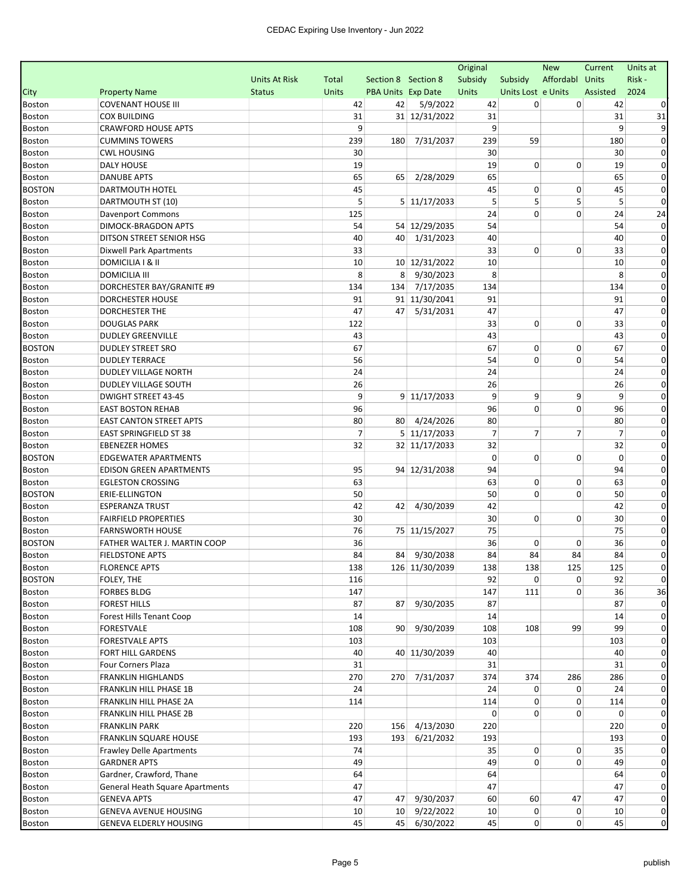| Affordabl Units<br>Risk-<br><b>Units At Risk</b><br>Subsidy<br>Subsidy<br>Total<br>Section 8 Section 8<br>2024<br><b>Property Name</b><br><b>Units</b><br>PBA Units Exp Date<br>Units<br>Units Lost e Units<br>Assisted<br><b>Status</b><br><b>COVENANT HOUSE III</b><br>42<br>42<br>5/9/2022<br>42<br>0<br>0<br>42<br>31 12/31/2022<br>31<br><b>COX BUILDING</b><br>31<br>31<br>31<br>9<br>9<br>9<br><b>CRAWFORD HOUSE APTS</b><br>q<br><b>CUMMINS TOWERS</b><br>239<br>7/31/2037<br>239<br>59<br>180<br>180<br><b>CWL HOUSING</b><br>30<br>30<br>30<br>0<br><b>DALY HOUSE</b><br>19<br>19<br>0<br>0<br>19<br>0<br><b>DANUBE APTS</b><br>65<br>2/28/2029<br>65<br>65<br>65<br>0<br>45<br>45<br>0<br>45<br>DARTMOUTH HOTEL<br>0<br>0<br>5<br>5<br>5<br>5<br>5<br>DARTMOUTH ST (10)<br>5 11/17/2033<br>0<br>0<br>24<br>0<br>24<br>125<br>24<br><b>Davenport Commons</b><br>54<br>54 12/29/2035<br>54<br>54<br>DIMOCK-BRAGDON APTS<br>0<br>40 1/31/2023<br>DITSON STREET SENIOR HSG<br>40<br>40<br>40<br>$\Omega$<br>Boston<br>33<br>0<br>0<br>33<br>33<br>Dixwell Park Apartments<br>0<br>DOMICILIA I & II<br>10<br>10 12/31/2022<br>10<br>10<br>Boston<br>0<br>8<br>9/30/2023<br>8<br>8<br><b>DOMICILIA III</b><br>8<br><b>Boston</b><br>0<br>DORCHESTER BAY/GRANITE #9<br>134<br>7/17/2035<br>134<br>134<br><b>Boston</b><br>134<br><b>DORCHESTER HOUSE</b><br>91<br>91 11/30/2041<br>91<br>91<br>Boston<br>0<br>5/31/2031<br>47<br>DORCHESTER THE<br>47<br>47<br>Boston<br>47<br>0<br>33<br>0<br><b>DOUGLAS PARK</b><br>122<br>0<br>33<br>Boston<br>0<br>43<br><b>DUDLEY GREENVILLE</b><br>43<br>43<br>Boston<br>0<br>67<br>67<br>0<br><b>BOSTON</b><br><b>DUDLEY STREET SRO</b><br>0<br>67<br>0<br>54<br>0<br><b>DUDLEY TERRACE</b><br>56<br>0<br>54<br>0<br>Boston<br>24<br>24<br>24<br>Boston<br>DUDLEY VILLAGE NORTH<br>0<br>26<br>DUDLEY VILLAGE SOUTH<br>26<br>26<br>Boston<br>0<br>9<br>9<br>9<br>9<br>9<br><b>DWIGHT STREET 43-45</b><br>$9 \mid 11/17/2033$<br><b>Boston</b><br>0<br>96<br>96<br>0<br><b>EAST BOSTON REHAB</b><br>0<br>96<br><b>Boston</b><br>0<br>80<br>80 4/24/2026<br><b>EAST CANTON STREET APTS</b><br>80<br>80<br>Boston<br>0<br>$\overline{7}$<br>5 11/17/2033<br>$\overline{7}$<br>$\overline{7}$<br>EAST SPRINGFIELD ST 38<br>7<br>$\overline{7}$<br>Boston<br>0<br>32<br>32 11/17/2033<br>32<br>32<br><b>EBENEZER HOMES</b><br>Boston<br>0<br>0<br>$\mathbf 0$<br>$\mathbf 0$<br>$\mathbf 0$<br><b>BOSTON</b><br><b>EDGEWATER APARTMENTS</b><br>$\Omega$<br>95<br>94 12/31/2038<br>94<br>94<br><b>EDISON GREEN APARTMENTS</b><br>$\Omega$<br>Boston<br>63<br>0<br><b>EGLESTON CROSSING</b><br>63<br>0<br>63<br>0<br><b>Boston</b><br>50<br>0<br>$\mathbf 0$<br><b>BOSTON</b><br>50<br>50<br>ERIE-ELLINGTON<br>0<br>42<br>42<br>42<br><b>ESPERANZA TRUST</b><br>42<br>4/30/2039<br>Boston<br>0<br>0<br>0<br><b>FAIRFIELD PROPERTIES</b><br>30<br>30<br>30<br>Boston<br>0<br>76<br>75 11/15/2027<br>75<br>75<br><b>Boston</b><br><b>FARNSWORTH HOUSE</b><br>0<br><b>BOSTON</b><br>36<br>FATHER WALTER J. MARTIN COOP<br>36<br>0<br>36<br>0<br>0<br>84<br>84<br>0<br>84 9/30/2038<br>84<br>84<br>84<br><b>Boston</b><br><b>FIELDSTONE APTS</b><br>138<br>125<br><b>FLORENCE APTS</b><br>138<br>126 11/30/2039<br>138<br>125<br>Boston<br>0<br><b>BOSTON</b><br>FOLEY, THE<br>92<br>0<br>92<br>$\mathbf 0$<br>116<br>36<br>Boston<br><b>FORBES BLDG</b><br>147<br>147<br>111<br>0<br>36<br>9/30/2035<br><b>FOREST HILLS</b><br>87<br>87<br>87<br>87<br>$\Omega$<br>Boston<br>14<br>14<br>0<br>Boston<br>Forest Hills Tenant Coop<br>14<br>9/30/2039<br>108<br>99<br>99<br><b>FORESTVALE</b><br>108<br>90 <sup>1</sup><br>108<br>0<br>Boston<br>103<br><b>FORESTVALE APTS</b><br>103<br>103<br>0<br><b>Boston</b><br>40 11/30/2039<br>$\mathbf 0$<br>FORT HILL GARDENS<br>40<br>40<br>40<br>Boston<br>31<br>Four Corners Plaza<br>31<br>31<br>0<br>Boston<br>7/31/2037<br>374<br>374<br>0<br><b>FRANKLIN HIGHLANDS</b><br>270<br>270<br>286<br>286<br>Boston<br>24<br>0<br>0<br>FRANKLIN HILL PHASE 1B<br>24<br>24<br>0<br>Boston<br>0<br>0<br>FRANKLIN HILL PHASE 2A<br>114<br>114<br>114<br>0<br><b>Boston</b><br>$\overline{0}$<br>FRANKLIN HILL PHASE 2B<br>0<br>0<br>$\Omega$<br>0<br>Boston<br>156 4/13/2030<br><b>FRANKLIN PARK</b><br>220<br>220<br>220<br>0<br><b>Boston</b><br>193 6/21/2032<br>193<br><b>FRANKLIN SQUARE HOUSE</b><br>193<br>193<br>0<br>Boston<br>$\overline{0}$<br>74<br>35<br>0<br>35<br>0<br>Boston<br><b>Frawley Delle Apartments</b><br>0<br>49<br>49<br>0<br>49<br><b>GARDNER APTS</b><br>0<br><b>Boston</b><br>64<br>$\mathbf 0$<br>Gardner, Crawford, Thane<br>64<br>64<br>Boston<br>0<br>General Heath Square Apartments<br>47<br>47<br>47<br>Boston<br>9/30/2037<br>60<br>0<br><b>GENEVA APTS</b><br>47<br>47<br>60<br>47<br>47<br><b>Boston</b><br>0<br><b>GENEVA AVENUE HOUSING</b><br>10<br>9/22/2022<br>10<br>0<br>0<br>10 <sup>1</sup><br>10<br>45<br>$\overline{0}$<br>0<br>0<br><b>GENEVA ELDERLY HOUSING</b><br>45<br>6/30/2022<br>45<br>45 |               |  |  | Original | <b>New</b> | Current | Units at |
|--------------------------------------------------------------------------------------------------------------------------------------------------------------------------------------------------------------------------------------------------------------------------------------------------------------------------------------------------------------------------------------------------------------------------------------------------------------------------------------------------------------------------------------------------------------------------------------------------------------------------------------------------------------------------------------------------------------------------------------------------------------------------------------------------------------------------------------------------------------------------------------------------------------------------------------------------------------------------------------------------------------------------------------------------------------------------------------------------------------------------------------------------------------------------------------------------------------------------------------------------------------------------------------------------------------------------------------------------------------------------------------------------------------------------------------------------------------------------------------------------------------------------------------------------------------------------------------------------------------------------------------------------------------------------------------------------------------------------------------------------------------------------------------------------------------------------------------------------------------------------------------------------------------------------------------------------------------------------------------------------------------------------------------------------------------------------------------------------------------------------------------------------------------------------------------------------------------------------------------------------------------------------------------------------------------------------------------------------------------------------------------------------------------------------------------------------------------------------------------------------------------------------------------------------------------------------------------------------------------------------------------------------------------------------------------------------------------------------------------------------------------------------------------------------------------------------------------------------------------------------------------------------------------------------------------------------------------------------------------------------------------------------------------------------------------------------------------------------------------------------------------------------------------------------------------------------------------------------------------------------------------------------------------------------------------------------------------------------------------------------------------------------------------------------------------------------------------------------------------------------------------------------------------------------------------------------------------------------------------------------------------------------------------------------------------------------------------------------------------------------------------------------------------------------------------------------------------------------------------------------------------------------------------------------------------------------------------------------------------------------------------------------------------------------------------------------------------------------------------------------------------------------------------------------------------------------------------------------------------------------------------------------------------------------------------------------------------------------------------------------------------------------------------------------------------------------------------------------------------------------------------------------------------------------------------------------------------------------------------------------------------------------------------------------------------------------------------------------------------------------------------------------------------------------------------------------------------------------------------------------------------------------------------------------------------------------------------------------------------------------------------------------|---------------|--|--|----------|------------|---------|----------|
|                                                                                                                                                                                                                                                                                                                                                                                                                                                                                                                                                                                                                                                                                                                                                                                                                                                                                                                                                                                                                                                                                                                                                                                                                                                                                                                                                                                                                                                                                                                                                                                                                                                                                                                                                                                                                                                                                                                                                                                                                                                                                                                                                                                                                                                                                                                                                                                                                                                                                                                                                                                                                                                                                                                                                                                                                                                                                                                                                                                                                                                                                                                                                                                                                                                                                                                                                                                                                                                                                                                                                                                                                                                                                                                                                                                                                                                                                                                                                                                                                                                                                                                                                                                                                                                                                                                                                                                                                                                                                                                                                                                                                                                                                                                                                                                                                                                                                                                                                                                                                          |               |  |  |          |            |         |          |
|                                                                                                                                                                                                                                                                                                                                                                                                                                                                                                                                                                                                                                                                                                                                                                                                                                                                                                                                                                                                                                                                                                                                                                                                                                                                                                                                                                                                                                                                                                                                                                                                                                                                                                                                                                                                                                                                                                                                                                                                                                                                                                                                                                                                                                                                                                                                                                                                                                                                                                                                                                                                                                                                                                                                                                                                                                                                                                                                                                                                                                                                                                                                                                                                                                                                                                                                                                                                                                                                                                                                                                                                                                                                                                                                                                                                                                                                                                                                                                                                                                                                                                                                                                                                                                                                                                                                                                                                                                                                                                                                                                                                                                                                                                                                                                                                                                                                                                                                                                                                                          | City          |  |  |          |            |         |          |
|                                                                                                                                                                                                                                                                                                                                                                                                                                                                                                                                                                                                                                                                                                                                                                                                                                                                                                                                                                                                                                                                                                                                                                                                                                                                                                                                                                                                                                                                                                                                                                                                                                                                                                                                                                                                                                                                                                                                                                                                                                                                                                                                                                                                                                                                                                                                                                                                                                                                                                                                                                                                                                                                                                                                                                                                                                                                                                                                                                                                                                                                                                                                                                                                                                                                                                                                                                                                                                                                                                                                                                                                                                                                                                                                                                                                                                                                                                                                                                                                                                                                                                                                                                                                                                                                                                                                                                                                                                                                                                                                                                                                                                                                                                                                                                                                                                                                                                                                                                                                                          | <b>Boston</b> |  |  |          |            |         |          |
|                                                                                                                                                                                                                                                                                                                                                                                                                                                                                                                                                                                                                                                                                                                                                                                                                                                                                                                                                                                                                                                                                                                                                                                                                                                                                                                                                                                                                                                                                                                                                                                                                                                                                                                                                                                                                                                                                                                                                                                                                                                                                                                                                                                                                                                                                                                                                                                                                                                                                                                                                                                                                                                                                                                                                                                                                                                                                                                                                                                                                                                                                                                                                                                                                                                                                                                                                                                                                                                                                                                                                                                                                                                                                                                                                                                                                                                                                                                                                                                                                                                                                                                                                                                                                                                                                                                                                                                                                                                                                                                                                                                                                                                                                                                                                                                                                                                                                                                                                                                                                          | <b>Boston</b> |  |  |          |            |         |          |
|                                                                                                                                                                                                                                                                                                                                                                                                                                                                                                                                                                                                                                                                                                                                                                                                                                                                                                                                                                                                                                                                                                                                                                                                                                                                                                                                                                                                                                                                                                                                                                                                                                                                                                                                                                                                                                                                                                                                                                                                                                                                                                                                                                                                                                                                                                                                                                                                                                                                                                                                                                                                                                                                                                                                                                                                                                                                                                                                                                                                                                                                                                                                                                                                                                                                                                                                                                                                                                                                                                                                                                                                                                                                                                                                                                                                                                                                                                                                                                                                                                                                                                                                                                                                                                                                                                                                                                                                                                                                                                                                                                                                                                                                                                                                                                                                                                                                                                                                                                                                                          | Boston        |  |  |          |            |         |          |
|                                                                                                                                                                                                                                                                                                                                                                                                                                                                                                                                                                                                                                                                                                                                                                                                                                                                                                                                                                                                                                                                                                                                                                                                                                                                                                                                                                                                                                                                                                                                                                                                                                                                                                                                                                                                                                                                                                                                                                                                                                                                                                                                                                                                                                                                                                                                                                                                                                                                                                                                                                                                                                                                                                                                                                                                                                                                                                                                                                                                                                                                                                                                                                                                                                                                                                                                                                                                                                                                                                                                                                                                                                                                                                                                                                                                                                                                                                                                                                                                                                                                                                                                                                                                                                                                                                                                                                                                                                                                                                                                                                                                                                                                                                                                                                                                                                                                                                                                                                                                                          | <b>Boston</b> |  |  |          |            |         |          |
|                                                                                                                                                                                                                                                                                                                                                                                                                                                                                                                                                                                                                                                                                                                                                                                                                                                                                                                                                                                                                                                                                                                                                                                                                                                                                                                                                                                                                                                                                                                                                                                                                                                                                                                                                                                                                                                                                                                                                                                                                                                                                                                                                                                                                                                                                                                                                                                                                                                                                                                                                                                                                                                                                                                                                                                                                                                                                                                                                                                                                                                                                                                                                                                                                                                                                                                                                                                                                                                                                                                                                                                                                                                                                                                                                                                                                                                                                                                                                                                                                                                                                                                                                                                                                                                                                                                                                                                                                                                                                                                                                                                                                                                                                                                                                                                                                                                                                                                                                                                                                          | <b>Boston</b> |  |  |          |            |         |          |
|                                                                                                                                                                                                                                                                                                                                                                                                                                                                                                                                                                                                                                                                                                                                                                                                                                                                                                                                                                                                                                                                                                                                                                                                                                                                                                                                                                                                                                                                                                                                                                                                                                                                                                                                                                                                                                                                                                                                                                                                                                                                                                                                                                                                                                                                                                                                                                                                                                                                                                                                                                                                                                                                                                                                                                                                                                                                                                                                                                                                                                                                                                                                                                                                                                                                                                                                                                                                                                                                                                                                                                                                                                                                                                                                                                                                                                                                                                                                                                                                                                                                                                                                                                                                                                                                                                                                                                                                                                                                                                                                                                                                                                                                                                                                                                                                                                                                                                                                                                                                                          | <b>Boston</b> |  |  |          |            |         |          |
|                                                                                                                                                                                                                                                                                                                                                                                                                                                                                                                                                                                                                                                                                                                                                                                                                                                                                                                                                                                                                                                                                                                                                                                                                                                                                                                                                                                                                                                                                                                                                                                                                                                                                                                                                                                                                                                                                                                                                                                                                                                                                                                                                                                                                                                                                                                                                                                                                                                                                                                                                                                                                                                                                                                                                                                                                                                                                                                                                                                                                                                                                                                                                                                                                                                                                                                                                                                                                                                                                                                                                                                                                                                                                                                                                                                                                                                                                                                                                                                                                                                                                                                                                                                                                                                                                                                                                                                                                                                                                                                                                                                                                                                                                                                                                                                                                                                                                                                                                                                                                          | <b>Boston</b> |  |  |          |            |         |          |
|                                                                                                                                                                                                                                                                                                                                                                                                                                                                                                                                                                                                                                                                                                                                                                                                                                                                                                                                                                                                                                                                                                                                                                                                                                                                                                                                                                                                                                                                                                                                                                                                                                                                                                                                                                                                                                                                                                                                                                                                                                                                                                                                                                                                                                                                                                                                                                                                                                                                                                                                                                                                                                                                                                                                                                                                                                                                                                                                                                                                                                                                                                                                                                                                                                                                                                                                                                                                                                                                                                                                                                                                                                                                                                                                                                                                                                                                                                                                                                                                                                                                                                                                                                                                                                                                                                                                                                                                                                                                                                                                                                                                                                                                                                                                                                                                                                                                                                                                                                                                                          | <b>BOSTON</b> |  |  |          |            |         |          |
|                                                                                                                                                                                                                                                                                                                                                                                                                                                                                                                                                                                                                                                                                                                                                                                                                                                                                                                                                                                                                                                                                                                                                                                                                                                                                                                                                                                                                                                                                                                                                                                                                                                                                                                                                                                                                                                                                                                                                                                                                                                                                                                                                                                                                                                                                                                                                                                                                                                                                                                                                                                                                                                                                                                                                                                                                                                                                                                                                                                                                                                                                                                                                                                                                                                                                                                                                                                                                                                                                                                                                                                                                                                                                                                                                                                                                                                                                                                                                                                                                                                                                                                                                                                                                                                                                                                                                                                                                                                                                                                                                                                                                                                                                                                                                                                                                                                                                                                                                                                                                          | Boston        |  |  |          |            |         |          |
|                                                                                                                                                                                                                                                                                                                                                                                                                                                                                                                                                                                                                                                                                                                                                                                                                                                                                                                                                                                                                                                                                                                                                                                                                                                                                                                                                                                                                                                                                                                                                                                                                                                                                                                                                                                                                                                                                                                                                                                                                                                                                                                                                                                                                                                                                                                                                                                                                                                                                                                                                                                                                                                                                                                                                                                                                                                                                                                                                                                                                                                                                                                                                                                                                                                                                                                                                                                                                                                                                                                                                                                                                                                                                                                                                                                                                                                                                                                                                                                                                                                                                                                                                                                                                                                                                                                                                                                                                                                                                                                                                                                                                                                                                                                                                                                                                                                                                                                                                                                                                          | <b>Boston</b> |  |  |          |            |         |          |
|                                                                                                                                                                                                                                                                                                                                                                                                                                                                                                                                                                                                                                                                                                                                                                                                                                                                                                                                                                                                                                                                                                                                                                                                                                                                                                                                                                                                                                                                                                                                                                                                                                                                                                                                                                                                                                                                                                                                                                                                                                                                                                                                                                                                                                                                                                                                                                                                                                                                                                                                                                                                                                                                                                                                                                                                                                                                                                                                                                                                                                                                                                                                                                                                                                                                                                                                                                                                                                                                                                                                                                                                                                                                                                                                                                                                                                                                                                                                                                                                                                                                                                                                                                                                                                                                                                                                                                                                                                                                                                                                                                                                                                                                                                                                                                                                                                                                                                                                                                                                                          | <b>Boston</b> |  |  |          |            |         |          |
|                                                                                                                                                                                                                                                                                                                                                                                                                                                                                                                                                                                                                                                                                                                                                                                                                                                                                                                                                                                                                                                                                                                                                                                                                                                                                                                                                                                                                                                                                                                                                                                                                                                                                                                                                                                                                                                                                                                                                                                                                                                                                                                                                                                                                                                                                                                                                                                                                                                                                                                                                                                                                                                                                                                                                                                                                                                                                                                                                                                                                                                                                                                                                                                                                                                                                                                                                                                                                                                                                                                                                                                                                                                                                                                                                                                                                                                                                                                                                                                                                                                                                                                                                                                                                                                                                                                                                                                                                                                                                                                                                                                                                                                                                                                                                                                                                                                                                                                                                                                                                          |               |  |  |          |            |         |          |
|                                                                                                                                                                                                                                                                                                                                                                                                                                                                                                                                                                                                                                                                                                                                                                                                                                                                                                                                                                                                                                                                                                                                                                                                                                                                                                                                                                                                                                                                                                                                                                                                                                                                                                                                                                                                                                                                                                                                                                                                                                                                                                                                                                                                                                                                                                                                                                                                                                                                                                                                                                                                                                                                                                                                                                                                                                                                                                                                                                                                                                                                                                                                                                                                                                                                                                                                                                                                                                                                                                                                                                                                                                                                                                                                                                                                                                                                                                                                                                                                                                                                                                                                                                                                                                                                                                                                                                                                                                                                                                                                                                                                                                                                                                                                                                                                                                                                                                                                                                                                                          | Boston        |  |  |          |            |         |          |
|                                                                                                                                                                                                                                                                                                                                                                                                                                                                                                                                                                                                                                                                                                                                                                                                                                                                                                                                                                                                                                                                                                                                                                                                                                                                                                                                                                                                                                                                                                                                                                                                                                                                                                                                                                                                                                                                                                                                                                                                                                                                                                                                                                                                                                                                                                                                                                                                                                                                                                                                                                                                                                                                                                                                                                                                                                                                                                                                                                                                                                                                                                                                                                                                                                                                                                                                                                                                                                                                                                                                                                                                                                                                                                                                                                                                                                                                                                                                                                                                                                                                                                                                                                                                                                                                                                                                                                                                                                                                                                                                                                                                                                                                                                                                                                                                                                                                                                                                                                                                                          |               |  |  |          |            |         |          |
|                                                                                                                                                                                                                                                                                                                                                                                                                                                                                                                                                                                                                                                                                                                                                                                                                                                                                                                                                                                                                                                                                                                                                                                                                                                                                                                                                                                                                                                                                                                                                                                                                                                                                                                                                                                                                                                                                                                                                                                                                                                                                                                                                                                                                                                                                                                                                                                                                                                                                                                                                                                                                                                                                                                                                                                                                                                                                                                                                                                                                                                                                                                                                                                                                                                                                                                                                                                                                                                                                                                                                                                                                                                                                                                                                                                                                                                                                                                                                                                                                                                                                                                                                                                                                                                                                                                                                                                                                                                                                                                                                                                                                                                                                                                                                                                                                                                                                                                                                                                                                          |               |  |  |          |            |         |          |
|                                                                                                                                                                                                                                                                                                                                                                                                                                                                                                                                                                                                                                                                                                                                                                                                                                                                                                                                                                                                                                                                                                                                                                                                                                                                                                                                                                                                                                                                                                                                                                                                                                                                                                                                                                                                                                                                                                                                                                                                                                                                                                                                                                                                                                                                                                                                                                                                                                                                                                                                                                                                                                                                                                                                                                                                                                                                                                                                                                                                                                                                                                                                                                                                                                                                                                                                                                                                                                                                                                                                                                                                                                                                                                                                                                                                                                                                                                                                                                                                                                                                                                                                                                                                                                                                                                                                                                                                                                                                                                                                                                                                                                                                                                                                                                                                                                                                                                                                                                                                                          |               |  |  |          |            |         |          |
|                                                                                                                                                                                                                                                                                                                                                                                                                                                                                                                                                                                                                                                                                                                                                                                                                                                                                                                                                                                                                                                                                                                                                                                                                                                                                                                                                                                                                                                                                                                                                                                                                                                                                                                                                                                                                                                                                                                                                                                                                                                                                                                                                                                                                                                                                                                                                                                                                                                                                                                                                                                                                                                                                                                                                                                                                                                                                                                                                                                                                                                                                                                                                                                                                                                                                                                                                                                                                                                                                                                                                                                                                                                                                                                                                                                                                                                                                                                                                                                                                                                                                                                                                                                                                                                                                                                                                                                                                                                                                                                                                                                                                                                                                                                                                                                                                                                                                                                                                                                                                          |               |  |  |          |            |         |          |
|                                                                                                                                                                                                                                                                                                                                                                                                                                                                                                                                                                                                                                                                                                                                                                                                                                                                                                                                                                                                                                                                                                                                                                                                                                                                                                                                                                                                                                                                                                                                                                                                                                                                                                                                                                                                                                                                                                                                                                                                                                                                                                                                                                                                                                                                                                                                                                                                                                                                                                                                                                                                                                                                                                                                                                                                                                                                                                                                                                                                                                                                                                                                                                                                                                                                                                                                                                                                                                                                                                                                                                                                                                                                                                                                                                                                                                                                                                                                                                                                                                                                                                                                                                                                                                                                                                                                                                                                                                                                                                                                                                                                                                                                                                                                                                                                                                                                                                                                                                                                                          |               |  |  |          |            |         |          |
|                                                                                                                                                                                                                                                                                                                                                                                                                                                                                                                                                                                                                                                                                                                                                                                                                                                                                                                                                                                                                                                                                                                                                                                                                                                                                                                                                                                                                                                                                                                                                                                                                                                                                                                                                                                                                                                                                                                                                                                                                                                                                                                                                                                                                                                                                                                                                                                                                                                                                                                                                                                                                                                                                                                                                                                                                                                                                                                                                                                                                                                                                                                                                                                                                                                                                                                                                                                                                                                                                                                                                                                                                                                                                                                                                                                                                                                                                                                                                                                                                                                                                                                                                                                                                                                                                                                                                                                                                                                                                                                                                                                                                                                                                                                                                                                                                                                                                                                                                                                                                          |               |  |  |          |            |         |          |
|                                                                                                                                                                                                                                                                                                                                                                                                                                                                                                                                                                                                                                                                                                                                                                                                                                                                                                                                                                                                                                                                                                                                                                                                                                                                                                                                                                                                                                                                                                                                                                                                                                                                                                                                                                                                                                                                                                                                                                                                                                                                                                                                                                                                                                                                                                                                                                                                                                                                                                                                                                                                                                                                                                                                                                                                                                                                                                                                                                                                                                                                                                                                                                                                                                                                                                                                                                                                                                                                                                                                                                                                                                                                                                                                                                                                                                                                                                                                                                                                                                                                                                                                                                                                                                                                                                                                                                                                                                                                                                                                                                                                                                                                                                                                                                                                                                                                                                                                                                                                                          |               |  |  |          |            |         |          |
|                                                                                                                                                                                                                                                                                                                                                                                                                                                                                                                                                                                                                                                                                                                                                                                                                                                                                                                                                                                                                                                                                                                                                                                                                                                                                                                                                                                                                                                                                                                                                                                                                                                                                                                                                                                                                                                                                                                                                                                                                                                                                                                                                                                                                                                                                                                                                                                                                                                                                                                                                                                                                                                                                                                                                                                                                                                                                                                                                                                                                                                                                                                                                                                                                                                                                                                                                                                                                                                                                                                                                                                                                                                                                                                                                                                                                                                                                                                                                                                                                                                                                                                                                                                                                                                                                                                                                                                                                                                                                                                                                                                                                                                                                                                                                                                                                                                                                                                                                                                                                          |               |  |  |          |            |         |          |
|                                                                                                                                                                                                                                                                                                                                                                                                                                                                                                                                                                                                                                                                                                                                                                                                                                                                                                                                                                                                                                                                                                                                                                                                                                                                                                                                                                                                                                                                                                                                                                                                                                                                                                                                                                                                                                                                                                                                                                                                                                                                                                                                                                                                                                                                                                                                                                                                                                                                                                                                                                                                                                                                                                                                                                                                                                                                                                                                                                                                                                                                                                                                                                                                                                                                                                                                                                                                                                                                                                                                                                                                                                                                                                                                                                                                                                                                                                                                                                                                                                                                                                                                                                                                                                                                                                                                                                                                                                                                                                                                                                                                                                                                                                                                                                                                                                                                                                                                                                                                                          |               |  |  |          |            |         |          |
|                                                                                                                                                                                                                                                                                                                                                                                                                                                                                                                                                                                                                                                                                                                                                                                                                                                                                                                                                                                                                                                                                                                                                                                                                                                                                                                                                                                                                                                                                                                                                                                                                                                                                                                                                                                                                                                                                                                                                                                                                                                                                                                                                                                                                                                                                                                                                                                                                                                                                                                                                                                                                                                                                                                                                                                                                                                                                                                                                                                                                                                                                                                                                                                                                                                                                                                                                                                                                                                                                                                                                                                                                                                                                                                                                                                                                                                                                                                                                                                                                                                                                                                                                                                                                                                                                                                                                                                                                                                                                                                                                                                                                                                                                                                                                                                                                                                                                                                                                                                                                          |               |  |  |          |            |         |          |
|                                                                                                                                                                                                                                                                                                                                                                                                                                                                                                                                                                                                                                                                                                                                                                                                                                                                                                                                                                                                                                                                                                                                                                                                                                                                                                                                                                                                                                                                                                                                                                                                                                                                                                                                                                                                                                                                                                                                                                                                                                                                                                                                                                                                                                                                                                                                                                                                                                                                                                                                                                                                                                                                                                                                                                                                                                                                                                                                                                                                                                                                                                                                                                                                                                                                                                                                                                                                                                                                                                                                                                                                                                                                                                                                                                                                                                                                                                                                                                                                                                                                                                                                                                                                                                                                                                                                                                                                                                                                                                                                                                                                                                                                                                                                                                                                                                                                                                                                                                                                                          |               |  |  |          |            |         |          |
|                                                                                                                                                                                                                                                                                                                                                                                                                                                                                                                                                                                                                                                                                                                                                                                                                                                                                                                                                                                                                                                                                                                                                                                                                                                                                                                                                                                                                                                                                                                                                                                                                                                                                                                                                                                                                                                                                                                                                                                                                                                                                                                                                                                                                                                                                                                                                                                                                                                                                                                                                                                                                                                                                                                                                                                                                                                                                                                                                                                                                                                                                                                                                                                                                                                                                                                                                                                                                                                                                                                                                                                                                                                                                                                                                                                                                                                                                                                                                                                                                                                                                                                                                                                                                                                                                                                                                                                                                                                                                                                                                                                                                                                                                                                                                                                                                                                                                                                                                                                                                          |               |  |  |          |            |         |          |
|                                                                                                                                                                                                                                                                                                                                                                                                                                                                                                                                                                                                                                                                                                                                                                                                                                                                                                                                                                                                                                                                                                                                                                                                                                                                                                                                                                                                                                                                                                                                                                                                                                                                                                                                                                                                                                                                                                                                                                                                                                                                                                                                                                                                                                                                                                                                                                                                                                                                                                                                                                                                                                                                                                                                                                                                                                                                                                                                                                                                                                                                                                                                                                                                                                                                                                                                                                                                                                                                                                                                                                                                                                                                                                                                                                                                                                                                                                                                                                                                                                                                                                                                                                                                                                                                                                                                                                                                                                                                                                                                                                                                                                                                                                                                                                                                                                                                                                                                                                                                                          |               |  |  |          |            |         |          |
|                                                                                                                                                                                                                                                                                                                                                                                                                                                                                                                                                                                                                                                                                                                                                                                                                                                                                                                                                                                                                                                                                                                                                                                                                                                                                                                                                                                                                                                                                                                                                                                                                                                                                                                                                                                                                                                                                                                                                                                                                                                                                                                                                                                                                                                                                                                                                                                                                                                                                                                                                                                                                                                                                                                                                                                                                                                                                                                                                                                                                                                                                                                                                                                                                                                                                                                                                                                                                                                                                                                                                                                                                                                                                                                                                                                                                                                                                                                                                                                                                                                                                                                                                                                                                                                                                                                                                                                                                                                                                                                                                                                                                                                                                                                                                                                                                                                                                                                                                                                                                          |               |  |  |          |            |         |          |
|                                                                                                                                                                                                                                                                                                                                                                                                                                                                                                                                                                                                                                                                                                                                                                                                                                                                                                                                                                                                                                                                                                                                                                                                                                                                                                                                                                                                                                                                                                                                                                                                                                                                                                                                                                                                                                                                                                                                                                                                                                                                                                                                                                                                                                                                                                                                                                                                                                                                                                                                                                                                                                                                                                                                                                                                                                                                                                                                                                                                                                                                                                                                                                                                                                                                                                                                                                                                                                                                                                                                                                                                                                                                                                                                                                                                                                                                                                                                                                                                                                                                                                                                                                                                                                                                                                                                                                                                                                                                                                                                                                                                                                                                                                                                                                                                                                                                                                                                                                                                                          |               |  |  |          |            |         |          |
|                                                                                                                                                                                                                                                                                                                                                                                                                                                                                                                                                                                                                                                                                                                                                                                                                                                                                                                                                                                                                                                                                                                                                                                                                                                                                                                                                                                                                                                                                                                                                                                                                                                                                                                                                                                                                                                                                                                                                                                                                                                                                                                                                                                                                                                                                                                                                                                                                                                                                                                                                                                                                                                                                                                                                                                                                                                                                                                                                                                                                                                                                                                                                                                                                                                                                                                                                                                                                                                                                                                                                                                                                                                                                                                                                                                                                                                                                                                                                                                                                                                                                                                                                                                                                                                                                                                                                                                                                                                                                                                                                                                                                                                                                                                                                                                                                                                                                                                                                                                                                          |               |  |  |          |            |         |          |
|                                                                                                                                                                                                                                                                                                                                                                                                                                                                                                                                                                                                                                                                                                                                                                                                                                                                                                                                                                                                                                                                                                                                                                                                                                                                                                                                                                                                                                                                                                                                                                                                                                                                                                                                                                                                                                                                                                                                                                                                                                                                                                                                                                                                                                                                                                                                                                                                                                                                                                                                                                                                                                                                                                                                                                                                                                                                                                                                                                                                                                                                                                                                                                                                                                                                                                                                                                                                                                                                                                                                                                                                                                                                                                                                                                                                                                                                                                                                                                                                                                                                                                                                                                                                                                                                                                                                                                                                                                                                                                                                                                                                                                                                                                                                                                                                                                                                                                                                                                                                                          |               |  |  |          |            |         |          |
|                                                                                                                                                                                                                                                                                                                                                                                                                                                                                                                                                                                                                                                                                                                                                                                                                                                                                                                                                                                                                                                                                                                                                                                                                                                                                                                                                                                                                                                                                                                                                                                                                                                                                                                                                                                                                                                                                                                                                                                                                                                                                                                                                                                                                                                                                                                                                                                                                                                                                                                                                                                                                                                                                                                                                                                                                                                                                                                                                                                                                                                                                                                                                                                                                                                                                                                                                                                                                                                                                                                                                                                                                                                                                                                                                                                                                                                                                                                                                                                                                                                                                                                                                                                                                                                                                                                                                                                                                                                                                                                                                                                                                                                                                                                                                                                                                                                                                                                                                                                                                          |               |  |  |          |            |         |          |
|                                                                                                                                                                                                                                                                                                                                                                                                                                                                                                                                                                                                                                                                                                                                                                                                                                                                                                                                                                                                                                                                                                                                                                                                                                                                                                                                                                                                                                                                                                                                                                                                                                                                                                                                                                                                                                                                                                                                                                                                                                                                                                                                                                                                                                                                                                                                                                                                                                                                                                                                                                                                                                                                                                                                                                                                                                                                                                                                                                                                                                                                                                                                                                                                                                                                                                                                                                                                                                                                                                                                                                                                                                                                                                                                                                                                                                                                                                                                                                                                                                                                                                                                                                                                                                                                                                                                                                                                                                                                                                                                                                                                                                                                                                                                                                                                                                                                                                                                                                                                                          |               |  |  |          |            |         |          |
|                                                                                                                                                                                                                                                                                                                                                                                                                                                                                                                                                                                                                                                                                                                                                                                                                                                                                                                                                                                                                                                                                                                                                                                                                                                                                                                                                                                                                                                                                                                                                                                                                                                                                                                                                                                                                                                                                                                                                                                                                                                                                                                                                                                                                                                                                                                                                                                                                                                                                                                                                                                                                                                                                                                                                                                                                                                                                                                                                                                                                                                                                                                                                                                                                                                                                                                                                                                                                                                                                                                                                                                                                                                                                                                                                                                                                                                                                                                                                                                                                                                                                                                                                                                                                                                                                                                                                                                                                                                                                                                                                                                                                                                                                                                                                                                                                                                                                                                                                                                                                          |               |  |  |          |            |         |          |
|                                                                                                                                                                                                                                                                                                                                                                                                                                                                                                                                                                                                                                                                                                                                                                                                                                                                                                                                                                                                                                                                                                                                                                                                                                                                                                                                                                                                                                                                                                                                                                                                                                                                                                                                                                                                                                                                                                                                                                                                                                                                                                                                                                                                                                                                                                                                                                                                                                                                                                                                                                                                                                                                                                                                                                                                                                                                                                                                                                                                                                                                                                                                                                                                                                                                                                                                                                                                                                                                                                                                                                                                                                                                                                                                                                                                                                                                                                                                                                                                                                                                                                                                                                                                                                                                                                                                                                                                                                                                                                                                                                                                                                                                                                                                                                                                                                                                                                                                                                                                                          |               |  |  |          |            |         |          |
|                                                                                                                                                                                                                                                                                                                                                                                                                                                                                                                                                                                                                                                                                                                                                                                                                                                                                                                                                                                                                                                                                                                                                                                                                                                                                                                                                                                                                                                                                                                                                                                                                                                                                                                                                                                                                                                                                                                                                                                                                                                                                                                                                                                                                                                                                                                                                                                                                                                                                                                                                                                                                                                                                                                                                                                                                                                                                                                                                                                                                                                                                                                                                                                                                                                                                                                                                                                                                                                                                                                                                                                                                                                                                                                                                                                                                                                                                                                                                                                                                                                                                                                                                                                                                                                                                                                                                                                                                                                                                                                                                                                                                                                                                                                                                                                                                                                                                                                                                                                                                          |               |  |  |          |            |         |          |
|                                                                                                                                                                                                                                                                                                                                                                                                                                                                                                                                                                                                                                                                                                                                                                                                                                                                                                                                                                                                                                                                                                                                                                                                                                                                                                                                                                                                                                                                                                                                                                                                                                                                                                                                                                                                                                                                                                                                                                                                                                                                                                                                                                                                                                                                                                                                                                                                                                                                                                                                                                                                                                                                                                                                                                                                                                                                                                                                                                                                                                                                                                                                                                                                                                                                                                                                                                                                                                                                                                                                                                                                                                                                                                                                                                                                                                                                                                                                                                                                                                                                                                                                                                                                                                                                                                                                                                                                                                                                                                                                                                                                                                                                                                                                                                                                                                                                                                                                                                                                                          |               |  |  |          |            |         |          |
|                                                                                                                                                                                                                                                                                                                                                                                                                                                                                                                                                                                                                                                                                                                                                                                                                                                                                                                                                                                                                                                                                                                                                                                                                                                                                                                                                                                                                                                                                                                                                                                                                                                                                                                                                                                                                                                                                                                                                                                                                                                                                                                                                                                                                                                                                                                                                                                                                                                                                                                                                                                                                                                                                                                                                                                                                                                                                                                                                                                                                                                                                                                                                                                                                                                                                                                                                                                                                                                                                                                                                                                                                                                                                                                                                                                                                                                                                                                                                                                                                                                                                                                                                                                                                                                                                                                                                                                                                                                                                                                                                                                                                                                                                                                                                                                                                                                                                                                                                                                                                          |               |  |  |          |            |         |          |
|                                                                                                                                                                                                                                                                                                                                                                                                                                                                                                                                                                                                                                                                                                                                                                                                                                                                                                                                                                                                                                                                                                                                                                                                                                                                                                                                                                                                                                                                                                                                                                                                                                                                                                                                                                                                                                                                                                                                                                                                                                                                                                                                                                                                                                                                                                                                                                                                                                                                                                                                                                                                                                                                                                                                                                                                                                                                                                                                                                                                                                                                                                                                                                                                                                                                                                                                                                                                                                                                                                                                                                                                                                                                                                                                                                                                                                                                                                                                                                                                                                                                                                                                                                                                                                                                                                                                                                                                                                                                                                                                                                                                                                                                                                                                                                                                                                                                                                                                                                                                                          |               |  |  |          |            |         |          |
|                                                                                                                                                                                                                                                                                                                                                                                                                                                                                                                                                                                                                                                                                                                                                                                                                                                                                                                                                                                                                                                                                                                                                                                                                                                                                                                                                                                                                                                                                                                                                                                                                                                                                                                                                                                                                                                                                                                                                                                                                                                                                                                                                                                                                                                                                                                                                                                                                                                                                                                                                                                                                                                                                                                                                                                                                                                                                                                                                                                                                                                                                                                                                                                                                                                                                                                                                                                                                                                                                                                                                                                                                                                                                                                                                                                                                                                                                                                                                                                                                                                                                                                                                                                                                                                                                                                                                                                                                                                                                                                                                                                                                                                                                                                                                                                                                                                                                                                                                                                                                          |               |  |  |          |            |         |          |
|                                                                                                                                                                                                                                                                                                                                                                                                                                                                                                                                                                                                                                                                                                                                                                                                                                                                                                                                                                                                                                                                                                                                                                                                                                                                                                                                                                                                                                                                                                                                                                                                                                                                                                                                                                                                                                                                                                                                                                                                                                                                                                                                                                                                                                                                                                                                                                                                                                                                                                                                                                                                                                                                                                                                                                                                                                                                                                                                                                                                                                                                                                                                                                                                                                                                                                                                                                                                                                                                                                                                                                                                                                                                                                                                                                                                                                                                                                                                                                                                                                                                                                                                                                                                                                                                                                                                                                                                                                                                                                                                                                                                                                                                                                                                                                                                                                                                                                                                                                                                                          |               |  |  |          |            |         |          |
|                                                                                                                                                                                                                                                                                                                                                                                                                                                                                                                                                                                                                                                                                                                                                                                                                                                                                                                                                                                                                                                                                                                                                                                                                                                                                                                                                                                                                                                                                                                                                                                                                                                                                                                                                                                                                                                                                                                                                                                                                                                                                                                                                                                                                                                                                                                                                                                                                                                                                                                                                                                                                                                                                                                                                                                                                                                                                                                                                                                                                                                                                                                                                                                                                                                                                                                                                                                                                                                                                                                                                                                                                                                                                                                                                                                                                                                                                                                                                                                                                                                                                                                                                                                                                                                                                                                                                                                                                                                                                                                                                                                                                                                                                                                                                                                                                                                                                                                                                                                                                          |               |  |  |          |            |         |          |
|                                                                                                                                                                                                                                                                                                                                                                                                                                                                                                                                                                                                                                                                                                                                                                                                                                                                                                                                                                                                                                                                                                                                                                                                                                                                                                                                                                                                                                                                                                                                                                                                                                                                                                                                                                                                                                                                                                                                                                                                                                                                                                                                                                                                                                                                                                                                                                                                                                                                                                                                                                                                                                                                                                                                                                                                                                                                                                                                                                                                                                                                                                                                                                                                                                                                                                                                                                                                                                                                                                                                                                                                                                                                                                                                                                                                                                                                                                                                                                                                                                                                                                                                                                                                                                                                                                                                                                                                                                                                                                                                                                                                                                                                                                                                                                                                                                                                                                                                                                                                                          |               |  |  |          |            |         |          |
|                                                                                                                                                                                                                                                                                                                                                                                                                                                                                                                                                                                                                                                                                                                                                                                                                                                                                                                                                                                                                                                                                                                                                                                                                                                                                                                                                                                                                                                                                                                                                                                                                                                                                                                                                                                                                                                                                                                                                                                                                                                                                                                                                                                                                                                                                                                                                                                                                                                                                                                                                                                                                                                                                                                                                                                                                                                                                                                                                                                                                                                                                                                                                                                                                                                                                                                                                                                                                                                                                                                                                                                                                                                                                                                                                                                                                                                                                                                                                                                                                                                                                                                                                                                                                                                                                                                                                                                                                                                                                                                                                                                                                                                                                                                                                                                                                                                                                                                                                                                                                          |               |  |  |          |            |         |          |
|                                                                                                                                                                                                                                                                                                                                                                                                                                                                                                                                                                                                                                                                                                                                                                                                                                                                                                                                                                                                                                                                                                                                                                                                                                                                                                                                                                                                                                                                                                                                                                                                                                                                                                                                                                                                                                                                                                                                                                                                                                                                                                                                                                                                                                                                                                                                                                                                                                                                                                                                                                                                                                                                                                                                                                                                                                                                                                                                                                                                                                                                                                                                                                                                                                                                                                                                                                                                                                                                                                                                                                                                                                                                                                                                                                                                                                                                                                                                                                                                                                                                                                                                                                                                                                                                                                                                                                                                                                                                                                                                                                                                                                                                                                                                                                                                                                                                                                                                                                                                                          |               |  |  |          |            |         |          |
|                                                                                                                                                                                                                                                                                                                                                                                                                                                                                                                                                                                                                                                                                                                                                                                                                                                                                                                                                                                                                                                                                                                                                                                                                                                                                                                                                                                                                                                                                                                                                                                                                                                                                                                                                                                                                                                                                                                                                                                                                                                                                                                                                                                                                                                                                                                                                                                                                                                                                                                                                                                                                                                                                                                                                                                                                                                                                                                                                                                                                                                                                                                                                                                                                                                                                                                                                                                                                                                                                                                                                                                                                                                                                                                                                                                                                                                                                                                                                                                                                                                                                                                                                                                                                                                                                                                                                                                                                                                                                                                                                                                                                                                                                                                                                                                                                                                                                                                                                                                                                          |               |  |  |          |            |         |          |
|                                                                                                                                                                                                                                                                                                                                                                                                                                                                                                                                                                                                                                                                                                                                                                                                                                                                                                                                                                                                                                                                                                                                                                                                                                                                                                                                                                                                                                                                                                                                                                                                                                                                                                                                                                                                                                                                                                                                                                                                                                                                                                                                                                                                                                                                                                                                                                                                                                                                                                                                                                                                                                                                                                                                                                                                                                                                                                                                                                                                                                                                                                                                                                                                                                                                                                                                                                                                                                                                                                                                                                                                                                                                                                                                                                                                                                                                                                                                                                                                                                                                                                                                                                                                                                                                                                                                                                                                                                                                                                                                                                                                                                                                                                                                                                                                                                                                                                                                                                                                                          |               |  |  |          |            |         |          |
|                                                                                                                                                                                                                                                                                                                                                                                                                                                                                                                                                                                                                                                                                                                                                                                                                                                                                                                                                                                                                                                                                                                                                                                                                                                                                                                                                                                                                                                                                                                                                                                                                                                                                                                                                                                                                                                                                                                                                                                                                                                                                                                                                                                                                                                                                                                                                                                                                                                                                                                                                                                                                                                                                                                                                                                                                                                                                                                                                                                                                                                                                                                                                                                                                                                                                                                                                                                                                                                                                                                                                                                                                                                                                                                                                                                                                                                                                                                                                                                                                                                                                                                                                                                                                                                                                                                                                                                                                                                                                                                                                                                                                                                                                                                                                                                                                                                                                                                                                                                                                          |               |  |  |          |            |         |          |
|                                                                                                                                                                                                                                                                                                                                                                                                                                                                                                                                                                                                                                                                                                                                                                                                                                                                                                                                                                                                                                                                                                                                                                                                                                                                                                                                                                                                                                                                                                                                                                                                                                                                                                                                                                                                                                                                                                                                                                                                                                                                                                                                                                                                                                                                                                                                                                                                                                                                                                                                                                                                                                                                                                                                                                                                                                                                                                                                                                                                                                                                                                                                                                                                                                                                                                                                                                                                                                                                                                                                                                                                                                                                                                                                                                                                                                                                                                                                                                                                                                                                                                                                                                                                                                                                                                                                                                                                                                                                                                                                                                                                                                                                                                                                                                                                                                                                                                                                                                                                                          |               |  |  |          |            |         |          |
|                                                                                                                                                                                                                                                                                                                                                                                                                                                                                                                                                                                                                                                                                                                                                                                                                                                                                                                                                                                                                                                                                                                                                                                                                                                                                                                                                                                                                                                                                                                                                                                                                                                                                                                                                                                                                                                                                                                                                                                                                                                                                                                                                                                                                                                                                                                                                                                                                                                                                                                                                                                                                                                                                                                                                                                                                                                                                                                                                                                                                                                                                                                                                                                                                                                                                                                                                                                                                                                                                                                                                                                                                                                                                                                                                                                                                                                                                                                                                                                                                                                                                                                                                                                                                                                                                                                                                                                                                                                                                                                                                                                                                                                                                                                                                                                                                                                                                                                                                                                                                          |               |  |  |          |            |         |          |
|                                                                                                                                                                                                                                                                                                                                                                                                                                                                                                                                                                                                                                                                                                                                                                                                                                                                                                                                                                                                                                                                                                                                                                                                                                                                                                                                                                                                                                                                                                                                                                                                                                                                                                                                                                                                                                                                                                                                                                                                                                                                                                                                                                                                                                                                                                                                                                                                                                                                                                                                                                                                                                                                                                                                                                                                                                                                                                                                                                                                                                                                                                                                                                                                                                                                                                                                                                                                                                                                                                                                                                                                                                                                                                                                                                                                                                                                                                                                                                                                                                                                                                                                                                                                                                                                                                                                                                                                                                                                                                                                                                                                                                                                                                                                                                                                                                                                                                                                                                                                                          |               |  |  |          |            |         |          |
|                                                                                                                                                                                                                                                                                                                                                                                                                                                                                                                                                                                                                                                                                                                                                                                                                                                                                                                                                                                                                                                                                                                                                                                                                                                                                                                                                                                                                                                                                                                                                                                                                                                                                                                                                                                                                                                                                                                                                                                                                                                                                                                                                                                                                                                                                                                                                                                                                                                                                                                                                                                                                                                                                                                                                                                                                                                                                                                                                                                                                                                                                                                                                                                                                                                                                                                                                                                                                                                                                                                                                                                                                                                                                                                                                                                                                                                                                                                                                                                                                                                                                                                                                                                                                                                                                                                                                                                                                                                                                                                                                                                                                                                                                                                                                                                                                                                                                                                                                                                                                          |               |  |  |          |            |         |          |
|                                                                                                                                                                                                                                                                                                                                                                                                                                                                                                                                                                                                                                                                                                                                                                                                                                                                                                                                                                                                                                                                                                                                                                                                                                                                                                                                                                                                                                                                                                                                                                                                                                                                                                                                                                                                                                                                                                                                                                                                                                                                                                                                                                                                                                                                                                                                                                                                                                                                                                                                                                                                                                                                                                                                                                                                                                                                                                                                                                                                                                                                                                                                                                                                                                                                                                                                                                                                                                                                                                                                                                                                                                                                                                                                                                                                                                                                                                                                                                                                                                                                                                                                                                                                                                                                                                                                                                                                                                                                                                                                                                                                                                                                                                                                                                                                                                                                                                                                                                                                                          |               |  |  |          |            |         |          |
|                                                                                                                                                                                                                                                                                                                                                                                                                                                                                                                                                                                                                                                                                                                                                                                                                                                                                                                                                                                                                                                                                                                                                                                                                                                                                                                                                                                                                                                                                                                                                                                                                                                                                                                                                                                                                                                                                                                                                                                                                                                                                                                                                                                                                                                                                                                                                                                                                                                                                                                                                                                                                                                                                                                                                                                                                                                                                                                                                                                                                                                                                                                                                                                                                                                                                                                                                                                                                                                                                                                                                                                                                                                                                                                                                                                                                                                                                                                                                                                                                                                                                                                                                                                                                                                                                                                                                                                                                                                                                                                                                                                                                                                                                                                                                                                                                                                                                                                                                                                                                          |               |  |  |          |            |         |          |
|                                                                                                                                                                                                                                                                                                                                                                                                                                                                                                                                                                                                                                                                                                                                                                                                                                                                                                                                                                                                                                                                                                                                                                                                                                                                                                                                                                                                                                                                                                                                                                                                                                                                                                                                                                                                                                                                                                                                                                                                                                                                                                                                                                                                                                                                                                                                                                                                                                                                                                                                                                                                                                                                                                                                                                                                                                                                                                                                                                                                                                                                                                                                                                                                                                                                                                                                                                                                                                                                                                                                                                                                                                                                                                                                                                                                                                                                                                                                                                                                                                                                                                                                                                                                                                                                                                                                                                                                                                                                                                                                                                                                                                                                                                                                                                                                                                                                                                                                                                                                                          |               |  |  |          |            |         |          |
|                                                                                                                                                                                                                                                                                                                                                                                                                                                                                                                                                                                                                                                                                                                                                                                                                                                                                                                                                                                                                                                                                                                                                                                                                                                                                                                                                                                                                                                                                                                                                                                                                                                                                                                                                                                                                                                                                                                                                                                                                                                                                                                                                                                                                                                                                                                                                                                                                                                                                                                                                                                                                                                                                                                                                                                                                                                                                                                                                                                                                                                                                                                                                                                                                                                                                                                                                                                                                                                                                                                                                                                                                                                                                                                                                                                                                                                                                                                                                                                                                                                                                                                                                                                                                                                                                                                                                                                                                                                                                                                                                                                                                                                                                                                                                                                                                                                                                                                                                                                                                          |               |  |  |          |            |         |          |
|                                                                                                                                                                                                                                                                                                                                                                                                                                                                                                                                                                                                                                                                                                                                                                                                                                                                                                                                                                                                                                                                                                                                                                                                                                                                                                                                                                                                                                                                                                                                                                                                                                                                                                                                                                                                                                                                                                                                                                                                                                                                                                                                                                                                                                                                                                                                                                                                                                                                                                                                                                                                                                                                                                                                                                                                                                                                                                                                                                                                                                                                                                                                                                                                                                                                                                                                                                                                                                                                                                                                                                                                                                                                                                                                                                                                                                                                                                                                                                                                                                                                                                                                                                                                                                                                                                                                                                                                                                                                                                                                                                                                                                                                                                                                                                                                                                                                                                                                                                                                                          |               |  |  |          |            |         |          |
|                                                                                                                                                                                                                                                                                                                                                                                                                                                                                                                                                                                                                                                                                                                                                                                                                                                                                                                                                                                                                                                                                                                                                                                                                                                                                                                                                                                                                                                                                                                                                                                                                                                                                                                                                                                                                                                                                                                                                                                                                                                                                                                                                                                                                                                                                                                                                                                                                                                                                                                                                                                                                                                                                                                                                                                                                                                                                                                                                                                                                                                                                                                                                                                                                                                                                                                                                                                                                                                                                                                                                                                                                                                                                                                                                                                                                                                                                                                                                                                                                                                                                                                                                                                                                                                                                                                                                                                                                                                                                                                                                                                                                                                                                                                                                                                                                                                                                                                                                                                                                          |               |  |  |          |            |         |          |
|                                                                                                                                                                                                                                                                                                                                                                                                                                                                                                                                                                                                                                                                                                                                                                                                                                                                                                                                                                                                                                                                                                                                                                                                                                                                                                                                                                                                                                                                                                                                                                                                                                                                                                                                                                                                                                                                                                                                                                                                                                                                                                                                                                                                                                                                                                                                                                                                                                                                                                                                                                                                                                                                                                                                                                                                                                                                                                                                                                                                                                                                                                                                                                                                                                                                                                                                                                                                                                                                                                                                                                                                                                                                                                                                                                                                                                                                                                                                                                                                                                                                                                                                                                                                                                                                                                                                                                                                                                                                                                                                                                                                                                                                                                                                                                                                                                                                                                                                                                                                                          | Boston        |  |  |          |            |         |          |
|                                                                                                                                                                                                                                                                                                                                                                                                                                                                                                                                                                                                                                                                                                                                                                                                                                                                                                                                                                                                                                                                                                                                                                                                                                                                                                                                                                                                                                                                                                                                                                                                                                                                                                                                                                                                                                                                                                                                                                                                                                                                                                                                                                                                                                                                                                                                                                                                                                                                                                                                                                                                                                                                                                                                                                                                                                                                                                                                                                                                                                                                                                                                                                                                                                                                                                                                                                                                                                                                                                                                                                                                                                                                                                                                                                                                                                                                                                                                                                                                                                                                                                                                                                                                                                                                                                                                                                                                                                                                                                                                                                                                                                                                                                                                                                                                                                                                                                                                                                                                                          | Boston        |  |  |          |            |         |          |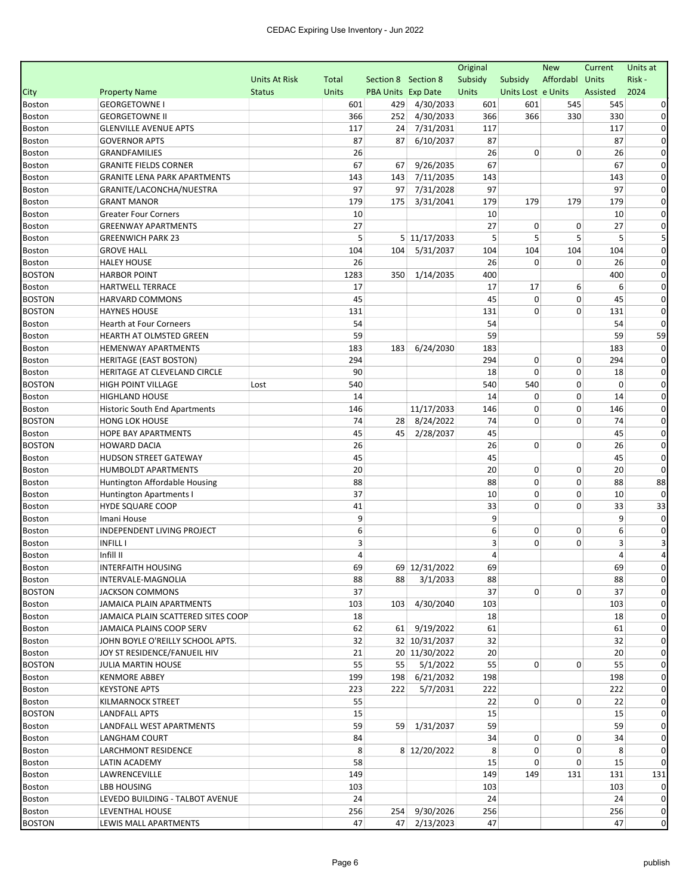|                                |                                                       |                      |              |                           |               | Original  |                    | <b>New</b>      | Current    | Units at             |
|--------------------------------|-------------------------------------------------------|----------------------|--------------|---------------------------|---------------|-----------|--------------------|-----------------|------------|----------------------|
|                                |                                                       | <b>Units At Risk</b> | Total        | Section 8 Section 8       |               | Subsidy   | Subsidy            | Affordabl Units |            | Risk-                |
| City                           | <b>Property Name</b>                                  | <b>Status</b>        | <b>Units</b> | <b>PBA Units Exp Date</b> |               | Units     | Units Lost e Units |                 | Assisted   | 2024                 |
| <b>Boston</b>                  | <b>GEORGETOWNE I</b>                                  |                      | 601          | 429                       | 4/30/2033     | 601       | 601                | 545             | 545        |                      |
| <b>Boston</b>                  | <b>GEORGETOWNE II</b>                                 |                      | 366          | 252                       | 4/30/2033     | 366       | 366                | 330             | 330        | 0                    |
| <b>Boston</b>                  | <b>GLENVILLE AVENUE APTS</b>                          |                      | 117          | 24                        | 7/31/2031     | 117       |                    |                 | 117        | 0                    |
| Boston                         | <b>GOVERNOR APTS</b>                                  |                      | 87           | 87                        | 6/10/2037     | 87        |                    |                 | 87         | $\Omega$             |
| <b>Boston</b>                  | <b>GRANDFAMILIES</b>                                  |                      | 26           |                           |               | 26        | 0                  | 0               | 26         | 0                    |
| <b>Boston</b>                  | <b>GRANITE FIELDS CORNER</b>                          |                      | 67           | 67                        | 9/26/2035     | 67        |                    |                 | 67         | $\Omega$             |
| <b>Boston</b>                  | <b>GRANITE LENA PARK APARTMENTS</b>                   |                      | 143          | 143                       | 7/11/2035     | 143       |                    |                 | 143        | $\Omega$             |
| <b>Boston</b>                  | GRANITE/LACONCHA/NUESTRA                              |                      | 97           | 97                        | 7/31/2028     | 97        |                    |                 | 97         | $\Omega$             |
| Boston                         | <b>GRANT MANOR</b>                                    |                      | 179          | 175                       | 3/31/2041     | 179       | 179                | 179             | 179        | $\Omega$             |
| <b>Boston</b>                  | <b>Greater Four Corners</b>                           |                      | 10           |                           |               | 10        |                    |                 | 10         | 0                    |
| <b>Boston</b>                  | <b>GREENWAY APARTMENTS</b>                            |                      | 27           |                           |               | 27        | 0                  | 0               | 27         | 0                    |
| <b>Boston</b>                  | <b>GREENWICH PARK 23</b>                              |                      | 5            |                           | 5 11/17/2033  | 5         | 5                  | 5               | 5          |                      |
| <b>Boston</b>                  | <b>GROVE HALL</b>                                     |                      | 104          | 104                       | 5/31/2037     | 104       | 104                | 104             | 104        | 0                    |
| Boston                         | <b>HALEY HOUSE</b>                                    |                      | 26           |                           |               | 26        | 0                  | $\mathbf 0$     | 26         | $\Omega$             |
| <b>BOSTON</b>                  | <b>HARBOR POINT</b>                                   |                      | 1283         | 350                       | 1/14/2035     | 400       |                    |                 | 400        | 0                    |
| <b>Boston</b>                  | <b>HARTWELL TERRACE</b>                               |                      | 17           |                           |               | 17        | 17                 | 6               | 6          | 0                    |
| <b>BOSTON</b>                  | HARVARD COMMONS                                       |                      | 45           |                           |               | 45        | 0                  | 0               | 45         | 0                    |
| <b>BOSTON</b>                  | <b>HAYNES HOUSE</b>                                   |                      | 131          |                           |               | 131       | 0                  | 0               | 131        | $\Omega$<br>$\Omega$ |
| Boston                         | Hearth at Four Corneers                               |                      | 54           |                           |               | 54        |                    |                 | 54         |                      |
| <b>Boston</b>                  | HEARTH AT OLMSTED GREEN<br><b>HEMENWAY APARTMENTS</b> |                      | 59           | 183                       | 6/24/2030     | 59<br>183 |                    |                 | 59         | 59<br>0              |
| <b>Boston</b>                  | <b>HERITAGE (EAST BOSTON)</b>                         |                      | 183<br>294   |                           |               | 294       | 0                  | 0               | 183<br>294 | 0                    |
| <b>Boston</b><br><b>Boston</b> | HERITAGE AT CLEVELAND CIRCLE                          |                      | 90           |                           |               | 18        | 0                  | 0               | 18         | 0                    |
| <b>BOSTON</b>                  | <b>HIGH POINT VILLAGE</b>                             | Lost                 | 540          |                           |               | 540       | 540                | $\mathbf 0$     | 0          | $\Omega$             |
| <b>Boston</b>                  | <b>HIGHLAND HOUSE</b>                                 |                      | 14           |                           |               | 14        | 0                  | 0               | 14         | 0                    |
| <b>Boston</b>                  | Historic South End Apartments                         |                      | 146          |                           | 11/17/2033    | 146       | 0                  | 0               | 146        | $\Omega$             |
| <b>BOSTON</b>                  | <b>HONG LOK HOUSE</b>                                 |                      | 74           | 28                        | 8/24/2022     | 74        | 0                  | 0               | 74         | 0                    |
| <b>Boston</b>                  | <b>HOPE BAY APARTMENTS</b>                            |                      | 45           | 45                        | 2/28/2037     | 45        |                    |                 | 45         | 0                    |
| <b>BOSTON</b>                  | <b>HOWARD DACIA</b>                                   |                      | 26           |                           |               | 26        | 0                  | $\mathbf 0$     | 26         | $\Omega$             |
| <b>Boston</b>                  | <b>HUDSON STREET GATEWAY</b>                          |                      | 45           |                           |               | 45        |                    |                 | 45         | 0                    |
| <b>Boston</b>                  | <b>HUMBOLDT APARTMENTS</b>                            |                      | 20           |                           |               | 20        | 0                  | 0               | 20         | 0                    |
| <b>Boston</b>                  | Huntington Affordable Housing                         |                      | 88           |                           |               | 88        | 0                  | $\mathbf 0$     | 88         | 88                   |
| <b>Boston</b>                  | Huntington Apartments I                               |                      | 37           |                           |               | 10        | 0                  | 0               | 10         | $\Omega$             |
| Boston                         | <b>HYDE SQUARE COOP</b>                               |                      | 41           |                           |               | 33        | 0                  | $\mathbf 0$     | 33         | 33                   |
| <b>Boston</b>                  | Imani House                                           |                      | 9            |                           |               | 9         |                    |                 | 9          | $\mathbf 0$          |
| <b>Boston</b>                  | INDEPENDENT LIVING PROJECT                            |                      | 6            |                           |               | 6         | 0                  | 0               | 6          | $\Omega$             |
| <b>Boston</b>                  | <b>INFILL I</b>                                       |                      | 3            |                           |               | 3         | 0                  | 0               | 3          |                      |
| <b>Boston</b>                  | Infill II                                             |                      | 4            |                           |               | 4         |                    |                 | 4          |                      |
| Boston                         | <b>INTERFAITH HOUSING</b>                             |                      | 69           |                           | 69 12/31/2022 | 69        |                    |                 | 69         |                      |
| Boston                         | INTERVALE-MAGNOLIA                                    |                      | 88           | 88                        | 3/1/2033      | 88        |                    |                 | 88         | $\mathbf 0$          |
| <b>BOSTON</b>                  | <b>JACKSON COMMONS</b>                                |                      | 37           |                           |               | 37        | $\overline{0}$     | 0               | 37         |                      |
| <b>Boston</b>                  | JAMAICA PLAIN APARTMENTS                              |                      | 103          |                           | 103 4/30/2040 | 103       |                    |                 | 103        | 0                    |
| Boston                         | JAMAICA PLAIN SCATTERED SITES COOP                    |                      | 18           |                           |               | 18        |                    |                 | 18         | 0                    |
| <b>Boston</b>                  | JAMAICA PLAINS COOP SERV                              |                      | 62           |                           | 61 9/19/2022  | 61        |                    |                 | 61         | 0                    |
| <b>Boston</b>                  | JOHN BOYLE O'REILLY SCHOOL APTS.                      |                      | 32           |                           | 32 10/31/2037 | 32        |                    |                 | 32         | 0                    |
| <b>Boston</b>                  | JOY ST RESIDENCE/FANUEIL HIV                          |                      | 21           |                           | 20 11/30/2022 | 20        |                    |                 | 20         | 0                    |
| <b>BOSTON</b>                  | <b>JULIA MARTIN HOUSE</b>                             |                      | 55           | 55                        | 5/1/2022      | 55        | 0                  | 0               | 55         | 0                    |
| Boston                         | <b>KENMORE ABBEY</b>                                  |                      | 199          | 198                       | 6/21/2032     | 198       |                    |                 | 198        | $\Omega$             |
| Boston                         | <b>KEYSTONE APTS</b>                                  |                      | 223          | 222                       | 5/7/2031      | 222       |                    |                 | 222        | $\Omega$             |
| <b>Boston</b>                  | KILMARNOCK STREET                                     |                      | 55           |                           |               | 22        | $\overline{0}$     | 0               | 22         | 0                    |
| <b>BOSTON</b>                  | LANDFALL APTS                                         |                      | 15           |                           |               | 15        |                    |                 | 15         | $\Omega$             |
| <b>Boston</b>                  | LANDFALL WEST APARTMENTS                              |                      | 59           |                           | 59 1/31/2037  | 59        |                    |                 | 59         | 0                    |
| Boston                         | LANGHAM COURT                                         |                      | 84           |                           |               | 34        | 0                  | 0               | 34         | 0                    |
| <b>Boston</b>                  | LARCHMONT RESIDENCE                                   |                      | 8            |                           | 8 12/20/2022  | 8         | 0                  | 0               | 8          | 0                    |
| <b>Boston</b>                  | LATIN ACADEMY                                         |                      | 58           |                           |               | 15        | 0                  | 0               | 15         | 0                    |
| <b>Boston</b>                  | LAWRENCEVILLE                                         |                      | 149          |                           |               | 149       | 149                | 131             | 131        | 131                  |
| <b>Boston</b>                  | LBB HOUSING                                           |                      | 103          |                           |               | 103       |                    |                 | 103        | 0                    |
| Boston                         | LEVEDO BUILDING - TALBOT AVENUE                       |                      | 24           |                           |               | 24        |                    |                 | 24         | 0                    |
| <b>Boston</b>                  | LEVENTHAL HOUSE                                       |                      | 256          |                           | 254 9/30/2026 | 256       |                    |                 | 256        | $\mathbf{0}$         |
| <b>BOSTON</b>                  | LEWIS MALL APARTMENTS                                 |                      | 47           |                           | 47 2/13/2023  | 47        |                    |                 | 47         | $\pmb{0}$            |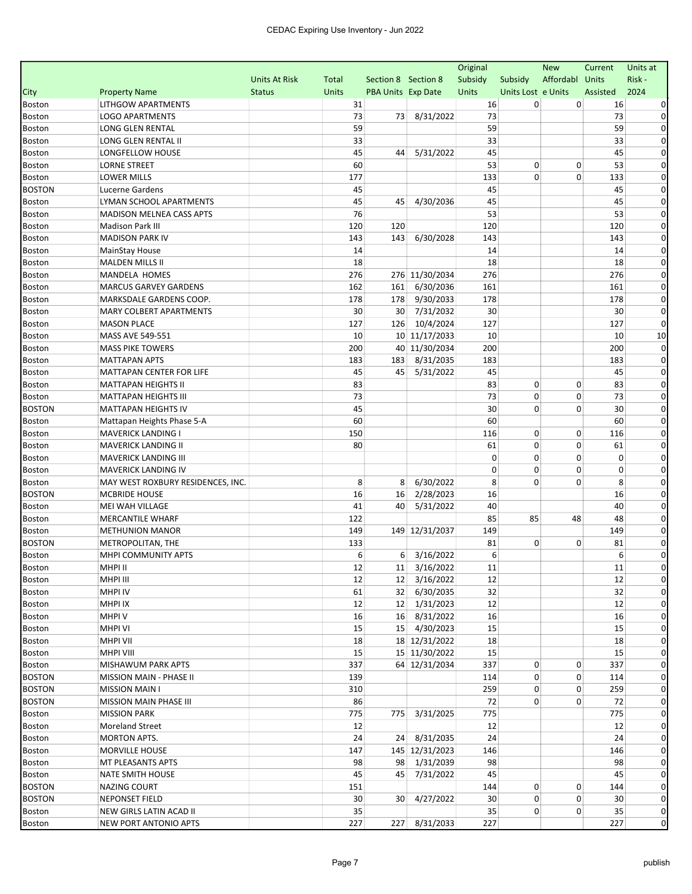| Affordabl Units<br>Risk-<br><b>Units At Risk</b><br>Section 8 Section 8<br>Subsidy<br>Subsidy<br>Total<br>Assisted<br>2024<br><b>Property Name</b><br><b>Status</b><br><b>Units</b><br><b>PBA Units Exp Date</b><br>Units<br>Units Lost e Units<br><b>LITHGOW APARTMENTS</b><br>31<br>16<br>0<br>0<br>16<br>73<br>8/31/2022<br>73<br>73<br><b>LOGO APARTMENTS</b><br>73<br>0<br>59<br>59<br>59<br>LONG GLEN RENTAL<br>0<br>33<br>33<br>33<br>LONG GLEN RENTAL II<br>0<br>45<br>45<br>45<br>LONGFELLOW HOUSE<br>5/31/2022<br>0<br>44<br>53<br>0<br><b>LORNE STREET</b><br>60<br>0<br>53<br>0<br>177<br>133<br>0<br>$\mathbf 0$<br><b>LOWER MILLS</b><br>133<br>0<br>45<br>45<br>45<br>0<br>Lucerne Gardens<br>45<br>45<br>45<br>4/30/2036<br>45<br>LYMAN SCHOOL APARTMENTS<br>$\Omega$<br>76<br>53<br><b>MADISON MELNEA CASS APTS</b><br>53<br>0<br>120<br><b>Madison Park III</b><br>120<br>120<br>120<br>0<br>143<br><b>MADISON PARK IV</b><br>143<br>143<br>6/30/2028<br>143<br>0<br>14<br>14<br>14<br>0<br><b>MainStay House</b><br>18<br>18<br>18<br><b>MALDEN MILLS II</b><br>0<br>276 11/30/2034<br>276<br>276<br>276<br>0<br>MANDELA HOMES<br>6/30/2036<br>161<br>MARCUS GARVEY GARDENS<br>162<br>161<br>161<br>$\Omega$<br>178<br>MARKSDALE GARDENS COOP.<br>178<br>9/30/2033<br>178<br>0<br>178<br>30<br>30<br><b>MARY COLBERT APARTMENTS</b><br>30<br>7/31/2032<br>30<br>0<br>127<br>10/4/2024<br>127<br>127<br><b>MASON PLACE</b><br>126<br>0<br>10 11/17/2033<br>10<br>10<br>MASS AVE 549-551<br>10<br>10<br>40 11/30/2034<br>200<br>$\Omega$<br>200<br>200<br><b>MASS PIKE TOWERS</b><br>183<br>183<br>8/31/2035<br>183<br>0<br><b>MATTAPAN APTS</b><br>183<br>45<br>45<br>45<br>MATTAPAN CENTER FOR LIFE<br>45<br>5/31/2022<br>$\Omega$<br>83<br>83<br>0<br><b>MATTAPAN HEIGHTS II</b><br>0<br>83<br>0<br>0<br>73<br>73<br>$\mathbf 0$<br>73<br>$\Omega$<br><b>MATTAPAN HEIGHTS III</b><br>45<br>30<br>0<br>MATTAPAN HEIGHTS IV<br>0<br>30<br>0<br>60<br>60<br>60<br>Mattapan Heights Phase 5-A<br>0<br>150<br>116<br>0<br>0<br>116<br>0<br><b>MAVERICK LANDING I</b><br>0<br>80<br>61<br>$\mathbf 0$<br><b>MAVERICK LANDING II</b><br>61<br>0<br>0<br>0<br>$\mathbf 0$<br>0<br>0<br><b>MAVERICK LANDING III</b><br>$\mathbf 0$<br>0<br>MAVERICK LANDING IV<br>0<br>0<br>$\Omega$<br>8<br>6/30/2022<br>8<br>0<br>8<br>0<br>8<br>0<br>MAY WEST ROXBURY RESIDENCES, INC.<br>2/28/2023<br>16<br>MCBRIDE HOUSE<br>16<br>16<br>16<br>0<br>40<br>40<br>MEI WAH VILLAGE<br>41<br>40<br>5/31/2022<br>0<br>85<br>85<br><b>MERCANTILE WHARF</b><br>122<br>48<br>48<br>$\Omega$<br>149<br>149<br>149 12/31/2037<br>149<br>0<br><b>METHUNION MANOR</b><br>81<br>0<br>METROPOLITAN, THE<br>133<br>0<br>81<br>0<br>6<br>6<br>6<br>MHPI COMMUNITY APTS<br>$6 \mid 3/16/2022$<br>0<br>12<br>11 3/16/2022<br>$11\,$<br>Boston<br>MHPI II<br>11<br>12 3/16/2022<br>$\mathbf{0}$<br>MHPI III<br>12<br>12<br>12<br><b>MHPI IV</b><br>32<br>32 6/30/2035<br>32<br>61<br><b>MHPI IX</b><br>12<br>12 1/31/2023<br>12<br>12<br>0<br>16<br>MHPI V<br>16<br>16 8/31/2022<br>16<br>15 4/30/2023<br>15<br>MHPI VI<br>15<br>15<br>0<br>18 12/31/2022<br>18<br>MHPI VII<br>18<br>18<br>$\Omega$<br>15<br><b>MHPI VIII</b><br>15<br>15 11/30/2022<br>15<br>$\Omega$<br>0<br>64 12/31/2034<br>337<br>0<br>MISHAWUM PARK APTS<br>337<br>0<br>337<br>0<br>139<br>114<br>0<br>114<br>$\Omega$<br>MISSION MAIN - PHASE II<br>259<br>0<br><b>MISSION MAIN I</b><br>310<br>0<br>259<br>0<br><b>BOSTON</b><br>0<br>MISSION MAIN PHASE III<br>86<br>72<br>0<br>72<br>$\Omega$<br>775<br>775<br>775 3/31/2025<br>775<br>$\Omega$<br><b>MISSION PARK</b><br>12<br>12<br><b>Moreland Street</b><br>12<br>0<br>24<br>MORTON APTS.<br>24<br>24 8/31/2035<br>24<br>$\Omega$<br>145 12/31/2023<br>MORVILLE HOUSE<br>147<br>146<br>146<br>0<br>98 1/31/2039<br>98<br>MT PLEASANTS APTS<br>98<br>98<br>0<br>Boston<br>45<br>45<br>45 7/31/2022<br>45<br>0<br>NATE SMITH HOUSE<br>0<br><b>BOSTON</b><br>144<br>0<br>NAZING COURT<br>151<br>0<br>144<br>0<br><b>BOSTON</b><br>30<br>30<br>4/27/2022<br>30<br>0<br>30<br>0<br><b>NEPONSET FIELD</b><br>35<br>35<br>0<br>NEW GIRLS LATIN ACAD II<br>0<br>35<br>$\mathbf{0}$<br>227<br>$\mathbf 0$<br>227<br>227<br>8/31/2033<br>227<br>NEW PORT ANTONIO APTS |               |  |  | Original | <b>New</b> | Current | Units at |
|-----------------------------------------------------------------------------------------------------------------------------------------------------------------------------------------------------------------------------------------------------------------------------------------------------------------------------------------------------------------------------------------------------------------------------------------------------------------------------------------------------------------------------------------------------------------------------------------------------------------------------------------------------------------------------------------------------------------------------------------------------------------------------------------------------------------------------------------------------------------------------------------------------------------------------------------------------------------------------------------------------------------------------------------------------------------------------------------------------------------------------------------------------------------------------------------------------------------------------------------------------------------------------------------------------------------------------------------------------------------------------------------------------------------------------------------------------------------------------------------------------------------------------------------------------------------------------------------------------------------------------------------------------------------------------------------------------------------------------------------------------------------------------------------------------------------------------------------------------------------------------------------------------------------------------------------------------------------------------------------------------------------------------------------------------------------------------------------------------------------------------------------------------------------------------------------------------------------------------------------------------------------------------------------------------------------------------------------------------------------------------------------------------------------------------------------------------------------------------------------------------------------------------------------------------------------------------------------------------------------------------------------------------------------------------------------------------------------------------------------------------------------------------------------------------------------------------------------------------------------------------------------------------------------------------------------------------------------------------------------------------------------------------------------------------------------------------------------------------------------------------------------------------------------------------------------------------------------------------------------------------------------------------------------------------------------------------------------------------------------------------------------------------------------------------------------------------------------------------------------------------------------------------------------------------------------------------------------------------------------------------------------------------------------------------------------------------------------------------------------------------------------------------------------------------------------------------------------------------------------------------------------------------------------------------------------------------------------------------------------------------------------------------------------------------------------------------------------------------------------------------------------------------------------------------------------------------------------------------------------------------------------------|---------------|--|--|----------|------------|---------|----------|
|                                                                                                                                                                                                                                                                                                                                                                                                                                                                                                                                                                                                                                                                                                                                                                                                                                                                                                                                                                                                                                                                                                                                                                                                                                                                                                                                                                                                                                                                                                                                                                                                                                                                                                                                                                                                                                                                                                                                                                                                                                                                                                                                                                                                                                                                                                                                                                                                                                                                                                                                                                                                                                                                                                                                                                                                                                                                                                                                                                                                                                                                                                                                                                                                                                                                                                                                                                                                                                                                                                                                                                                                                                                                                                                                                                                                                                                                                                                                                                                                                                                                                                                                                                                                                                                                       |               |  |  |          |            |         |          |
|                                                                                                                                                                                                                                                                                                                                                                                                                                                                                                                                                                                                                                                                                                                                                                                                                                                                                                                                                                                                                                                                                                                                                                                                                                                                                                                                                                                                                                                                                                                                                                                                                                                                                                                                                                                                                                                                                                                                                                                                                                                                                                                                                                                                                                                                                                                                                                                                                                                                                                                                                                                                                                                                                                                                                                                                                                                                                                                                                                                                                                                                                                                                                                                                                                                                                                                                                                                                                                                                                                                                                                                                                                                                                                                                                                                                                                                                                                                                                                                                                                                                                                                                                                                                                                                                       | City          |  |  |          |            |         |          |
|                                                                                                                                                                                                                                                                                                                                                                                                                                                                                                                                                                                                                                                                                                                                                                                                                                                                                                                                                                                                                                                                                                                                                                                                                                                                                                                                                                                                                                                                                                                                                                                                                                                                                                                                                                                                                                                                                                                                                                                                                                                                                                                                                                                                                                                                                                                                                                                                                                                                                                                                                                                                                                                                                                                                                                                                                                                                                                                                                                                                                                                                                                                                                                                                                                                                                                                                                                                                                                                                                                                                                                                                                                                                                                                                                                                                                                                                                                                                                                                                                                                                                                                                                                                                                                                                       | <b>Boston</b> |  |  |          |            |         |          |
|                                                                                                                                                                                                                                                                                                                                                                                                                                                                                                                                                                                                                                                                                                                                                                                                                                                                                                                                                                                                                                                                                                                                                                                                                                                                                                                                                                                                                                                                                                                                                                                                                                                                                                                                                                                                                                                                                                                                                                                                                                                                                                                                                                                                                                                                                                                                                                                                                                                                                                                                                                                                                                                                                                                                                                                                                                                                                                                                                                                                                                                                                                                                                                                                                                                                                                                                                                                                                                                                                                                                                                                                                                                                                                                                                                                                                                                                                                                                                                                                                                                                                                                                                                                                                                                                       | <b>Boston</b> |  |  |          |            |         |          |
|                                                                                                                                                                                                                                                                                                                                                                                                                                                                                                                                                                                                                                                                                                                                                                                                                                                                                                                                                                                                                                                                                                                                                                                                                                                                                                                                                                                                                                                                                                                                                                                                                                                                                                                                                                                                                                                                                                                                                                                                                                                                                                                                                                                                                                                                                                                                                                                                                                                                                                                                                                                                                                                                                                                                                                                                                                                                                                                                                                                                                                                                                                                                                                                                                                                                                                                                                                                                                                                                                                                                                                                                                                                                                                                                                                                                                                                                                                                                                                                                                                                                                                                                                                                                                                                                       | <b>Boston</b> |  |  |          |            |         |          |
|                                                                                                                                                                                                                                                                                                                                                                                                                                                                                                                                                                                                                                                                                                                                                                                                                                                                                                                                                                                                                                                                                                                                                                                                                                                                                                                                                                                                                                                                                                                                                                                                                                                                                                                                                                                                                                                                                                                                                                                                                                                                                                                                                                                                                                                                                                                                                                                                                                                                                                                                                                                                                                                                                                                                                                                                                                                                                                                                                                                                                                                                                                                                                                                                                                                                                                                                                                                                                                                                                                                                                                                                                                                                                                                                                                                                                                                                                                                                                                                                                                                                                                                                                                                                                                                                       | <b>Boston</b> |  |  |          |            |         |          |
|                                                                                                                                                                                                                                                                                                                                                                                                                                                                                                                                                                                                                                                                                                                                                                                                                                                                                                                                                                                                                                                                                                                                                                                                                                                                                                                                                                                                                                                                                                                                                                                                                                                                                                                                                                                                                                                                                                                                                                                                                                                                                                                                                                                                                                                                                                                                                                                                                                                                                                                                                                                                                                                                                                                                                                                                                                                                                                                                                                                                                                                                                                                                                                                                                                                                                                                                                                                                                                                                                                                                                                                                                                                                                                                                                                                                                                                                                                                                                                                                                                                                                                                                                                                                                                                                       | <b>Boston</b> |  |  |          |            |         |          |
|                                                                                                                                                                                                                                                                                                                                                                                                                                                                                                                                                                                                                                                                                                                                                                                                                                                                                                                                                                                                                                                                                                                                                                                                                                                                                                                                                                                                                                                                                                                                                                                                                                                                                                                                                                                                                                                                                                                                                                                                                                                                                                                                                                                                                                                                                                                                                                                                                                                                                                                                                                                                                                                                                                                                                                                                                                                                                                                                                                                                                                                                                                                                                                                                                                                                                                                                                                                                                                                                                                                                                                                                                                                                                                                                                                                                                                                                                                                                                                                                                                                                                                                                                                                                                                                                       | <b>Boston</b> |  |  |          |            |         |          |
|                                                                                                                                                                                                                                                                                                                                                                                                                                                                                                                                                                                                                                                                                                                                                                                                                                                                                                                                                                                                                                                                                                                                                                                                                                                                                                                                                                                                                                                                                                                                                                                                                                                                                                                                                                                                                                                                                                                                                                                                                                                                                                                                                                                                                                                                                                                                                                                                                                                                                                                                                                                                                                                                                                                                                                                                                                                                                                                                                                                                                                                                                                                                                                                                                                                                                                                                                                                                                                                                                                                                                                                                                                                                                                                                                                                                                                                                                                                                                                                                                                                                                                                                                                                                                                                                       | <b>Boston</b> |  |  |          |            |         |          |
|                                                                                                                                                                                                                                                                                                                                                                                                                                                                                                                                                                                                                                                                                                                                                                                                                                                                                                                                                                                                                                                                                                                                                                                                                                                                                                                                                                                                                                                                                                                                                                                                                                                                                                                                                                                                                                                                                                                                                                                                                                                                                                                                                                                                                                                                                                                                                                                                                                                                                                                                                                                                                                                                                                                                                                                                                                                                                                                                                                                                                                                                                                                                                                                                                                                                                                                                                                                                                                                                                                                                                                                                                                                                                                                                                                                                                                                                                                                                                                                                                                                                                                                                                                                                                                                                       | <b>BOSTON</b> |  |  |          |            |         |          |
|                                                                                                                                                                                                                                                                                                                                                                                                                                                                                                                                                                                                                                                                                                                                                                                                                                                                                                                                                                                                                                                                                                                                                                                                                                                                                                                                                                                                                                                                                                                                                                                                                                                                                                                                                                                                                                                                                                                                                                                                                                                                                                                                                                                                                                                                                                                                                                                                                                                                                                                                                                                                                                                                                                                                                                                                                                                                                                                                                                                                                                                                                                                                                                                                                                                                                                                                                                                                                                                                                                                                                                                                                                                                                                                                                                                                                                                                                                                                                                                                                                                                                                                                                                                                                                                                       | <b>Boston</b> |  |  |          |            |         |          |
|                                                                                                                                                                                                                                                                                                                                                                                                                                                                                                                                                                                                                                                                                                                                                                                                                                                                                                                                                                                                                                                                                                                                                                                                                                                                                                                                                                                                                                                                                                                                                                                                                                                                                                                                                                                                                                                                                                                                                                                                                                                                                                                                                                                                                                                                                                                                                                                                                                                                                                                                                                                                                                                                                                                                                                                                                                                                                                                                                                                                                                                                                                                                                                                                                                                                                                                                                                                                                                                                                                                                                                                                                                                                                                                                                                                                                                                                                                                                                                                                                                                                                                                                                                                                                                                                       | <b>Boston</b> |  |  |          |            |         |          |
|                                                                                                                                                                                                                                                                                                                                                                                                                                                                                                                                                                                                                                                                                                                                                                                                                                                                                                                                                                                                                                                                                                                                                                                                                                                                                                                                                                                                                                                                                                                                                                                                                                                                                                                                                                                                                                                                                                                                                                                                                                                                                                                                                                                                                                                                                                                                                                                                                                                                                                                                                                                                                                                                                                                                                                                                                                                                                                                                                                                                                                                                                                                                                                                                                                                                                                                                                                                                                                                                                                                                                                                                                                                                                                                                                                                                                                                                                                                                                                                                                                                                                                                                                                                                                                                                       | <b>Boston</b> |  |  |          |            |         |          |
|                                                                                                                                                                                                                                                                                                                                                                                                                                                                                                                                                                                                                                                                                                                                                                                                                                                                                                                                                                                                                                                                                                                                                                                                                                                                                                                                                                                                                                                                                                                                                                                                                                                                                                                                                                                                                                                                                                                                                                                                                                                                                                                                                                                                                                                                                                                                                                                                                                                                                                                                                                                                                                                                                                                                                                                                                                                                                                                                                                                                                                                                                                                                                                                                                                                                                                                                                                                                                                                                                                                                                                                                                                                                                                                                                                                                                                                                                                                                                                                                                                                                                                                                                                                                                                                                       | <b>Boston</b> |  |  |          |            |         |          |
|                                                                                                                                                                                                                                                                                                                                                                                                                                                                                                                                                                                                                                                                                                                                                                                                                                                                                                                                                                                                                                                                                                                                                                                                                                                                                                                                                                                                                                                                                                                                                                                                                                                                                                                                                                                                                                                                                                                                                                                                                                                                                                                                                                                                                                                                                                                                                                                                                                                                                                                                                                                                                                                                                                                                                                                                                                                                                                                                                                                                                                                                                                                                                                                                                                                                                                                                                                                                                                                                                                                                                                                                                                                                                                                                                                                                                                                                                                                                                                                                                                                                                                                                                                                                                                                                       | <b>Boston</b> |  |  |          |            |         |          |
|                                                                                                                                                                                                                                                                                                                                                                                                                                                                                                                                                                                                                                                                                                                                                                                                                                                                                                                                                                                                                                                                                                                                                                                                                                                                                                                                                                                                                                                                                                                                                                                                                                                                                                                                                                                                                                                                                                                                                                                                                                                                                                                                                                                                                                                                                                                                                                                                                                                                                                                                                                                                                                                                                                                                                                                                                                                                                                                                                                                                                                                                                                                                                                                                                                                                                                                                                                                                                                                                                                                                                                                                                                                                                                                                                                                                                                                                                                                                                                                                                                                                                                                                                                                                                                                                       | <b>Boston</b> |  |  |          |            |         |          |
|                                                                                                                                                                                                                                                                                                                                                                                                                                                                                                                                                                                                                                                                                                                                                                                                                                                                                                                                                                                                                                                                                                                                                                                                                                                                                                                                                                                                                                                                                                                                                                                                                                                                                                                                                                                                                                                                                                                                                                                                                                                                                                                                                                                                                                                                                                                                                                                                                                                                                                                                                                                                                                                                                                                                                                                                                                                                                                                                                                                                                                                                                                                                                                                                                                                                                                                                                                                                                                                                                                                                                                                                                                                                                                                                                                                                                                                                                                                                                                                                                                                                                                                                                                                                                                                                       | <b>Boston</b> |  |  |          |            |         |          |
|                                                                                                                                                                                                                                                                                                                                                                                                                                                                                                                                                                                                                                                                                                                                                                                                                                                                                                                                                                                                                                                                                                                                                                                                                                                                                                                                                                                                                                                                                                                                                                                                                                                                                                                                                                                                                                                                                                                                                                                                                                                                                                                                                                                                                                                                                                                                                                                                                                                                                                                                                                                                                                                                                                                                                                                                                                                                                                                                                                                                                                                                                                                                                                                                                                                                                                                                                                                                                                                                                                                                                                                                                                                                                                                                                                                                                                                                                                                                                                                                                                                                                                                                                                                                                                                                       | <b>Boston</b> |  |  |          |            |         |          |
|                                                                                                                                                                                                                                                                                                                                                                                                                                                                                                                                                                                                                                                                                                                                                                                                                                                                                                                                                                                                                                                                                                                                                                                                                                                                                                                                                                                                                                                                                                                                                                                                                                                                                                                                                                                                                                                                                                                                                                                                                                                                                                                                                                                                                                                                                                                                                                                                                                                                                                                                                                                                                                                                                                                                                                                                                                                                                                                                                                                                                                                                                                                                                                                                                                                                                                                                                                                                                                                                                                                                                                                                                                                                                                                                                                                                                                                                                                                                                                                                                                                                                                                                                                                                                                                                       | <b>Boston</b> |  |  |          |            |         |          |
|                                                                                                                                                                                                                                                                                                                                                                                                                                                                                                                                                                                                                                                                                                                                                                                                                                                                                                                                                                                                                                                                                                                                                                                                                                                                                                                                                                                                                                                                                                                                                                                                                                                                                                                                                                                                                                                                                                                                                                                                                                                                                                                                                                                                                                                                                                                                                                                                                                                                                                                                                                                                                                                                                                                                                                                                                                                                                                                                                                                                                                                                                                                                                                                                                                                                                                                                                                                                                                                                                                                                                                                                                                                                                                                                                                                                                                                                                                                                                                                                                                                                                                                                                                                                                                                                       | <b>Boston</b> |  |  |          |            |         |          |
|                                                                                                                                                                                                                                                                                                                                                                                                                                                                                                                                                                                                                                                                                                                                                                                                                                                                                                                                                                                                                                                                                                                                                                                                                                                                                                                                                                                                                                                                                                                                                                                                                                                                                                                                                                                                                                                                                                                                                                                                                                                                                                                                                                                                                                                                                                                                                                                                                                                                                                                                                                                                                                                                                                                                                                                                                                                                                                                                                                                                                                                                                                                                                                                                                                                                                                                                                                                                                                                                                                                                                                                                                                                                                                                                                                                                                                                                                                                                                                                                                                                                                                                                                                                                                                                                       | <b>Boston</b> |  |  |          |            |         |          |
|                                                                                                                                                                                                                                                                                                                                                                                                                                                                                                                                                                                                                                                                                                                                                                                                                                                                                                                                                                                                                                                                                                                                                                                                                                                                                                                                                                                                                                                                                                                                                                                                                                                                                                                                                                                                                                                                                                                                                                                                                                                                                                                                                                                                                                                                                                                                                                                                                                                                                                                                                                                                                                                                                                                                                                                                                                                                                                                                                                                                                                                                                                                                                                                                                                                                                                                                                                                                                                                                                                                                                                                                                                                                                                                                                                                                                                                                                                                                                                                                                                                                                                                                                                                                                                                                       | <b>Boston</b> |  |  |          |            |         |          |
|                                                                                                                                                                                                                                                                                                                                                                                                                                                                                                                                                                                                                                                                                                                                                                                                                                                                                                                                                                                                                                                                                                                                                                                                                                                                                                                                                                                                                                                                                                                                                                                                                                                                                                                                                                                                                                                                                                                                                                                                                                                                                                                                                                                                                                                                                                                                                                                                                                                                                                                                                                                                                                                                                                                                                                                                                                                                                                                                                                                                                                                                                                                                                                                                                                                                                                                                                                                                                                                                                                                                                                                                                                                                                                                                                                                                                                                                                                                                                                                                                                                                                                                                                                                                                                                                       | <b>Boston</b> |  |  |          |            |         |          |
|                                                                                                                                                                                                                                                                                                                                                                                                                                                                                                                                                                                                                                                                                                                                                                                                                                                                                                                                                                                                                                                                                                                                                                                                                                                                                                                                                                                                                                                                                                                                                                                                                                                                                                                                                                                                                                                                                                                                                                                                                                                                                                                                                                                                                                                                                                                                                                                                                                                                                                                                                                                                                                                                                                                                                                                                                                                                                                                                                                                                                                                                                                                                                                                                                                                                                                                                                                                                                                                                                                                                                                                                                                                                                                                                                                                                                                                                                                                                                                                                                                                                                                                                                                                                                                                                       | <b>Boston</b> |  |  |          |            |         |          |
|                                                                                                                                                                                                                                                                                                                                                                                                                                                                                                                                                                                                                                                                                                                                                                                                                                                                                                                                                                                                                                                                                                                                                                                                                                                                                                                                                                                                                                                                                                                                                                                                                                                                                                                                                                                                                                                                                                                                                                                                                                                                                                                                                                                                                                                                                                                                                                                                                                                                                                                                                                                                                                                                                                                                                                                                                                                                                                                                                                                                                                                                                                                                                                                                                                                                                                                                                                                                                                                                                                                                                                                                                                                                                                                                                                                                                                                                                                                                                                                                                                                                                                                                                                                                                                                                       | <b>Boston</b> |  |  |          |            |         |          |
|                                                                                                                                                                                                                                                                                                                                                                                                                                                                                                                                                                                                                                                                                                                                                                                                                                                                                                                                                                                                                                                                                                                                                                                                                                                                                                                                                                                                                                                                                                                                                                                                                                                                                                                                                                                                                                                                                                                                                                                                                                                                                                                                                                                                                                                                                                                                                                                                                                                                                                                                                                                                                                                                                                                                                                                                                                                                                                                                                                                                                                                                                                                                                                                                                                                                                                                                                                                                                                                                                                                                                                                                                                                                                                                                                                                                                                                                                                                                                                                                                                                                                                                                                                                                                                                                       | <b>Boston</b> |  |  |          |            |         |          |
|                                                                                                                                                                                                                                                                                                                                                                                                                                                                                                                                                                                                                                                                                                                                                                                                                                                                                                                                                                                                                                                                                                                                                                                                                                                                                                                                                                                                                                                                                                                                                                                                                                                                                                                                                                                                                                                                                                                                                                                                                                                                                                                                                                                                                                                                                                                                                                                                                                                                                                                                                                                                                                                                                                                                                                                                                                                                                                                                                                                                                                                                                                                                                                                                                                                                                                                                                                                                                                                                                                                                                                                                                                                                                                                                                                                                                                                                                                                                                                                                                                                                                                                                                                                                                                                                       | <b>Boston</b> |  |  |          |            |         |          |
|                                                                                                                                                                                                                                                                                                                                                                                                                                                                                                                                                                                                                                                                                                                                                                                                                                                                                                                                                                                                                                                                                                                                                                                                                                                                                                                                                                                                                                                                                                                                                                                                                                                                                                                                                                                                                                                                                                                                                                                                                                                                                                                                                                                                                                                                                                                                                                                                                                                                                                                                                                                                                                                                                                                                                                                                                                                                                                                                                                                                                                                                                                                                                                                                                                                                                                                                                                                                                                                                                                                                                                                                                                                                                                                                                                                                                                                                                                                                                                                                                                                                                                                                                                                                                                                                       | <b>BOSTON</b> |  |  |          |            |         |          |
|                                                                                                                                                                                                                                                                                                                                                                                                                                                                                                                                                                                                                                                                                                                                                                                                                                                                                                                                                                                                                                                                                                                                                                                                                                                                                                                                                                                                                                                                                                                                                                                                                                                                                                                                                                                                                                                                                                                                                                                                                                                                                                                                                                                                                                                                                                                                                                                                                                                                                                                                                                                                                                                                                                                                                                                                                                                                                                                                                                                                                                                                                                                                                                                                                                                                                                                                                                                                                                                                                                                                                                                                                                                                                                                                                                                                                                                                                                                                                                                                                                                                                                                                                                                                                                                                       | <b>Boston</b> |  |  |          |            |         |          |
|                                                                                                                                                                                                                                                                                                                                                                                                                                                                                                                                                                                                                                                                                                                                                                                                                                                                                                                                                                                                                                                                                                                                                                                                                                                                                                                                                                                                                                                                                                                                                                                                                                                                                                                                                                                                                                                                                                                                                                                                                                                                                                                                                                                                                                                                                                                                                                                                                                                                                                                                                                                                                                                                                                                                                                                                                                                                                                                                                                                                                                                                                                                                                                                                                                                                                                                                                                                                                                                                                                                                                                                                                                                                                                                                                                                                                                                                                                                                                                                                                                                                                                                                                                                                                                                                       | <b>Boston</b> |  |  |          |            |         |          |
|                                                                                                                                                                                                                                                                                                                                                                                                                                                                                                                                                                                                                                                                                                                                                                                                                                                                                                                                                                                                                                                                                                                                                                                                                                                                                                                                                                                                                                                                                                                                                                                                                                                                                                                                                                                                                                                                                                                                                                                                                                                                                                                                                                                                                                                                                                                                                                                                                                                                                                                                                                                                                                                                                                                                                                                                                                                                                                                                                                                                                                                                                                                                                                                                                                                                                                                                                                                                                                                                                                                                                                                                                                                                                                                                                                                                                                                                                                                                                                                                                                                                                                                                                                                                                                                                       | <b>Boston</b> |  |  |          |            |         |          |
|                                                                                                                                                                                                                                                                                                                                                                                                                                                                                                                                                                                                                                                                                                                                                                                                                                                                                                                                                                                                                                                                                                                                                                                                                                                                                                                                                                                                                                                                                                                                                                                                                                                                                                                                                                                                                                                                                                                                                                                                                                                                                                                                                                                                                                                                                                                                                                                                                                                                                                                                                                                                                                                                                                                                                                                                                                                                                                                                                                                                                                                                                                                                                                                                                                                                                                                                                                                                                                                                                                                                                                                                                                                                                                                                                                                                                                                                                                                                                                                                                                                                                                                                                                                                                                                                       | <b>Boston</b> |  |  |          |            |         |          |
|                                                                                                                                                                                                                                                                                                                                                                                                                                                                                                                                                                                                                                                                                                                                                                                                                                                                                                                                                                                                                                                                                                                                                                                                                                                                                                                                                                                                                                                                                                                                                                                                                                                                                                                                                                                                                                                                                                                                                                                                                                                                                                                                                                                                                                                                                                                                                                                                                                                                                                                                                                                                                                                                                                                                                                                                                                                                                                                                                                                                                                                                                                                                                                                                                                                                                                                                                                                                                                                                                                                                                                                                                                                                                                                                                                                                                                                                                                                                                                                                                                                                                                                                                                                                                                                                       | <b>Boston</b> |  |  |          |            |         |          |
|                                                                                                                                                                                                                                                                                                                                                                                                                                                                                                                                                                                                                                                                                                                                                                                                                                                                                                                                                                                                                                                                                                                                                                                                                                                                                                                                                                                                                                                                                                                                                                                                                                                                                                                                                                                                                                                                                                                                                                                                                                                                                                                                                                                                                                                                                                                                                                                                                                                                                                                                                                                                                                                                                                                                                                                                                                                                                                                                                                                                                                                                                                                                                                                                                                                                                                                                                                                                                                                                                                                                                                                                                                                                                                                                                                                                                                                                                                                                                                                                                                                                                                                                                                                                                                                                       | <b>Boston</b> |  |  |          |            |         |          |
|                                                                                                                                                                                                                                                                                                                                                                                                                                                                                                                                                                                                                                                                                                                                                                                                                                                                                                                                                                                                                                                                                                                                                                                                                                                                                                                                                                                                                                                                                                                                                                                                                                                                                                                                                                                                                                                                                                                                                                                                                                                                                                                                                                                                                                                                                                                                                                                                                                                                                                                                                                                                                                                                                                                                                                                                                                                                                                                                                                                                                                                                                                                                                                                                                                                                                                                                                                                                                                                                                                                                                                                                                                                                                                                                                                                                                                                                                                                                                                                                                                                                                                                                                                                                                                                                       | <b>BOSTON</b> |  |  |          |            |         |          |
|                                                                                                                                                                                                                                                                                                                                                                                                                                                                                                                                                                                                                                                                                                                                                                                                                                                                                                                                                                                                                                                                                                                                                                                                                                                                                                                                                                                                                                                                                                                                                                                                                                                                                                                                                                                                                                                                                                                                                                                                                                                                                                                                                                                                                                                                                                                                                                                                                                                                                                                                                                                                                                                                                                                                                                                                                                                                                                                                                                                                                                                                                                                                                                                                                                                                                                                                                                                                                                                                                                                                                                                                                                                                                                                                                                                                                                                                                                                                                                                                                                                                                                                                                                                                                                                                       | <b>Boston</b> |  |  |          |            |         |          |
|                                                                                                                                                                                                                                                                                                                                                                                                                                                                                                                                                                                                                                                                                                                                                                                                                                                                                                                                                                                                                                                                                                                                                                                                                                                                                                                                                                                                                                                                                                                                                                                                                                                                                                                                                                                                                                                                                                                                                                                                                                                                                                                                                                                                                                                                                                                                                                                                                                                                                                                                                                                                                                                                                                                                                                                                                                                                                                                                                                                                                                                                                                                                                                                                                                                                                                                                                                                                                                                                                                                                                                                                                                                                                                                                                                                                                                                                                                                                                                                                                                                                                                                                                                                                                                                                       | <b>Boston</b> |  |  |          |            |         |          |
|                                                                                                                                                                                                                                                                                                                                                                                                                                                                                                                                                                                                                                                                                                                                                                                                                                                                                                                                                                                                                                                                                                                                                                                                                                                                                                                                                                                                                                                                                                                                                                                                                                                                                                                                                                                                                                                                                                                                                                                                                                                                                                                                                                                                                                                                                                                                                                                                                                                                                                                                                                                                                                                                                                                                                                                                                                                                                                                                                                                                                                                                                                                                                                                                                                                                                                                                                                                                                                                                                                                                                                                                                                                                                                                                                                                                                                                                                                                                                                                                                                                                                                                                                                                                                                                                       | <b>Boston</b> |  |  |          |            |         |          |
|                                                                                                                                                                                                                                                                                                                                                                                                                                                                                                                                                                                                                                                                                                                                                                                                                                                                                                                                                                                                                                                                                                                                                                                                                                                                                                                                                                                                                                                                                                                                                                                                                                                                                                                                                                                                                                                                                                                                                                                                                                                                                                                                                                                                                                                                                                                                                                                                                                                                                                                                                                                                                                                                                                                                                                                                                                                                                                                                                                                                                                                                                                                                                                                                                                                                                                                                                                                                                                                                                                                                                                                                                                                                                                                                                                                                                                                                                                                                                                                                                                                                                                                                                                                                                                                                       | <b>BOSTON</b> |  |  |          |            |         |          |
|                                                                                                                                                                                                                                                                                                                                                                                                                                                                                                                                                                                                                                                                                                                                                                                                                                                                                                                                                                                                                                                                                                                                                                                                                                                                                                                                                                                                                                                                                                                                                                                                                                                                                                                                                                                                                                                                                                                                                                                                                                                                                                                                                                                                                                                                                                                                                                                                                                                                                                                                                                                                                                                                                                                                                                                                                                                                                                                                                                                                                                                                                                                                                                                                                                                                                                                                                                                                                                                                                                                                                                                                                                                                                                                                                                                                                                                                                                                                                                                                                                                                                                                                                                                                                                                                       | Boston        |  |  |          |            |         |          |
|                                                                                                                                                                                                                                                                                                                                                                                                                                                                                                                                                                                                                                                                                                                                                                                                                                                                                                                                                                                                                                                                                                                                                                                                                                                                                                                                                                                                                                                                                                                                                                                                                                                                                                                                                                                                                                                                                                                                                                                                                                                                                                                                                                                                                                                                                                                                                                                                                                                                                                                                                                                                                                                                                                                                                                                                                                                                                                                                                                                                                                                                                                                                                                                                                                                                                                                                                                                                                                                                                                                                                                                                                                                                                                                                                                                                                                                                                                                                                                                                                                                                                                                                                                                                                                                                       |               |  |  |          |            |         |          |
|                                                                                                                                                                                                                                                                                                                                                                                                                                                                                                                                                                                                                                                                                                                                                                                                                                                                                                                                                                                                                                                                                                                                                                                                                                                                                                                                                                                                                                                                                                                                                                                                                                                                                                                                                                                                                                                                                                                                                                                                                                                                                                                                                                                                                                                                                                                                                                                                                                                                                                                                                                                                                                                                                                                                                                                                                                                                                                                                                                                                                                                                                                                                                                                                                                                                                                                                                                                                                                                                                                                                                                                                                                                                                                                                                                                                                                                                                                                                                                                                                                                                                                                                                                                                                                                                       | Boston        |  |  |          |            |         |          |
|                                                                                                                                                                                                                                                                                                                                                                                                                                                                                                                                                                                                                                                                                                                                                                                                                                                                                                                                                                                                                                                                                                                                                                                                                                                                                                                                                                                                                                                                                                                                                                                                                                                                                                                                                                                                                                                                                                                                                                                                                                                                                                                                                                                                                                                                                                                                                                                                                                                                                                                                                                                                                                                                                                                                                                                                                                                                                                                                                                                                                                                                                                                                                                                                                                                                                                                                                                                                                                                                                                                                                                                                                                                                                                                                                                                                                                                                                                                                                                                                                                                                                                                                                                                                                                                                       | Boston        |  |  |          |            |         |          |
|                                                                                                                                                                                                                                                                                                                                                                                                                                                                                                                                                                                                                                                                                                                                                                                                                                                                                                                                                                                                                                                                                                                                                                                                                                                                                                                                                                                                                                                                                                                                                                                                                                                                                                                                                                                                                                                                                                                                                                                                                                                                                                                                                                                                                                                                                                                                                                                                                                                                                                                                                                                                                                                                                                                                                                                                                                                                                                                                                                                                                                                                                                                                                                                                                                                                                                                                                                                                                                                                                                                                                                                                                                                                                                                                                                                                                                                                                                                                                                                                                                                                                                                                                                                                                                                                       | <b>Boston</b> |  |  |          |            |         |          |
|                                                                                                                                                                                                                                                                                                                                                                                                                                                                                                                                                                                                                                                                                                                                                                                                                                                                                                                                                                                                                                                                                                                                                                                                                                                                                                                                                                                                                                                                                                                                                                                                                                                                                                                                                                                                                                                                                                                                                                                                                                                                                                                                                                                                                                                                                                                                                                                                                                                                                                                                                                                                                                                                                                                                                                                                                                                                                                                                                                                                                                                                                                                                                                                                                                                                                                                                                                                                                                                                                                                                                                                                                                                                                                                                                                                                                                                                                                                                                                                                                                                                                                                                                                                                                                                                       | Boston        |  |  |          |            |         |          |
|                                                                                                                                                                                                                                                                                                                                                                                                                                                                                                                                                                                                                                                                                                                                                                                                                                                                                                                                                                                                                                                                                                                                                                                                                                                                                                                                                                                                                                                                                                                                                                                                                                                                                                                                                                                                                                                                                                                                                                                                                                                                                                                                                                                                                                                                                                                                                                                                                                                                                                                                                                                                                                                                                                                                                                                                                                                                                                                                                                                                                                                                                                                                                                                                                                                                                                                                                                                                                                                                                                                                                                                                                                                                                                                                                                                                                                                                                                                                                                                                                                                                                                                                                                                                                                                                       | <b>Boston</b> |  |  |          |            |         |          |
|                                                                                                                                                                                                                                                                                                                                                                                                                                                                                                                                                                                                                                                                                                                                                                                                                                                                                                                                                                                                                                                                                                                                                                                                                                                                                                                                                                                                                                                                                                                                                                                                                                                                                                                                                                                                                                                                                                                                                                                                                                                                                                                                                                                                                                                                                                                                                                                                                                                                                                                                                                                                                                                                                                                                                                                                                                                                                                                                                                                                                                                                                                                                                                                                                                                                                                                                                                                                                                                                                                                                                                                                                                                                                                                                                                                                                                                                                                                                                                                                                                                                                                                                                                                                                                                                       | Boston        |  |  |          |            |         |          |
|                                                                                                                                                                                                                                                                                                                                                                                                                                                                                                                                                                                                                                                                                                                                                                                                                                                                                                                                                                                                                                                                                                                                                                                                                                                                                                                                                                                                                                                                                                                                                                                                                                                                                                                                                                                                                                                                                                                                                                                                                                                                                                                                                                                                                                                                                                                                                                                                                                                                                                                                                                                                                                                                                                                                                                                                                                                                                                                                                                                                                                                                                                                                                                                                                                                                                                                                                                                                                                                                                                                                                                                                                                                                                                                                                                                                                                                                                                                                                                                                                                                                                                                                                                                                                                                                       | Boston        |  |  |          |            |         |          |
|                                                                                                                                                                                                                                                                                                                                                                                                                                                                                                                                                                                                                                                                                                                                                                                                                                                                                                                                                                                                                                                                                                                                                                                                                                                                                                                                                                                                                                                                                                                                                                                                                                                                                                                                                                                                                                                                                                                                                                                                                                                                                                                                                                                                                                                                                                                                                                                                                                                                                                                                                                                                                                                                                                                                                                                                                                                                                                                                                                                                                                                                                                                                                                                                                                                                                                                                                                                                                                                                                                                                                                                                                                                                                                                                                                                                                                                                                                                                                                                                                                                                                                                                                                                                                                                                       | Boston        |  |  |          |            |         |          |
|                                                                                                                                                                                                                                                                                                                                                                                                                                                                                                                                                                                                                                                                                                                                                                                                                                                                                                                                                                                                                                                                                                                                                                                                                                                                                                                                                                                                                                                                                                                                                                                                                                                                                                                                                                                                                                                                                                                                                                                                                                                                                                                                                                                                                                                                                                                                                                                                                                                                                                                                                                                                                                                                                                                                                                                                                                                                                                                                                                                                                                                                                                                                                                                                                                                                                                                                                                                                                                                                                                                                                                                                                                                                                                                                                                                                                                                                                                                                                                                                                                                                                                                                                                                                                                                                       | <b>BOSTON</b> |  |  |          |            |         |          |
|                                                                                                                                                                                                                                                                                                                                                                                                                                                                                                                                                                                                                                                                                                                                                                                                                                                                                                                                                                                                                                                                                                                                                                                                                                                                                                                                                                                                                                                                                                                                                                                                                                                                                                                                                                                                                                                                                                                                                                                                                                                                                                                                                                                                                                                                                                                                                                                                                                                                                                                                                                                                                                                                                                                                                                                                                                                                                                                                                                                                                                                                                                                                                                                                                                                                                                                                                                                                                                                                                                                                                                                                                                                                                                                                                                                                                                                                                                                                                                                                                                                                                                                                                                                                                                                                       | <b>BOSTON</b> |  |  |          |            |         |          |
|                                                                                                                                                                                                                                                                                                                                                                                                                                                                                                                                                                                                                                                                                                                                                                                                                                                                                                                                                                                                                                                                                                                                                                                                                                                                                                                                                                                                                                                                                                                                                                                                                                                                                                                                                                                                                                                                                                                                                                                                                                                                                                                                                                                                                                                                                                                                                                                                                                                                                                                                                                                                                                                                                                                                                                                                                                                                                                                                                                                                                                                                                                                                                                                                                                                                                                                                                                                                                                                                                                                                                                                                                                                                                                                                                                                                                                                                                                                                                                                                                                                                                                                                                                                                                                                                       |               |  |  |          |            |         |          |
|                                                                                                                                                                                                                                                                                                                                                                                                                                                                                                                                                                                                                                                                                                                                                                                                                                                                                                                                                                                                                                                                                                                                                                                                                                                                                                                                                                                                                                                                                                                                                                                                                                                                                                                                                                                                                                                                                                                                                                                                                                                                                                                                                                                                                                                                                                                                                                                                                                                                                                                                                                                                                                                                                                                                                                                                                                                                                                                                                                                                                                                                                                                                                                                                                                                                                                                                                                                                                                                                                                                                                                                                                                                                                                                                                                                                                                                                                                                                                                                                                                                                                                                                                                                                                                                                       | Boston        |  |  |          |            |         |          |
|                                                                                                                                                                                                                                                                                                                                                                                                                                                                                                                                                                                                                                                                                                                                                                                                                                                                                                                                                                                                                                                                                                                                                                                                                                                                                                                                                                                                                                                                                                                                                                                                                                                                                                                                                                                                                                                                                                                                                                                                                                                                                                                                                                                                                                                                                                                                                                                                                                                                                                                                                                                                                                                                                                                                                                                                                                                                                                                                                                                                                                                                                                                                                                                                                                                                                                                                                                                                                                                                                                                                                                                                                                                                                                                                                                                                                                                                                                                                                                                                                                                                                                                                                                                                                                                                       | Boston        |  |  |          |            |         |          |
|                                                                                                                                                                                                                                                                                                                                                                                                                                                                                                                                                                                                                                                                                                                                                                                                                                                                                                                                                                                                                                                                                                                                                                                                                                                                                                                                                                                                                                                                                                                                                                                                                                                                                                                                                                                                                                                                                                                                                                                                                                                                                                                                                                                                                                                                                                                                                                                                                                                                                                                                                                                                                                                                                                                                                                                                                                                                                                                                                                                                                                                                                                                                                                                                                                                                                                                                                                                                                                                                                                                                                                                                                                                                                                                                                                                                                                                                                                                                                                                                                                                                                                                                                                                                                                                                       | Boston        |  |  |          |            |         |          |
|                                                                                                                                                                                                                                                                                                                                                                                                                                                                                                                                                                                                                                                                                                                                                                                                                                                                                                                                                                                                                                                                                                                                                                                                                                                                                                                                                                                                                                                                                                                                                                                                                                                                                                                                                                                                                                                                                                                                                                                                                                                                                                                                                                                                                                                                                                                                                                                                                                                                                                                                                                                                                                                                                                                                                                                                                                                                                                                                                                                                                                                                                                                                                                                                                                                                                                                                                                                                                                                                                                                                                                                                                                                                                                                                                                                                                                                                                                                                                                                                                                                                                                                                                                                                                                                                       | Boston        |  |  |          |            |         |          |
|                                                                                                                                                                                                                                                                                                                                                                                                                                                                                                                                                                                                                                                                                                                                                                                                                                                                                                                                                                                                                                                                                                                                                                                                                                                                                                                                                                                                                                                                                                                                                                                                                                                                                                                                                                                                                                                                                                                                                                                                                                                                                                                                                                                                                                                                                                                                                                                                                                                                                                                                                                                                                                                                                                                                                                                                                                                                                                                                                                                                                                                                                                                                                                                                                                                                                                                                                                                                                                                                                                                                                                                                                                                                                                                                                                                                                                                                                                                                                                                                                                                                                                                                                                                                                                                                       |               |  |  |          |            |         |          |
|                                                                                                                                                                                                                                                                                                                                                                                                                                                                                                                                                                                                                                                                                                                                                                                                                                                                                                                                                                                                                                                                                                                                                                                                                                                                                                                                                                                                                                                                                                                                                                                                                                                                                                                                                                                                                                                                                                                                                                                                                                                                                                                                                                                                                                                                                                                                                                                                                                                                                                                                                                                                                                                                                                                                                                                                                                                                                                                                                                                                                                                                                                                                                                                                                                                                                                                                                                                                                                                                                                                                                                                                                                                                                                                                                                                                                                                                                                                                                                                                                                                                                                                                                                                                                                                                       | Boston        |  |  |          |            |         |          |
|                                                                                                                                                                                                                                                                                                                                                                                                                                                                                                                                                                                                                                                                                                                                                                                                                                                                                                                                                                                                                                                                                                                                                                                                                                                                                                                                                                                                                                                                                                                                                                                                                                                                                                                                                                                                                                                                                                                                                                                                                                                                                                                                                                                                                                                                                                                                                                                                                                                                                                                                                                                                                                                                                                                                                                                                                                                                                                                                                                                                                                                                                                                                                                                                                                                                                                                                                                                                                                                                                                                                                                                                                                                                                                                                                                                                                                                                                                                                                                                                                                                                                                                                                                                                                                                                       |               |  |  |          |            |         |          |
|                                                                                                                                                                                                                                                                                                                                                                                                                                                                                                                                                                                                                                                                                                                                                                                                                                                                                                                                                                                                                                                                                                                                                                                                                                                                                                                                                                                                                                                                                                                                                                                                                                                                                                                                                                                                                                                                                                                                                                                                                                                                                                                                                                                                                                                                                                                                                                                                                                                                                                                                                                                                                                                                                                                                                                                                                                                                                                                                                                                                                                                                                                                                                                                                                                                                                                                                                                                                                                                                                                                                                                                                                                                                                                                                                                                                                                                                                                                                                                                                                                                                                                                                                                                                                                                                       |               |  |  |          |            |         |          |
|                                                                                                                                                                                                                                                                                                                                                                                                                                                                                                                                                                                                                                                                                                                                                                                                                                                                                                                                                                                                                                                                                                                                                                                                                                                                                                                                                                                                                                                                                                                                                                                                                                                                                                                                                                                                                                                                                                                                                                                                                                                                                                                                                                                                                                                                                                                                                                                                                                                                                                                                                                                                                                                                                                                                                                                                                                                                                                                                                                                                                                                                                                                                                                                                                                                                                                                                                                                                                                                                                                                                                                                                                                                                                                                                                                                                                                                                                                                                                                                                                                                                                                                                                                                                                                                                       | Boston        |  |  |          |            |         |          |
|                                                                                                                                                                                                                                                                                                                                                                                                                                                                                                                                                                                                                                                                                                                                                                                                                                                                                                                                                                                                                                                                                                                                                                                                                                                                                                                                                                                                                                                                                                                                                                                                                                                                                                                                                                                                                                                                                                                                                                                                                                                                                                                                                                                                                                                                                                                                                                                                                                                                                                                                                                                                                                                                                                                                                                                                                                                                                                                                                                                                                                                                                                                                                                                                                                                                                                                                                                                                                                                                                                                                                                                                                                                                                                                                                                                                                                                                                                                                                                                                                                                                                                                                                                                                                                                                       | Boston        |  |  |          |            |         |          |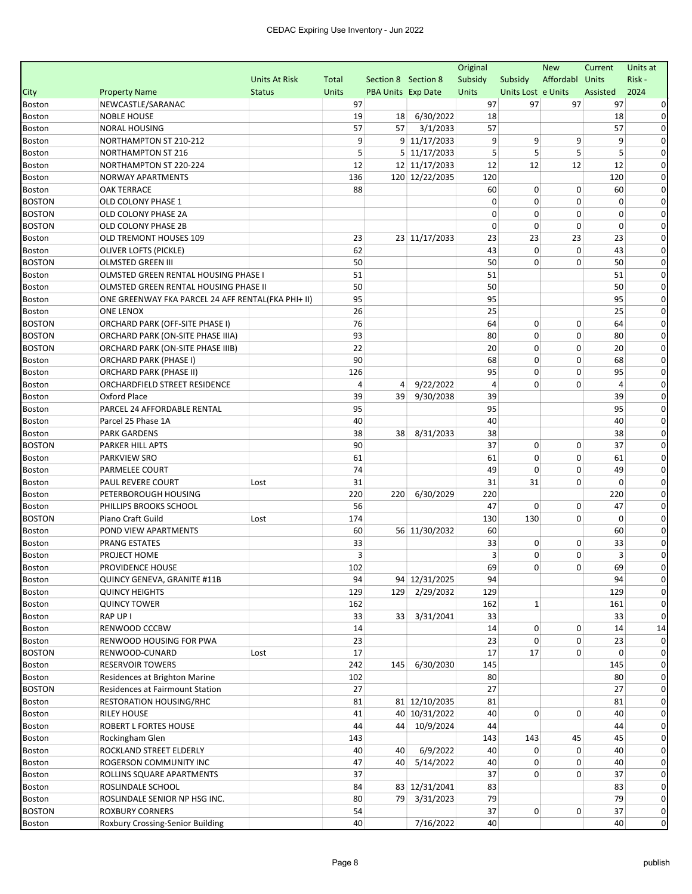|                                |                                                    |                      |              |                           |                     | Original    |                    | <b>New</b>      | Current  | Units at       |
|--------------------------------|----------------------------------------------------|----------------------|--------------|---------------------------|---------------------|-------------|--------------------|-----------------|----------|----------------|
|                                |                                                    | <b>Units At Risk</b> | Total        | Section 8 Section 8       |                     | Subsidy     | Subsidy            | Affordabl Units |          | Risk-          |
| City                           | <b>Property Name</b>                               | <b>Status</b>        | <b>Units</b> | <b>PBA Units Exp Date</b> |                     | Units       | Units Lost e Units |                 | Assisted | 2024           |
| <b>Boston</b>                  | NEWCASTLE/SARANAC                                  |                      | 97           |                           |                     | 97          | 97                 | 97              | 97       |                |
| <b>Boston</b>                  | <b>NOBLE HOUSE</b>                                 |                      | 19           | 18                        | 6/30/2022           | 18          |                    |                 | 18       | 0              |
| <b>Boston</b>                  | <b>NORAL HOUSING</b>                               |                      | 57           | 57                        | 3/1/2033            | 57          |                    |                 | 57       | 0              |
| Boston                         | NORTHAMPTON ST 210-212                             |                      |              | 9                         | 9 11/17/2033        | 9           | 9                  | 9               | 9        | $\Omega$       |
| <b>Boston</b>                  | NORTHAMPTON ST 216                                 |                      |              | 5                         | $5 \mid 11/17/2033$ | 5           | 5                  | 5               | 5        |                |
| <b>Boston</b>                  | NORTHAMPTON ST 220-224                             |                      | 12           |                           | 12 11/17/2033       | 12          | 12                 | 12              | 12       |                |
| <b>Boston</b>                  | NORWAY APARTMENTS                                  |                      | 136          |                           | 120 12/22/2035      | 120         |                    |                 | 120      | 0              |
| <b>Boston</b>                  | <b>OAK TERRACE</b>                                 |                      | 88           |                           |                     | 60          | 0                  | 0               | 60       | 0              |
| <b>BOSTON</b>                  | <b>OLD COLONY PHASE 1</b>                          |                      |              |                           |                     | $\mathbf 0$ | 0                  | 0               | 0        | 0              |
| <b>BOSTON</b>                  | OLD COLONY PHASE 2A                                |                      |              |                           |                     | 0           | 0                  | 0               | 0        | 0              |
| <b>BOSTON</b>                  | OLD COLONY PHASE 2B                                |                      |              |                           |                     | 0           | 0                  | 0               | 0        | 0              |
| <b>Boston</b>                  | OLD TREMONT HOUSES 109                             |                      | 23           |                           | 23 11/17/2033       | 23          | 23                 | 23              | 23       | $\Omega$       |
| <b>Boston</b>                  | <b>OLIVER LOFTS (PICKLE)</b>                       |                      | 62           |                           |                     | 43          | 0                  | 0               | 43       | 0              |
| <b>BOSTON</b>                  | <b>OLMSTED GREEN III</b>                           |                      | 50           |                           |                     | 50          | 0                  | $\Omega$        | 50       | $\Omega$       |
| <b>Boston</b>                  | OLMSTED GREEN RENTAL HOUSING PHASE I               |                      | 51           |                           |                     | 51          |                    |                 | 51       | 0              |
| <b>Boston</b>                  | OLMSTED GREEN RENTAL HOUSING PHASE II              |                      | 50           |                           |                     | 50          |                    |                 | 50       | $\Omega$       |
| <b>Boston</b>                  | ONE GREENWAY FKA PARCEL 24 AFF RENTAL(FKA PHI+ II) |                      | 95           |                           |                     | 95          |                    |                 | 95       | $\Omega$       |
| <b>Boston</b>                  | <b>ONE LENOX</b>                                   |                      | 26           |                           |                     | 25          |                    |                 | 25       | 0              |
| <b>BOSTON</b>                  | <b>ORCHARD PARK (OFF-SITE PHASE I)</b>             |                      | 76           |                           |                     | 64          | 0                  | 0               | 64       | $\Omega$       |
| <b>BOSTON</b>                  | ORCHARD PARK (ON-SITE PHASE IIIA)                  |                      | 93           |                           |                     | 80          | 0                  | 0               | 80       | 0              |
| <b>BOSTON</b>                  | ORCHARD PARK (ON-SITE PHASE IIIB)                  |                      | 22           |                           |                     | 20          | 0                  | 0               | 20       | $\Omega$       |
| <b>Boston</b>                  | <b>ORCHARD PARK (PHASE I)</b>                      |                      | 90           |                           |                     | 68          | 0                  | 0               | 68       | 0              |
| <b>Boston</b>                  | <b>ORCHARD PARK (PHASE II)</b>                     |                      | 126          |                           |                     | 95          | 0                  | 0               | 95       | 0              |
| Boston                         | ORCHARDFIELD STREET RESIDENCE                      |                      |              | 4<br>4                    | 9/22/2022           | 4           | 0                  | $\Omega$        | 4        | $\Omega$       |
| <b>Boston</b>                  | Oxford Place                                       |                      | 39           | 39                        | 9/30/2038           | 39          |                    |                 | 39       | 0              |
| <b>Boston</b>                  | PARCEL 24 AFFORDABLE RENTAL                        |                      | 95           |                           |                     | 95          |                    |                 | 95       | 0              |
| <b>Boston</b>                  | Parcel 25 Phase 1A                                 |                      | 40           |                           |                     | 40          |                    |                 | 40       | 0              |
| <b>Boston</b>                  | <b>PARK GARDENS</b>                                |                      | 38<br>90     | 38                        | 8/31/2033           | 38<br>37    | 0                  | 0               | 38<br>37 | 0<br>0         |
| <b>BOSTON</b>                  | PARKER HILL APTS                                   |                      | 61           |                           |                     | 61          | 0                  | $\mathbf 0$     | 61       | 0              |
| <b>Boston</b><br><b>Boston</b> | <b>PARKVIEW SRO</b><br>PARMELEE COURT              |                      | 74           |                           |                     | 49          | 0                  | 0               | 49       | 0              |
| <b>Boston</b>                  | PAUL REVERE COURT                                  | Lost                 | 31           |                           |                     | 31          | 31                 | 0               | $\Omega$ | 0              |
| <b>Boston</b>                  | PETERBOROUGH HOUSING                               |                      | 220          | 220                       | 6/30/2029           | 220         |                    |                 | 220      | $\Omega$       |
| Boston                         | PHILLIPS BROOKS SCHOOL                             |                      | 56           |                           |                     | 47          | 0                  | 0               | 47       | $\Omega$       |
| <b>BOSTON</b>                  | Piano Craft Guild                                  | Lost                 | 174          |                           |                     | 130         | 130                | 0               | 0        | 0              |
| <b>Boston</b>                  | POND VIEW APARTMENTS                               |                      | 60           |                           | 56 11/30/2032       | 60          |                    |                 | 60       |                |
| <b>Boston</b>                  | PRANG ESTATES                                      |                      | 33           |                           |                     | 33          | 0                  | 0               | 33       | $\Omega$       |
| <b>Boston</b>                  | PROJECT HOME                                       |                      |              | 3                         |                     | 3           | 0                  | 0               | 3        | 0              |
| <b>Boston</b>                  | PROVIDENCE HOUSE                                   |                      | 102          |                           |                     | 69          | 0                  | 0               | 69       |                |
| <b>Boston</b>                  | QUINCY GENEVA, GRANITE #11B                        |                      | 94           |                           | 94 12/31/2025       | 94          |                    |                 | 94       | 0              |
| Boston                         | <b>QUINCY HEIGHTS</b>                              |                      | 129          |                           | 129 2/29/2032       | 129         |                    |                 | 129      | $\overline{0}$ |
| Boston                         | <b>QUINCY TOWER</b>                                |                      | 162          |                           |                     | 162         | $\mathbf 1$        |                 | 161      | 0              |
| Boston                         | RAP UP I                                           |                      | 33           | 33 <sup>1</sup>           | 3/31/2041           | 33          |                    |                 | 33       | $\Omega$       |
| Boston                         | RENWOOD CCCBW                                      |                      | 14           |                           |                     | 14          | 0                  | 0               | 14       | 14             |
| Boston                         | RENWOOD HOUSING FOR PWA                            |                      | 23           |                           |                     | 23          | 0                  | 0               | 23       | 0              |
| <b>BOSTON</b>                  | RENWOOD-CUNARD                                     | Lost                 | 17           |                           |                     | 17          | 17                 | 0               | 0        | 0              |
| Boston                         | <b>RESERVOIR TOWERS</b>                            |                      | 242          | 145                       | 6/30/2030           | 145         |                    |                 | 145      | 0              |
| Boston                         | Residences at Brighton Marine                      |                      | 102          |                           |                     | 80          |                    |                 | 80       | 0              |
| <b>BOSTON</b>                  | Residences at Fairmount Station                    |                      | 27           |                           |                     | 27          |                    |                 | 27       | 0              |
| <b>Boston</b>                  | <b>RESTORATION HOUSING/RHC</b>                     |                      | 81           |                           | 81 12/10/2035       | 81          |                    |                 | 81       | 0              |
| Boston                         | <b>RILEY HOUSE</b>                                 |                      | 41           |                           | 40 10/31/2022       | 40          | 0                  | 0               | 40       | 0              |
| <b>Boston</b>                  | ROBERT L FORTES HOUSE                              |                      | 44           | 44                        | 10/9/2024           | 44          |                    |                 | 44       | 0              |
| Boston                         | Rockingham Glen                                    |                      | 143          |                           |                     | 143         | 143                | 45              | 45       | 0              |
| Boston                         | ROCKLAND STREET ELDERLY                            |                      | 40           | 40                        | 6/9/2022            | 40          | 0                  | 0               | 40       | 0              |
| <b>Boston</b>                  | ROGERSON COMMUNITY INC                             |                      | 47           | 40                        | 5/14/2022           | 40          | 0                  | 0               | 40       | 0              |
| Boston                         | ROLLINS SQUARE APARTMENTS                          |                      | 37           |                           |                     | 37          | 0                  | 0               | 37       | 0              |
| <b>Boston</b>                  | ROSLINDALE SCHOOL                                  |                      | 84           |                           | 83 12/31/2041       | 83          |                    |                 | 83       | $\mathbf{O}$   |
| Boston                         | ROSLINDALE SENIOR NP HSG INC.                      |                      | 80           | 79                        | 3/31/2023           | 79          |                    |                 | 79       | 0              |
| <b>BOSTON</b>                  | <b>ROXBURY CORNERS</b>                             |                      | 54           |                           |                     | 37          | 0                  | 0               | 37       | $\mathbf{0}$   |
| Boston                         | Roxbury Crossing-Senior Building                   |                      | 40           |                           | 7/16/2022           | 40          |                    |                 | 40       | $\mathbf 0$    |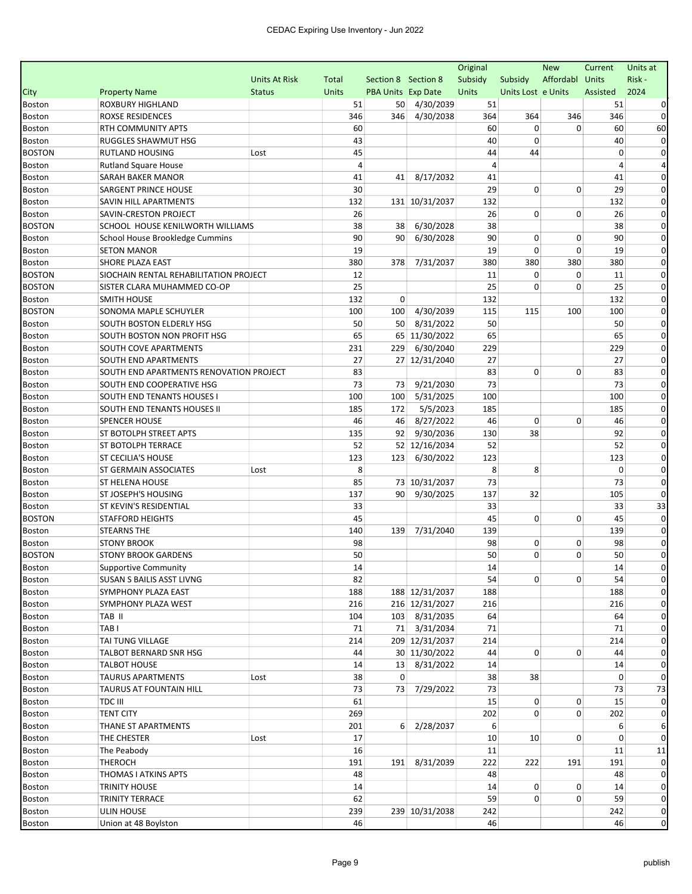|               |                                         |                      |       |                     |                    | Original |                    | <b>New</b>  | Current  | Units at     |
|---------------|-----------------------------------------|----------------------|-------|---------------------|--------------------|----------|--------------------|-------------|----------|--------------|
|               |                                         | <b>Units At Risk</b> | Total | Section 8 Section 8 |                    | Subsidy  | Subsidy            | Affordabl   | Units    | Risk-        |
| City          | <b>Property Name</b>                    | <b>Status</b>        | Units | PBA Units Exp Date  |                    | Units    | Units Lost e Units |             | Assisted | 2024         |
| <b>Boston</b> | ROXBURY HIGHLAND                        |                      | 51    | 50                  | 4/30/2039          | 51       |                    |             | 51       |              |
| <b>Boston</b> | <b>ROXSE RESIDENCES</b>                 |                      | 346   | 346                 | 4/30/2038          | 364      | 364                | 346         | 346      |              |
| Boston        | RTH COMMUNITY APTS                      |                      | 60    |                     |                    | 60       | 0                  | 0           | 60       | 60           |
| Boston        | <b>RUGGLES SHAWMUT HSG</b>              |                      | 43    |                     |                    | 40       | 0                  |             | 40       | 0            |
| <b>BOSTON</b> | <b>RUTLAND HOUSING</b>                  | Lost                 | 45    |                     |                    | 44       | 44                 |             | 0        | 0            |
| Boston        | <b>Rutland Square House</b>             |                      | 4     |                     |                    | 4        |                    |             | 4        |              |
| <b>Boston</b> | SARAH BAKER MANOR                       |                      | 41    | 41                  | 8/17/2032          | 41       |                    |             | 41       | 0            |
| Boston        | <b>SARGENT PRINCE HOUSE</b>             |                      | 30    |                     |                    | 29       | 0                  | 0           | 29       | 0            |
| Boston        | SAVIN HILL APARTMENTS                   |                      | 132   |                     | 131 10/31/2037     | 132      |                    |             | 132      | 0            |
| <b>Boston</b> | SAVIN-CRESTON PROJECT                   |                      | 26    |                     |                    | 26       | 0                  | 0           | 26       | 0            |
| <b>BOSTON</b> | SCHOOL HOUSE KENILWORTH WILLIAMS        |                      | 38    | 38                  | 6/30/2028          | 38       |                    |             | 38       | $\Omega$     |
| Boston        | School House Brookledge Cummins         |                      | 90    | 90 <sub>1</sub>     | 6/30/2028          | 90       | 0                  | 0           | 90       | 0            |
| Boston        | <b>SETON MANOR</b>                      |                      | 19    |                     |                    | 19       | 0                  | $\mathbf 0$ | 19       | 0            |
| Boston        | SHORE PLAZA EAST                        |                      | 380   | 378                 | 7/31/2037          | 380      | 380                | 380         | 380      | $\Omega$     |
| <b>BOSTON</b> | SIOCHAIN RENTAL REHABILITATION PROJECT  |                      | 12    |                     |                    | 11       | 0                  | 0           | 11       | 0            |
| <b>BOSTON</b> | SISTER CLARA MUHAMMED CO-OP             |                      | 25    |                     |                    | 25       | $\Omega$           | 0           | 25       | $\Omega$     |
| Boston        | <b>SMITH HOUSE</b>                      |                      | 132   | 0                   |                    | 132      |                    |             | 132      | 0            |
| <b>BOSTON</b> | SONOMA MAPLE SCHUYLER                   |                      | 100   | 100                 | 4/30/2039          | 115      | 115                | 100         | 100      | $\Omega$     |
| Boston        | SOUTH BOSTON ELDERLY HSG                |                      | 50    | 50                  | 8/31/2022          | 50       |                    |             | 50       | $\Omega$     |
| <b>Boston</b> | SOUTH BOSTON NON PROFIT HSG             |                      | 65    |                     | 65 11/30/2022      | 65       |                    |             | 65       | 0            |
| Boston        | SOUTH COVE APARTMENTS                   |                      | 231   | 229                 | 6/30/2040          | 229      |                    |             | 229      | $\Omega$     |
| <b>Boston</b> | SOUTH END APARTMENTS                    |                      | 27    |                     | 27 12/31/2040      | 27       |                    |             | 27       | 0            |
| Boston        | SOUTH END APARTMENTS RENOVATION PROJECT |                      | 83    |                     |                    | 83       | 0                  | 0           | 83       | 0            |
| Boston        | SOUTH END COOPERATIVE HSG               |                      | 73    | 73                  | 9/21/2030          | 73       |                    |             | 73       | $\Omega$     |
| <b>Boston</b> | SOUTH END TENANTS HOUSES I              |                      | 100   | 100                 | 5/31/2025          | 100      |                    |             | 100      | 0            |
| Boston        | SOUTH END TENANTS HOUSES II             |                      | 185   | 172                 | 5/5/2023           | 185      |                    |             | 185      | $\Omega$     |
| <b>Boston</b> | <b>SPENCER HOUSE</b>                    |                      | 46    | 46                  | 8/27/2022          | 46       | 0                  | 0           | 46       | 0            |
| Boston        | ST BOTOLPH STREET APTS                  |                      | 135   | 92                  | 9/30/2036          | 130      | 38                 |             | 92       | $\Omega$     |
| Boston        | ST BOTOLPH TERRACE                      |                      | 52    |                     | 52 12/16/2034      | 52       |                    |             | 52       | $\Omega$     |
| <b>Boston</b> | <b>ST CECILIA'S HOUSE</b>               |                      | 123   | 123                 | 6/30/2022          | 123      |                    |             | 123      | 0            |
| Boston        | ST GERMAIN ASSOCIATES                   | Lost                 | 8     |                     |                    | 8        | 8                  |             | 0        | 0            |
| <b>Boston</b> | <b>ST HELENA HOUSE</b>                  |                      | 85    |                     | 73 10/31/2037      | 73       |                    |             | 73       | $\mathbf 0$  |
| Boston        | ST JOSEPH'S HOUSING                     |                      | 137   | 90                  | 9/30/2025          | 137      | 32                 |             | 105      | $\Omega$     |
| Boston        | ST KEVIN'S RESIDENTIAL                  |                      | 33    |                     |                    | 33       |                    |             | 33       | 33           |
| <b>BOSTON</b> | <b>STAFFORD HEIGHTS</b>                 |                      | 45    |                     |                    | 45       | 0                  | 0           | 45       | $\mathbf 0$  |
| Boston        | <b>STEARNS THE</b>                      |                      | 140   | 139                 | 7/31/2040          | 139      |                    |             | 139      | 0            |
| <b>Boston</b> | <b>STONY BROOK</b>                      |                      | 98    |                     |                    | 98       | 0                  | 0           | 98       | 0            |
| <b>BOSTON</b> | <b>STONY BROOK GARDENS</b>              |                      | 50    |                     |                    | 50       | 0                  | $\mathbf 0$ | 50       | 0            |
| Boston        | <b>Supportive Community</b>             |                      | 14    |                     |                    | 14       |                    |             | $14\,$   |              |
| Boston        | SUSAN S BAILIS ASST LIVNG               |                      | 82    |                     |                    | 54       | 0                  | 0           | 54       | $\mathbf{0}$ |
| Boston        | SYMPHONY PLAZA EAST                     |                      | 188   |                     | 188 12/31/2037     | 188      |                    |             | 188      | 0            |
| Boston        | SYMPHONY PLAZA WEST                     |                      | 216   |                     | 216 12/31/2027     | 216      |                    |             | 216      | 0            |
| <b>Boston</b> | TAB II                                  |                      | 104   |                     | 103 8/31/2035      | 64       |                    |             | 64       | $\Omega$     |
| Boston        | TAB <sub>I</sub>                        |                      | 71    |                     | 71 3/31/2034       | 71       |                    |             | 71       | $\Omega$     |
| <b>Boston</b> | TAI TUNG VILLAGE                        |                      | 214   |                     | 209 12/31/2037     | 214      |                    |             | 214      | 0            |
| Boston        | TALBOT BERNARD SNR HSG                  |                      | 44    |                     | 30 11/30/2022      | 44       | 0                  | 0           | 44       | 0            |
| <b>Boston</b> | <b>TALBOT HOUSE</b>                     |                      | 14    |                     | 13 8/31/2022       | 14       |                    |             | 14       | 0            |
| Boston        | <b>TAURUS APARTMENTS</b>                | Lost                 | 38    | $\overline{0}$      |                    | 38       | 38                 |             | 0        | $\Omega$     |
| Boston        | TAURUS AT FOUNTAIN HILL                 |                      | 73    | 73                  | 7/29/2022          | 73       |                    |             | 73       | 73           |
| <b>Boston</b> | TDC III                                 |                      | 61    |                     |                    | 15       | 0                  | $\mathbf 0$ | 15       |              |
| Boston        | <b>TENT CITY</b>                        |                      | 269   |                     |                    | 202      | 0                  | $\Omega$    | 202      | $\Omega$     |
| <b>Boston</b> | THANE ST APARTMENTS                     |                      | 201   |                     | $6 \mid 2/28/2037$ | 6        |                    |             | 6        |              |
| <b>Boston</b> | THE CHESTER                             | Lost                 | 17    |                     |                    | 10       | 10                 | 0           | 0        | $\Omega$     |
| Boston        | The Peabody                             |                      | 16    |                     |                    | 11       |                    |             | 11       | 11           |
| <b>Boston</b> | <b>THEROCH</b>                          |                      | 191   | 191                 | 8/31/2039          | 222      | 222                | 191         | 191      | $\Omega$     |
| Boston        | THOMAS I ATKINS APTS                    |                      | 48    |                     |                    | 48       |                    |             | 48       | 0            |
| <b>Boston</b> | <b>TRINITY HOUSE</b>                    |                      | 14    |                     |                    | 14       | 0                  | 0           | 14       | 0            |
| Boston        | TRINITY TERRACE                         |                      | 62    |                     |                    | 59       | $\overline{0}$     | 0           | 59       | 0            |
| Boston        | <b>ULIN HOUSE</b>                       |                      | 239   |                     | 239 10/31/2038     | 242      |                    |             | 242      | $\mathbf{0}$ |
| Boston        | Union at 48 Boylston                    |                      | 46    |                     |                    | 46       |                    |             | 46       | $\mathbf 0$  |
|               |                                         |                      |       |                     |                    |          |                    |             |          |              |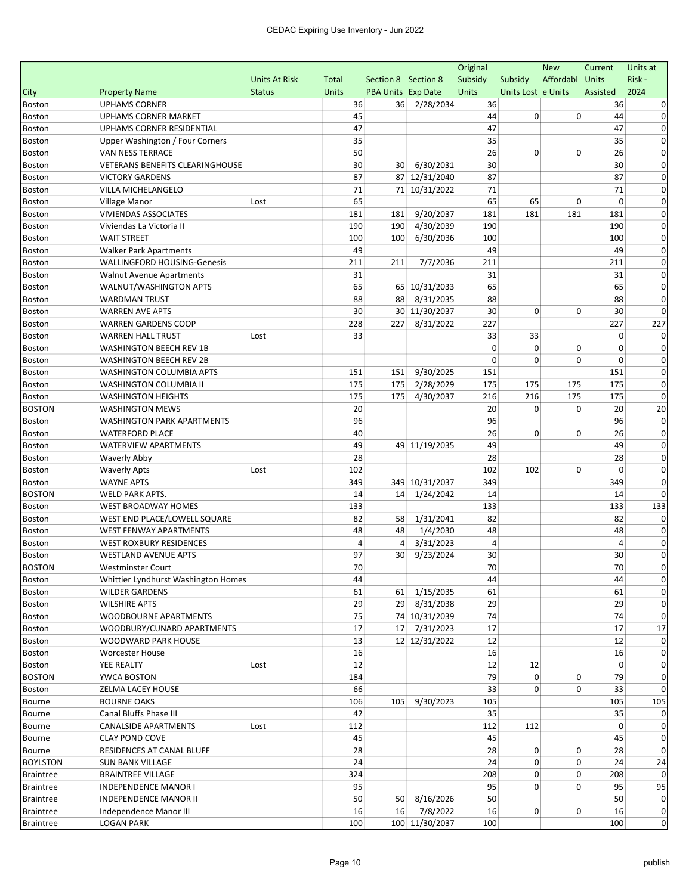|                                |                                     |                      |              |                     |                | Original |                    | <b>New</b>  | Current     | Units at     |
|--------------------------------|-------------------------------------|----------------------|--------------|---------------------|----------------|----------|--------------------|-------------|-------------|--------------|
|                                |                                     | <b>Units At Risk</b> | Total        | Section 8 Section 8 |                | Subsidy  | Subsidy            | Affordabl   | Units       | Risk -       |
| City                           | <b>Property Name</b>                | <b>Status</b>        | <b>Units</b> | PBA Units Exp Date  |                | Units    | Units Lost e Units |             | Assisted    | 2024         |
| <b>Boston</b>                  | <b>UPHAMS CORNER</b>                |                      | 36           |                     | 36 2/28/2034   | 36       |                    |             | 36          |              |
| <b>Boston</b>                  | <b>UPHAMS CORNER MARKET</b>         |                      | 45           |                     |                | 44       | 0                  | 0           | 44          | 0            |
| <b>Boston</b>                  | <b>UPHAMS CORNER RESIDENTIAL</b>    |                      | 47           |                     |                | 47       |                    |             | 47          | 0            |
| <b>Boston</b>                  | Upper Washington / Four Corners     |                      | 35           |                     |                | 35       |                    |             | 35          | $\Omega$     |
| <b>Boston</b>                  | VAN NESS TERRACE                    |                      | 50           |                     |                | 26       | 0                  | 0           | 26          | 0            |
| <b>Boston</b>                  | VETERANS BENEFITS CLEARINGHOUSE     |                      | 30           | 30                  | 6/30/2031      | 30       |                    |             | 30          | $\Omega$     |
| <b>Boston</b>                  | <b>VICTORY GARDENS</b>              |                      | 87           |                     | 87 12/31/2040  | 87       |                    |             | 87          | 0            |
| <b>Boston</b>                  | VILLA MICHELANGELO                  |                      | 71           |                     | 71 10/31/2022  | 71       |                    |             | 71          | 0            |
| Boston                         | <b>Village Manor</b>                | Lost                 | 65           |                     |                | 65       | 65                 | 0           | $\mathbf 0$ | 0            |
| <b>Boston</b>                  | <b>VIVIENDAS ASSOCIATES</b>         |                      | 181          | 181                 | 9/20/2037      | 181      | 181                | 181         | 181         | $\Omega$     |
| <b>Boston</b>                  | Viviendas La Victoria II            |                      | 190          | 190                 | 4/30/2039      | 190      |                    |             | 190         | 0            |
| <b>Boston</b>                  | <b>WAIT STREET</b>                  |                      | 100          | 100                 | 6/30/2036      | 100      |                    |             | 100         | 0            |
| <b>Boston</b>                  | <b>Walker Park Apartments</b>       |                      | 49           |                     |                | 49       |                    |             | 49          | 0            |
| <b>Boston</b>                  | <b>WALLINGFORD HOUSING-Genesis</b>  |                      | 211          | 211                 | 7/7/2036       | 211      |                    |             | 211         | $\Omega$     |
| <b>Boston</b>                  | <b>Walnut Avenue Apartments</b>     |                      | 31           |                     |                | 31       |                    |             | 31          | $\Omega$     |
| <b>Boston</b>                  | WALNUT/WASHINGTON APTS              |                      | 65           |                     | 65 10/31/2033  | 65       |                    |             | 65          | 0            |
| <b>Boston</b>                  | <b>WARDMAN TRUST</b>                |                      | 88           | 88                  | 8/31/2035      | 88       |                    |             | 88          | 0            |
| <b>Boston</b>                  | <b>WARREN AVE APTS</b>              |                      | 30           |                     | 30 11/30/2037  | 30       | 0                  | 0           | 30          | $\Omega$     |
| Boston                         | <b>WARREN GARDENS COOP</b>          |                      | 228          | 227                 | 8/31/2022      | 227      |                    |             | 227         | 227          |
| <b>Boston</b>                  | <b>WARREN HALL TRUST</b>            | Lost                 | 33           |                     |                | 33       | 33                 |             | 0           | 0            |
| <b>Boston</b>                  | <b>WASHINGTON BEECH REV 1B</b>      |                      |              |                     |                | 0        | 0                  | 0           | $\Omega$    |              |
| <b>Boston</b>                  | <b>WASHINGTON BEECH REV 2B</b>      |                      |              |                     |                | 0        | 0                  | $\mathbf 0$ | 0           | 0            |
| <b>Boston</b>                  | WASHINGTON COLUMBIA APTS            |                      | 151          | 151                 | 9/30/2025      | 151      |                    |             | 151         | 0            |
| <b>Boston</b>                  | WASHINGTON COLUMBIA II              |                      | 175          | 175                 | 2/28/2029      | 175      | 175                | 175         | 175         | 0            |
| <b>Boston</b>                  | <b>WASHINGTON HEIGHTS</b>           |                      | 175          | 175                 | 4/30/2037      | 216      | 216                | 175         | 175         | $\Omega$     |
| <b>BOSTON</b>                  | <b>WASHINGTON MEWS</b>              |                      | 20           |                     |                | 20       | 0                  | 0           | 20          | 20           |
| <b>Boston</b>                  | <b>WASHINGTON PARK APARTMENTS</b>   |                      | 96           |                     |                | 96       |                    |             | 96          | $\Omega$     |
| <b>Boston</b>                  | <b>WATERFORD PLACE</b>              |                      | 40           |                     |                | 26       | 0                  | 0           | 26          | 0            |
| Boston                         | <b>WATERVIEW APARTMENTS</b>         |                      | 49           |                     | 49 11/19/2035  | 49       |                    |             | 49          | 0            |
| <b>Boston</b>                  | <b>Waverly Abby</b>                 |                      | 28           |                     |                | 28       |                    |             | 28          | 0            |
| <b>Boston</b>                  | <b>Waverly Apts</b>                 | Lost                 | 102          |                     |                | 102      | 102                | 0           | $\Omega$    | 0            |
| <b>Boston</b>                  | <b>WAYNE APTS</b>                   |                      | 349          |                     | 349 10/31/2037 | 349      |                    |             | 349         | 0            |
| <b>BOSTON</b>                  | WELD PARK APTS.                     |                      | 14           | 14                  | 1/24/2042      | 14       |                    |             | 14          |              |
| <b>Boston</b>                  | <b>WEST BROADWAY HOMES</b>          |                      | 133          |                     |                | 133      |                    |             | 133         | 133          |
| <b>Boston</b>                  | WEST END PLACE/LOWELL SQUARE        |                      | 82           | 58                  | 1/31/2041      | 82       |                    |             | 82          | 0            |
| <b>Boston</b>                  | <b>WEST FENWAY APARTMENTS</b>       |                      | 48           | 48                  | 1/4/2030       | 48       |                    |             | 48          |              |
| <b>Boston</b>                  | <b>WEST ROXBURY RESIDENCES</b>      |                      | 4            | 4                   | 3/31/2023      | 4        |                    |             | 4           | 0            |
| Boston                         | <b>WESTLAND AVENUE APTS</b>         |                      | 97           | 30                  | 9/23/2024      | 30       |                    |             | 30          | 0            |
| <b>BOSTON</b>                  | <b>Westminster Court</b>            |                      | 70           |                     |                | 70       |                    |             | $70\,$      |              |
| Boston                         | Whittier Lyndhurst Washington Homes |                      | 44           |                     |                | 44       |                    |             | 44          | 0            |
| Boston                         | <b>WILDER GARDENS</b>               |                      | 61           |                     | 61 1/15/2035   | 61       |                    |             | 61          |              |
| Boston                         | <b>WILSHIRE APTS</b>                |                      | 29           |                     | 29 8/31/2038   | 29       |                    |             | 29          | 0            |
|                                | WOODBOURNE APARTMENTS               |                      | 75           |                     | 74 10/31/2039  | 74       |                    |             | 74          | 0            |
| <b>Boston</b><br>Boston        | WOODBURY/CUNARD APARTMENTS          |                      | 17           |                     | 17 7/31/2023   | 17       |                    |             | 17          | $17\,$       |
|                                | WOODWARD PARK HOUSE                 |                      |              |                     | 12 12/31/2022  | 12       |                    |             | 12          | 0            |
| <b>Boston</b>                  |                                     |                      | 13<br>16     |                     |                | 16       |                    |             | 16          | $\Omega$     |
| <b>Boston</b><br><b>Boston</b> | Worcester House                     |                      |              |                     |                |          |                    |             | 0           | 0            |
| <b>BOSTON</b>                  | YEE REALTY<br>YWCA BOSTON           | Lost                 | 12           |                     |                | 12<br>79 | 12<br>0            |             | 79          | $\Omega$     |
|                                |                                     |                      | 184          |                     |                |          | 0                  | 0<br>0      |             |              |
| Boston                         | ZELMA LACEY HOUSE                   |                      | 66           |                     |                | 33       |                    |             | 33          |              |
| <b>Bourne</b>                  | <b>BOURNE OAKS</b>                  |                      | 106          | 105                 | 9/30/2023      | 105      |                    |             | 105         | 105          |
| <b>Bourne</b>                  | Canal Bluffs Phase III              |                      | 42           |                     |                | 35       |                    |             | 35          |              |
| <b>Bourne</b>                  | CANALSIDE APARTMENTS                | Lost                 | 112          |                     |                | 112      | 112                |             | $\Omega$    |              |
| Bourne                         | <b>CLAY POND COVE</b>               |                      | 45           |                     |                | 45       |                    |             | 45          | 0            |
| Bourne                         | RESIDENCES AT CANAL BLUFF           |                      | 28           |                     |                | 28       | 0                  | 0           | 28          | $\Omega$     |
| <b>BOYLSTON</b>                | <b>SUN BANK VILLAGE</b>             |                      | 24           |                     |                | 24       | 0                  | 0           | 24          | 24           |
| <b>Braintree</b>               | <b>BRAINTREE VILLAGE</b>            |                      | 324          |                     |                | 208      | 0                  | 0           | 208         | $\Omega$     |
| <b>Braintree</b>               | <b>INDEPENDENCE MANOR I</b>         |                      | 95           |                     |                | 95       | 0                  | 0           | 95          | 95           |
| <b>Braintree</b>               | <b>INDEPENDENCE MANOR II</b>        |                      | 50           | 50                  | 8/16/2026      | 50       |                    |             | 50          | 0            |
| <b>Braintree</b>               | Independence Manor III              |                      | 16           | 16                  | 7/8/2022       | 16       | $\overline{0}$     | 0           | 16          | $\mathbf{0}$ |
| <b>Braintree</b>               | <b>LOGAN PARK</b>                   |                      | 100          |                     | 100 11/30/2037 | 100      |                    |             | 100         | $\mathbf 0$  |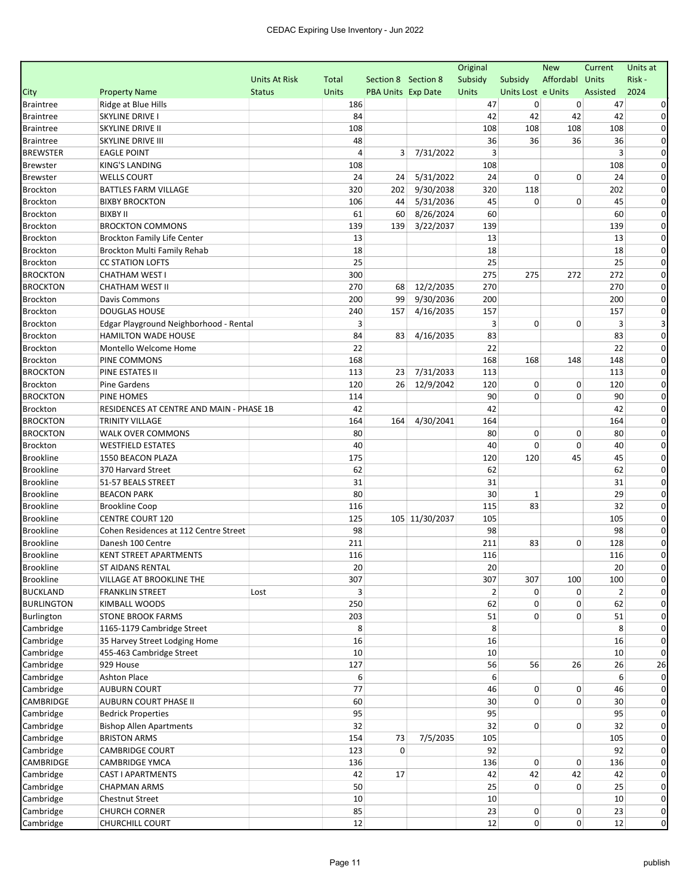| Affordabl<br>Risk-<br><b>Units At Risk</b><br>Section 8 Section 8<br>Subsidy<br>Subsidy<br>Units<br>Total<br>2024<br><b>Property Name</b><br><b>Status</b><br><b>Units</b><br>PBA Units Exp Date<br>Units<br>Units Lost e Units<br>Assisted<br>Ridge at Blue Hills<br>186<br>47<br>0<br>0<br>47<br>42<br>42<br>SKYLINE DRIVE I<br>84<br>42<br>42<br>$\Omega$<br>108<br>SKYLINE DRIVE II<br>108<br>108<br>108<br>108<br>0<br>48<br>36<br>36<br>36<br><b>SKYLINE DRIVE III</b><br>36<br>0<br><b>EAGLE POINT</b><br>4<br>3<br>7/31/2022<br>3<br>3<br>0<br><b>KING'S LANDING</b><br>108<br>108<br>108<br>0<br>5/31/2022<br>24<br>0<br><b>WELLS COURT</b><br>24<br>24<br>0<br>24<br>0<br>9/30/2038<br>320<br>118<br><b>BATTLES FARM VILLAGE</b><br>320<br>202<br>202<br>$\Omega$<br>5/31/2036<br>45<br>0<br>0<br><b>BIXBY BROCKTON</b><br>106<br>45<br>0<br>44<br><b>Brockton</b><br><b>BIXBY II</b><br>8/26/2024<br>60<br>61<br>60<br>60<br>0<br><b>Brockton</b><br>139<br><b>BROCKTON COMMONS</b><br>139<br>139<br>3/22/2037<br>139<br>$\Omega$<br>13<br><b>Brockton</b><br><b>Brockton Family Life Center</b><br>13<br>13<br>$\Omega$<br>18<br>18<br>18<br>$\Omega$<br>Brockton Multi Family Rehab<br>25<br>25<br>25<br><b>CC STATION LOFTS</b><br>0<br><b>BROCKTON</b><br>275<br>CHATHAM WEST I<br>300<br>275<br>272<br>272<br>0<br><b>BROCKTON</b><br>12/2/2035<br>270<br><b>CHATHAM WEST II</b><br>270<br>270<br>$\Omega$<br>68<br>9/30/2036<br>200<br>200<br><b>Brockton</b><br>Davis Commons<br>200<br>99<br>$\Omega$<br>4/16/2035<br>157<br><b>Brockton</b><br><b>DOUGLAS HOUSE</b><br>240<br>157<br>157<br>0<br>3<br>0<br>3<br>0<br>3<br><b>Brockton</b><br>Edgar Playground Neighborhood - Rental<br><b>Brockton</b><br><b>HAMILTON WADE HOUSE</b><br>84<br>4/16/2035<br>83<br>83<br>83<br>$\Omega$<br><b>Brockton</b><br>22<br>22<br>22<br>Montello Welcome Home<br>0<br>168<br>168<br><b>Brockton</b><br>PINE COMMONS<br>168<br>148<br>148<br>0<br><b>BROCKTON</b><br>7/31/2033<br>113<br>PINE ESTATES II<br>113<br>23<br>113<br>0<br>12/9/2042<br>120<br>0<br>0<br><b>Brockton</b><br><b>Pine Gardens</b><br>120<br>26<br>120<br>0<br><b>BROCKTON</b><br>90<br>0<br>PINE HOMES<br>114<br>0<br>90<br>0<br><b>Brockton</b><br>42<br>RESIDENCES AT CENTRE AND MAIN - PHASE 1B<br>42<br>42<br>$\Omega$<br>164<br><b>BROCKTON</b><br>164<br>164<br>4/30/2041<br>164<br>$\Omega$<br><b>TRINITY VILLAGE</b><br>80<br>80<br>0<br><b>BROCKTON</b><br>WALK OVER COMMONS<br>0<br>80<br>$\Omega$<br>0<br>40<br>40<br>0<br><b>Brockton</b><br><b>WESTFIELD ESTATES</b><br>40<br>0<br><b>Brookline</b><br>120<br>45<br>45<br>1550 BEACON PLAZA<br>175<br>120<br>0<br><b>Brookline</b><br>62<br>370 Harvard Street<br>62<br>62<br>0<br><b>Brookline</b><br>31<br>51-57 BEALS STREET<br>31<br>31<br>$\Omega$<br><b>Brookline</b><br>80<br>30<br>$\mathbf 1$<br>29<br><b>BEACON PARK</b><br>0<br>83<br><b>Brookline</b><br>115<br>32<br><b>Brookline Coop</b><br>116<br>0<br><b>Brookline</b><br>105 11/30/2037<br>105<br><b>CENTRE COURT 120</b><br>125<br>105<br>$\Omega$<br><b>Brookline</b><br>98<br>98<br>98<br>Cohen Residences at 112 Centre Street<br>$\Omega$<br><b>Brookline</b><br>83<br>Danesh 100 Centre<br>211<br>211<br>0<br>128<br>$\Omega$<br><b>Brookline</b><br>116<br>116<br>116<br>0<br><b>KENT STREET APARTMENTS</b><br>$20\,$<br>$20\,$<br><b>Brookline</b><br>20<br><b>ST AIDANS RENTAL</b><br>307<br>307<br><b>Brookline</b><br>VILLAGE AT BROOKLINE THE<br>307<br>100<br>100<br>$\mathbf{0}$<br><b>BUCKLAND</b><br><b>FRANKLIN STREET</b><br>0<br>Lost<br>2<br>0<br>2<br><b>BURLINGTON</b><br>250<br>0<br>KIMBALL WOODS<br>62<br>0<br>62<br>203<br>51<br>0<br>0<br>51<br>Burlington<br><b>STONE BROOK FARMS</b><br>8<br>8<br>8<br>Cambridge<br>1165-1179 Cambridge Street<br>0<br>Cambridge<br>35 Harvey Street Lodging Home<br>16<br>16<br>16<br>$\Omega$<br>Cambridge<br>455-463 Cambridge Street<br>10<br>10<br>10<br>$\Omega$<br>127<br>56<br>56<br>26<br>Cambridge<br>929 House<br>26<br>26<br>6<br>6<br>Cambridge<br><b>Ashton Place</b><br>6<br><b>AUBURN COURT</b><br>77<br>0<br>0<br>Cambridge<br>46<br>46<br>CAMBRIDGE<br><b>AUBURN COURT PHASE II</b><br>$\overline{0}$<br>0<br>60<br>30<br>30<br>Cambridge<br>95<br>95<br>95<br><b>Bedrick Properties</b><br>32<br>0<br>Cambridge<br><b>Bishop Allen Apartments</b><br>32<br>0<br>32<br>Cambridge<br>73<br>7/5/2035<br>105<br><b>BRISTON ARMS</b><br>154<br>105<br><b>CAMBRIDGE COURT</b><br>92<br>92<br>Cambridge<br>123<br>0<br>0<br>CAMBRIDGE<br>0<br><b>CAMBRIDGE YMCA</b><br>136<br>136<br>0<br>136<br>0<br>42<br>42<br>Cambridge<br><b>CAST I APARTMENTS</b><br>42<br>17<br>42<br>42<br>0<br>0<br>Cambridge<br><b>CHAPMAN ARMS</b><br>50<br>25<br>0<br>25<br>$\Omega$<br>10<br>10<br>10<br>Cambridge<br><b>Chestnut Street</b><br>0<br>85<br>23<br>0<br>0<br>Cambridge<br><b>CHURCH CORNER</b><br>23<br>0<br>Cambridge<br>12<br>12<br>$\mathbf{0}$<br>$\overline{0}$<br>12<br>$\mathbf 0$<br><b>CHURCHILL COURT</b> |                  |  |  | Original | <b>New</b> | Current | Units at |
|---------------------------------------------------------------------------------------------------------------------------------------------------------------------------------------------------------------------------------------------------------------------------------------------------------------------------------------------------------------------------------------------------------------------------------------------------------------------------------------------------------------------------------------------------------------------------------------------------------------------------------------------------------------------------------------------------------------------------------------------------------------------------------------------------------------------------------------------------------------------------------------------------------------------------------------------------------------------------------------------------------------------------------------------------------------------------------------------------------------------------------------------------------------------------------------------------------------------------------------------------------------------------------------------------------------------------------------------------------------------------------------------------------------------------------------------------------------------------------------------------------------------------------------------------------------------------------------------------------------------------------------------------------------------------------------------------------------------------------------------------------------------------------------------------------------------------------------------------------------------------------------------------------------------------------------------------------------------------------------------------------------------------------------------------------------------------------------------------------------------------------------------------------------------------------------------------------------------------------------------------------------------------------------------------------------------------------------------------------------------------------------------------------------------------------------------------------------------------------------------------------------------------------------------------------------------------------------------------------------------------------------------------------------------------------------------------------------------------------------------------------------------------------------------------------------------------------------------------------------------------------------------------------------------------------------------------------------------------------------------------------------------------------------------------------------------------------------------------------------------------------------------------------------------------------------------------------------------------------------------------------------------------------------------------------------------------------------------------------------------------------------------------------------------------------------------------------------------------------------------------------------------------------------------------------------------------------------------------------------------------------------------------------------------------------------------------------------------------------------------------------------------------------------------------------------------------------------------------------------------------------------------------------------------------------------------------------------------------------------------------------------------------------------------------------------------------------------------------------------------------------------------------------------------------------------------------------------------------------------------------------------------------------------------------------------------------------------------------------------------------------------------------------------------------------------------------------------------------------------------------------------------------------------------------------------------------------------------------------------------------------------------------------------------------------------------------------------------------------------------------------------------------------------------------------------------------------------------------------------------------------------------------------------------------------------------------------------------------------------------------------|------------------|--|--|----------|------------|---------|----------|
|                                                                                                                                                                                                                                                                                                                                                                                                                                                                                                                                                                                                                                                                                                                                                                                                                                                                                                                                                                                                                                                                                                                                                                                                                                                                                                                                                                                                                                                                                                                                                                                                                                                                                                                                                                                                                                                                                                                                                                                                                                                                                                                                                                                                                                                                                                                                                                                                                                                                                                                                                                                                                                                                                                                                                                                                                                                                                                                                                                                                                                                                                                                                                                                                                                                                                                                                                                                                                                                                                                                                                                                                                                                                                                                                                                                                                                                                                                                                                                                                                                                                                                                                                                                                                                                                                                                                                                                                                                                                                                                                                                                                                                                                                                                                                                                                                                                                                                                                                                                                         |                  |  |  |          |            |         |          |
|                                                                                                                                                                                                                                                                                                                                                                                                                                                                                                                                                                                                                                                                                                                                                                                                                                                                                                                                                                                                                                                                                                                                                                                                                                                                                                                                                                                                                                                                                                                                                                                                                                                                                                                                                                                                                                                                                                                                                                                                                                                                                                                                                                                                                                                                                                                                                                                                                                                                                                                                                                                                                                                                                                                                                                                                                                                                                                                                                                                                                                                                                                                                                                                                                                                                                                                                                                                                                                                                                                                                                                                                                                                                                                                                                                                                                                                                                                                                                                                                                                                                                                                                                                                                                                                                                                                                                                                                                                                                                                                                                                                                                                                                                                                                                                                                                                                                                                                                                                                                         | City             |  |  |          |            |         |          |
|                                                                                                                                                                                                                                                                                                                                                                                                                                                                                                                                                                                                                                                                                                                                                                                                                                                                                                                                                                                                                                                                                                                                                                                                                                                                                                                                                                                                                                                                                                                                                                                                                                                                                                                                                                                                                                                                                                                                                                                                                                                                                                                                                                                                                                                                                                                                                                                                                                                                                                                                                                                                                                                                                                                                                                                                                                                                                                                                                                                                                                                                                                                                                                                                                                                                                                                                                                                                                                                                                                                                                                                                                                                                                                                                                                                                                                                                                                                                                                                                                                                                                                                                                                                                                                                                                                                                                                                                                                                                                                                                                                                                                                                                                                                                                                                                                                                                                                                                                                                                         | <b>Braintree</b> |  |  |          |            |         |          |
|                                                                                                                                                                                                                                                                                                                                                                                                                                                                                                                                                                                                                                                                                                                                                                                                                                                                                                                                                                                                                                                                                                                                                                                                                                                                                                                                                                                                                                                                                                                                                                                                                                                                                                                                                                                                                                                                                                                                                                                                                                                                                                                                                                                                                                                                                                                                                                                                                                                                                                                                                                                                                                                                                                                                                                                                                                                                                                                                                                                                                                                                                                                                                                                                                                                                                                                                                                                                                                                                                                                                                                                                                                                                                                                                                                                                                                                                                                                                                                                                                                                                                                                                                                                                                                                                                                                                                                                                                                                                                                                                                                                                                                                                                                                                                                                                                                                                                                                                                                                                         | <b>Braintree</b> |  |  |          |            |         |          |
|                                                                                                                                                                                                                                                                                                                                                                                                                                                                                                                                                                                                                                                                                                                                                                                                                                                                                                                                                                                                                                                                                                                                                                                                                                                                                                                                                                                                                                                                                                                                                                                                                                                                                                                                                                                                                                                                                                                                                                                                                                                                                                                                                                                                                                                                                                                                                                                                                                                                                                                                                                                                                                                                                                                                                                                                                                                                                                                                                                                                                                                                                                                                                                                                                                                                                                                                                                                                                                                                                                                                                                                                                                                                                                                                                                                                                                                                                                                                                                                                                                                                                                                                                                                                                                                                                                                                                                                                                                                                                                                                                                                                                                                                                                                                                                                                                                                                                                                                                                                                         | <b>Braintree</b> |  |  |          |            |         |          |
|                                                                                                                                                                                                                                                                                                                                                                                                                                                                                                                                                                                                                                                                                                                                                                                                                                                                                                                                                                                                                                                                                                                                                                                                                                                                                                                                                                                                                                                                                                                                                                                                                                                                                                                                                                                                                                                                                                                                                                                                                                                                                                                                                                                                                                                                                                                                                                                                                                                                                                                                                                                                                                                                                                                                                                                                                                                                                                                                                                                                                                                                                                                                                                                                                                                                                                                                                                                                                                                                                                                                                                                                                                                                                                                                                                                                                                                                                                                                                                                                                                                                                                                                                                                                                                                                                                                                                                                                                                                                                                                                                                                                                                                                                                                                                                                                                                                                                                                                                                                                         | <b>Braintree</b> |  |  |          |            |         |          |
|                                                                                                                                                                                                                                                                                                                                                                                                                                                                                                                                                                                                                                                                                                                                                                                                                                                                                                                                                                                                                                                                                                                                                                                                                                                                                                                                                                                                                                                                                                                                                                                                                                                                                                                                                                                                                                                                                                                                                                                                                                                                                                                                                                                                                                                                                                                                                                                                                                                                                                                                                                                                                                                                                                                                                                                                                                                                                                                                                                                                                                                                                                                                                                                                                                                                                                                                                                                                                                                                                                                                                                                                                                                                                                                                                                                                                                                                                                                                                                                                                                                                                                                                                                                                                                                                                                                                                                                                                                                                                                                                                                                                                                                                                                                                                                                                                                                                                                                                                                                                         | <b>BREWSTER</b>  |  |  |          |            |         |          |
|                                                                                                                                                                                                                                                                                                                                                                                                                                                                                                                                                                                                                                                                                                                                                                                                                                                                                                                                                                                                                                                                                                                                                                                                                                                                                                                                                                                                                                                                                                                                                                                                                                                                                                                                                                                                                                                                                                                                                                                                                                                                                                                                                                                                                                                                                                                                                                                                                                                                                                                                                                                                                                                                                                                                                                                                                                                                                                                                                                                                                                                                                                                                                                                                                                                                                                                                                                                                                                                                                                                                                                                                                                                                                                                                                                                                                                                                                                                                                                                                                                                                                                                                                                                                                                                                                                                                                                                                                                                                                                                                                                                                                                                                                                                                                                                                                                                                                                                                                                                                         | <b>Brewster</b>  |  |  |          |            |         |          |
|                                                                                                                                                                                                                                                                                                                                                                                                                                                                                                                                                                                                                                                                                                                                                                                                                                                                                                                                                                                                                                                                                                                                                                                                                                                                                                                                                                                                                                                                                                                                                                                                                                                                                                                                                                                                                                                                                                                                                                                                                                                                                                                                                                                                                                                                                                                                                                                                                                                                                                                                                                                                                                                                                                                                                                                                                                                                                                                                                                                                                                                                                                                                                                                                                                                                                                                                                                                                                                                                                                                                                                                                                                                                                                                                                                                                                                                                                                                                                                                                                                                                                                                                                                                                                                                                                                                                                                                                                                                                                                                                                                                                                                                                                                                                                                                                                                                                                                                                                                                                         | <b>Brewster</b>  |  |  |          |            |         |          |
|                                                                                                                                                                                                                                                                                                                                                                                                                                                                                                                                                                                                                                                                                                                                                                                                                                                                                                                                                                                                                                                                                                                                                                                                                                                                                                                                                                                                                                                                                                                                                                                                                                                                                                                                                                                                                                                                                                                                                                                                                                                                                                                                                                                                                                                                                                                                                                                                                                                                                                                                                                                                                                                                                                                                                                                                                                                                                                                                                                                                                                                                                                                                                                                                                                                                                                                                                                                                                                                                                                                                                                                                                                                                                                                                                                                                                                                                                                                                                                                                                                                                                                                                                                                                                                                                                                                                                                                                                                                                                                                                                                                                                                                                                                                                                                                                                                                                                                                                                                                                         | <b>Brockton</b>  |  |  |          |            |         |          |
|                                                                                                                                                                                                                                                                                                                                                                                                                                                                                                                                                                                                                                                                                                                                                                                                                                                                                                                                                                                                                                                                                                                                                                                                                                                                                                                                                                                                                                                                                                                                                                                                                                                                                                                                                                                                                                                                                                                                                                                                                                                                                                                                                                                                                                                                                                                                                                                                                                                                                                                                                                                                                                                                                                                                                                                                                                                                                                                                                                                                                                                                                                                                                                                                                                                                                                                                                                                                                                                                                                                                                                                                                                                                                                                                                                                                                                                                                                                                                                                                                                                                                                                                                                                                                                                                                                                                                                                                                                                                                                                                                                                                                                                                                                                                                                                                                                                                                                                                                                                                         | <b>Brockton</b>  |  |  |          |            |         |          |
|                                                                                                                                                                                                                                                                                                                                                                                                                                                                                                                                                                                                                                                                                                                                                                                                                                                                                                                                                                                                                                                                                                                                                                                                                                                                                                                                                                                                                                                                                                                                                                                                                                                                                                                                                                                                                                                                                                                                                                                                                                                                                                                                                                                                                                                                                                                                                                                                                                                                                                                                                                                                                                                                                                                                                                                                                                                                                                                                                                                                                                                                                                                                                                                                                                                                                                                                                                                                                                                                                                                                                                                                                                                                                                                                                                                                                                                                                                                                                                                                                                                                                                                                                                                                                                                                                                                                                                                                                                                                                                                                                                                                                                                                                                                                                                                                                                                                                                                                                                                                         |                  |  |  |          |            |         |          |
|                                                                                                                                                                                                                                                                                                                                                                                                                                                                                                                                                                                                                                                                                                                                                                                                                                                                                                                                                                                                                                                                                                                                                                                                                                                                                                                                                                                                                                                                                                                                                                                                                                                                                                                                                                                                                                                                                                                                                                                                                                                                                                                                                                                                                                                                                                                                                                                                                                                                                                                                                                                                                                                                                                                                                                                                                                                                                                                                                                                                                                                                                                                                                                                                                                                                                                                                                                                                                                                                                                                                                                                                                                                                                                                                                                                                                                                                                                                                                                                                                                                                                                                                                                                                                                                                                                                                                                                                                                                                                                                                                                                                                                                                                                                                                                                                                                                                                                                                                                                                         |                  |  |  |          |            |         |          |
|                                                                                                                                                                                                                                                                                                                                                                                                                                                                                                                                                                                                                                                                                                                                                                                                                                                                                                                                                                                                                                                                                                                                                                                                                                                                                                                                                                                                                                                                                                                                                                                                                                                                                                                                                                                                                                                                                                                                                                                                                                                                                                                                                                                                                                                                                                                                                                                                                                                                                                                                                                                                                                                                                                                                                                                                                                                                                                                                                                                                                                                                                                                                                                                                                                                                                                                                                                                                                                                                                                                                                                                                                                                                                                                                                                                                                                                                                                                                                                                                                                                                                                                                                                                                                                                                                                                                                                                                                                                                                                                                                                                                                                                                                                                                                                                                                                                                                                                                                                                                         |                  |  |  |          |            |         |          |
|                                                                                                                                                                                                                                                                                                                                                                                                                                                                                                                                                                                                                                                                                                                                                                                                                                                                                                                                                                                                                                                                                                                                                                                                                                                                                                                                                                                                                                                                                                                                                                                                                                                                                                                                                                                                                                                                                                                                                                                                                                                                                                                                                                                                                                                                                                                                                                                                                                                                                                                                                                                                                                                                                                                                                                                                                                                                                                                                                                                                                                                                                                                                                                                                                                                                                                                                                                                                                                                                                                                                                                                                                                                                                                                                                                                                                                                                                                                                                                                                                                                                                                                                                                                                                                                                                                                                                                                                                                                                                                                                                                                                                                                                                                                                                                                                                                                                                                                                                                                                         | <b>Brockton</b>  |  |  |          |            |         |          |
|                                                                                                                                                                                                                                                                                                                                                                                                                                                                                                                                                                                                                                                                                                                                                                                                                                                                                                                                                                                                                                                                                                                                                                                                                                                                                                                                                                                                                                                                                                                                                                                                                                                                                                                                                                                                                                                                                                                                                                                                                                                                                                                                                                                                                                                                                                                                                                                                                                                                                                                                                                                                                                                                                                                                                                                                                                                                                                                                                                                                                                                                                                                                                                                                                                                                                                                                                                                                                                                                                                                                                                                                                                                                                                                                                                                                                                                                                                                                                                                                                                                                                                                                                                                                                                                                                                                                                                                                                                                                                                                                                                                                                                                                                                                                                                                                                                                                                                                                                                                                         | <b>Brockton</b>  |  |  |          |            |         |          |
|                                                                                                                                                                                                                                                                                                                                                                                                                                                                                                                                                                                                                                                                                                                                                                                                                                                                                                                                                                                                                                                                                                                                                                                                                                                                                                                                                                                                                                                                                                                                                                                                                                                                                                                                                                                                                                                                                                                                                                                                                                                                                                                                                                                                                                                                                                                                                                                                                                                                                                                                                                                                                                                                                                                                                                                                                                                                                                                                                                                                                                                                                                                                                                                                                                                                                                                                                                                                                                                                                                                                                                                                                                                                                                                                                                                                                                                                                                                                                                                                                                                                                                                                                                                                                                                                                                                                                                                                                                                                                                                                                                                                                                                                                                                                                                                                                                                                                                                                                                                                         |                  |  |  |          |            |         |          |
|                                                                                                                                                                                                                                                                                                                                                                                                                                                                                                                                                                                                                                                                                                                                                                                                                                                                                                                                                                                                                                                                                                                                                                                                                                                                                                                                                                                                                                                                                                                                                                                                                                                                                                                                                                                                                                                                                                                                                                                                                                                                                                                                                                                                                                                                                                                                                                                                                                                                                                                                                                                                                                                                                                                                                                                                                                                                                                                                                                                                                                                                                                                                                                                                                                                                                                                                                                                                                                                                                                                                                                                                                                                                                                                                                                                                                                                                                                                                                                                                                                                                                                                                                                                                                                                                                                                                                                                                                                                                                                                                                                                                                                                                                                                                                                                                                                                                                                                                                                                                         |                  |  |  |          |            |         |          |
|                                                                                                                                                                                                                                                                                                                                                                                                                                                                                                                                                                                                                                                                                                                                                                                                                                                                                                                                                                                                                                                                                                                                                                                                                                                                                                                                                                                                                                                                                                                                                                                                                                                                                                                                                                                                                                                                                                                                                                                                                                                                                                                                                                                                                                                                                                                                                                                                                                                                                                                                                                                                                                                                                                                                                                                                                                                                                                                                                                                                                                                                                                                                                                                                                                                                                                                                                                                                                                                                                                                                                                                                                                                                                                                                                                                                                                                                                                                                                                                                                                                                                                                                                                                                                                                                                                                                                                                                                                                                                                                                                                                                                                                                                                                                                                                                                                                                                                                                                                                                         |                  |  |  |          |            |         |          |
|                                                                                                                                                                                                                                                                                                                                                                                                                                                                                                                                                                                                                                                                                                                                                                                                                                                                                                                                                                                                                                                                                                                                                                                                                                                                                                                                                                                                                                                                                                                                                                                                                                                                                                                                                                                                                                                                                                                                                                                                                                                                                                                                                                                                                                                                                                                                                                                                                                                                                                                                                                                                                                                                                                                                                                                                                                                                                                                                                                                                                                                                                                                                                                                                                                                                                                                                                                                                                                                                                                                                                                                                                                                                                                                                                                                                                                                                                                                                                                                                                                                                                                                                                                                                                                                                                                                                                                                                                                                                                                                                                                                                                                                                                                                                                                                                                                                                                                                                                                                                         |                  |  |  |          |            |         |          |
|                                                                                                                                                                                                                                                                                                                                                                                                                                                                                                                                                                                                                                                                                                                                                                                                                                                                                                                                                                                                                                                                                                                                                                                                                                                                                                                                                                                                                                                                                                                                                                                                                                                                                                                                                                                                                                                                                                                                                                                                                                                                                                                                                                                                                                                                                                                                                                                                                                                                                                                                                                                                                                                                                                                                                                                                                                                                                                                                                                                                                                                                                                                                                                                                                                                                                                                                                                                                                                                                                                                                                                                                                                                                                                                                                                                                                                                                                                                                                                                                                                                                                                                                                                                                                                                                                                                                                                                                                                                                                                                                                                                                                                                                                                                                                                                                                                                                                                                                                                                                         |                  |  |  |          |            |         |          |
|                                                                                                                                                                                                                                                                                                                                                                                                                                                                                                                                                                                                                                                                                                                                                                                                                                                                                                                                                                                                                                                                                                                                                                                                                                                                                                                                                                                                                                                                                                                                                                                                                                                                                                                                                                                                                                                                                                                                                                                                                                                                                                                                                                                                                                                                                                                                                                                                                                                                                                                                                                                                                                                                                                                                                                                                                                                                                                                                                                                                                                                                                                                                                                                                                                                                                                                                                                                                                                                                                                                                                                                                                                                                                                                                                                                                                                                                                                                                                                                                                                                                                                                                                                                                                                                                                                                                                                                                                                                                                                                                                                                                                                                                                                                                                                                                                                                                                                                                                                                                         |                  |  |  |          |            |         |          |
|                                                                                                                                                                                                                                                                                                                                                                                                                                                                                                                                                                                                                                                                                                                                                                                                                                                                                                                                                                                                                                                                                                                                                                                                                                                                                                                                                                                                                                                                                                                                                                                                                                                                                                                                                                                                                                                                                                                                                                                                                                                                                                                                                                                                                                                                                                                                                                                                                                                                                                                                                                                                                                                                                                                                                                                                                                                                                                                                                                                                                                                                                                                                                                                                                                                                                                                                                                                                                                                                                                                                                                                                                                                                                                                                                                                                                                                                                                                                                                                                                                                                                                                                                                                                                                                                                                                                                                                                                                                                                                                                                                                                                                                                                                                                                                                                                                                                                                                                                                                                         |                  |  |  |          |            |         |          |
|                                                                                                                                                                                                                                                                                                                                                                                                                                                                                                                                                                                                                                                                                                                                                                                                                                                                                                                                                                                                                                                                                                                                                                                                                                                                                                                                                                                                                                                                                                                                                                                                                                                                                                                                                                                                                                                                                                                                                                                                                                                                                                                                                                                                                                                                                                                                                                                                                                                                                                                                                                                                                                                                                                                                                                                                                                                                                                                                                                                                                                                                                                                                                                                                                                                                                                                                                                                                                                                                                                                                                                                                                                                                                                                                                                                                                                                                                                                                                                                                                                                                                                                                                                                                                                                                                                                                                                                                                                                                                                                                                                                                                                                                                                                                                                                                                                                                                                                                                                                                         |                  |  |  |          |            |         |          |
|                                                                                                                                                                                                                                                                                                                                                                                                                                                                                                                                                                                                                                                                                                                                                                                                                                                                                                                                                                                                                                                                                                                                                                                                                                                                                                                                                                                                                                                                                                                                                                                                                                                                                                                                                                                                                                                                                                                                                                                                                                                                                                                                                                                                                                                                                                                                                                                                                                                                                                                                                                                                                                                                                                                                                                                                                                                                                                                                                                                                                                                                                                                                                                                                                                                                                                                                                                                                                                                                                                                                                                                                                                                                                                                                                                                                                                                                                                                                                                                                                                                                                                                                                                                                                                                                                                                                                                                                                                                                                                                                                                                                                                                                                                                                                                                                                                                                                                                                                                                                         |                  |  |  |          |            |         |          |
|                                                                                                                                                                                                                                                                                                                                                                                                                                                                                                                                                                                                                                                                                                                                                                                                                                                                                                                                                                                                                                                                                                                                                                                                                                                                                                                                                                                                                                                                                                                                                                                                                                                                                                                                                                                                                                                                                                                                                                                                                                                                                                                                                                                                                                                                                                                                                                                                                                                                                                                                                                                                                                                                                                                                                                                                                                                                                                                                                                                                                                                                                                                                                                                                                                                                                                                                                                                                                                                                                                                                                                                                                                                                                                                                                                                                                                                                                                                                                                                                                                                                                                                                                                                                                                                                                                                                                                                                                                                                                                                                                                                                                                                                                                                                                                                                                                                                                                                                                                                                         |                  |  |  |          |            |         |          |
|                                                                                                                                                                                                                                                                                                                                                                                                                                                                                                                                                                                                                                                                                                                                                                                                                                                                                                                                                                                                                                                                                                                                                                                                                                                                                                                                                                                                                                                                                                                                                                                                                                                                                                                                                                                                                                                                                                                                                                                                                                                                                                                                                                                                                                                                                                                                                                                                                                                                                                                                                                                                                                                                                                                                                                                                                                                                                                                                                                                                                                                                                                                                                                                                                                                                                                                                                                                                                                                                                                                                                                                                                                                                                                                                                                                                                                                                                                                                                                                                                                                                                                                                                                                                                                                                                                                                                                                                                                                                                                                                                                                                                                                                                                                                                                                                                                                                                                                                                                                                         |                  |  |  |          |            |         |          |
|                                                                                                                                                                                                                                                                                                                                                                                                                                                                                                                                                                                                                                                                                                                                                                                                                                                                                                                                                                                                                                                                                                                                                                                                                                                                                                                                                                                                                                                                                                                                                                                                                                                                                                                                                                                                                                                                                                                                                                                                                                                                                                                                                                                                                                                                                                                                                                                                                                                                                                                                                                                                                                                                                                                                                                                                                                                                                                                                                                                                                                                                                                                                                                                                                                                                                                                                                                                                                                                                                                                                                                                                                                                                                                                                                                                                                                                                                                                                                                                                                                                                                                                                                                                                                                                                                                                                                                                                                                                                                                                                                                                                                                                                                                                                                                                                                                                                                                                                                                                                         |                  |  |  |          |            |         |          |
|                                                                                                                                                                                                                                                                                                                                                                                                                                                                                                                                                                                                                                                                                                                                                                                                                                                                                                                                                                                                                                                                                                                                                                                                                                                                                                                                                                                                                                                                                                                                                                                                                                                                                                                                                                                                                                                                                                                                                                                                                                                                                                                                                                                                                                                                                                                                                                                                                                                                                                                                                                                                                                                                                                                                                                                                                                                                                                                                                                                                                                                                                                                                                                                                                                                                                                                                                                                                                                                                                                                                                                                                                                                                                                                                                                                                                                                                                                                                                                                                                                                                                                                                                                                                                                                                                                                                                                                                                                                                                                                                                                                                                                                                                                                                                                                                                                                                                                                                                                                                         |                  |  |  |          |            |         |          |
|                                                                                                                                                                                                                                                                                                                                                                                                                                                                                                                                                                                                                                                                                                                                                                                                                                                                                                                                                                                                                                                                                                                                                                                                                                                                                                                                                                                                                                                                                                                                                                                                                                                                                                                                                                                                                                                                                                                                                                                                                                                                                                                                                                                                                                                                                                                                                                                                                                                                                                                                                                                                                                                                                                                                                                                                                                                                                                                                                                                                                                                                                                                                                                                                                                                                                                                                                                                                                                                                                                                                                                                                                                                                                                                                                                                                                                                                                                                                                                                                                                                                                                                                                                                                                                                                                                                                                                                                                                                                                                                                                                                                                                                                                                                                                                                                                                                                                                                                                                                                         |                  |  |  |          |            |         |          |
|                                                                                                                                                                                                                                                                                                                                                                                                                                                                                                                                                                                                                                                                                                                                                                                                                                                                                                                                                                                                                                                                                                                                                                                                                                                                                                                                                                                                                                                                                                                                                                                                                                                                                                                                                                                                                                                                                                                                                                                                                                                                                                                                                                                                                                                                                                                                                                                                                                                                                                                                                                                                                                                                                                                                                                                                                                                                                                                                                                                                                                                                                                                                                                                                                                                                                                                                                                                                                                                                                                                                                                                                                                                                                                                                                                                                                                                                                                                                                                                                                                                                                                                                                                                                                                                                                                                                                                                                                                                                                                                                                                                                                                                                                                                                                                                                                                                                                                                                                                                                         |                  |  |  |          |            |         |          |
|                                                                                                                                                                                                                                                                                                                                                                                                                                                                                                                                                                                                                                                                                                                                                                                                                                                                                                                                                                                                                                                                                                                                                                                                                                                                                                                                                                                                                                                                                                                                                                                                                                                                                                                                                                                                                                                                                                                                                                                                                                                                                                                                                                                                                                                                                                                                                                                                                                                                                                                                                                                                                                                                                                                                                                                                                                                                                                                                                                                                                                                                                                                                                                                                                                                                                                                                                                                                                                                                                                                                                                                                                                                                                                                                                                                                                                                                                                                                                                                                                                                                                                                                                                                                                                                                                                                                                                                                                                                                                                                                                                                                                                                                                                                                                                                                                                                                                                                                                                                                         |                  |  |  |          |            |         |          |
|                                                                                                                                                                                                                                                                                                                                                                                                                                                                                                                                                                                                                                                                                                                                                                                                                                                                                                                                                                                                                                                                                                                                                                                                                                                                                                                                                                                                                                                                                                                                                                                                                                                                                                                                                                                                                                                                                                                                                                                                                                                                                                                                                                                                                                                                                                                                                                                                                                                                                                                                                                                                                                                                                                                                                                                                                                                                                                                                                                                                                                                                                                                                                                                                                                                                                                                                                                                                                                                                                                                                                                                                                                                                                                                                                                                                                                                                                                                                                                                                                                                                                                                                                                                                                                                                                                                                                                                                                                                                                                                                                                                                                                                                                                                                                                                                                                                                                                                                                                                                         |                  |  |  |          |            |         |          |
|                                                                                                                                                                                                                                                                                                                                                                                                                                                                                                                                                                                                                                                                                                                                                                                                                                                                                                                                                                                                                                                                                                                                                                                                                                                                                                                                                                                                                                                                                                                                                                                                                                                                                                                                                                                                                                                                                                                                                                                                                                                                                                                                                                                                                                                                                                                                                                                                                                                                                                                                                                                                                                                                                                                                                                                                                                                                                                                                                                                                                                                                                                                                                                                                                                                                                                                                                                                                                                                                                                                                                                                                                                                                                                                                                                                                                                                                                                                                                                                                                                                                                                                                                                                                                                                                                                                                                                                                                                                                                                                                                                                                                                                                                                                                                                                                                                                                                                                                                                                                         |                  |  |  |          |            |         |          |
|                                                                                                                                                                                                                                                                                                                                                                                                                                                                                                                                                                                                                                                                                                                                                                                                                                                                                                                                                                                                                                                                                                                                                                                                                                                                                                                                                                                                                                                                                                                                                                                                                                                                                                                                                                                                                                                                                                                                                                                                                                                                                                                                                                                                                                                                                                                                                                                                                                                                                                                                                                                                                                                                                                                                                                                                                                                                                                                                                                                                                                                                                                                                                                                                                                                                                                                                                                                                                                                                                                                                                                                                                                                                                                                                                                                                                                                                                                                                                                                                                                                                                                                                                                                                                                                                                                                                                                                                                                                                                                                                                                                                                                                                                                                                                                                                                                                                                                                                                                                                         |                  |  |  |          |            |         |          |
|                                                                                                                                                                                                                                                                                                                                                                                                                                                                                                                                                                                                                                                                                                                                                                                                                                                                                                                                                                                                                                                                                                                                                                                                                                                                                                                                                                                                                                                                                                                                                                                                                                                                                                                                                                                                                                                                                                                                                                                                                                                                                                                                                                                                                                                                                                                                                                                                                                                                                                                                                                                                                                                                                                                                                                                                                                                                                                                                                                                                                                                                                                                                                                                                                                                                                                                                                                                                                                                                                                                                                                                                                                                                                                                                                                                                                                                                                                                                                                                                                                                                                                                                                                                                                                                                                                                                                                                                                                                                                                                                                                                                                                                                                                                                                                                                                                                                                                                                                                                                         |                  |  |  |          |            |         |          |
|                                                                                                                                                                                                                                                                                                                                                                                                                                                                                                                                                                                                                                                                                                                                                                                                                                                                                                                                                                                                                                                                                                                                                                                                                                                                                                                                                                                                                                                                                                                                                                                                                                                                                                                                                                                                                                                                                                                                                                                                                                                                                                                                                                                                                                                                                                                                                                                                                                                                                                                                                                                                                                                                                                                                                                                                                                                                                                                                                                                                                                                                                                                                                                                                                                                                                                                                                                                                                                                                                                                                                                                                                                                                                                                                                                                                                                                                                                                                                                                                                                                                                                                                                                                                                                                                                                                                                                                                                                                                                                                                                                                                                                                                                                                                                                                                                                                                                                                                                                                                         |                  |  |  |          |            |         |          |
|                                                                                                                                                                                                                                                                                                                                                                                                                                                                                                                                                                                                                                                                                                                                                                                                                                                                                                                                                                                                                                                                                                                                                                                                                                                                                                                                                                                                                                                                                                                                                                                                                                                                                                                                                                                                                                                                                                                                                                                                                                                                                                                                                                                                                                                                                                                                                                                                                                                                                                                                                                                                                                                                                                                                                                                                                                                                                                                                                                                                                                                                                                                                                                                                                                                                                                                                                                                                                                                                                                                                                                                                                                                                                                                                                                                                                                                                                                                                                                                                                                                                                                                                                                                                                                                                                                                                                                                                                                                                                                                                                                                                                                                                                                                                                                                                                                                                                                                                                                                                         |                  |  |  |          |            |         |          |
|                                                                                                                                                                                                                                                                                                                                                                                                                                                                                                                                                                                                                                                                                                                                                                                                                                                                                                                                                                                                                                                                                                                                                                                                                                                                                                                                                                                                                                                                                                                                                                                                                                                                                                                                                                                                                                                                                                                                                                                                                                                                                                                                                                                                                                                                                                                                                                                                                                                                                                                                                                                                                                                                                                                                                                                                                                                                                                                                                                                                                                                                                                                                                                                                                                                                                                                                                                                                                                                                                                                                                                                                                                                                                                                                                                                                                                                                                                                                                                                                                                                                                                                                                                                                                                                                                                                                                                                                                                                                                                                                                                                                                                                                                                                                                                                                                                                                                                                                                                                                         |                  |  |  |          |            |         |          |
|                                                                                                                                                                                                                                                                                                                                                                                                                                                                                                                                                                                                                                                                                                                                                                                                                                                                                                                                                                                                                                                                                                                                                                                                                                                                                                                                                                                                                                                                                                                                                                                                                                                                                                                                                                                                                                                                                                                                                                                                                                                                                                                                                                                                                                                                                                                                                                                                                                                                                                                                                                                                                                                                                                                                                                                                                                                                                                                                                                                                                                                                                                                                                                                                                                                                                                                                                                                                                                                                                                                                                                                                                                                                                                                                                                                                                                                                                                                                                                                                                                                                                                                                                                                                                                                                                                                                                                                                                                                                                                                                                                                                                                                                                                                                                                                                                                                                                                                                                                                                         |                  |  |  |          |            |         |          |
|                                                                                                                                                                                                                                                                                                                                                                                                                                                                                                                                                                                                                                                                                                                                                                                                                                                                                                                                                                                                                                                                                                                                                                                                                                                                                                                                                                                                                                                                                                                                                                                                                                                                                                                                                                                                                                                                                                                                                                                                                                                                                                                                                                                                                                                                                                                                                                                                                                                                                                                                                                                                                                                                                                                                                                                                                                                                                                                                                                                                                                                                                                                                                                                                                                                                                                                                                                                                                                                                                                                                                                                                                                                                                                                                                                                                                                                                                                                                                                                                                                                                                                                                                                                                                                                                                                                                                                                                                                                                                                                                                                                                                                                                                                                                                                                                                                                                                                                                                                                                         |                  |  |  |          |            |         |          |
|                                                                                                                                                                                                                                                                                                                                                                                                                                                                                                                                                                                                                                                                                                                                                                                                                                                                                                                                                                                                                                                                                                                                                                                                                                                                                                                                                                                                                                                                                                                                                                                                                                                                                                                                                                                                                                                                                                                                                                                                                                                                                                                                                                                                                                                                                                                                                                                                                                                                                                                                                                                                                                                                                                                                                                                                                                                                                                                                                                                                                                                                                                                                                                                                                                                                                                                                                                                                                                                                                                                                                                                                                                                                                                                                                                                                                                                                                                                                                                                                                                                                                                                                                                                                                                                                                                                                                                                                                                                                                                                                                                                                                                                                                                                                                                                                                                                                                                                                                                                                         |                  |  |  |          |            |         |          |
|                                                                                                                                                                                                                                                                                                                                                                                                                                                                                                                                                                                                                                                                                                                                                                                                                                                                                                                                                                                                                                                                                                                                                                                                                                                                                                                                                                                                                                                                                                                                                                                                                                                                                                                                                                                                                                                                                                                                                                                                                                                                                                                                                                                                                                                                                                                                                                                                                                                                                                                                                                                                                                                                                                                                                                                                                                                                                                                                                                                                                                                                                                                                                                                                                                                                                                                                                                                                                                                                                                                                                                                                                                                                                                                                                                                                                                                                                                                                                                                                                                                                                                                                                                                                                                                                                                                                                                                                                                                                                                                                                                                                                                                                                                                                                                                                                                                                                                                                                                                                         |                  |  |  |          |            |         |          |
|                                                                                                                                                                                                                                                                                                                                                                                                                                                                                                                                                                                                                                                                                                                                                                                                                                                                                                                                                                                                                                                                                                                                                                                                                                                                                                                                                                                                                                                                                                                                                                                                                                                                                                                                                                                                                                                                                                                                                                                                                                                                                                                                                                                                                                                                                                                                                                                                                                                                                                                                                                                                                                                                                                                                                                                                                                                                                                                                                                                                                                                                                                                                                                                                                                                                                                                                                                                                                                                                                                                                                                                                                                                                                                                                                                                                                                                                                                                                                                                                                                                                                                                                                                                                                                                                                                                                                                                                                                                                                                                                                                                                                                                                                                                                                                                                                                                                                                                                                                                                         |                  |  |  |          |            |         |          |
|                                                                                                                                                                                                                                                                                                                                                                                                                                                                                                                                                                                                                                                                                                                                                                                                                                                                                                                                                                                                                                                                                                                                                                                                                                                                                                                                                                                                                                                                                                                                                                                                                                                                                                                                                                                                                                                                                                                                                                                                                                                                                                                                                                                                                                                                                                                                                                                                                                                                                                                                                                                                                                                                                                                                                                                                                                                                                                                                                                                                                                                                                                                                                                                                                                                                                                                                                                                                                                                                                                                                                                                                                                                                                                                                                                                                                                                                                                                                                                                                                                                                                                                                                                                                                                                                                                                                                                                                                                                                                                                                                                                                                                                                                                                                                                                                                                                                                                                                                                                                         |                  |  |  |          |            |         |          |
|                                                                                                                                                                                                                                                                                                                                                                                                                                                                                                                                                                                                                                                                                                                                                                                                                                                                                                                                                                                                                                                                                                                                                                                                                                                                                                                                                                                                                                                                                                                                                                                                                                                                                                                                                                                                                                                                                                                                                                                                                                                                                                                                                                                                                                                                                                                                                                                                                                                                                                                                                                                                                                                                                                                                                                                                                                                                                                                                                                                                                                                                                                                                                                                                                                                                                                                                                                                                                                                                                                                                                                                                                                                                                                                                                                                                                                                                                                                                                                                                                                                                                                                                                                                                                                                                                                                                                                                                                                                                                                                                                                                                                                                                                                                                                                                                                                                                                                                                                                                                         |                  |  |  |          |            |         |          |
|                                                                                                                                                                                                                                                                                                                                                                                                                                                                                                                                                                                                                                                                                                                                                                                                                                                                                                                                                                                                                                                                                                                                                                                                                                                                                                                                                                                                                                                                                                                                                                                                                                                                                                                                                                                                                                                                                                                                                                                                                                                                                                                                                                                                                                                                                                                                                                                                                                                                                                                                                                                                                                                                                                                                                                                                                                                                                                                                                                                                                                                                                                                                                                                                                                                                                                                                                                                                                                                                                                                                                                                                                                                                                                                                                                                                                                                                                                                                                                                                                                                                                                                                                                                                                                                                                                                                                                                                                                                                                                                                                                                                                                                                                                                                                                                                                                                                                                                                                                                                         |                  |  |  |          |            |         |          |
|                                                                                                                                                                                                                                                                                                                                                                                                                                                                                                                                                                                                                                                                                                                                                                                                                                                                                                                                                                                                                                                                                                                                                                                                                                                                                                                                                                                                                                                                                                                                                                                                                                                                                                                                                                                                                                                                                                                                                                                                                                                                                                                                                                                                                                                                                                                                                                                                                                                                                                                                                                                                                                                                                                                                                                                                                                                                                                                                                                                                                                                                                                                                                                                                                                                                                                                                                                                                                                                                                                                                                                                                                                                                                                                                                                                                                                                                                                                                                                                                                                                                                                                                                                                                                                                                                                                                                                                                                                                                                                                                                                                                                                                                                                                                                                                                                                                                                                                                                                                                         |                  |  |  |          |            |         |          |
|                                                                                                                                                                                                                                                                                                                                                                                                                                                                                                                                                                                                                                                                                                                                                                                                                                                                                                                                                                                                                                                                                                                                                                                                                                                                                                                                                                                                                                                                                                                                                                                                                                                                                                                                                                                                                                                                                                                                                                                                                                                                                                                                                                                                                                                                                                                                                                                                                                                                                                                                                                                                                                                                                                                                                                                                                                                                                                                                                                                                                                                                                                                                                                                                                                                                                                                                                                                                                                                                                                                                                                                                                                                                                                                                                                                                                                                                                                                                                                                                                                                                                                                                                                                                                                                                                                                                                                                                                                                                                                                                                                                                                                                                                                                                                                                                                                                                                                                                                                                                         |                  |  |  |          |            |         |          |
|                                                                                                                                                                                                                                                                                                                                                                                                                                                                                                                                                                                                                                                                                                                                                                                                                                                                                                                                                                                                                                                                                                                                                                                                                                                                                                                                                                                                                                                                                                                                                                                                                                                                                                                                                                                                                                                                                                                                                                                                                                                                                                                                                                                                                                                                                                                                                                                                                                                                                                                                                                                                                                                                                                                                                                                                                                                                                                                                                                                                                                                                                                                                                                                                                                                                                                                                                                                                                                                                                                                                                                                                                                                                                                                                                                                                                                                                                                                                                                                                                                                                                                                                                                                                                                                                                                                                                                                                                                                                                                                                                                                                                                                                                                                                                                                                                                                                                                                                                                                                         |                  |  |  |          |            |         |          |
|                                                                                                                                                                                                                                                                                                                                                                                                                                                                                                                                                                                                                                                                                                                                                                                                                                                                                                                                                                                                                                                                                                                                                                                                                                                                                                                                                                                                                                                                                                                                                                                                                                                                                                                                                                                                                                                                                                                                                                                                                                                                                                                                                                                                                                                                                                                                                                                                                                                                                                                                                                                                                                                                                                                                                                                                                                                                                                                                                                                                                                                                                                                                                                                                                                                                                                                                                                                                                                                                                                                                                                                                                                                                                                                                                                                                                                                                                                                                                                                                                                                                                                                                                                                                                                                                                                                                                                                                                                                                                                                                                                                                                                                                                                                                                                                                                                                                                                                                                                                                         |                  |  |  |          |            |         |          |
|                                                                                                                                                                                                                                                                                                                                                                                                                                                                                                                                                                                                                                                                                                                                                                                                                                                                                                                                                                                                                                                                                                                                                                                                                                                                                                                                                                                                                                                                                                                                                                                                                                                                                                                                                                                                                                                                                                                                                                                                                                                                                                                                                                                                                                                                                                                                                                                                                                                                                                                                                                                                                                                                                                                                                                                                                                                                                                                                                                                                                                                                                                                                                                                                                                                                                                                                                                                                                                                                                                                                                                                                                                                                                                                                                                                                                                                                                                                                                                                                                                                                                                                                                                                                                                                                                                                                                                                                                                                                                                                                                                                                                                                                                                                                                                                                                                                                                                                                                                                                         |                  |  |  |          |            |         |          |
|                                                                                                                                                                                                                                                                                                                                                                                                                                                                                                                                                                                                                                                                                                                                                                                                                                                                                                                                                                                                                                                                                                                                                                                                                                                                                                                                                                                                                                                                                                                                                                                                                                                                                                                                                                                                                                                                                                                                                                                                                                                                                                                                                                                                                                                                                                                                                                                                                                                                                                                                                                                                                                                                                                                                                                                                                                                                                                                                                                                                                                                                                                                                                                                                                                                                                                                                                                                                                                                                                                                                                                                                                                                                                                                                                                                                                                                                                                                                                                                                                                                                                                                                                                                                                                                                                                                                                                                                                                                                                                                                                                                                                                                                                                                                                                                                                                                                                                                                                                                                         |                  |  |  |          |            |         |          |
|                                                                                                                                                                                                                                                                                                                                                                                                                                                                                                                                                                                                                                                                                                                                                                                                                                                                                                                                                                                                                                                                                                                                                                                                                                                                                                                                                                                                                                                                                                                                                                                                                                                                                                                                                                                                                                                                                                                                                                                                                                                                                                                                                                                                                                                                                                                                                                                                                                                                                                                                                                                                                                                                                                                                                                                                                                                                                                                                                                                                                                                                                                                                                                                                                                                                                                                                                                                                                                                                                                                                                                                                                                                                                                                                                                                                                                                                                                                                                                                                                                                                                                                                                                                                                                                                                                                                                                                                                                                                                                                                                                                                                                                                                                                                                                                                                                                                                                                                                                                                         |                  |  |  |          |            |         |          |
|                                                                                                                                                                                                                                                                                                                                                                                                                                                                                                                                                                                                                                                                                                                                                                                                                                                                                                                                                                                                                                                                                                                                                                                                                                                                                                                                                                                                                                                                                                                                                                                                                                                                                                                                                                                                                                                                                                                                                                                                                                                                                                                                                                                                                                                                                                                                                                                                                                                                                                                                                                                                                                                                                                                                                                                                                                                                                                                                                                                                                                                                                                                                                                                                                                                                                                                                                                                                                                                                                                                                                                                                                                                                                                                                                                                                                                                                                                                                                                                                                                                                                                                                                                                                                                                                                                                                                                                                                                                                                                                                                                                                                                                                                                                                                                                                                                                                                                                                                                                                         |                  |  |  |          |            |         |          |
|                                                                                                                                                                                                                                                                                                                                                                                                                                                                                                                                                                                                                                                                                                                                                                                                                                                                                                                                                                                                                                                                                                                                                                                                                                                                                                                                                                                                                                                                                                                                                                                                                                                                                                                                                                                                                                                                                                                                                                                                                                                                                                                                                                                                                                                                                                                                                                                                                                                                                                                                                                                                                                                                                                                                                                                                                                                                                                                                                                                                                                                                                                                                                                                                                                                                                                                                                                                                                                                                                                                                                                                                                                                                                                                                                                                                                                                                                                                                                                                                                                                                                                                                                                                                                                                                                                                                                                                                                                                                                                                                                                                                                                                                                                                                                                                                                                                                                                                                                                                                         |                  |  |  |          |            |         |          |
|                                                                                                                                                                                                                                                                                                                                                                                                                                                                                                                                                                                                                                                                                                                                                                                                                                                                                                                                                                                                                                                                                                                                                                                                                                                                                                                                                                                                                                                                                                                                                                                                                                                                                                                                                                                                                                                                                                                                                                                                                                                                                                                                                                                                                                                                                                                                                                                                                                                                                                                                                                                                                                                                                                                                                                                                                                                                                                                                                                                                                                                                                                                                                                                                                                                                                                                                                                                                                                                                                                                                                                                                                                                                                                                                                                                                                                                                                                                                                                                                                                                                                                                                                                                                                                                                                                                                                                                                                                                                                                                                                                                                                                                                                                                                                                                                                                                                                                                                                                                                         |                  |  |  |          |            |         |          |
|                                                                                                                                                                                                                                                                                                                                                                                                                                                                                                                                                                                                                                                                                                                                                                                                                                                                                                                                                                                                                                                                                                                                                                                                                                                                                                                                                                                                                                                                                                                                                                                                                                                                                                                                                                                                                                                                                                                                                                                                                                                                                                                                                                                                                                                                                                                                                                                                                                                                                                                                                                                                                                                                                                                                                                                                                                                                                                                                                                                                                                                                                                                                                                                                                                                                                                                                                                                                                                                                                                                                                                                                                                                                                                                                                                                                                                                                                                                                                                                                                                                                                                                                                                                                                                                                                                                                                                                                                                                                                                                                                                                                                                                                                                                                                                                                                                                                                                                                                                                                         |                  |  |  |          |            |         |          |
|                                                                                                                                                                                                                                                                                                                                                                                                                                                                                                                                                                                                                                                                                                                                                                                                                                                                                                                                                                                                                                                                                                                                                                                                                                                                                                                                                                                                                                                                                                                                                                                                                                                                                                                                                                                                                                                                                                                                                                                                                                                                                                                                                                                                                                                                                                                                                                                                                                                                                                                                                                                                                                                                                                                                                                                                                                                                                                                                                                                                                                                                                                                                                                                                                                                                                                                                                                                                                                                                                                                                                                                                                                                                                                                                                                                                                                                                                                                                                                                                                                                                                                                                                                                                                                                                                                                                                                                                                                                                                                                                                                                                                                                                                                                                                                                                                                                                                                                                                                                                         |                  |  |  |          |            |         |          |
|                                                                                                                                                                                                                                                                                                                                                                                                                                                                                                                                                                                                                                                                                                                                                                                                                                                                                                                                                                                                                                                                                                                                                                                                                                                                                                                                                                                                                                                                                                                                                                                                                                                                                                                                                                                                                                                                                                                                                                                                                                                                                                                                                                                                                                                                                                                                                                                                                                                                                                                                                                                                                                                                                                                                                                                                                                                                                                                                                                                                                                                                                                                                                                                                                                                                                                                                                                                                                                                                                                                                                                                                                                                                                                                                                                                                                                                                                                                                                                                                                                                                                                                                                                                                                                                                                                                                                                                                                                                                                                                                                                                                                                                                                                                                                                                                                                                                                                                                                                                                         |                  |  |  |          |            |         |          |
|                                                                                                                                                                                                                                                                                                                                                                                                                                                                                                                                                                                                                                                                                                                                                                                                                                                                                                                                                                                                                                                                                                                                                                                                                                                                                                                                                                                                                                                                                                                                                                                                                                                                                                                                                                                                                                                                                                                                                                                                                                                                                                                                                                                                                                                                                                                                                                                                                                                                                                                                                                                                                                                                                                                                                                                                                                                                                                                                                                                                                                                                                                                                                                                                                                                                                                                                                                                                                                                                                                                                                                                                                                                                                                                                                                                                                                                                                                                                                                                                                                                                                                                                                                                                                                                                                                                                                                                                                                                                                                                                                                                                                                                                                                                                                                                                                                                                                                                                                                                                         |                  |  |  |          |            |         |          |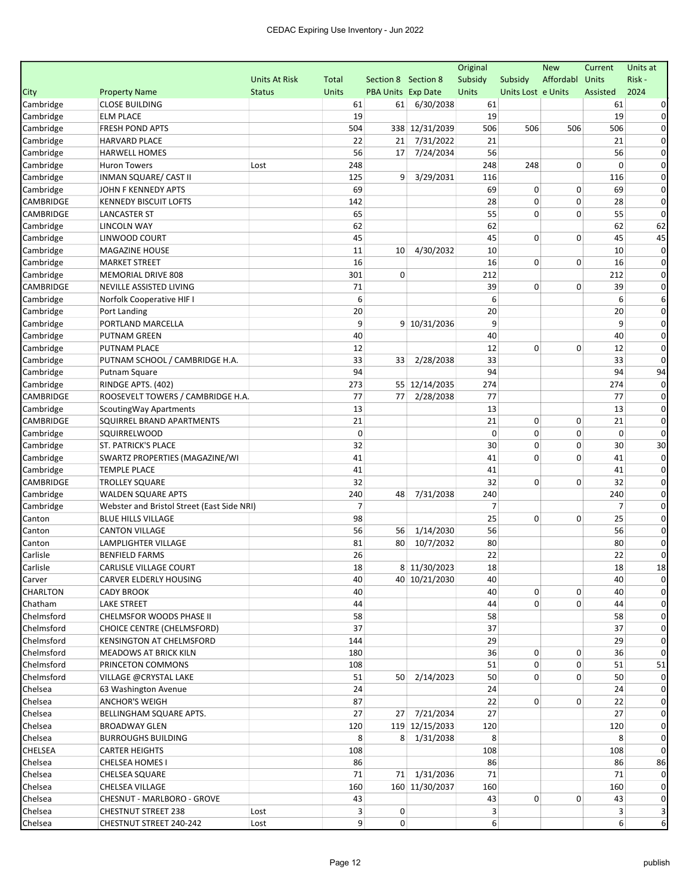|                    |                                            |                      |                |                           |                | Original       |                    | <b>New</b>      | Current        | Units at    |
|--------------------|--------------------------------------------|----------------------|----------------|---------------------------|----------------|----------------|--------------------|-----------------|----------------|-------------|
|                    |                                            | <b>Units At Risk</b> | Total          | Section 8 Section 8       |                | Subsidy        | Subsidy            | Affordabl Units |                | Risk-       |
| City               | <b>Property Name</b>                       | <b>Status</b>        | <b>Units</b>   | <b>PBA Units Exp Date</b> |                | Units          | Units Lost e Units |                 | Assisted       | 2024        |
| Cambridge          | <b>CLOSE BUILDING</b>                      |                      | 61             | 61                        | 6/30/2038      | 61             |                    |                 | 61             |             |
| Cambridge          | <b>ELM PLACE</b>                           |                      | 19             |                           |                | 19             |                    |                 | 19             | 0           |
| Cambridge          | <b>FRESH POND APTS</b>                     |                      | 504            |                           | 338 12/31/2039 | 506            | 506                | 506             | 506            | 0           |
| Cambridge          | <b>HARVARD PLACE</b>                       |                      | 22             | 21                        | 7/31/2022      | 21             |                    |                 | 21             | $\Omega$    |
| Cambridge          | <b>HARWELL HOMES</b>                       |                      | 56             | 17                        | 7/24/2034      | 56             |                    |                 | 56             | 0           |
| Cambridge          | <b>Huron Towers</b>                        | Lost                 | 248            |                           |                | 248            | 248                | 0               | $\Omega$       | $\Omega$    |
| Cambridge          | INMAN SQUARE/ CAST II                      |                      | 125            | 9                         | 3/29/2031      | 116            |                    |                 | 116            | 0           |
| Cambridge          | JOHN F KENNEDY APTS                        |                      | 69             |                           |                | 69             | 0                  | 0               | 69             | $\Omega$    |
| CAMBRIDGE          | <b>KENNEDY BISCUIT LOFTS</b>               |                      | 142            |                           |                | 28             | 0                  | $\mathbf 0$     | 28             | $\Omega$    |
| CAMBRIDGE          | <b>LANCASTER ST</b>                        |                      | 65             |                           |                | 55             | 0                  | $\mathbf 0$     | 55             | 0           |
| Cambridge          | LINCOLN WAY                                |                      | 62             |                           |                | 62             |                    |                 | 62             | 62          |
| Cambridge          | LINWOOD COURT                              |                      | 45             |                           |                | 45             | 0                  | 0               | 45             | 45          |
| Cambridge          | MAGAZINE HOUSE                             |                      | 11             | 10                        | 4/30/2032      | 10             |                    |                 | 10             | $\Omega$    |
| Cambridge          | <b>MARKET STREET</b>                       |                      | 16             |                           |                | 16             | 0                  | $\Omega$        | 16             | $\Omega$    |
| Cambridge          | MEMORIAL DRIVE 808                         |                      | 301            | $\mathbf 0$               |                | 212            |                    |                 | 212            | 0           |
| CAMBRIDGE          | <b>NEVILLE ASSISTED LIVING</b>             |                      | 71             |                           |                | 39             | 0                  | 0               | 39             | $\Omega$    |
| Cambridge          | Norfolk Cooperative HIF I                  |                      | 6              |                           |                | 6              |                    |                 | 6              | 6           |
| Cambridge          | Port Landing                               |                      | 20             |                           |                | 20             |                    |                 | 20             | 0           |
| Cambridge          | PORTLAND MARCELLA                          |                      | 9              |                           | 9 10/31/2036   | 9              |                    |                 | 9              | $\Omega$    |
| Cambridge          | PUTNAM GREEN                               |                      | 40             |                           |                | 40             |                    |                 | 40             | 0           |
| Cambridge          | <b>PUTNAM PLACE</b>                        |                      | 12             |                           |                | 12             | 0                  | 0               | 12             | 0           |
| Cambridge          | PUTNAM SCHOOL / CAMBRIDGE H.A.             |                      | 33             | 33                        | 2/28/2038      | 33             |                    |                 | 33             | $\mathbf 0$ |
| Cambridge          | Putnam Square                              |                      | 94             |                           |                | 94             |                    |                 | 94             | 94          |
| Cambridge          | RINDGE APTS. (402)                         |                      | 273            |                           | 55 12/14/2035  | 274            |                    |                 | 274            | $\Omega$    |
| CAMBRIDGE          | ROOSEVELT TOWERS / CAMBRIDGE H.A.          |                      | 77             | 77                        | 2/28/2038      | 77             |                    |                 | 77             | 0           |
| Cambridge          | Scouting Way Apartments                    |                      | 13             |                           |                | 13             |                    |                 | 13             | 0           |
| CAMBRIDGE          | SQUIRREL BRAND APARTMENTS                  |                      | 21             |                           |                | 21             | 0                  | 0               | 21             | 0           |
| Cambridge          | SQUIRRELWOOD                               |                      | $\mathbf 0$    |                           |                | $\mathbf 0$    | 0                  | 0               | $\mathbf 0$    | $\Omega$    |
| Cambridge          | <b>ST. PATRICK'S PLACE</b>                 |                      | 32             |                           |                | 30             | 0                  | $\mathbf 0$     | 30             | 30          |
| Cambridge          | SWARTZ PROPERTIES (MAGAZINE/WI             |                      | 41             |                           |                | 41             | 0                  | 0               | 41             | 0           |
| Cambridge          | <b>TEMPLE PLACE</b>                        |                      | 41             |                           |                | 41             |                    |                 | 41             | $\Omega$    |
| CAMBRIDGE          | <b>TROLLEY SQUARE</b>                      |                      | 32             |                           |                | 32             | 0                  | $\mathbf 0$     | 32             | 0           |
| Cambridge          | <b>WALDEN SQUARE APTS</b>                  |                      | 240            | 48                        | 7/31/2038      | 240            |                    |                 | 240            | 0           |
| Cambridge          | Webster and Bristol Street (East Side NRI) |                      | $\overline{7}$ |                           |                | $\overline{7}$ |                    |                 | $\overline{7}$ | $\Omega$    |
| Canton             | <b>BLUE HILLS VILLAGE</b>                  |                      | 98             |                           |                | 25             | 0                  | $\mathbf 0$     | 25             | 0           |
| Canton             | <b>CANTON VILLAGE</b>                      |                      | 56             | 56                        | 1/14/2030      | 56             |                    |                 | 56             | 0           |
| Canton             | LAMPLIGHTER VILLAGE                        |                      | 81             | 80                        | 10/7/2032      | 80             |                    |                 | 80             | 0           |
| Carlisle           | <b>BENFIELD FARMS</b>                      |                      | 26             |                           |                | 22             |                    |                 | 22             | $\mathbf 0$ |
| Carlisle           | CARLISLE VILLAGE COURT                     |                      | 18             |                           | 8 11/30/2023   | 18             |                    |                 | 18             | 18          |
| Carver             | CARVER ELDERLY HOUSING                     |                      | 40             |                           | 40 10/21/2030  | 40             |                    |                 | 40             | $\mathbf 0$ |
| CHARLTON           | CADY BROOK                                 |                      | 40             |                           |                | 40             | 0                  | 0               | 40             |             |
| Chatham            | <b>LAKE STREET</b>                         |                      | 44             |                           |                | 44             | 0                  | 0               | 44             |             |
| Chelmsford         | CHELMSFOR WOODS PHASE II                   |                      | 58             |                           |                | 58             |                    |                 | 58             |             |
| Chelmsford         | CHOICE CENTRE (CHELMSFORD)                 |                      | 37             |                           |                | 37             |                    |                 | 37             | $\Omega$    |
| Chelmsford         | KENSINGTON AT CHELMSFORD                   |                      | 144            |                           |                | 29             |                    |                 | 29             | 0           |
| Chelmsford         | MEADOWS AT BRICK KILN                      |                      | 180            |                           |                | 36             | 0                  | 0               | 36             |             |
| Chelmsford         | PRINCETON COMMONS                          |                      | 108            |                           |                | 51             | 0                  | 0               | 51             | 51          |
| Chelmsford         | VILLAGE @CRYSTAL LAKE                      |                      | 51             |                           | 50 2/14/2023   | 50             | 0                  | 0               | 50             | $\Omega$    |
| Chelsea            | 63 Washington Avenue                       |                      | 24             |                           |                | 24             |                    |                 | 24             |             |
| Chelsea            | <b>ANCHOR'S WEIGH</b>                      |                      | 87             |                           |                | 22             | 0                  | 0               | 22             |             |
| Chelsea            | BELLINGHAM SQUARE APTS.                    |                      | 27             |                           | 27 7/21/2034   | 27             |                    |                 | 27             |             |
| Chelsea            | <b>BROADWAY GLEN</b>                       |                      | 120            |                           | 119 12/15/2033 | 120            |                    |                 | 120            |             |
| Chelsea            | <b>BURROUGHS BUILDING</b>                  |                      | 8              |                           | 8 1/31/2038    | 8              |                    |                 | 8              |             |
| CHELSEA            | <b>CARTER HEIGHTS</b>                      |                      | 108            |                           |                | 108            |                    |                 | 108            | $\Omega$    |
|                    |                                            |                      |                |                           |                |                |                    |                 |                | 86          |
| Chelsea<br>Chelsea | CHELSEA HOMES I                            |                      | 86<br>71       |                           | 71 1/31/2036   | 86<br>71       |                    |                 | 86<br>71       |             |
|                    | <b>CHELSEA SQUARE</b>                      |                      |                |                           |                |                |                    |                 |                | $\Omega$    |
| Chelsea            | CHELSEA VILLAGE                            |                      | 160<br>43      |                           | 160 11/30/2037 | 160<br>43      |                    |                 | 160            | 0           |
| Chelsea            | CHESNUT - MARLBORO - GROVE                 |                      |                |                           |                |                | 0                  | 0               | 43             |             |
| Chelsea            | <b>CHESTNUT STREET 238</b>                 | Lost                 | 3              | 0                         |                | 3              |                    |                 | 3              |             |
| Chelsea            | CHESTNUT STREET 240-242                    | Lost                 | $\overline{9}$ | 0                         |                | 6              |                    |                 | 6              | 6           |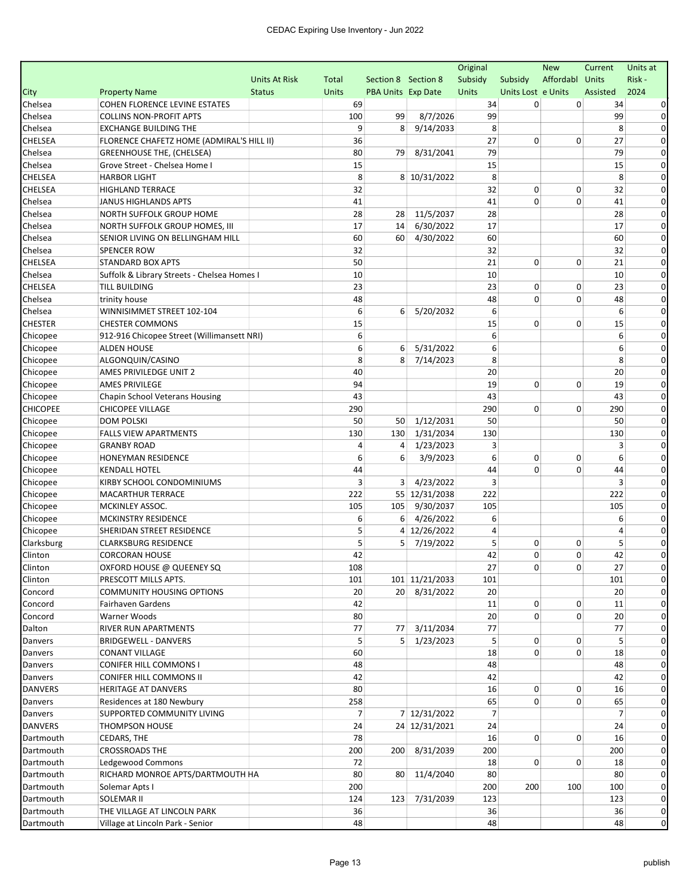|                 |                                             |                      |                |                           |                | Original       |                    | <b>New</b>      | Current        | Units at     |
|-----------------|---------------------------------------------|----------------------|----------------|---------------------------|----------------|----------------|--------------------|-----------------|----------------|--------------|
|                 |                                             | <b>Units At Risk</b> | Total          | Section 8 Section 8       |                | Subsidy        | Subsidy            | Affordabl Units |                | Risk-        |
| City            | <b>Property Name</b>                        | <b>Status</b>        | <b>Units</b>   | <b>PBA Units Exp Date</b> |                | Units          | Units Lost e Units |                 | Assisted       | 2024         |
| Chelsea         | <b>COHEN FLORENCE LEVINE ESTATES</b>        |                      | 69             |                           |                | 34             | 0                  | 0               | 34             |              |
| Chelsea         | <b>COLLINS NON-PROFIT APTS</b>              |                      | 100            | 99                        | 8/7/2026       | 99             |                    |                 | 99             | 0            |
| Chelsea         | <b>EXCHANGE BUILDING THE</b>                |                      | 9              | 8                         | 9/14/2033      | 8              |                    |                 | 8              | 0            |
| CHELSEA         | FLORENCE CHAFETZ HOME (ADMIRAL'S HILL II)   |                      | 36             |                           |                | 27             | 0                  | $\Omega$        | 27             | $\Omega$     |
| Chelsea         | <b>GREENHOUSE THE, (CHELSEA)</b>            |                      | 80             | 79                        | 8/31/2041      | 79             |                    |                 | 79             | $\Omega$     |
| Chelsea         | Grove Street - Chelsea Home I               |                      | 15             |                           |                | 15             |                    |                 | 15             | $\Omega$     |
| CHELSEA         | <b>HARBOR LIGHT</b>                         |                      | 8              |                           | 8 10/31/2022   | 8              |                    |                 | 8              | 0            |
| CHELSEA         | <b>HIGHLAND TERRACE</b>                     |                      | 32             |                           |                | 32             | 0                  | 0               | 32             | $\Omega$     |
| Chelsea         | <b>JANUS HIGHLANDS APTS</b>                 |                      | 41             |                           |                | 41             | $\mathbf 0$        | $\Omega$        | 41             | 0            |
| Chelsea         | NORTH SUFFOLK GROUP HOME                    |                      | 28             | 28                        | 11/5/2037      | 28             |                    |                 | 28             | 0            |
| Chelsea         | NORTH SUFFOLK GROUP HOMES, III              |                      | 17             | 14                        | 6/30/2022      | 17             |                    |                 | 17             | $\Omega$     |
| Chelsea         | SENIOR LIVING ON BELLINGHAM HILL            |                      | 60             | 60                        | 4/30/2022      | 60             |                    |                 | 60             | 0            |
| Chelsea         | SPENCER ROW                                 |                      | 32             |                           |                | 32             |                    |                 | 32             | 0            |
| CHELSEA         | <b>STANDARD BOX APTS</b>                    |                      | 50             |                           |                | 21             | 0                  | $\Omega$        | 21             | $\Omega$     |
| Chelsea         | Suffolk & Library Streets - Chelsea Homes I |                      | 10             |                           |                | 10             |                    |                 | 10             | $\Omega$     |
| CHELSEA         | <b>TILL BUILDING</b>                        |                      | 23             |                           |                | 23             | 0                  | 0               | 23             | 0            |
| Chelsea         | trinity house                               |                      | 48             |                           |                | 48             | 0                  | 0               | 48             | 0            |
| Chelsea         | WINNISIMMET STREET 102-104                  |                      | 6              | 6                         | 5/20/2032      | 6              |                    |                 | 6              | $\Omega$     |
| <b>CHESTER</b>  | <b>CHESTER COMMONS</b>                      |                      | 15             |                           |                | 15             | 0                  | $\Omega$        | 15             | $\Omega$     |
| Chicopee        | 912-916 Chicopee Street (Willimansett NRI)  |                      | 6              |                           |                | 6              |                    |                 | 6              | 0            |
| Chicopee        | <b>ALDEN HOUSE</b>                          |                      | 6              | 6                         | 5/31/2022      | 6              |                    |                 | 6              | $\Omega$     |
| Chicopee        | ALGONQUIN/CASINO                            |                      | 8              | 8                         | 7/14/2023      | 8              |                    |                 | 8              | 0            |
| Chicopee        | AMES PRIVILEDGE UNIT 2                      |                      | 40             |                           |                | 20             |                    |                 | 20             | 0            |
| Chicopee        | <b>AMES PRIVILEGE</b>                       |                      | 94             |                           |                | 19             | 0                  | $\Omega$        | 19             | 0            |
| Chicopee        | Chapin School Veterans Housing              |                      | 43             |                           |                | 43             |                    |                 | 43             | $\Omega$     |
| <b>CHICOPEE</b> | <b>CHICOPEE VILLAGE</b>                     |                      | 290            |                           |                | 290            | $\Omega$           | 0               | 290            | $\Omega$     |
| Chicopee        | <b>DOM POLSKI</b>                           |                      | 50             | 50                        | 1/12/2031      | 50             |                    |                 | 50             | 0            |
| Chicopee        | <b>FALLS VIEW APARTMENTS</b>                |                      | 130            | 130                       | 1/31/2034      | 130            |                    |                 | 130            | $\Omega$     |
| Chicopee        | <b>GRANBY ROAD</b>                          |                      | 4              | 4                         | 1/23/2023      | 3              |                    |                 | 3              | 0            |
| Chicopee        | <b>HONEYMAN RESIDENCE</b>                   |                      | 6              | 6                         | 3/9/2023       | 6              | 0                  | $\mathbf 0$     | 6              | 0            |
| Chicopee        | <b>KENDALL HOTEL</b>                        |                      | 44             |                           |                | 44             | $\Omega$           | 0               | 44             | 0            |
| Chicopee        | KIRBY SCHOOL CONDOMINIUMS                   |                      | 3              | 3                         | 4/23/2022      | 3              |                    |                 | 3              | $\Omega$     |
| Chicopee        | MACARTHUR TERRACE                           |                      | 222            |                           | 55 12/31/2038  | 222            |                    |                 | 222            | $\Omega$     |
| Chicopee        | MCKINLEY ASSOC.                             |                      | 105            | 105                       | 9/30/2037      | 105            |                    |                 | 105            | $\Omega$     |
| Chicopee        | MCKINSTRY RESIDENCE                         |                      | 6              | 6                         | 4/26/2022      | 6              |                    |                 | 6              | 0            |
| Chicopee        | SHERIDAN STREET RESIDENCE                   |                      | 5              | 4                         | 12/26/2022     | 4              |                    |                 | 4              | $\Omega$     |
| Clarksburg      | <b>CLARKSBURG RESIDENCE</b>                 |                      | 5              | 5                         | 7/19/2022      | 5              | 0                  | 0               | 5              | 0            |
| Clinton         | <b>CORCORAN HOUSE</b>                       |                      | 42             |                           |                | 42             | 0                  | 0               | 42             | $\mathbf 0$  |
| Clinton         | OXFORD HOUSE @ QUEENEY SQ                   |                      | 108            |                           |                | 27             | 0                  | 0               | 27             |              |
| Clinton         | PRESCOTT MILLS APTS.                        |                      | 101            |                           | 101 11/21/2033 | 101            |                    |                 | 101            | $\mathbf{0}$ |
| Concord         | <b>COMMUNITY HOUSING OPTIONS</b>            |                      | 20             |                           | 20 8/31/2022   | 20             |                    |                 | 20             |              |
| Concord         | Fairhaven Gardens                           |                      | 42             |                           |                | 11             | 0                  | 0               | 11             | $\Omega$     |
| Concord         | Warner Woods                                |                      | 80             |                           |                | 20             | 0                  | 0               | 20             | $\Omega$     |
| Dalton          | RIVER RUN APARTMENTS                        |                      | 77             | 77                        | 3/11/2034      | 77             |                    |                 | 77             | $\Omega$     |
| Danvers         | <b>BRIDGEWELL - DANVERS</b>                 |                      | 5              | 5 <sup>1</sup>            | 1/23/2023      | 5              | 0                  | 0               | 5              | 0            |
| Danvers         | <b>CONANT VILLAGE</b>                       |                      | 60             |                           |                | 18             | $\Omega$           | 0               | 18             | $\mathbf 0$  |
| Danvers         | CONIFER HILL COMMONS I                      |                      | 48             |                           |                | 48             |                    |                 | 48             | 0            |
| Danvers         | CONIFER HILL COMMONS II                     |                      | 42             |                           |                | 42             |                    |                 | 42             | $\Omega$     |
| <b>DANVERS</b>  | HERITAGE AT DANVERS                         |                      | 80             |                           |                | 16             | 0                  | 0               | 16             | 0            |
| Danvers         | Residences at 180 Newbury                   |                      | 258            |                           |                | 65             | 0                  | 0               | 65             | $\Omega$     |
| Danvers         | SUPPORTED COMMUNITY LIVING                  |                      | $\overline{7}$ |                           | 7 12/31/2022   | $\overline{7}$ |                    |                 | $\overline{7}$ | 0            |
| <b>DANVERS</b>  | <b>THOMPSON HOUSE</b>                       |                      | 24             |                           | 24 12/31/2021  | 24             |                    |                 | 24             | 0            |
| Dartmouth       | CEDARS, THE                                 |                      | 78             |                           |                | 16             | 0                  | 0               | 16             | $\Omega$     |
| Dartmouth       | <b>CROSSROADS THE</b>                       |                      | 200            | 200                       | 8/31/2039      | 200            |                    |                 | 200            | $\Omega$     |
| Dartmouth       | Ledgewood Commons                           |                      | 72             |                           |                | 18             | 0                  | 0               | 18             | 0            |
| Dartmouth       | RICHARD MONROE APTS/DARTMOUTH HA            |                      | 80             | 80                        | 11/4/2040      | 80             |                    |                 | 80             | 0            |
| Dartmouth       | Solemar Apts I                              |                      | 200            |                           |                | 200            | 200                | 100             | 100            | $\mathbf 0$  |
| Dartmouth       | SOLEMAR II                                  |                      | 124            | 123                       | 7/31/2039      | 123            |                    |                 | 123            | 0            |
| Dartmouth       | THE VILLAGE AT LINCOLN PARK                 |                      | 36             |                           |                | 36             |                    |                 | 36             | $\mathbf{0}$ |
| Dartmouth       | Village at Lincoln Park - Senior            |                      | 48             |                           |                | 48             |                    |                 | 48             | $\mathbf 0$  |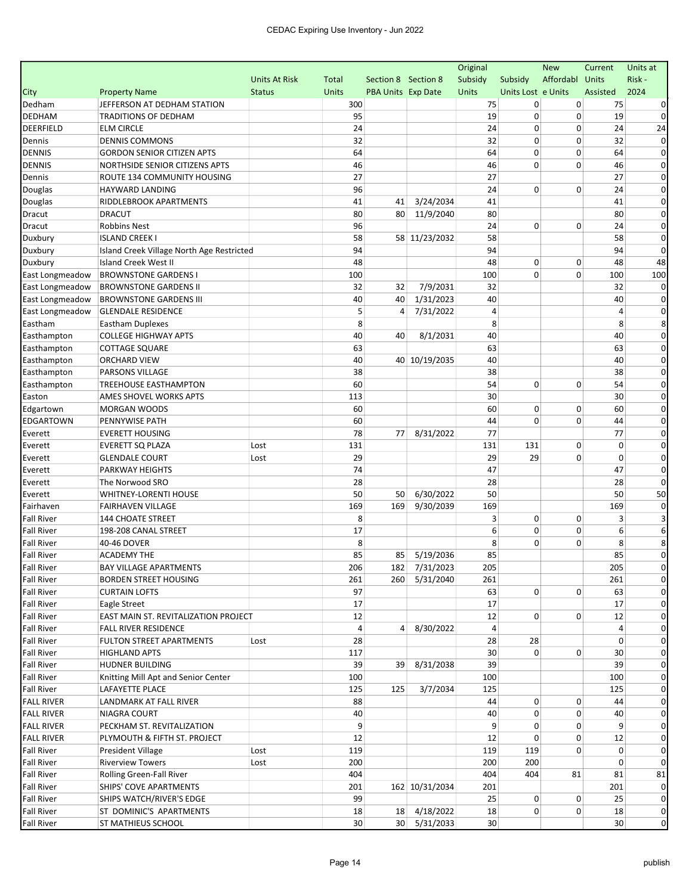|                   |                                           |                      |              |                     |                | Original        |                    | <b>New</b>      | Current        | Units at       |
|-------------------|-------------------------------------------|----------------------|--------------|---------------------|----------------|-----------------|--------------------|-----------------|----------------|----------------|
|                   |                                           | <b>Units At Risk</b> | Total        | Section 8 Section 8 |                | Subsidy         | Subsidy            | Affordabl Units |                | Risk-          |
| City              | <b>Property Name</b>                      | <b>Status</b>        | <b>Units</b> | PBA Units Exp Date  |                | Units           | Units Lost e Units |                 | Assisted       | 2024           |
| Dedham            | JEFFERSON AT DEDHAM STATION               |                      | 300          |                     |                | 75              | 0                  | 0               | 75             |                |
| <b>DEDHAM</b>     | <b>TRADITIONS OF DEDHAM</b>               |                      | 95           |                     |                | 19              | 0                  | $\mathbf 0$     | 19             | $\Omega$       |
| DEERFIELD         | <b>ELM CIRCLE</b>                         |                      | 24           |                     |                | 24              | 0                  | 0               | 24             | 24             |
| Dennis            | <b>DENNIS COMMONS</b>                     |                      | 32           |                     |                | 32              | 0                  | 0               | 32             | 0              |
| <b>DENNIS</b>     | <b>GORDON SENIOR CITIZEN APTS</b>         |                      | 64           |                     |                | 64              | 0                  | 0               | 64             | $\Omega$       |
| <b>DENNIS</b>     | NORTHSIDE SENIOR CITIZENS APTS            |                      | 46           |                     |                | 46              | 0                  | 0               | 46             | $\Omega$       |
| Dennis            | ROUTE 134 COMMUNITY HOUSING               |                      | 27           |                     |                | 27              |                    |                 | 27             | $\Omega$       |
| Douglas           | HAYWARD LANDING                           |                      | 96           |                     |                | 24              | 0                  | $\mathbf 0$     | 24             | 0              |
| Douglas           | RIDDLEBROOK APARTMENTS                    |                      | 41           | 41                  | 3/24/2034      | 41              |                    |                 | 41             | 0              |
| Dracut            | <b>DRACUT</b>                             |                      | 80           | 80                  | 11/9/2040      | 80              |                    |                 | 80             | 0              |
| Dracut            | <b>Robbins Nest</b>                       |                      | 96           |                     |                | 24              | 0                  | 0               | 24             | 0              |
| Duxbury           | <b>ISLAND CREEK I</b>                     |                      | 58           |                     | 58 11/23/2032  | 58              |                    |                 | 58             | 0              |
| Duxbury           | Island Creek Village North Age Restricted |                      | 94           |                     |                | 94              |                    |                 | 94             | $\Omega$       |
| Duxbury           | <b>Island Creek West II</b>               |                      | 48           |                     |                | 48              | 0                  | 0               | 48             | 48             |
| East Longmeadow   | <b>BROWNSTONE GARDENS I</b>               |                      | 100          |                     |                | 100             | 0                  | 0               | 100            | 100            |
| East Longmeadow   | <b>BROWNSTONE GARDENS II</b>              |                      | 32           | 32                  | 7/9/2031       | 32              |                    |                 | 32             |                |
| East Longmeadow   | <b>BROWNSTONE GARDENS III</b>             |                      | 40           | 40                  | 1/31/2023      | 40              |                    |                 | 40             | 0              |
| East Longmeadow   | <b>GLENDALE RESIDENCE</b>                 |                      | 5            | 4                   | 7/31/2022      | 4               |                    |                 | $\overline{4}$ | 0              |
| Eastham           | <b>Eastham Duplexes</b>                   |                      | 8            |                     |                | 8               |                    |                 | 8              | 8              |
| Easthampton       | <b>COLLEGE HIGHWAY APTS</b>               |                      | 40           | 40                  | 8/1/2031       | 40              |                    |                 | 40             | $\Omega$       |
| Easthampton       | <b>COTTAGE SQUARE</b>                     |                      | 63           |                     |                | 63              |                    |                 | 63             | 0              |
| Easthampton       | <b>ORCHARD VIEW</b>                       |                      | 40           |                     | 40 10/19/2035  | 40              |                    |                 | 40             | $\Omega$       |
| Easthampton       | PARSONS VILLAGE                           |                      | 38           |                     |                | 38              |                    |                 | 38             | 0              |
| Easthampton       | <b>TREEHOUSE EASTHAMPTON</b>              |                      | 60           |                     |                | 54              | 0                  | 0               | 54             | $\Omega$       |
| Easton            | AMES SHOVEL WORKS APTS                    |                      | 113          |                     |                | 30              |                    |                 | 30             | $\Omega$       |
| Edgartown         | <b>MORGAN WOODS</b>                       |                      | 60           |                     |                | 60              | 0                  | 0               | 60             | 0              |
| <b>EDGARTOWN</b>  | PENNYWISE PATH                            |                      | 60           |                     |                | 44              | 0                  | $\mathbf 0$     | 44             | $\Omega$       |
| Everett           | <b>EVERETT HOUSING</b>                    |                      | 78           | 77                  | 8/31/2022      | 77              |                    |                 | 77             | 0              |
| Everett           | <b>EVERETT SQ PLAZA</b>                   | Lost                 | 131          |                     |                | 131             | 131                | $\mathbf 0$     | $\mathbf 0$    | 0              |
| Everett           | <b>GLENDALE COURT</b>                     | Lost                 | 29           |                     |                | 29              | 29                 | 0               | 0              | $\Omega$       |
| Everett           | PARKWAY HEIGHTS                           |                      | 74           |                     |                | 47              |                    |                 | 47             | $\Omega$       |
| Everett           | The Norwood SRO                           |                      | 28           |                     |                | 28              |                    |                 | 28             | $\Omega$       |
| Everett           | WHITNEY-LORENTI HOUSE                     |                      | 50           | 50                  | 6/30/2022      | 50              |                    |                 | 50             | 50             |
| Fairhaven         | <b>FAIRHAVEN VILLAGE</b>                  |                      | 169          | 169                 | 9/30/2039      | 169             |                    |                 | 169            | 0              |
| <b>Fall River</b> | <b>144 CHOATE STREET</b>                  |                      | 8            |                     |                | 3               | 0                  | 0               | 3              |                |
| <b>Fall River</b> | 198-208 CANAL STREET                      |                      | 17           |                     |                | 6               | 0                  | 0               | 6              | 6              |
| <b>Fall River</b> | 40-46 DOVER                               |                      | 8            |                     |                | 8               | 0                  | $\mathbf 0$     | 8              | 8              |
| <b>Fall River</b> | <b>ACADEMY THE</b>                        |                      | 85           |                     | 85 5/19/2036   | 85              |                    |                 | 85             | 0              |
| <b>Fall River</b> | <b>BAY VILLAGE APARTMENTS</b>             |                      | 206          |                     | 182 7/31/2023  | 205             |                    |                 | 205            |                |
| <b>Fall River</b> | <b>BORDEN STREET HOUSING</b>              |                      | 261          | 260                 | 5/31/2040      | 261             |                    |                 | 261            | $\mathbf{0}$   |
| <b>Fall River</b> | <b>CURTAIN LOFTS</b>                      |                      | 97           |                     |                | 63              | $\overline{0}$     | 0               | 63             |                |
| <b>Fall River</b> | Eagle Street                              |                      | 17           |                     |                | 17              |                    |                 | 17             |                |
| <b>Fall River</b> | EAST MAIN ST. REVITALIZATION PROJECT      |                      | 12           |                     |                | 12              | 0                  | 0               | 12             |                |
| <b>Fall River</b> | FALL RIVER RESIDENCE                      |                      | 4            | $\vert$             | 8/30/2022      | $\overline{4}$  |                    |                 | 4              |                |
| <b>Fall River</b> | <b>FULTON STREET APARTMENTS</b>           | Lost                 | 28           |                     |                | 28              | 28                 |                 | 0              | 0              |
| <b>Fall River</b> | <b>HIGHLAND APTS</b>                      |                      | 117          |                     |                | 30              | $\Omega$           | 0               | 30             | $\Omega$       |
| <b>Fall River</b> | <b>HUDNER BUILDING</b>                    |                      | 39           | 39                  | 8/31/2038      | 39              |                    |                 | 39             | 0              |
| <b>Fall River</b> | Knitting Mill Apt and Senior Center       |                      | 100          |                     |                | 100             |                    |                 | 100            |                |
| <b>Fall River</b> | LAFAYETTE PLACE                           |                      | 125          | 125                 | 3/7/2034       | 125             |                    |                 | 125            |                |
| <b>FALL RIVER</b> | LANDMARK AT FALL RIVER                    |                      | 88           |                     |                | 44              | 0                  | 0               | 44             |                |
| <b>FALL RIVER</b> | NIAGRA COURT                              |                      | 40           |                     |                | 40              | 0                  | 0               | 40             |                |
| <b>FALL RIVER</b> | PECKHAM ST. REVITALIZATION                |                      | 9            |                     |                | 9               | 0                  | 0               | 9              |                |
| <b>FALL RIVER</b> | PLYMOUTH & FIFTH ST. PROJECT              |                      | 12           |                     |                | 12              | 0                  | 0               | 12             |                |
| <b>Fall River</b> | President Village                         | Lost                 | 119          |                     |                | 119             | 119                | 0               | 0              | 0              |
| <b>Fall River</b> | <b>Riverview Towers</b>                   | Lost                 | 200          |                     |                | 200             | 200                |                 | 0              | $\Omega$       |
| <b>Fall River</b> | Rolling Green-Fall River                  |                      | 404          |                     |                | 404             | 404                | 81              | 81             | 81             |
| <b>Fall River</b> | SHIPS' COVE APARTMENTS                    |                      | 201          |                     | 162 10/31/2034 | 201             |                    |                 | 201            | 0              |
| <b>Fall River</b> | SHIPS WATCH/RIVER'S EDGE                  |                      | 99           |                     |                | 25              | 0                  | 0               | 25             |                |
| <b>Fall River</b> | ST DOMINIC'S APARTMENTS                   |                      | 18           |                     | 18 4/18/2022   | 18              | 0                  | 0               | 18             | $\mathbf{0}$   |
| <b>Fall River</b> | ST MATHIEUS SCHOOL                        |                      | 30           |                     | 30 5/31/2033   | 30 <sup>°</sup> |                    |                 | 30             | $\overline{0}$ |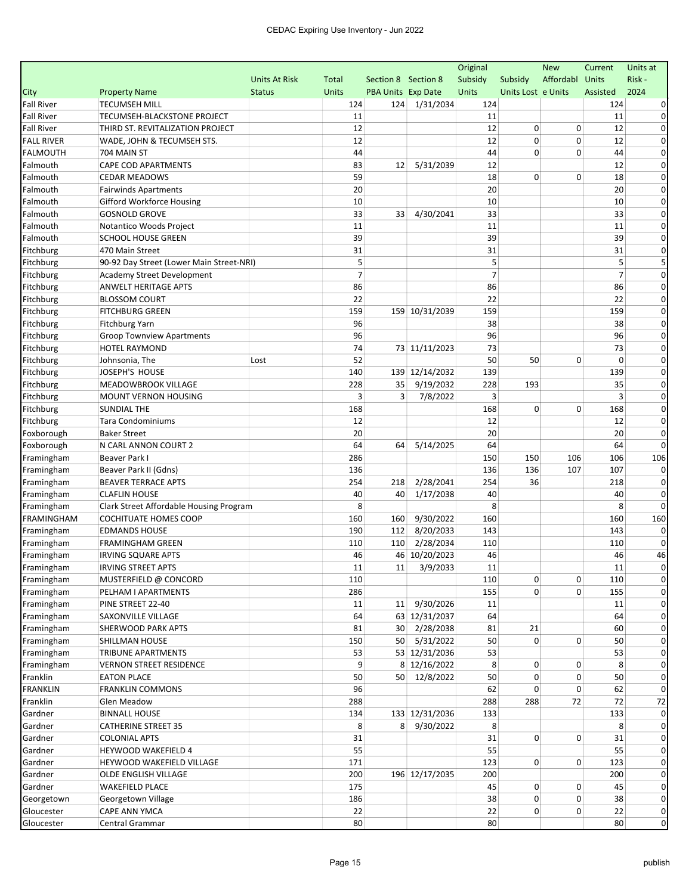|                   |                                          |                      |                |                     |                    | Original       |                    | <b>New</b> | Current        | Units at       |
|-------------------|------------------------------------------|----------------------|----------------|---------------------|--------------------|----------------|--------------------|------------|----------------|----------------|
|                   |                                          | <b>Units At Risk</b> | Total          | Section 8 Section 8 |                    | Subsidy        | Subsidy            | Affordabl  | <b>Units</b>   | Risk -         |
| City              | <b>Property Name</b>                     | <b>Status</b>        | <b>Units</b>   | PBA Units Exp Date  |                    | Units          | Units Lost e Units |            | Assisted       | 2024           |
| <b>Fall River</b> | <b>TECUMSEH MILL</b>                     |                      | 124            |                     | 124 1/31/2034      | 124            |                    |            | 124            |                |
| <b>Fall River</b> | TECUMSEH-BLACKSTONE PROJECT              |                      | 11             |                     |                    | 11             |                    |            | 11             |                |
| <b>Fall River</b> | THIRD ST. REVITALIZATION PROJECT         |                      | 12             |                     |                    | 12             | 0                  | 0          | 12             |                |
| <b>FALL RIVER</b> | WADE, JOHN & TECUMSEH STS.               |                      | 12             |                     |                    | 12             | 0                  | 0          | 12             | 0              |
| <b>FALMOUTH</b>   | 704 MAIN ST                              |                      | 44             |                     |                    | 44             | 0                  | 0          | 44             | $\Omega$       |
| Falmouth          | <b>CAPE COD APARTMENTS</b>               |                      | 83             | 12                  | 5/31/2039          | 12             |                    |            | 12             |                |
| Falmouth          | <b>CEDAR MEADOWS</b>                     |                      | 59             |                     |                    | 18             | 0                  | 0          | 18             | 0              |
| Falmouth          | <b>Fairwinds Apartments</b>              |                      | 20             |                     |                    | 20             |                    |            | 20             | 0              |
| Falmouth          | <b>Gifford Workforce Housing</b>         |                      | 10             |                     |                    | 10             |                    |            | 10             | $\Omega$       |
| Falmouth          | <b>GOSNOLD GROVE</b>                     |                      | 33             | 33                  | 4/30/2041          | 33             |                    |            | 33             | 0              |
| Falmouth          | Notantico Woods Project                  |                      | 11             |                     |                    | 11             |                    |            | 11             | 0              |
| Falmouth          | <b>SCHOOL HOUSE GREEN</b>                |                      | 39             |                     |                    | 39             |                    |            | 39             | 0              |
| Fitchburg         | 470 Main Street                          |                      | 31             |                     |                    | 31             |                    |            | 31             | 0              |
| Fitchburg         | 90-92 Day Street (Lower Main Street-NRI) |                      | 5              |                     |                    | 5              |                    |            | 5              |                |
|                   |                                          |                      | $\overline{7}$ |                     |                    | $\overline{7}$ |                    |            | $\overline{7}$ | 0              |
| Fitchburg         | Academy Street Development               |                      |                |                     |                    |                |                    |            |                |                |
| Fitchburg         | ANWELT HERITAGE APTS                     |                      | 86             |                     |                    | 86             |                    |            | 86             |                |
| Fitchburg         | <b>BLOSSOM COURT</b>                     |                      | 22             |                     |                    | 22             |                    |            | 22             |                |
| Fitchburg         | <b>FITCHBURG GREEN</b>                   |                      | 159            |                     | 159 10/31/2039     | 159            |                    |            | 159            | 0              |
| Fitchburg         | <b>Fitchburg Yarn</b>                    |                      | 96             |                     |                    | 38             |                    |            | 38             | 0              |
| Fitchburg         | <b>Groop Townview Apartments</b>         |                      | 96             |                     |                    | 96             |                    |            | 96             | $\Omega$       |
| Fitchburg         | <b>HOTEL RAYMOND</b>                     |                      | 74             |                     | 73 11/11/2023      | 73             |                    |            | 73             | 0              |
| Fitchburg         | Johnsonia, The                           | Lost                 | 52             |                     |                    | 50             | 50                 | 0          | 0              | 0              |
| Fitchburg         | JOSEPH'S HOUSE                           |                      | 140            |                     | 139 12/14/2032     | 139            |                    |            | 139            | 0              |
| Fitchburg         | MEADOWBROOK VILLAGE                      |                      | 228            | 35                  | 9/19/2032          | 228            | 193                |            | 35             | 0              |
| Fitchburg         | MOUNT VERNON HOUSING                     |                      | 3              | 3                   | 7/8/2022           | 3              |                    |            | 3              | 0              |
| Fitchburg         | <b>SUNDIAL THE</b>                       |                      | 168            |                     |                    | 168            | 0                  | 0          | 168            |                |
| Fitchburg         | <b>Tara Condominiums</b>                 |                      | 12             |                     |                    | 12             |                    |            | 12             | 0              |
| Foxborough        | <b>Baker Street</b>                      |                      | 20             |                     |                    | 20             |                    |            | 20             |                |
| Foxborough        | N CARL ANNON COURT 2                     |                      | 64             | 64                  | 5/14/2025          | 64             |                    |            | 64             | O              |
| Framingham        | Beaver Park I                            |                      | 286            |                     |                    | 150            | 150                | 106        | 106            | 106            |
| Framingham        | Beaver Park II (Gdns)                    |                      | 136            |                     |                    | 136            | 136                | 107        | 107            |                |
| Framingham        | <b>BEAVER TERRACE APTS</b>               |                      | 254            | 218                 | 2/28/2041          | 254            | 36                 |            | 218            |                |
| Framingham        | <b>CLAFLIN HOUSE</b>                     |                      | 40             | 40                  | 1/17/2038          | 40             |                    |            | 40             |                |
| Framingham        | Clark Street Affordable Housing Program  |                      | 8              |                     |                    | 8              |                    |            | 8              |                |
| <b>FRAMINGHAM</b> | COCHITUATE HOMES COOP                    |                      | 160            | 160                 | 9/30/2022          | 160            |                    |            | 160            | 160            |
| Framingham        | <b>EDMANDS HOUSE</b>                     |                      | 190            | 112                 | 8/20/2033          | 143            |                    |            | 143            |                |
| Framingham        | <b>FRAMINGHAM GREEN</b>                  |                      | 110            | 110                 | 2/28/2034          | 110            |                    |            | 110            |                |
| Framingham        | <b>IRVING SQUARE APTS</b>                |                      | 46             |                     | 46 10/20/2023      | 46             |                    |            | 46             | 46             |
| Framingham        | <b>IRVING STREET APTS</b>                |                      | $11\,$         |                     | $11 \mid 3/9/2033$ | $11\,$         |                    |            | $11\,$         |                |
| Framingham        | MUSTERFIELD @ CONCORD                    |                      | 110            |                     |                    | 110            | 0                  | 0          | 110            | 0              |
| Framingham        | PELHAM I APARTMENTS                      |                      | 286            |                     |                    | 155            | $\overline{0}$     | 0          | 155            |                |
| Framingham        | PINE STREET 22-40                        |                      | 11             | 11                  | 9/30/2026          | 11             |                    |            | 11             |                |
| Framingham        | SAXONVILLE VILLAGE                       |                      | 64             |                     | 63 12/31/2037      | 64             |                    |            | 64             |                |
| Framingham        | SHERWOOD PARK APTS                       |                      | 81             |                     | 30 2/28/2038       | 81             | 21                 |            | 60             | 0              |
| Framingham        | SHILLMAN HOUSE                           |                      | 150            |                     | 50 5/31/2022       | 50             | 0                  | 0          | 50             | 0              |
| Framingham        | TRIBUNE APARTMENTS                       |                      | 53             |                     | 53 12/31/2036      | 53             |                    |            | 53             | $\Omega$       |
| Framingham        | <b>VERNON STREET RESIDENCE</b>           |                      | 9              |                     | 8 12/16/2022       | 8              | 0                  | 0          | 8              | 0              |
|                   |                                          |                      | 50             | 50                  | 12/8/2022          | 50             | 0                  | 0          | 50             | 0              |
| Franklin          | <b>EATON PLACE</b>                       |                      |                |                     |                    |                |                    |            |                |                |
| <b>FRANKLIN</b>   | <b>FRANKLIN COMMONS</b>                  |                      | 96             |                     |                    | 62             | 0                  | 0          | 62             |                |
| Franklin          | Glen Meadow                              |                      | 288            |                     |                    | 288            | 288                | 72         | 72             | 72             |
| Gardner           | <b>BINNALL HOUSE</b>                     |                      | 134            |                     | 133 12/31/2036     | 133            |                    |            | 133            |                |
| Gardner           | <b>CATHERINE STREET 35</b>               |                      | 8              |                     | 8 9/30/2022        | 8              |                    |            | 8              |                |
| Gardner           | <b>COLONIAL APTS</b>                     |                      | 31             |                     |                    | 31             | $\overline{0}$     | 0          | 31             |                |
| Gardner           | <b>HEYWOOD WAKEFIELD 4</b>               |                      | 55             |                     |                    | 55             |                    |            | 55             | 0              |
| Gardner           | HEYWOOD WAKEFIELD VILLAGE                |                      | 171            |                     |                    | 123            | $\overline{0}$     | 0          | 123            | $\mathbf 0$    |
| Gardner           | OLDE ENGLISH VILLAGE                     |                      | 200            |                     | 196 12/17/2035     | 200            |                    |            | 200            | 0              |
| Gardner           | <b>WAKEFIELD PLACE</b>                   |                      | 175            |                     |                    | 45             | 0                  | 0          | 45             | 0              |
| Georgetown        | Georgetown Village                       |                      | 186            |                     |                    | 38             | 0                  | 0          | 38             | $\overline{0}$ |
| Gloucester        | CAPE ANN YMCA                            |                      | 22             |                     |                    | 22             | 0                  | 0          | 22             | 0              |
| Gloucester        | Central Grammar                          |                      | 80             |                     |                    | 80             |                    |            | 80             | $\mathbf 0$    |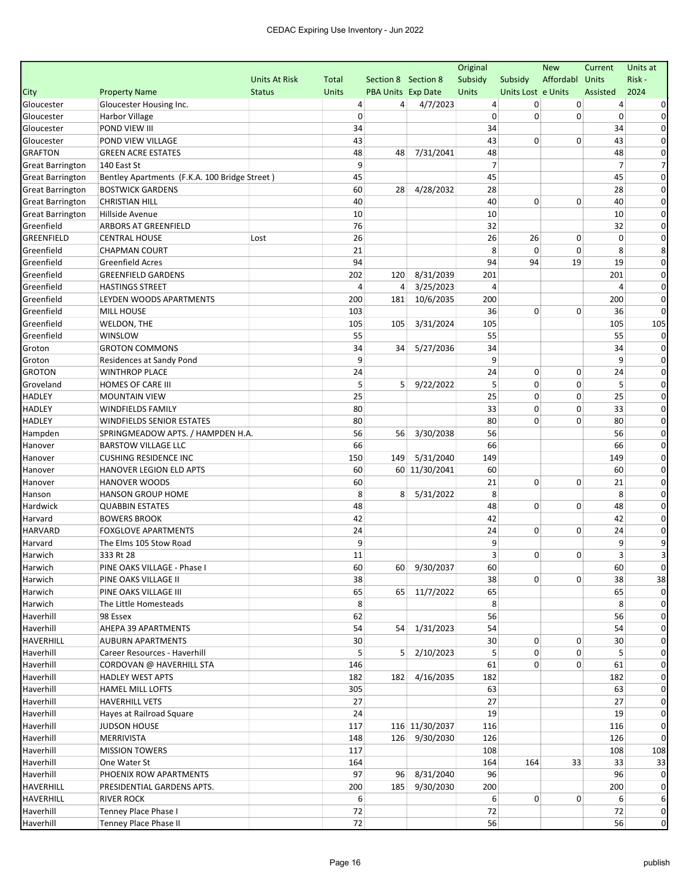|                         |                                               |                      |              |                     |                | Original       |                    | <b>New</b>      | Current        | Units at     |
|-------------------------|-----------------------------------------------|----------------------|--------------|---------------------|----------------|----------------|--------------------|-----------------|----------------|--------------|
|                         |                                               | <b>Units At Risk</b> | Total        | Section 8 Section 8 |                | Subsidy        | Subsidy            | Affordabl Units |                | Risk -       |
| City                    | <b>Property Name</b>                          | <b>Status</b>        | <b>Units</b> | PBA Units Exp Date  |                | Units          | Units Lost e Units |                 | Assisted       | 2024         |
| Gloucester              | Gloucester Housing Inc.                       |                      | 4            | $\overline{4}$      | 4/7/2023       | 4              | 0                  | 0               | $\overline{a}$ |              |
| Gloucester              | Harbor Village                                |                      | 0            |                     |                | 0              | 0                  | 0               | 0              | 0            |
| Gloucester              | POND VIEW III                                 |                      | 34           |                     |                | 34             |                    |                 | 34             | $\Omega$     |
| Gloucester              | POND VIEW VILLAGE                             |                      | 43           |                     |                | 43             | 0                  | $\Omega$        | 43             | 0            |
| <b>GRAFTON</b>          | <b>GREEN ACRE ESTATES</b>                     |                      | 48           | 48                  | 7/31/2041      | 48             |                    |                 | 48             | 0            |
| <b>Great Barrington</b> | 140 East St                                   |                      | 9            |                     |                | $\overline{7}$ |                    |                 | $\overline{7}$ |              |
| <b>Great Barrington</b> | Bentley Apartments (F.K.A. 100 Bridge Street) |                      | 45           |                     |                | 45             |                    |                 | 45             | 0            |
| <b>Great Barrington</b> | <b>BOSTWICK GARDENS</b>                       |                      | 60           | 28                  | 4/28/2032      | 28             |                    |                 | 28             | $\Omega$     |
| <b>Great Barrington</b> | <b>CHRISTIAN HILL</b>                         |                      | 40           |                     |                | 40             | 0                  | 0               | 40             | $\Omega$     |
| <b>Great Barrington</b> | Hillside Avenue                               |                      | 10           |                     |                | 10             |                    |                 | 10             | $\Omega$     |
| Greenfield              | <b>ARBORS AT GREENFIELD</b>                   |                      | 76           |                     |                | 32             |                    |                 | 32             | 0            |
| <b>GREENFIELD</b>       | <b>CENTRAL HOUSE</b>                          | Lost                 | 26           |                     |                | 26             | 26                 | 0               | 0              | 0            |
| Greenfield              | <b>CHAPMAN COURT</b>                          |                      | 21           |                     |                | 8              | 0                  | 0               | 8              | 8            |
| Greenfield              | <b>Greenfield Acres</b>                       |                      | 94           |                     |                | 94             | 94                 | 19              | 19             | 0            |
| Greenfield              | <b>GREENFIELD GARDENS</b>                     |                      | 202          | 120                 | 8/31/2039      | 201            |                    |                 | 201            | 0            |
| Greenfield              | <b>HASTINGS STREET</b>                        |                      | 4            | 4                   | 3/25/2023      | 4              |                    |                 | 4              | $\Omega$     |
| Greenfield              | LEYDEN WOODS APARTMENTS                       |                      | 200          | 181                 | 10/6/2035      | 200            |                    |                 | 200            | 0            |
| Greenfield              | <b>MILL HOUSE</b>                             |                      | 103          |                     |                | 36             | 0                  | 0               | 36             | $\Omega$     |
| Greenfield              | WELDON, THE                                   |                      | 105          | 105                 | 3/31/2024      | 105            |                    |                 | 105            | 105          |
| Greenfield              | WINSLOW                                       |                      | 55           |                     |                | 55             |                    |                 | 55             | $\Omega$     |
| Groton                  | <b>GROTON COMMONS</b>                         |                      | 34           | 34                  | 5/27/2036      | 34             |                    |                 | 34             |              |
| Groton                  | Residences at Sandy Pond                      |                      | 9            |                     |                | 9              |                    |                 | 9              | 0            |
| <b>GROTON</b>           | <b>WINTHROP PLACE</b>                         |                      | 24           |                     |                | 24             | 0                  | 0               | 24             | 0            |
| Groveland               | HOMES OF CARE III                             |                      | 5            | 5                   | 9/22/2022      | 5              | 0                  | $\mathbf 0$     | 5              | $\Omega$     |
| <b>HADLEY</b>           | <b>MOUNTAIN VIEW</b>                          |                      | 25           |                     |                | 25             | 0                  | 0               | 25             | 0            |
| <b>HADLEY</b>           | <b>WINDFIELDS FAMILY</b>                      |                      | 80           |                     |                | 33             | 0                  | 0               | 33             | $\Omega$     |
| <b>HADLEY</b>           | <b>WINDFIELDS SENIOR ESTATES</b>              |                      | 80           |                     |                | 80             | 0                  | 0               | 80             | 0            |
|                         | SPRINGMEADOW APTS. / HAMPDEN H.A.             |                      | 56           | 56                  | 3/30/2038      | 56             |                    |                 | 56             | $\Omega$     |
| Hampden                 | <b>BARSTOW VILLAGE LLC</b>                    |                      | 66           |                     |                | 66             |                    |                 | 66             | 0            |
| Hanover                 | <b>CUSHING RESIDENCE INC</b>                  |                      |              | 149                 | 5/31/2040      | 149            |                    |                 | 149            | $\Omega$     |
| Hanover                 | HANOVER LEGION ELD APTS                       |                      | 150<br>60    |                     |                | 60             |                    |                 | 60             | $\Omega$     |
| Hanover                 |                                               |                      | 60           |                     | 60 11/30/2041  |                | 0                  | 0               |                | 0            |
| Hanover                 | <b>HANOVER WOODS</b>                          |                      |              |                     |                | 21             |                    |                 | 21             | 0            |
| Hanson                  | <b>HANSON GROUP HOME</b>                      |                      | 8            | 8                   | 5/31/2022      | 8              |                    |                 | 8              |              |
| Hardwick                | <b>QUABBIN ESTATES</b>                        |                      | 48           |                     |                | 48             | 0                  | $\mathbf 0$     | 48             | 0            |
| Harvard                 | <b>BOWERS BROOK</b>                           |                      | 42           |                     |                | 42             |                    |                 | 42             | 0            |
| <b>HARVARD</b>          | <b>FOXGLOVE APARTMENTS</b>                    |                      | 24           |                     |                | 24             | 0                  | 0               | 24             | 0            |
| Harvard                 | The Elms 105 Stow Road                        |                      | 9            |                     |                | 9              |                    |                 | 9              | 9            |
| Harwich                 | 333 Rt 28                                     |                      | 11           |                     |                | 3              | 0                  | 0               | 3              |              |
| Harwich                 | PINE OAKS VILLAGE - Phase I                   |                      | 60           |                     | 60 9/30/2037   | 60             |                    |                 | 60             |              |
| Harwich                 | PINE OAKS VILLAGE II                          |                      | 38           |                     |                | 38             | $\overline{0}$     | 0               | 38             | 38           |
| Harwich                 | PINE OAKS VILLAGE III                         |                      | 65           |                     | 65 11/7/2022   | 65             |                    |                 | 65             |              |
| Harwich                 | The Little Homesteads                         |                      | 8            |                     |                | 8              |                    |                 | 8              | 0            |
| Haverhill               | 98 Essex                                      |                      | 62           |                     |                | 56             |                    |                 | 56             |              |
| Haverhill               | AHEPA 39 APARTMENTS                           |                      | 54           |                     | 54 1/31/2023   | 54             |                    |                 | 54             | 0            |
| <b>HAVERHILL</b>        | <b>AUBURN APARTMENTS</b>                      |                      | 30           |                     |                | 30             | 0                  | 0               | 30             | 0            |
| Haverhill               | Career Resources - Haverhill                  |                      | 5            | 5                   | 2/10/2023      | 5              | 0                  | 0               | 5              | 0            |
| Haverhill               | CORDOVAN @ HAVERHILL STA                      |                      | 146          |                     |                | 61             | 0                  | 0               | 61             | 0            |
| Haverhill               | <b>HADLEY WEST APTS</b>                       |                      | 182          | 182                 | 4/16/2035      | 182            |                    |                 | 182            |              |
| Haverhill               | HAMEL MILL LOFTS                              |                      | 305          |                     |                | 63             |                    |                 | 63             | $\Omega$     |
| Haverhill               | <b>HAVERHILL VETS</b>                         |                      | 27           |                     |                | 27             |                    |                 | 27             | 0            |
| Haverhill               | Hayes at Railroad Square                      |                      | 24           |                     |                | 19             |                    |                 | 19             |              |
| Haverhill               | <b>JUDSON HOUSE</b>                           |                      | 117          |                     | 116 11/30/2037 | 116            |                    |                 | 116            |              |
| Haverhill               | MERRIVISTA                                    |                      | 148          |                     | 126 9/30/2030  | 126            |                    |                 | 126            | $\Omega$     |
| Haverhill               | <b>MISSION TOWERS</b>                         |                      | 117          |                     |                | 108            |                    |                 | 108            | 108          |
| Haverhill               | One Water St                                  |                      | 164          |                     |                | 164            | 164                | 33              | 33             | 33           |
| Haverhill               | PHOENIX ROW APARTMENTS                        |                      | 97           |                     | 96 8/31/2040   | 96             |                    |                 | 96             |              |
| <b>HAVERHILL</b>        | PRESIDENTIAL GARDENS APTS.                    |                      | 200          | 185                 | 9/30/2030      | 200            |                    |                 | 200            | 0            |
| <b>HAVERHILL</b>        | <b>RIVER ROCK</b>                             |                      | 6            |                     |                | 6              | $\overline{0}$     | 0               | 6              | 6            |
| Haverhill               | Tenney Place Phase I                          |                      | 72           |                     |                | 72             |                    |                 | 72             | $\mathbf{0}$ |
| Haverhill               | Tenney Place Phase II                         |                      | 72           |                     |                | 56             |                    |                 | 56             | $\mathbf 0$  |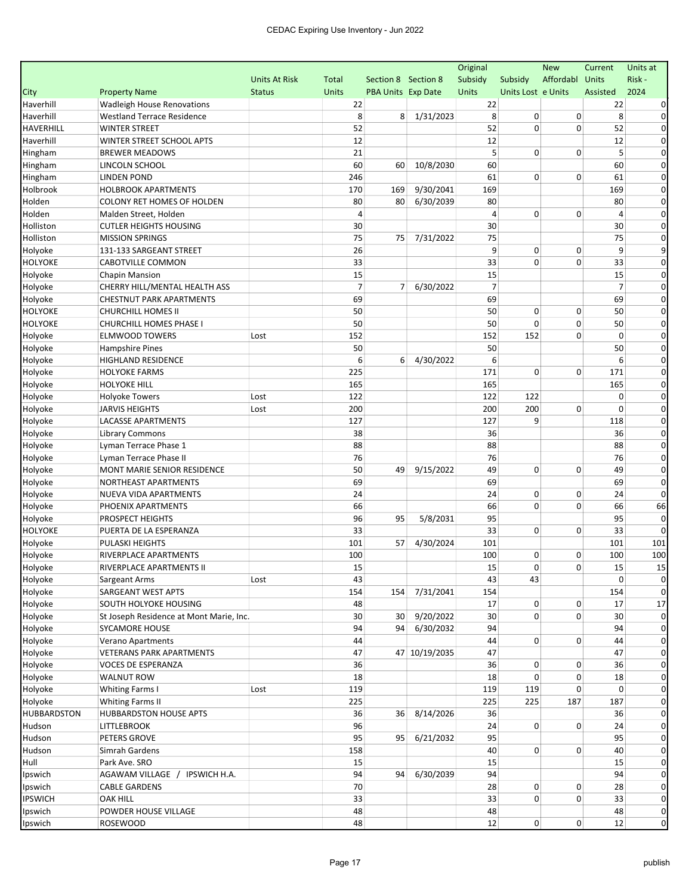|                |                                         |               |              |                     |               | Original       |                    | <b>New</b>     | Current        | Units at    |
|----------------|-----------------------------------------|---------------|--------------|---------------------|---------------|----------------|--------------------|----------------|----------------|-------------|
|                |                                         | Units At Risk | <b>Total</b> | Section 8 Section 8 |               | Subsidy        | Subsidy            | Affordabl      | Units          | Risk -      |
| City           | <b>Property Name</b>                    | <b>Status</b> | <b>Units</b> | PBA Units Exp Date  |               | Units          | Units Lost e Units |                | Assisted       | 2024        |
| Haverhill      | <b>Wadleigh House Renovations</b>       |               | 22           |                     |               | 22             |                    |                | 22             |             |
| Haverhill      | <b>Westland Terrace Residence</b>       |               | 8            | 8                   | 1/31/2023     | 8              | 0                  | 0              | 8              | 0           |
| HAVERHILL      | <b>WINTER STREET</b>                    |               | 52           |                     |               | 52             | 0                  | 0              | 52             | $\Omega$    |
| Haverhill      | WINTER STREET SCHOOL APTS               |               | 12           |                     |               | 12             |                    |                | 12             | $\Omega$    |
| Hingham        | <b>BREWER MEADOWS</b>                   |               | 21           |                     |               | 5              | 0                  | 0              | 5              | 0           |
| Hingham        | LINCOLN SCHOOL                          |               | 60           | 60                  | 10/8/2030     | 60             |                    |                | 60             | 0           |
| Hingham        | <b>LINDEN POND</b>                      |               | 246          |                     |               | 61             | 0                  | 0              | 61             | 0           |
| Holbrook       | <b>HOLBROOK APARTMENTS</b>              |               | 170          | 169                 | 9/30/2041     | 169            |                    |                | 169            | $\Omega$    |
| Holden         | <b>COLONY RET HOMES OF HOLDEN</b>       |               | 80           | 80                  | 6/30/2039     | 80             |                    |                | 80             | $\Omega$    |
| Holden         | Malden Street, Holden                   |               | 4            |                     |               | $\overline{4}$ | 0                  | 0              | $\overline{4}$ | 0           |
| Holliston      | <b>CUTLER HEIGHTS HOUSING</b>           |               | 30           |                     |               | 30             |                    |                | 30             | $\Omega$    |
| Holliston      | <b>MISSION SPRINGS</b>                  |               | 75           | 75                  | 7/31/2022     | 75             |                    |                | 75             | 0           |
| Holyoke        | 131-133 SARGEANT STREET                 |               | 26           |                     |               | 9              | 0                  | 0              | 9              | 9           |
| HOLYOKE        | <b>CABOTVILLE COMMON</b>                |               | 33           |                     |               | 33             | 0                  | $\mathbf 0$    | 33             | $\Omega$    |
| Holyoke        | <b>Chapin Mansion</b>                   |               | 15           |                     |               | 15             |                    |                | 15             | 0           |
| Holyoke        | CHERRY HILL/MENTAL HEALTH ASS           |               | 7            | 7                   | 6/30/2022     | 7              |                    |                | 7              | $\Omega$    |
| Holyoke        | <b>CHESTNUT PARK APARTMENTS</b>         |               | 69           |                     |               | 69             |                    |                | 69             | $\Omega$    |
| <b>HOLYOKE</b> | <b>CHURCHILL HOMES II</b>               |               | 50           |                     |               | 50             | 0                  | 0              | 50             | $\Omega$    |
| HOLYOKE        | <b>CHURCHILL HOMES PHASE I</b>          |               | 50           |                     |               | 50             | 0                  | 0              | 50             | $\Omega$    |
| Holyoke        | <b>ELMWOOD TOWERS</b>                   | Lost          | 152          |                     |               | 152            | 152                | 0              | $\mathbf 0$    | 0           |
| Holyoke        | <b>Hampshire Pines</b>                  |               | 50           |                     |               | 50             |                    |                | 50             | 0           |
| Holyoke        | <b>HIGHLAND RESIDENCE</b>               |               | 6            | 6                   | 4/30/2022     | 6              |                    |                | 6              | 0           |
| Holyoke        | <b>HOLYOKE FARMS</b>                    |               | 225          |                     |               | 171            | 0                  | 0              | 171            | 0           |
| Holyoke        | <b>HOLYOKE HILL</b>                     |               | 165          |                     |               | 165            |                    |                | 165            | 0           |
| Holyoke        | <b>Holyoke Towers</b>                   | Lost          | 122          |                     |               | 122            | 122                |                | 0              | 0           |
| Holyoke        | <b>JARVIS HEIGHTS</b>                   | Lost          | 200          |                     |               | 200            | 200                | 0              | $\Omega$       | $\Omega$    |
| Holyoke        | LACASSE APARTMENTS                      |               | 127          |                     |               | 127            | 9                  |                | 118            | 0           |
| Holyoke        | <b>Library Commons</b>                  |               | 38           |                     |               | 36             |                    |                | 36             | 0           |
| Holyoke        | Lyman Terrace Phase 1                   |               | 88           |                     |               | 88             |                    |                | 88             | $\Omega$    |
| Holyoke        | Lyman Terrace Phase II                  |               | 76           |                     |               | 76             |                    |                | 76             | $\Omega$    |
| Holyoke        | MONT MARIE SENIOR RESIDENCE             |               | 50           | 49                  | 9/15/2022     | 49             | 0                  | 0              | 49             | $\Omega$    |
| Holyoke        | NORTHEAST APARTMENTS                    |               | 69           |                     |               | 69             |                    |                | 69             | 0           |
| Holyoke        | NUEVA VIDA APARTMENTS                   |               | 24           |                     |               | 24             | 0                  | 0              | 24             | $\Omega$    |
| Holyoke        | PHOENIX APARTMENTS                      |               | 66           |                     |               | 66             | 0                  | $\Omega$       | 66             | 66          |
| Holyoke        | PROSPECT HEIGHTS                        |               | 96           | 95                  | 5/8/2031      | 95             |                    |                | 95             | $\Omega$    |
| <b>HOLYOKE</b> | PUERTA DE LA ESPERANZA                  |               | 33           |                     |               | 33             | 0                  | 0              | 33             |             |
| Holyoke        | PULASKI HEIGHTS                         |               | 101          | 57                  | 4/30/2024     | 101            |                    |                | 101            | 101         |
| Holyoke        | RIVERPLACE APARTMENTS                   |               | 100          |                     |               | 100            | 0                  | 0              | 100            | 100         |
| Holyoke        | RIVERPLACE APARTMENTS II                |               | 15           |                     |               | 15             | $\mathbf{0}$       | 0              | 15             | 15          |
| Holyoke        | Sargeant Arms                           | Lost          | 43           |                     |               | 43             | 43                 |                | 0              | $\mathbf 0$ |
| Holyoke        | SARGEANT WEST APTS                      |               | 154          | 154                 | 7/31/2041     | 154            |                    |                | 154            | $\Omega$    |
| Holyoke        | SOUTH HOLYOKE HOUSING                   |               | 48           |                     |               | 17             | $\overline{0}$     | 0              | 17             | 17          |
| Holyoke        | St Joseph Residence at Mont Marie, Inc. |               | 30           | 30 <sup>1</sup>     | 9/20/2022     | 30             | $\overline{0}$     | 0              | 30             | 0           |
| Holyoke        | <b>SYCAMORE HOUSE</b>                   |               | 94           |                     | 94 6/30/2032  | 94             |                    |                | 94             | 0           |
| Holyoke        | <b>Verano Apartments</b>                |               | 44           |                     |               | 44             | $\overline{0}$     | 0              | 44             | $\mathbf 0$ |
| Holyoke        | <b>VETERANS PARK APARTMENTS</b>         |               | 47           |                     | 47 10/19/2035 | 47             |                    |                | 47             | 0           |
| Holyoke        | VOCES DE ESPERANZA                      |               | 36           |                     |               | 36             | 0                  | 0              | 36             | 0           |
| Holyoke        | <b>WALNUT ROW</b>                       |               | 18           |                     |               | 18             | 0                  | 0              | 18             | 0           |
| Holyoke        | <b>Whiting Farms I</b>                  | Lost          | 119          |                     |               | 119            | 119                | 0              | 0              | 0           |
| Holyoke        | Whiting Farms II                        |               | 225          |                     |               | 225            | 225                | 187            | 187            | 0           |
| HUBBARDSTON    | <b>HUBBARDSTON HOUSE APTS</b>           |               | 36           | 36 <sup>1</sup>     | 8/14/2026     | 36             |                    |                | 36             | 0           |
| Hudson         | <b>LITTLEBROOK</b>                      |               | 96           |                     |               | 24             | 0                  | 0              | 24             | 0           |
| Hudson         | PETERS GROVE                            |               | 95           | 95                  | 6/21/2032     | 95             |                    |                | 95             | 0           |
| Hudson         | Simrah Gardens                          |               | 158          |                     |               | 40             | $\overline{0}$     | 0              | 40             | $\mathbf 0$ |
| Hull           | Park Ave. SRO                           |               | 15           |                     |               | 15             |                    |                | 15             | $\mathbf 0$ |
| Ipswich        | AGAWAM VILLAGE /<br>IPSWICH H.A.        |               | 94           | 94                  | 6/30/2039     | 94             |                    |                | 94             | $\mathbf 0$ |
| Ipswich        | <b>CABLE GARDENS</b>                    |               | 70           |                     |               | 28             | 0                  | 0              | 28             | $\mathbf 0$ |
| <b>IPSWICH</b> | OAK HILL                                |               | 33           |                     |               | 33             | $\overline{0}$     | 0              | 33             | $\mathbf 0$ |
| Ipswich        | POWDER HOUSE VILLAGE                    |               | 48           |                     |               | 48             |                    |                | 48             | 0           |
| Ipswich        | <b>ROSEWOOD</b>                         |               | 48           |                     |               | 12             | $\mathbf{0}$       | $\overline{0}$ | 12             | $\mathbf 0$ |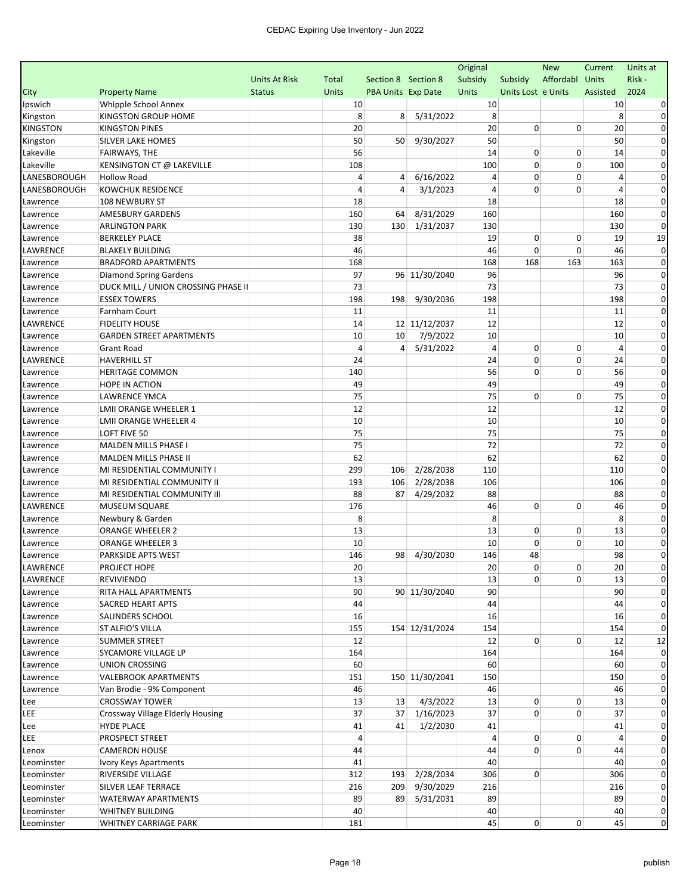|                 |                                     |                      |                |                     |                | Original |                    | <b>New</b>  | Current        | Units at     |
|-----------------|-------------------------------------|----------------------|----------------|---------------------|----------------|----------|--------------------|-------------|----------------|--------------|
|                 |                                     | <b>Units At Risk</b> | Total          | Section 8 Section 8 |                | Subsidy  | Subsidy            | Affordabl   | Units          | Risk-        |
| City            | <b>Property Name</b>                | <b>Status</b>        | <b>Units</b>   | PBA Units Exp Date  |                | Units    | Units Lost e Units |             | Assisted       | 2024         |
| Ipswich         | Whipple School Annex                |                      | 10             |                     |                | 10       |                    |             | 10             |              |
| Kingston        | KINGSTON GROUP HOME                 |                      | 8              | 8                   | 5/31/2022      | 8        |                    |             | 8              | 0            |
| <b>KINGSTON</b> | KINGSTON PINES                      |                      | 20             |                     |                | 20       | 0                  | 0           | 20             | 0            |
| Kingston        | SILVER LAKE HOMES                   |                      | 50             | 50                  | 9/30/2027      | 50       |                    |             | 50             | 0            |
| Lakeville       | FAIRWAYS, THE                       |                      | 56             |                     |                | 14       | 0                  | $\mathbf 0$ | 14             | $\Omega$     |
| Lakeville       | KENSINGTON CT @ LAKEVILLE           |                      | 108            |                     |                | 100      | 0                  | $\Omega$    | 100            |              |
| LANESBOROUGH    | <b>Hollow Road</b>                  |                      | 4              | 4                   | 6/16/2022      | 4        | 0                  | 0           | 4              | 0            |
| LANESBOROUGH    | KOWCHUK RESIDENCE                   |                      | 4              | $\overline{4}$      | 3/1/2023       | 4        | 0                  | 0           | $\overline{4}$ | 0            |
| Lawrence        | 108 NEWBURY ST                      |                      | 18             |                     |                | 18       |                    |             | 18             | 0            |
| Lawrence        | <b>AMESBURY GARDENS</b>             |                      | 160            | 64                  | 8/31/2029      | 160      |                    |             | 160            | 0            |
| Lawrence        | <b>ARLINGTON PARK</b>               |                      | 130            | 130                 | 1/31/2037      | 130      |                    |             | 130            | $\Omega$     |
| Lawrence        | <b>BERKELEY PLACE</b>               |                      | 38             |                     |                | 19       | 0                  | 0           | 19             | 19           |
| LAWRENCE        | <b>BLAKELY BUILDING</b>             |                      | 46             |                     |                | 46       | 0                  | 0           | 46             | $\Omega$     |
| Lawrence        | <b>BRADFORD APARTMENTS</b>          |                      | 168            |                     |                | 168      | 168                | 163         | 163            | $\Omega$     |
| Lawrence        | Diamond Spring Gardens              |                      | 97             |                     | 96 11/30/2040  | 96       |                    |             | 96             | 0            |
| Lawrence        | DUCK MILL / UNION CROSSING PHASE II |                      | 73             |                     |                | 73       |                    |             | 73             | 0            |
| Lawrence        | <b>ESSEX TOWERS</b>                 |                      | 198            | 198                 | 9/30/2036      | 198      |                    |             | 198            | 0            |
| Lawrence        | Farnham Court                       |                      | 11             |                     |                | 11       |                    |             | 11             | 0            |
| LAWRENCE        | <b>FIDELITY HOUSE</b>               |                      | 14             |                     | 12 11/12/2037  | 12       |                    |             | 12             | $\Omega$     |
| Lawrence        | <b>GARDEN STREET APARTMENTS</b>     |                      | 10             | 10                  | 7/9/2022       | 10       |                    |             | 10             | 0            |
| Lawrence        | <b>Grant Road</b>                   |                      | $\overline{a}$ | 4                   | 5/31/2022      | 4        | 0                  | 0           | 4              | $\Omega$     |
| LAWRENCE        | <b>HAVERHILL ST</b>                 |                      | 24             |                     |                | 24       | 0                  | 0           | 24             | 0            |
| Lawrence        | <b>HERITAGE COMMON</b>              |                      | 140            |                     |                | 56       | 0                  | 0           | 56             | 0            |
| Lawrence        | HOPE IN ACTION                      |                      | 49             |                     |                | 49       |                    |             | 49             | $\Omega$     |
| Lawrence        | LAWRENCE YMCA                       |                      | 75             |                     |                | 75       | 0                  | 0           | 75             | 0            |
| Lawrence        | LMII ORANGE WHEELER 1               |                      | 12             |                     |                | 12       |                    |             | 12             | 0            |
| Lawrence        | <b>LMII ORANGE WHEELER 4</b>        |                      | 10             |                     |                | 10       |                    |             | 10             | 0            |
| Lawrence        | LOFT FIVE 50                        |                      | 75             |                     |                | 75       |                    |             | 75             | 0            |
| Lawrence        | <b>MALDEN MILLS PHASE I</b>         |                      | 75             |                     |                | 72       |                    |             | 72             | 0            |
| Lawrence        | MALDEN MILLS PHASE II               |                      | 62             |                     |                | 62       |                    |             | 62             | 0            |
| Lawrence        | MI RESIDENTIAL COMMUNITY I          |                      | 299            | 106                 | 2/28/2038      | 110      |                    |             | 110            | $\Omega$     |
| Lawrence        | MI RESIDENTIAL COMMUNITY II         |                      | 193            | 106                 | 2/28/2038      | 106      |                    |             | 106            | 0            |
| Lawrence        | MI RESIDENTIAL COMMUNITY III        |                      | 88             | 87                  | 4/29/2032      | 88       |                    |             | 88             | $\Omega$     |
| LAWRENCE        | <b>MUSEUM SQUARE</b>                |                      | 176            |                     |                | 46       | 0                  | $\Omega$    | 46             | 0            |
| Lawrence        | Newbury & Garden                    |                      | 8              |                     |                | 8        |                    |             | 8              | 0            |
| Lawrence        | <b>ORANGE WHEELER 2</b>             |                      | 13             |                     |                | 13       | 0                  | 0           | 13             | 0            |
| Lawrence        | <b>ORANGE WHEELER 3</b>             |                      | 10             |                     |                | 10       | 0                  | 0           | 10             | $\Omega$     |
| Lawrence        | PARKSIDE APTS WEST                  |                      | 146            | 98                  | 4/30/2030      | 146      | 48                 |             | 98             | 0            |
| LAWRENCE        | PROJECT HOPE                        |                      | $20\,$         |                     |                | 20       | 0                  | 0           | $20\,$         |              |
| LAWRENCE        | REVIVIENDO                          |                      | 13             |                     |                | 13       | 0                  | 0           | 13             | $\mathbf{0}$ |
| Lawrence        | RITA HALL APARTMENTS                |                      | 90             |                     | 90 11/30/2040  | 90       |                    |             | 90             | 0            |
| Lawrence        | <b>SACRED HEART APTS</b>            |                      | 44             |                     |                | 44       |                    |             | 44             | 0            |
| Lawrence        | SAUNDERS SCHOOL                     |                      | 16             |                     |                | 16       |                    |             | 16             | 0            |
| Lawrence        | ST ALFIO'S VILLA                    |                      | 155            |                     | 154 12/31/2024 | 154      |                    |             | 154            | $\Omega$     |
| Lawrence        | <b>SUMMER STREET</b>                |                      | 12             |                     |                | 12       | 0                  | $\mathbf 0$ | 12             | 12           |
| Lawrence        | SYCAMORE VILLAGE LP                 |                      | 164            |                     |                | 164      |                    |             | 164            | $\Omega$     |
| Lawrence        | UNION CROSSING                      |                      | 60             |                     |                | 60       |                    |             | 60             | 0            |
| Lawrence        | <b>VALEBROOK APARTMENTS</b>         |                      | 151            |                     | 150 11/30/2041 | 150      |                    |             | 150            | 0            |
| Lawrence        | Van Brodie - 9% Component           |                      | 46             |                     |                | 46       |                    |             | 46             | 0            |
| Lee             | <b>CROSSWAY TOWER</b>               |                      | 13             | 13                  | 4/3/2022       | 13       | 0                  | 0           | 13             | 0            |
| LEE             | Crossway Village Elderly Housing    |                      | 37             | 37                  | 1/16/2023      | 37       | 0                  | 0           | 37             | 0            |
| Lee             | <b>HYDE PLACE</b>                   |                      | 41             | 41                  | 1/2/2030       | 41       |                    |             | 41             | 0            |
| LEE             | PROSPECT STREET                     |                      | 4              |                     |                | 4        | 0                  | 0           | 4              | 0            |
| Lenox           | <b>CAMERON HOUSE</b>                |                      | 44             |                     |                | 44       | 0                  | 0           | 44             | 0            |
| Leominster      | Ivory Keys Apartments               |                      | 41             |                     |                | 40       |                    |             | 40             | 0            |
| Leominster      | RIVERSIDE VILLAGE                   |                      | 312            | 193                 | 2/28/2034      | 306      | 0                  |             | 306            | $\mathbf 0$  |
| Leominster      | SILVER LEAF TERRACE                 |                      | 216            | 209                 | 9/30/2029      | 216      |                    |             | 216            | $\mathbf 0$  |
| Leominster      | WATERWAY APARTMENTS                 |                      | 89             | 89                  | 5/31/2031      | 89       |                    |             | 89             | 0            |
| Leominster      | <b>WHITNEY BUILDING</b>             |                      | 40             |                     |                | 40       |                    |             | 40             | $\mathbf 0$  |
| Leominster      | WHITNEY CARRIAGE PARK               |                      | 181            |                     |                | 45       | 0                  | 0           | 45             | $\mathbf 0$  |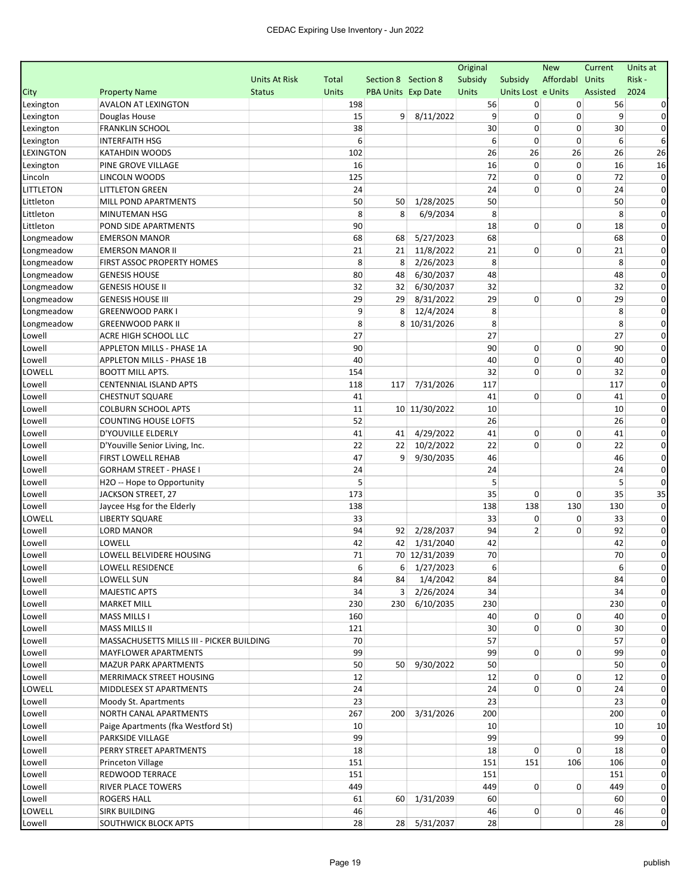| Affordabl Units<br>Risk-<br><b>Units At Risk</b><br>Section 8 Section 8<br>Subsidy<br>Subsidy<br>Total<br>2024<br>City<br><b>Property Name</b><br><b>Status</b><br><b>Units</b><br><b>PBA Units Exp Date</b><br>Units<br>Units Lost e Units<br>Assisted<br>Lexington<br><b>AVALON AT LEXINGTON</b><br>198<br>56<br>0<br>0<br>56<br>0<br>9<br>8/11/2022<br>9<br>9<br>15<br>0<br>Lexington<br>Douglas House<br>30<br>0<br><b>FRANKLIN SCHOOL</b><br>38<br>0<br>30<br>Lexington<br>6<br>0<br>6<br>$\mathbf 0$<br>6<br><b>INTERFAITH HSG</b><br>Lexington<br>26<br>LEXINGTON<br><b>KATAHDIN WOODS</b><br>102<br>26<br>26<br>26<br>16<br>0<br>Lexington<br>PINE GROVE VILLAGE<br>16<br>0<br>16<br>125<br>72<br>0<br>0<br>72<br>LINCOLN WOODS<br>Lincoln<br>24<br>24<br>0<br>0<br>24<br>LITTLETON<br><b>LITTLETON GREEN</b><br>50<br>1/28/2025<br>50<br>50<br>Littleton<br>MILL POND APARTMENTS<br>50<br>8<br>6/9/2034<br>8<br>8<br>Littleton<br>MINUTEMAN HSG<br>8<br>Littleton<br>90<br>18<br>0<br>POND SIDE APARTMENTS<br>0<br>18<br>68<br>5/27/2023<br>68<br>68<br>Longmeadow<br><b>EMERSON MANOR</b><br>68<br>21<br>11/8/2022<br>21<br>0<br>21<br>Longmeadow<br><b>EMERSON MANOR II</b><br>21<br>0<br>8<br>2/26/2023<br>8<br>8<br>Longmeadow<br>FIRST ASSOC PROPERTY HOMES<br>8<br>80<br>6/30/2037<br>48<br>Longmeadow<br><b>GENESIS HOUSE</b><br>48<br>48<br>32<br>6/30/2037<br>32<br>Longmeadow<br><b>GENESIS HOUSE II</b><br>32<br>32<br>29<br>8/31/2022<br>29<br>0<br>29<br>Longmeadow<br>29<br>0<br><b>GENESIS HOUSE III</b><br>9<br>12/4/2024<br>8<br>8<br>Longmeadow<br>8<br><b>GREENWOOD PARK I</b><br>8<br>8 10/31/2026<br>8<br>8<br>Longmeadow<br><b>GREENWOOD PARK II</b><br>27<br>27<br>27<br>Lowell<br>ACRE HIGH SCHOOL LLC<br>Lowell<br>90<br>90<br>0<br>90<br>APPLETON MILLS - PHASE 1A<br>0 | Units at     |
|------------------------------------------------------------------------------------------------------------------------------------------------------------------------------------------------------------------------------------------------------------------------------------------------------------------------------------------------------------------------------------------------------------------------------------------------------------------------------------------------------------------------------------------------------------------------------------------------------------------------------------------------------------------------------------------------------------------------------------------------------------------------------------------------------------------------------------------------------------------------------------------------------------------------------------------------------------------------------------------------------------------------------------------------------------------------------------------------------------------------------------------------------------------------------------------------------------------------------------------------------------------------------------------------------------------------------------------------------------------------------------------------------------------------------------------------------------------------------------------------------------------------------------------------------------------------------------------------------------------------------------------------------------------------------------------------------------------------------------------------------------------------------------------------------------|--------------|
|                                                                                                                                                                                                                                                                                                                                                                                                                                                                                                                                                                                                                                                                                                                                                                                                                                                                                                                                                                                                                                                                                                                                                                                                                                                                                                                                                                                                                                                                                                                                                                                                                                                                                                                                                                                                            |              |
|                                                                                                                                                                                                                                                                                                                                                                                                                                                                                                                                                                                                                                                                                                                                                                                                                                                                                                                                                                                                                                                                                                                                                                                                                                                                                                                                                                                                                                                                                                                                                                                                                                                                                                                                                                                                            |              |
|                                                                                                                                                                                                                                                                                                                                                                                                                                                                                                                                                                                                                                                                                                                                                                                                                                                                                                                                                                                                                                                                                                                                                                                                                                                                                                                                                                                                                                                                                                                                                                                                                                                                                                                                                                                                            |              |
|                                                                                                                                                                                                                                                                                                                                                                                                                                                                                                                                                                                                                                                                                                                                                                                                                                                                                                                                                                                                                                                                                                                                                                                                                                                                                                                                                                                                                                                                                                                                                                                                                                                                                                                                                                                                            | 0            |
|                                                                                                                                                                                                                                                                                                                                                                                                                                                                                                                                                                                                                                                                                                                                                                                                                                                                                                                                                                                                                                                                                                                                                                                                                                                                                                                                                                                                                                                                                                                                                                                                                                                                                                                                                                                                            | 0            |
|                                                                                                                                                                                                                                                                                                                                                                                                                                                                                                                                                                                                                                                                                                                                                                                                                                                                                                                                                                                                                                                                                                                                                                                                                                                                                                                                                                                                                                                                                                                                                                                                                                                                                                                                                                                                            | 6            |
|                                                                                                                                                                                                                                                                                                                                                                                                                                                                                                                                                                                                                                                                                                                                                                                                                                                                                                                                                                                                                                                                                                                                                                                                                                                                                                                                                                                                                                                                                                                                                                                                                                                                                                                                                                                                            | 26           |
|                                                                                                                                                                                                                                                                                                                                                                                                                                                                                                                                                                                                                                                                                                                                                                                                                                                                                                                                                                                                                                                                                                                                                                                                                                                                                                                                                                                                                                                                                                                                                                                                                                                                                                                                                                                                            | 16           |
|                                                                                                                                                                                                                                                                                                                                                                                                                                                                                                                                                                                                                                                                                                                                                                                                                                                                                                                                                                                                                                                                                                                                                                                                                                                                                                                                                                                                                                                                                                                                                                                                                                                                                                                                                                                                            | $\Omega$     |
|                                                                                                                                                                                                                                                                                                                                                                                                                                                                                                                                                                                                                                                                                                                                                                                                                                                                                                                                                                                                                                                                                                                                                                                                                                                                                                                                                                                                                                                                                                                                                                                                                                                                                                                                                                                                            | 0            |
|                                                                                                                                                                                                                                                                                                                                                                                                                                                                                                                                                                                                                                                                                                                                                                                                                                                                                                                                                                                                                                                                                                                                                                                                                                                                                                                                                                                                                                                                                                                                                                                                                                                                                                                                                                                                            | 0            |
|                                                                                                                                                                                                                                                                                                                                                                                                                                                                                                                                                                                                                                                                                                                                                                                                                                                                                                                                                                                                                                                                                                                                                                                                                                                                                                                                                                                                                                                                                                                                                                                                                                                                                                                                                                                                            | 0            |
|                                                                                                                                                                                                                                                                                                                                                                                                                                                                                                                                                                                                                                                                                                                                                                                                                                                                                                                                                                                                                                                                                                                                                                                                                                                                                                                                                                                                                                                                                                                                                                                                                                                                                                                                                                                                            | 0            |
|                                                                                                                                                                                                                                                                                                                                                                                                                                                                                                                                                                                                                                                                                                                                                                                                                                                                                                                                                                                                                                                                                                                                                                                                                                                                                                                                                                                                                                                                                                                                                                                                                                                                                                                                                                                                            | 0            |
|                                                                                                                                                                                                                                                                                                                                                                                                                                                                                                                                                                                                                                                                                                                                                                                                                                                                                                                                                                                                                                                                                                                                                                                                                                                                                                                                                                                                                                                                                                                                                                                                                                                                                                                                                                                                            | $\Omega$     |
|                                                                                                                                                                                                                                                                                                                                                                                                                                                                                                                                                                                                                                                                                                                                                                                                                                                                                                                                                                                                                                                                                                                                                                                                                                                                                                                                                                                                                                                                                                                                                                                                                                                                                                                                                                                                            | 0            |
|                                                                                                                                                                                                                                                                                                                                                                                                                                                                                                                                                                                                                                                                                                                                                                                                                                                                                                                                                                                                                                                                                                                                                                                                                                                                                                                                                                                                                                                                                                                                                                                                                                                                                                                                                                                                            | $\Omega$     |
|                                                                                                                                                                                                                                                                                                                                                                                                                                                                                                                                                                                                                                                                                                                                                                                                                                                                                                                                                                                                                                                                                                                                                                                                                                                                                                                                                                                                                                                                                                                                                                                                                                                                                                                                                                                                            | 0            |
|                                                                                                                                                                                                                                                                                                                                                                                                                                                                                                                                                                                                                                                                                                                                                                                                                                                                                                                                                                                                                                                                                                                                                                                                                                                                                                                                                                                                                                                                                                                                                                                                                                                                                                                                                                                                            | 0            |
|                                                                                                                                                                                                                                                                                                                                                                                                                                                                                                                                                                                                                                                                                                                                                                                                                                                                                                                                                                                                                                                                                                                                                                                                                                                                                                                                                                                                                                                                                                                                                                                                                                                                                                                                                                                                            | $\Omega$     |
|                                                                                                                                                                                                                                                                                                                                                                                                                                                                                                                                                                                                                                                                                                                                                                                                                                                                                                                                                                                                                                                                                                                                                                                                                                                                                                                                                                                                                                                                                                                                                                                                                                                                                                                                                                                                            | 0            |
|                                                                                                                                                                                                                                                                                                                                                                                                                                                                                                                                                                                                                                                                                                                                                                                                                                                                                                                                                                                                                                                                                                                                                                                                                                                                                                                                                                                                                                                                                                                                                                                                                                                                                                                                                                                                            | 0            |
|                                                                                                                                                                                                                                                                                                                                                                                                                                                                                                                                                                                                                                                                                                                                                                                                                                                                                                                                                                                                                                                                                                                                                                                                                                                                                                                                                                                                                                                                                                                                                                                                                                                                                                                                                                                                            | 0            |
| 0<br>40<br>40<br>0<br>Lowell<br><b>APPLETON MILLS - PHASE 1B</b><br>40                                                                                                                                                                                                                                                                                                                                                                                                                                                                                                                                                                                                                                                                                                                                                                                                                                                                                                                                                                                                                                                                                                                                                                                                                                                                                                                                                                                                                                                                                                                                                                                                                                                                                                                                     | 0            |
| 0<br>LOWELL<br>154<br>32<br>0<br>32<br><b>BOOTT MILL APTS.</b>                                                                                                                                                                                                                                                                                                                                                                                                                                                                                                                                                                                                                                                                                                                                                                                                                                                                                                                                                                                                                                                                                                                                                                                                                                                                                                                                                                                                                                                                                                                                                                                                                                                                                                                                             | 0            |
| 7/31/2026<br>117<br>Lowell<br>CENTENNIAL ISLAND APTS<br>118<br>117<br>117                                                                                                                                                                                                                                                                                                                                                                                                                                                                                                                                                                                                                                                                                                                                                                                                                                                                                                                                                                                                                                                                                                                                                                                                                                                                                                                                                                                                                                                                                                                                                                                                                                                                                                                                  | 0            |
| 41<br>0<br>Lowell<br><b>CHESTNUT SQUARE</b><br>41<br>0<br>41                                                                                                                                                                                                                                                                                                                                                                                                                                                                                                                                                                                                                                                                                                                                                                                                                                                                                                                                                                                                                                                                                                                                                                                                                                                                                                                                                                                                                                                                                                                                                                                                                                                                                                                                               | 0            |
| 10<br>Lowell<br><b>COLBURN SCHOOL APTS</b><br>11<br>10 11/30/2022<br>10                                                                                                                                                                                                                                                                                                                                                                                                                                                                                                                                                                                                                                                                                                                                                                                                                                                                                                                                                                                                                                                                                                                                                                                                                                                                                                                                                                                                                                                                                                                                                                                                                                                                                                                                    | 0            |
| 52<br>26<br>26<br><b>COUNTING HOUSE LOFTS</b><br>Lowell                                                                                                                                                                                                                                                                                                                                                                                                                                                                                                                                                                                                                                                                                                                                                                                                                                                                                                                                                                                                                                                                                                                                                                                                                                                                                                                                                                                                                                                                                                                                                                                                                                                                                                                                                    | 0            |
| 41<br>4/29/2022<br>41<br>0<br>41<br>Lowell<br>D'YOUVILLE ELDERLY<br>41<br>0                                                                                                                                                                                                                                                                                                                                                                                                                                                                                                                                                                                                                                                                                                                                                                                                                                                                                                                                                                                                                                                                                                                                                                                                                                                                                                                                                                                                                                                                                                                                                                                                                                                                                                                                | 0            |
| 0<br>10/2/2022<br>22<br>$\mathbf 0$<br>22<br>Lowell<br>D'Youville Senior Living, Inc.<br>22<br>22                                                                                                                                                                                                                                                                                                                                                                                                                                                                                                                                                                                                                                                                                                                                                                                                                                                                                                                                                                                                                                                                                                                                                                                                                                                                                                                                                                                                                                                                                                                                                                                                                                                                                                          | 0            |
| 47<br>9/30/2035<br>46<br>46<br>Lowell<br><b>FIRST LOWELL REHAB</b><br>9                                                                                                                                                                                                                                                                                                                                                                                                                                                                                                                                                                                                                                                                                                                                                                                                                                                                                                                                                                                                                                                                                                                                                                                                                                                                                                                                                                                                                                                                                                                                                                                                                                                                                                                                    | 0            |
| <b>GORHAM STREET - PHASE I</b><br>Lowell<br>24<br>24<br>24                                                                                                                                                                                                                                                                                                                                                                                                                                                                                                                                                                                                                                                                                                                                                                                                                                                                                                                                                                                                                                                                                                                                                                                                                                                                                                                                                                                                                                                                                                                                                                                                                                                                                                                                                 | 0            |
| 5<br>5<br>5<br>Lowell<br>H2O -- Hope to Opportunity                                                                                                                                                                                                                                                                                                                                                                                                                                                                                                                                                                                                                                                                                                                                                                                                                                                                                                                                                                                                                                                                                                                                                                                                                                                                                                                                                                                                                                                                                                                                                                                                                                                                                                                                                        | $\Omega$     |
| 35<br>173<br>0<br>35<br>Lowell<br>JACKSON STREET, 27<br>0                                                                                                                                                                                                                                                                                                                                                                                                                                                                                                                                                                                                                                                                                                                                                                                                                                                                                                                                                                                                                                                                                                                                                                                                                                                                                                                                                                                                                                                                                                                                                                                                                                                                                                                                                  | 35           |
| 138<br>Lowell<br>Jaycee Hsg for the Elderly<br>138<br>138<br>130<br>130                                                                                                                                                                                                                                                                                                                                                                                                                                                                                                                                                                                                                                                                                                                                                                                                                                                                                                                                                                                                                                                                                                                                                                                                                                                                                                                                                                                                                                                                                                                                                                                                                                                                                                                                    | 0            |
| LOWELL<br>33<br>0<br><b>LIBERTY SQUARE</b><br>33<br>0<br>33                                                                                                                                                                                                                                                                                                                                                                                                                                                                                                                                                                                                                                                                                                                                                                                                                                                                                                                                                                                                                                                                                                                                                                                                                                                                                                                                                                                                                                                                                                                                                                                                                                                                                                                                                | 0            |
| 94<br>$\overline{2}$<br>92<br>Lowell<br><b>LORD MANOR</b><br>94<br>92<br>2/28/2037<br>0                                                                                                                                                                                                                                                                                                                                                                                                                                                                                                                                                                                                                                                                                                                                                                                                                                                                                                                                                                                                                                                                                                                                                                                                                                                                                                                                                                                                                                                                                                                                                                                                                                                                                                                    | 0            |
| 42<br>1/31/2040<br>LOWELL<br>42<br>42<br>Lowell<br>42                                                                                                                                                                                                                                                                                                                                                                                                                                                                                                                                                                                                                                                                                                                                                                                                                                                                                                                                                                                                                                                                                                                                                                                                                                                                                                                                                                                                                                                                                                                                                                                                                                                                                                                                                      | 0            |
| 71<br>70 12/31/2039<br>70<br>70<br>LOWELL BELVIDERE HOUSING<br>Lowell                                                                                                                                                                                                                                                                                                                                                                                                                                                                                                                                                                                                                                                                                                                                                                                                                                                                                                                                                                                                                                                                                                                                                                                                                                                                                                                                                                                                                                                                                                                                                                                                                                                                                                                                      | 0            |
| 6<br>6<br>6<br>Lowell<br>LOWELL RESIDENCE<br>$6 \mid 1/27/2023$                                                                                                                                                                                                                                                                                                                                                                                                                                                                                                                                                                                                                                                                                                                                                                                                                                                                                                                                                                                                                                                                                                                                                                                                                                                                                                                                                                                                                                                                                                                                                                                                                                                                                                                                            |              |
| 1/4/2042<br>84<br>84<br>84<br>Lowell<br>LOWELL SUN<br>84<br>2/26/2024<br>Lowell<br><b>MAJESTIC APTS</b><br>34<br>34<br>3 <sup>1</sup><br>34                                                                                                                                                                                                                                                                                                                                                                                                                                                                                                                                                                                                                                                                                                                                                                                                                                                                                                                                                                                                                                                                                                                                                                                                                                                                                                                                                                                                                                                                                                                                                                                                                                                                | $\mathbf{0}$ |
| 6/10/2035<br>230<br>230<br><b>MARKET MILL</b><br>230<br>230                                                                                                                                                                                                                                                                                                                                                                                                                                                                                                                                                                                                                                                                                                                                                                                                                                                                                                                                                                                                                                                                                                                                                                                                                                                                                                                                                                                                                                                                                                                                                                                                                                                                                                                                                | $\Omega$     |
| Lowell<br>40<br>0<br>160<br>0<br>40                                                                                                                                                                                                                                                                                                                                                                                                                                                                                                                                                                                                                                                                                                                                                                                                                                                                                                                                                                                                                                                                                                                                                                                                                                                                                                                                                                                                                                                                                                                                                                                                                                                                                                                                                                        | $\Omega$     |
| Lowell<br><b>MASS MILLS I</b><br>0<br>30<br>$\mathbf 0$<br>Lowell<br><b>MASS MILLS II</b><br>121<br>30                                                                                                                                                                                                                                                                                                                                                                                                                                                                                                                                                                                                                                                                                                                                                                                                                                                                                                                                                                                                                                                                                                                                                                                                                                                                                                                                                                                                                                                                                                                                                                                                                                                                                                     | 0            |
| 70<br>57<br>Lowell<br>MASSACHUSETTS MILLS III - PICKER BUILDING<br>57                                                                                                                                                                                                                                                                                                                                                                                                                                                                                                                                                                                                                                                                                                                                                                                                                                                                                                                                                                                                                                                                                                                                                                                                                                                                                                                                                                                                                                                                                                                                                                                                                                                                                                                                      | 0            |
| 99<br>99<br>0<br>99<br>Lowell<br>MAYFLOWER APARTMENTS<br>0                                                                                                                                                                                                                                                                                                                                                                                                                                                                                                                                                                                                                                                                                                                                                                                                                                                                                                                                                                                                                                                                                                                                                                                                                                                                                                                                                                                                                                                                                                                                                                                                                                                                                                                                                 | 0            |
| 50<br>50<br>50 <sup>1</sup><br>9/30/2022<br>50<br>Lowell<br><b>MAZUR PARK APARTMENTS</b>                                                                                                                                                                                                                                                                                                                                                                                                                                                                                                                                                                                                                                                                                                                                                                                                                                                                                                                                                                                                                                                                                                                                                                                                                                                                                                                                                                                                                                                                                                                                                                                                                                                                                                                   | 0            |
| 12<br>12<br>0<br>Lowell<br>MERRIMACK STREET HOUSING<br>0<br>12                                                                                                                                                                                                                                                                                                                                                                                                                                                                                                                                                                                                                                                                                                                                                                                                                                                                                                                                                                                                                                                                                                                                                                                                                                                                                                                                                                                                                                                                                                                                                                                                                                                                                                                                             | $\Omega$     |
| 0<br>LOWELL<br>24<br>24<br>0<br>MIDDLESEX ST APARTMENTS<br>24                                                                                                                                                                                                                                                                                                                                                                                                                                                                                                                                                                                                                                                                                                                                                                                                                                                                                                                                                                                                                                                                                                                                                                                                                                                                                                                                                                                                                                                                                                                                                                                                                                                                                                                                              | 0            |
| 23<br>Lowell<br>23<br>23<br>Moody St. Apartments                                                                                                                                                                                                                                                                                                                                                                                                                                                                                                                                                                                                                                                                                                                                                                                                                                                                                                                                                                                                                                                                                                                                                                                                                                                                                                                                                                                                                                                                                                                                                                                                                                                                                                                                                           | $\Omega$     |
| 3/31/2026<br>200<br>Lowell<br>NORTH CANAL APARTMENTS<br>267<br>200<br>200                                                                                                                                                                                                                                                                                                                                                                                                                                                                                                                                                                                                                                                                                                                                                                                                                                                                                                                                                                                                                                                                                                                                                                                                                                                                                                                                                                                                                                                                                                                                                                                                                                                                                                                                  | $\Omega$     |
| Lowell<br>Paige Apartments (fka Westford St)<br>10<br>10<br>10                                                                                                                                                                                                                                                                                                                                                                                                                                                                                                                                                                                                                                                                                                                                                                                                                                                                                                                                                                                                                                                                                                                                                                                                                                                                                                                                                                                                                                                                                                                                                                                                                                                                                                                                             | 10           |
| 99<br>99<br>99<br>Lowell<br>PARKSIDE VILLAGE                                                                                                                                                                                                                                                                                                                                                                                                                                                                                                                                                                                                                                                                                                                                                                                                                                                                                                                                                                                                                                                                                                                                                                                                                                                                                                                                                                                                                                                                                                                                                                                                                                                                                                                                                               | $\Omega$     |
| 0<br>18<br>18<br>0<br>Lowell<br>PERRY STREET APARTMENTS<br>18                                                                                                                                                                                                                                                                                                                                                                                                                                                                                                                                                                                                                                                                                                                                                                                                                                                                                                                                                                                                                                                                                                                                                                                                                                                                                                                                                                                                                                                                                                                                                                                                                                                                                                                                              | 0            |
| 151<br>Lowell<br>Princeton Village<br>151<br>151<br>106<br>106                                                                                                                                                                                                                                                                                                                                                                                                                                                                                                                                                                                                                                                                                                                                                                                                                                                                                                                                                                                                                                                                                                                                                                                                                                                                                                                                                                                                                                                                                                                                                                                                                                                                                                                                             | 0            |
| Lowell<br>REDWOOD TERRACE<br>151<br>151<br>151                                                                                                                                                                                                                                                                                                                                                                                                                                                                                                                                                                                                                                                                                                                                                                                                                                                                                                                                                                                                                                                                                                                                                                                                                                                                                                                                                                                                                                                                                                                                                                                                                                                                                                                                                             | 0            |
| 0<br>RIVER PLACE TOWERS<br>449<br>449<br>0<br>449<br>Lowell                                                                                                                                                                                                                                                                                                                                                                                                                                                                                                                                                                                                                                                                                                                                                                                                                                                                                                                                                                                                                                                                                                                                                                                                                                                                                                                                                                                                                                                                                                                                                                                                                                                                                                                                                | 0            |
| 60<br>Lowell<br>61<br>60<br>1/31/2039<br>60<br>ROGERS HALL                                                                                                                                                                                                                                                                                                                                                                                                                                                                                                                                                                                                                                                                                                                                                                                                                                                                                                                                                                                                                                                                                                                                                                                                                                                                                                                                                                                                                                                                                                                                                                                                                                                                                                                                                 | 0            |
| LOWELL<br>46<br>0<br>0<br><b>SIRK BUILDING</b><br>46<br>46                                                                                                                                                                                                                                                                                                                                                                                                                                                                                                                                                                                                                                                                                                                                                                                                                                                                                                                                                                                                                                                                                                                                                                                                                                                                                                                                                                                                                                                                                                                                                                                                                                                                                                                                                 | $\mathbf 0$  |
| 28 5/31/2037<br>Lowell<br>SOUTHWICK BLOCK APTS<br>28<br>28<br>28                                                                                                                                                                                                                                                                                                                                                                                                                                                                                                                                                                                                                                                                                                                                                                                                                                                                                                                                                                                                                                                                                                                                                                                                                                                                                                                                                                                                                                                                                                                                                                                                                                                                                                                                           | $\mathbf 0$  |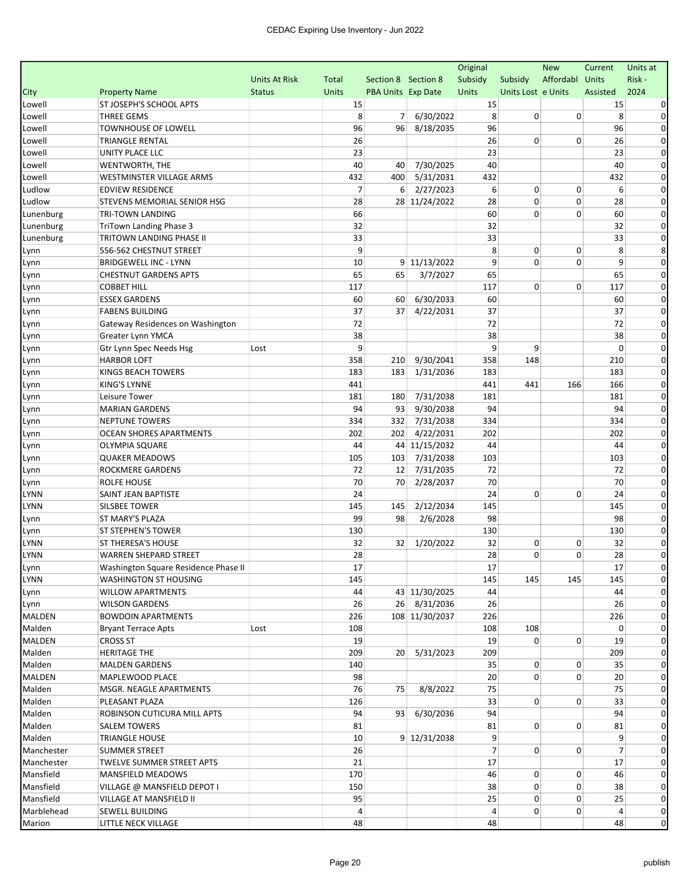|               |                                      |                      |                |                           |                | Original       |                    | <b>New</b>      | Current        | Units at     |
|---------------|--------------------------------------|----------------------|----------------|---------------------------|----------------|----------------|--------------------|-----------------|----------------|--------------|
|               |                                      | <b>Units At Risk</b> | Total          | Section 8 Section 8       |                | Subsidy        | Subsidy            | Affordabl Units |                | Risk -       |
| City          | <b>Property Name</b>                 | <b>Status</b>        | <b>Units</b>   | <b>PBA Units Exp Date</b> |                | Units          | Units Lost e Units |                 | Assisted       | 2024         |
| Lowell        | ST JOSEPH'S SCHOOL APTS              |                      | 15             |                           |                | 15             |                    |                 | 15             |              |
| Lowell        | <b>THREE GEMS</b>                    |                      | 8              | 7                         | 6/30/2022      | 8              | 0                  | 0               | 8              | 0            |
| Lowell        | <b>TOWNHOUSE OF LOWELL</b>           |                      | 96             | 96                        | 8/18/2035      | 96             |                    |                 | 96             | $\Omega$     |
| Lowell        | <b>TRIANGLE RENTAL</b>               |                      | 26             |                           |                | 26             | 0                  | $\mathbf 0$     | 26             | 0            |
| Lowell        | UNITY PLACE LLC                      |                      | 23             |                           |                | 23             |                    |                 | 23             | 0            |
| Lowell        | WENTWORTH, THE                       |                      | 40             | 40                        | 7/30/2025      | 40             |                    |                 | 40             | $\Omega$     |
| Lowell        | WESTMINSTER VILLAGE ARMS             |                      | 432            | 400                       | 5/31/2031      | 432            |                    |                 | 432            | 0            |
| Ludlow        | <b>EDVIEW RESIDENCE</b>              |                      | $\overline{7}$ | 6                         | 2/27/2023      | 6              | 0                  | 0               | 6              | 0            |
| Ludlow        | STEVENS MEMORIAL SENIOR HSG          |                      | 28             |                           | 28 11/24/2022  | 28             | 0                  | $\mathbf 0$     | 28             | 0            |
| Lunenburg     | <b>TRI-TOWN LANDING</b>              |                      | 66             |                           |                | 60             | 0                  | 0               | 60             | 0            |
| Lunenburg     | TriTown Landing Phase 3              |                      | 32             |                           |                | 32             |                    |                 | 32             | 0            |
| Lunenburg     | TRITOWN LANDING PHASE II             |                      | 33             |                           |                | 33             |                    |                 | 33             | 0            |
| Lynn          | 556-562 CHESTNUT STREET              |                      | 9              |                           |                | 8              | 0                  | 0               | 8              | 8            |
| Lynn          | <b>BRIDGEWELL INC - LYNN</b>         |                      | 10             |                           | 9 11/13/2022   | 9              | 0                  | $\Omega$        | 9              | 0            |
| Lynn          | <b>CHESTNUT GARDENS APTS</b>         |                      | 65             | 65                        | 3/7/2027       | 65             |                    |                 | 65             | 0            |
| Lynn          | <b>COBBET HILL</b>                   |                      | 117            |                           |                | 117            | 0                  | 0               | 117            | 0            |
| Lynn          | <b>ESSEX GARDENS</b>                 |                      | 60             | 60                        | 6/30/2033      | 60             |                    |                 | 60             | 0            |
| Lynn          | <b>FABENS BUILDING</b>               |                      | 37             | 37                        | 4/22/2031      | 37             |                    |                 | 37             | 0            |
| Lynn          | Gateway Residences on Washington     |                      | 72             |                           |                | 72             |                    |                 | 72             | 0            |
| Lynn          | Greater Lynn YMCA                    |                      | 38             |                           |                | 38             |                    |                 | 38             | 0            |
| Lynn          | Gtr Lynn Spec Needs Hsg              | Lost                 | 9              |                           |                | 9              | 9                  |                 | 0              | $\Omega$     |
| Lynn          | <b>HARBOR LOFT</b>                   |                      | 358            | 210                       | 9/30/2041      | 358            | 148                |                 | 210            | $\mathbf 0$  |
| Lynn          | KINGS BEACH TOWERS                   |                      | 183            | 183                       | 1/31/2036      | 183            |                    |                 | 183            | 0            |
| Lynn          | <b>KING'S LYNNE</b>                  |                      | 441            |                           |                | 441            | 441                | 166             | 166            | 0            |
| Lynn          | Leisure Tower                        |                      | 181            | 180                       | 7/31/2038      | 181            |                    |                 | 181            | 0            |
| Lynn          | <b>MARIAN GARDENS</b>                |                      | 94             | 93                        | 9/30/2038      | 94             |                    |                 | 94             | 0            |
| Lynn          | <b>NEPTUNE TOWERS</b>                |                      | 334            | 332                       | 7/31/2038      | 334            |                    |                 | 334            | 0            |
| Lynn          | OCEAN SHORES APARTMENTS              |                      | 202            | 202                       | 4/22/2031      | 202            |                    |                 | 202            | 0            |
| Lynn          | <b>OLYMPIA SQUARE</b>                |                      | 44             |                           | 44 11/15/2032  | 44             |                    |                 | 44             | 0            |
| Lynn          | <b>QUAKER MEADOWS</b>                |                      | 105            | 103                       | 7/31/2038      | 103            |                    |                 | 103            | 0            |
| Lynn          | ROCKMERE GARDENS                     |                      | 72             | 12                        | 7/31/2035      | 72             |                    |                 | 72             | 0            |
| Lynn          | ROLFE HOUSE                          |                      | 70             | 70                        | 2/28/2037      | 70             |                    |                 | 70             | $\mathbf 0$  |
| LYNN          | SAINT JEAN BAPTISTE                  |                      | 24             |                           |                | 24             | 0                  | 0               | 24             | 0            |
| LYNN          | SILSBEE TOWER                        |                      | 145            | 145                       | 2/12/2034      | 145            |                    |                 | 145            | 0            |
| Lynn          | ST MARY'S PLAZA                      |                      | 99             | 98                        | 2/6/2028       | 98             |                    |                 | 98             | 0            |
| Lynn          | ST STEPHEN'S TOWER                   |                      | 130            |                           |                | 130            |                    |                 | 130            | 0            |
| LYNN          | ST THERESA'S HOUSE                   |                      | 32             | 32                        | 1/20/2022      | 32             | 0                  | 0               | 32             | 0            |
| LYNN          | <b>WARREN SHEPARD STREET</b>         |                      | 28             |                           |                | 28             | 0                  | 0               | 28             | $\mathbf 0$  |
| Lynn          | Washington Square Residence Phase II |                      | $17\,$         |                           |                | 17             |                    |                 | $17\,$         |              |
| LYNN          | WASHINGTON ST HOUSING                |                      | 145            |                           |                | 145            | 145                | 145             | 145            | $\mathbf{0}$ |
| Lynn          | <b>WILLOW APARTMENTS</b>             |                      | 44             |                           | 43 11/30/2025  | 44             |                    |                 | 44             |              |
| Lynn          | <b>WILSON GARDENS</b>                |                      | 26             |                           | 26 8/31/2036   | 26             |                    |                 | 26             | 0            |
| MALDEN        | <b>BOWDOIN APARTMENTS</b>            |                      | 226            |                           | 108 11/30/2037 | 226            |                    |                 | 226            | $\Omega$     |
| Malden        | <b>Bryant Terrace Apts</b>           | Lost                 | 108            |                           |                | 108            | 108                |                 | 0              | 0            |
| <b>MALDEN</b> | <b>CROSS ST</b>                      |                      | 19             |                           |                | 19             | 0                  | 0               | 19             | 0            |
| Malden        | <b>HERITAGE THE</b>                  |                      | 209            | 20 <sup>1</sup>           | 5/31/2023      | 209            |                    |                 | 209            | $\Omega$     |
| Malden        | <b>MALDEN GARDENS</b>                |                      | 140            |                           |                | 35             | 0                  | 0               | 35             | 0            |
| MALDEN        | MAPLEWOOD PLACE                      |                      | 98             |                           |                | 20             | 0                  | 0               | 20             | $\Omega$     |
| Malden        | MSGR. NEAGLE APARTMENTS              |                      | 76             | 75                        | 8/8/2022       | 75             |                    |                 | 75             | 0            |
| Malden        | PLEASANT PLAZA                       |                      | 126            |                           |                | 33             | 0                  | 0               | 33             | $\Omega$     |
| Malden        | ROBINSON CUTICURA MILL APTS          |                      | 94             | 93                        | 6/30/2036      | 94             |                    |                 | 94             | $\Omega$     |
| Malden        | <b>SALEM TOWERS</b>                  |                      | 81             |                           |                | 81             | 0                  | 0               | 81             | 0            |
| Malden        | <b>TRIANGLE HOUSE</b>                |                      | 10             |                           | 9 12/31/2038   | 9              |                    |                 | 9              | 0            |
| Manchester    | <b>SUMMER STREET</b>                 |                      | 26             |                           |                | $\overline{7}$ | 0                  | 0               | $\overline{7}$ | 0            |
| Manchester    | TWELVE SUMMER STREET APTS            |                      | 21             |                           |                | 17             |                    |                 | 17             | 0            |
| Mansfield     | MANSFIELD MEADOWS                    |                      | 170            |                           |                | 46             | 0                  | 0               | 46             | 0            |
| Mansfield     | VILLAGE @ MANSFIELD DEPOT I          |                      | 150            |                           |                | 38             | 0                  | 0               | 38             | 0            |
| Mansfield     | VILLAGE AT MANSFIELD II              |                      | 95             |                           |                | 25             | 0                  | 0               | 25             | $\mathbf{0}$ |
| Marblehead    | SEWELL BUILDING                      |                      | 4              |                           |                | 4              | 0                  | 0               | 4              | $\mathbf{0}$ |
| Marion        | LITTLE NECK VILLAGE                  |                      | 48             |                           |                | 48             |                    |                 | 48             | $\mathbf 0$  |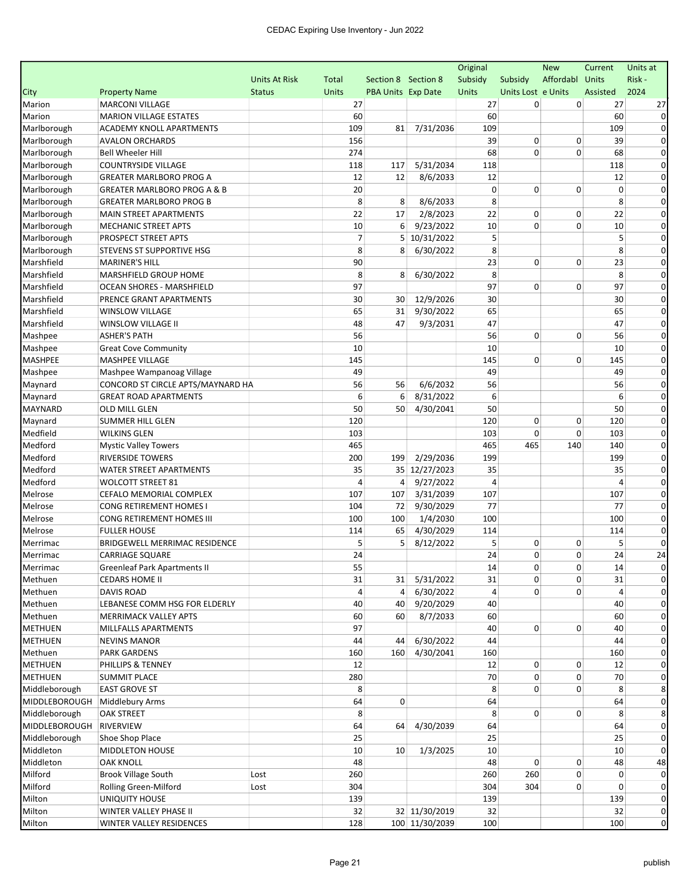|                |                                        |                      |                |                     |                | Original       |                    | <b>New</b>      | Current  | Units at     |
|----------------|----------------------------------------|----------------------|----------------|---------------------|----------------|----------------|--------------------|-----------------|----------|--------------|
|                |                                        | <b>Units At Risk</b> | Total          | Section 8 Section 8 |                | Subsidy        | Subsidy            | Affordabl Units |          | Risk-        |
| City           | <b>Property Name</b>                   | <b>Status</b>        | <b>Units</b>   | PBA Units Exp Date  |                | Units          | Units Lost e Units |                 | Assisted | 2024         |
| Marion         | <b>MARCONI VILLAGE</b>                 |                      | 27             |                     |                | 27             | 0                  | 0               | 27       | 27           |
| Marion         | <b>MARION VILLAGE ESTATES</b>          |                      | 60             |                     |                | 60             |                    |                 | 60       | $\Omega$     |
| Marlborough    | ACADEMY KNOLL APARTMENTS               |                      | 109            | 81                  | 7/31/2036      | 109            |                    |                 | 109      |              |
| Marlborough    | <b>AVALON ORCHARDS</b>                 |                      | 156            |                     |                | 39             | 0                  | 0               | 39       | $\Omega$     |
| Marlborough    | <b>Bell Wheeler Hill</b>               |                      | 274            |                     |                | 68             | 0                  | 0               | 68       | 0            |
| Marlborough    | <b>COUNTRYSIDE VILLAGE</b>             |                      | 118            | 117                 | 5/31/2034      | 118            |                    |                 | 118      | $\Omega$     |
| Marlborough    | <b>GREATER MARLBORO PROG A</b>         |                      | 12             | 12                  | 8/6/2033       | 12             |                    |                 | 12       | $\Omega$     |
| Marlborough    | <b>GREATER MARLBORO PROG A &amp; B</b> |                      | 20             |                     |                | 0              | 0                  | 0               | 0        | $\Omega$     |
| Marlborough    | <b>GREATER MARLBORO PROG B</b>         |                      | 8              | 8                   | 8/6/2033       | 8              |                    |                 | 8        | $\Omega$     |
| Marlborough    | <b>MAIN STREET APARTMENTS</b>          |                      | 22             | 17                  | 2/8/2023       | 22             | 0                  | 0               | 22       | $\Omega$     |
| Marlborough    | <b>MECHANIC STREET APTS</b>            |                      | 10             | 6                   | 9/23/2022      | 10             | 0                  | 0               | 10       | 0            |
| Marlborough    | PROSPECT STREET APTS                   |                      | $\overline{7}$ | 5                   | 10/31/2022     | 5              |                    |                 | 5        | 0            |
| Marlborough    | STEVENS ST SUPPORTIVE HSG              |                      | 8              | 8                   | 6/30/2022      | 8              |                    |                 | 8        | $\Omega$     |
| Marshfield     | <b>MARINER'S HILL</b>                  |                      | 90             |                     |                | 23             | 0                  | 0               | 23       | 0            |
| Marshfield     | MARSHFIELD GROUP HOME                  |                      | 8              | 8                   | 6/30/2022      | 8              |                    |                 | 8        | 0            |
| Marshfield     | <b>OCEAN SHORES - MARSHFIELD</b>       |                      | 97             |                     |                | 97             | 0                  | 0               | 97       | $\Omega$     |
| Marshfield     | PRENCE GRANT APARTMENTS                |                      | 30             | 30                  | 12/9/2026      | 30             |                    |                 | 30       | $\Omega$     |
| Marshfield     | <b>WINSLOW VILLAGE</b>                 |                      | 65             | 31                  | 9/30/2022      | 65             |                    |                 | 65       | 0            |
| Marshfield     | WINSLOW VILLAGE II                     |                      | 48             | 47                  | 9/3/2031       | 47             |                    |                 | 47       | $\Omega$     |
| Mashpee        | <b>ASHER'S PATH</b>                    |                      | 56             |                     |                | 56             | 0                  | 0               | 56       | 0            |
| Mashpee        | <b>Great Cove Community</b>            |                      | 10             |                     |                | 10             |                    |                 | 10       | 0            |
| <b>MASHPEE</b> | <b>MASHPEE VILLAGE</b>                 |                      | 145            |                     |                | 145            | 0                  | 0               | 145      | 0            |
| Mashpee        | Mashpee Wampanoag Village              |                      | 49             |                     |                | 49             |                    |                 | 49       | $\Omega$     |
| Maynard        | CONCORD ST CIRCLE APTS/MAYNARD HA      |                      | 56             | 56                  | 6/6/2032       | 56             |                    |                 | 56       | $\Omega$     |
| Maynard        | <b>GREAT ROAD APARTMENTS</b>           |                      | 6              | 6                   | 8/31/2022      | 6              |                    |                 | 6        | $\Omega$     |
| <b>MAYNARD</b> | OLD MILL GLEN                          |                      | 50             | 50                  | 4/30/2041      | 50             |                    |                 | 50       | 0            |
| Maynard        | <b>SUMMER HILL GLEN</b>                |                      | 120            |                     |                | 120            | 0                  | 0               | 120      | $\Omega$     |
| Medfield       | <b>WILKINS GLEN</b>                    |                      | 103            |                     |                | 103            | 0                  | 0               | 103      | 0            |
| Medford        | <b>Mystic Valley Towers</b>            |                      | 465            |                     |                | 465            | 465                | 140             | 140      | 0            |
| Medford        | <b>RIVERSIDE TOWERS</b>                |                      | 200            | 199                 | 2/29/2036      | 199            |                    |                 | 199      | 0            |
| Medford        | <b>WATER STREET APARTMENTS</b>         |                      | 35             |                     | 35 12/27/2023  | 35             |                    |                 | 35       | $\Omega$     |
| Medford        | <b>WOLCOTT STREET 81</b>               |                      | 4              | 4                   | 9/27/2022      | 4              |                    |                 | 4        | $\Omega$     |
| Melrose        | CEFALO MEMORIAL COMPLEX                |                      | 107            | 107                 | 3/31/2039      | 107            |                    |                 | 107      | 0            |
| Melrose        | CONG RETIREMENT HOMES I                |                      | 104            | 72                  | 9/30/2029      | 77             |                    |                 | 77       | $\Omega$     |
| Melrose        | CONG RETIREMENT HOMES III              |                      | 100            | 100                 | 1/4/2030       | 100            |                    |                 | 100      | $\Omega$     |
| Melrose        | <b>FULLER HOUSE</b>                    |                      | 114            | 65                  | 4/30/2029      | 114            |                    |                 | 114      | 0            |
| Merrimac       | BRIDGEWELL MERRIMAC RESIDENCE          |                      | 5              | 5                   | 8/12/2022      | 5              | 0                  | 0               | 5        | $\Omega$     |
| Merrimac       | CARRIAGE SQUARE                        |                      | 24             |                     |                | 24             | 0                  | 0               | 24       | 24           |
| Merrimac       | Greenleaf Park Apartments II           |                      | 55             |                     |                | 14             | 0                  | 0               | 14       |              |
| Methuen        | <b>CEDARS HOME II</b>                  |                      | 31             | 31                  | 5/31/2022      | 31             | 0                  | 0               | 31       | $\mathbf{0}$ |
| Methuen        | <b>DAVIS ROAD</b>                      |                      | 4              | 4                   | 6/30/2022      | $\overline{4}$ | 0                  | 0               | 4        |              |
| Methuen        | LEBANESE COMM HSG FOR ELDERLY          |                      | 40             | 40                  | 9/20/2029      | 40             |                    |                 | 40       | 0            |
| Methuen        | MERRIMACK VALLEY APTS                  |                      | 60             | 60                  | 8/7/2033       | 60             |                    |                 | 60       |              |
| <b>METHUEN</b> | MILLFALLS APARTMENTS                   |                      | 97             |                     |                | 40             | $\overline{0}$     | 0               | 40       | 0            |
| <b>METHUEN</b> | <b>NEVINS MANOR</b>                    |                      | 44             | 44                  | 6/30/2022      | 44             |                    |                 | 44       | 0            |
| Methuen        | <b>PARK GARDENS</b>                    |                      | 160            | 160                 | 4/30/2041      | 160            |                    |                 | 160      | $\Omega$     |
| <b>METHUEN</b> | PHILLIPS & TENNEY                      |                      | 12             |                     |                | 12             | 0                  | 0               | 12       | 0            |
| <b>METHUEN</b> | <b>SUMMIT PLACE</b>                    |                      | 280            |                     |                | 70             | 0                  | 0               | 70       |              |
| Middleborough  | <b>EAST GROVE ST</b>                   |                      | 8              |                     |                | 8              | 0                  | 0               | 8        |              |
| MIDDLEBOROUGH  | Middlebury Arms                        |                      | 64             | 0                   |                | 64             |                    |                 | 64       | 0            |
| Middleborough  | <b>OAK STREET</b>                      |                      | 8              |                     |                | 8              | 0                  | 0               | 8        |              |
| MIDDLEBOROUGH  | RIVERVIEW                              |                      | 64             | 64                  | 4/30/2039      | 64             |                    |                 | 64       | 0            |
| Middleborough  | Shoe Shop Place                        |                      | 25             |                     |                | 25             |                    |                 | 25       |              |
| Middleton      | MIDDLETON HOUSE                        |                      | 10             | 10                  | 1/3/2025       | 10             |                    |                 | 10       | 0            |
| Middleton      | <b>OAK KNOLL</b>                       |                      | 48             |                     |                | 48             | 0                  | 0               | 48       | 48           |
| Milford        | <b>Brook Village South</b>             | Lost                 | 260            |                     |                | 260            | 260                | 0               | 0        | $\Omega$     |
| Milford        | Rolling Green-Milford                  | Lost                 | 304            |                     |                | 304            | 304                | 0               | 0        | 0            |
| Milton         | UNIQUITY HOUSE                         |                      | 139            |                     |                | 139            |                    |                 | 139      | 0            |
| Milton         | WINTER VALLEY PHASE II                 |                      | 32             |                     | 32 11/30/2019  | 32             |                    |                 | 32       | 0            |
| Milton         | WINTER VALLEY RESIDENCES               |                      | 128            |                     | 100 11/30/2039 | 100            |                    |                 | 100      | $\mathbf 0$  |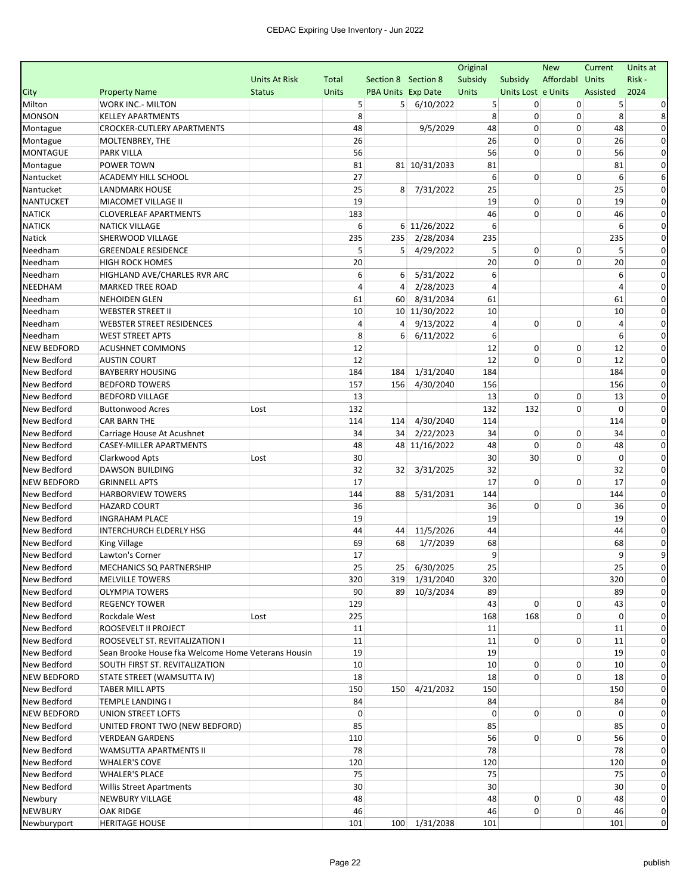|                    |                                                    |                      |              |                           |               | Original       |                    | <b>New</b>      | Current  | Units at       |
|--------------------|----------------------------------------------------|----------------------|--------------|---------------------------|---------------|----------------|--------------------|-----------------|----------|----------------|
|                    |                                                    | <b>Units At Risk</b> | <b>Total</b> | Section 8 Section 8       |               | Subsidy        | Subsidy            | Affordabl Units |          | Risk -         |
| City               | <b>Property Name</b>                               | <b>Status</b>        | <b>Units</b> | <b>PBA Units Exp Date</b> |               | <b>Units</b>   | Units Lost e Units |                 | Assisted | 2024           |
| Milton             | WORK INC.- MILTON                                  |                      | 5            | 5                         | 6/10/2022     | 5              | 0                  | 0               | 5        |                |
| <b>MONSON</b>      | <b>KELLEY APARTMENTS</b>                           |                      | 8            |                           |               | 8              | 0                  | 0               | 8        | 8              |
| Montague           | <b>CROCKER-CUTLERY APARTMENTS</b>                  |                      | 48           |                           | 9/5/2029      | 48             | 0                  | 0               | 48       | 0              |
| Montague           | MOLTENBREY, THE                                    |                      | 26           |                           |               | 26             | 0                  | 0               | 26       | 0              |
| <b>MONTAGUE</b>    | <b>PARK VILLA</b>                                  |                      | 56           |                           |               | 56             | 0                  | $\mathbf 0$     | 56       | 0              |
| Montague           | POWER TOWN                                         |                      | 81           |                           | 81 10/31/2033 | 81             |                    |                 | 81       |                |
| Nantucket          | ACADEMY HILL SCHOOL                                |                      | 27           |                           |               | 6              | 0                  | 0               | 6        | 6              |
| Nantucket          | <b>LANDMARK HOUSE</b>                              |                      | 25           | 8                         | 7/31/2022     | 25             |                    |                 | 25       | 0              |
| <b>NANTUCKET</b>   | MIACOMET VILLAGE II                                |                      | 19           |                           |               | 19             | 0                  | 0               | 19       | 0              |
| <b>NATICK</b>      | <b>CLOVERLEAF APARTMENTS</b>                       |                      | 183          |                           |               | 46             | 0                  | 0               | 46       | $\Omega$       |
| <b>NATICK</b>      | <b>NATICK VILLAGE</b>                              |                      | 6            |                           | 6 11/26/2022  | 6              |                    |                 | 6        | 0              |
| <b>Natick</b>      | SHERWOOD VILLAGE                                   |                      | 235          | 235                       | 2/28/2034     | 235            |                    |                 | 235      | 0              |
| Needham            | <b>GREENDALE RESIDENCE</b>                         |                      | 5            | 5                         | 4/29/2022     | 5              | 0                  | 0               | 5        | $\Omega$       |
| Needham            | <b>HIGH ROCK HOMES</b>                             |                      | 20           |                           |               | 20             | 0                  | 0               | 20       | 0              |
| Needham            | HIGHLAND AVE/CHARLES RVR ARC                       |                      | 6            | 6                         | 5/31/2022     | 6              |                    |                 | 6        | 0              |
| <b>NEEDHAM</b>     | <b>MARKED TREE ROAD</b>                            |                      | 4            | 4                         | 2/28/2023     | $\overline{4}$ |                    |                 | 4        | 0              |
| Needham            | NEHOIDEN GLEN                                      |                      | 61           | 60                        | 8/31/2034     | 61             |                    |                 | 61       | 0              |
| Needham            | <b>WEBSTER STREET II</b>                           |                      | 10           |                           | 10 11/30/2022 | 10             |                    |                 | 10       | 0              |
| Needham            | <b>WEBSTER STREET RESIDENCES</b>                   |                      | 4            | 4                         | 9/13/2022     | 4              | 0                  | 0               | 4        | $\Omega$       |
| Needham            | <b>WEST STREET APTS</b>                            |                      | 8            | 6                         | 6/11/2022     | 6              |                    |                 | 6        | $\Omega$       |
| <b>NEW BEDFORD</b> | <b>ACUSHNET COMMONS</b>                            |                      | 12           |                           |               | 12             | 0                  | 0               | 12       | 0              |
| New Bedford        | <b>AUSTIN COURT</b>                                |                      | 12           |                           |               | 12             | 0                  | 0               | 12       | 0              |
| New Bedford        | <b>BAYBERRY HOUSING</b>                            |                      | 184          | 184                       | 1/31/2040     | 184            |                    |                 | 184      | 0              |
| New Bedford        | <b>BEDFORD TOWERS</b>                              |                      | 157          | 156                       | 4/30/2040     | 156            |                    |                 | 156      | $\Omega$       |
| New Bedford        | <b>BEDFORD VILLAGE</b>                             |                      | 13           |                           |               | 13             | 0                  | 0               | 13       | 0              |
| New Bedford        | <b>Buttonwood Acres</b>                            | Lost                 | 132          |                           |               | 132            | 132                | 0               | $\Omega$ | 0              |
| New Bedford        | <b>CAR BARN THE</b>                                |                      | 114          | 114                       | 4/30/2040     | 114            |                    |                 | 114      | 0              |
| New Bedford        | Carriage House At Acushnet                         |                      | 34           | 34                        | 2/22/2023     | 34             | 0                  | 0               | 34       | $\Omega$       |
| New Bedford        | CASEY-MILLER APARTMENTS                            |                      | 48           |                           | 48 11/16/2022 | 48             | 0                  | 0               | 48       | 0              |
| New Bedford        | Clarkwood Apts                                     | Lost                 | 30           |                           |               | 30             | 30                 | 0               | 0        | $\Omega$       |
| New Bedford        | DAWSON BUILDING                                    |                      | 32           | 32                        | 3/31/2025     | 32             |                    |                 | 32       | $\Omega$       |
| <b>NEW BEDFORD</b> | <b>GRINNELL APTS</b>                               |                      | 17           |                           |               | 17             | 0                  | 0               | 17       | 0              |
| New Bedford        | <b>HARBORVIEW TOWERS</b>                           |                      | 144          | 88                        | 5/31/2031     | 144            |                    |                 | 144      |                |
| New Bedford        | <b>HAZARD COURT</b>                                |                      | 36           |                           |               | 36             | 0                  | 0               | 36       | $\Omega$       |
| New Bedford        | <b>INGRAHAM PLACE</b>                              |                      | 19           |                           |               | 19             |                    |                 | 19       | $\Omega$       |
| New Bedford        | <b>INTERCHURCH ELDERLY HSG</b>                     |                      | 44           | 44                        | 11/5/2026     | 44             |                    |                 | 44       | $\Omega$       |
| New Bedford        | King Village                                       |                      | 69           | 68                        | 1/7/2039      | 68             |                    |                 | 68       | 0              |
| New Bedford        | Lawton's Corner                                    |                      | 17           |                           |               | 9              |                    |                 | 9        | 9              |
| New Bedford        | MECHANICS SQ PARTNERSHIP                           |                      | 25           |                           | 25 6/30/2025  | 25             |                    |                 | 25       |                |
| New Bedford        | <b>MELVILLE TOWERS</b>                             |                      | 320          |                           | 319 1/31/2040 | 320            |                    |                 | 320      | 0              |
| New Bedford        | OLYMPIA TOWERS                                     |                      | 90           |                           | 89 10/3/2034  | 89             |                    |                 | 89       |                |
| New Bedford        | REGENCY TOWER                                      |                      | 129          |                           |               | 43             | 0                  | 0               | 43       |                |
| New Bedford        | Rockdale West                                      | Lost                 | 225          |                           |               | 168            | 168                | 0               | 0        |                |
| New Bedford        | ROOSEVELT II PROJECT                               |                      | 11           |                           |               | 11             |                    |                 | 11       | 0              |
| New Bedford        | ROOSEVELT ST. REVITALIZATION I                     |                      | 11           |                           |               | 11             | $\overline{0}$     | 0               | 11       | 0              |
| New Bedford        | Sean Brooke House fka Welcome Home Veterans Housin |                      | 19           |                           |               | 19             |                    |                 | 19       | 0              |
| New Bedford        | SOUTH FIRST ST. REVITALIZATION                     |                      | 10           |                           |               | 10             | 0                  | 0               | 10       | 0              |
| <b>NEW BEDFORD</b> | STATE STREET (WAMSUTTA IV)                         |                      | 18           |                           |               | 18             | 0                  | 0               | 18       |                |
| New Bedford        | <b>TABER MILL APTS</b>                             |                      | 150          |                           | 150 4/21/2032 | 150            |                    |                 | 150      |                |
| New Bedford        | TEMPLE LANDING I                                   |                      | 84           |                           |               | 84             |                    |                 | 84       |                |
| <b>NEW BEDFORD</b> | UNION STREET LOFTS                                 |                      | 0            |                           |               | 0              | $\overline{0}$     | 0               | 0        |                |
| New Bedford        | UNITED FRONT TWO (NEW BEDFORD)                     |                      | 85           |                           |               | 85             |                    |                 | 85       | 0              |
| New Bedford        | <b>VERDEAN GARDENS</b>                             |                      | 110          |                           |               | 56             | 0                  | 0               | 56       |                |
| New Bedford        | WAMSUTTA APARTMENTS II                             |                      | 78           |                           |               | 78             |                    |                 | 78       | 0              |
| New Bedford        | <b>WHALER'S COVE</b>                               |                      | 120          |                           |               | 120            |                    |                 | 120      | 0              |
| New Bedford        | WHALER'S PLACE                                     |                      | 75           |                           |               | 75             |                    |                 | 75       | 0              |
| New Bedford        | Willis Street Apartments                           |                      | 30           |                           |               | 30             |                    |                 | 30       | 0              |
| Newbury            | NEWBURY VILLAGE                                    |                      | 48           |                           |               | 48             | 0                  | 0               | 48       | 0              |
| <b>NEWBURY</b>     | OAK RIDGE                                          |                      | 46           |                           |               | 46             | 0                  | 0               | 46       | $\mathbf{0}$   |
| Newburyport        | <b>HERITAGE HOUSE</b>                              |                      | 101          |                           | 100 1/31/2038 | 101            |                    |                 | 101      | $\overline{0}$ |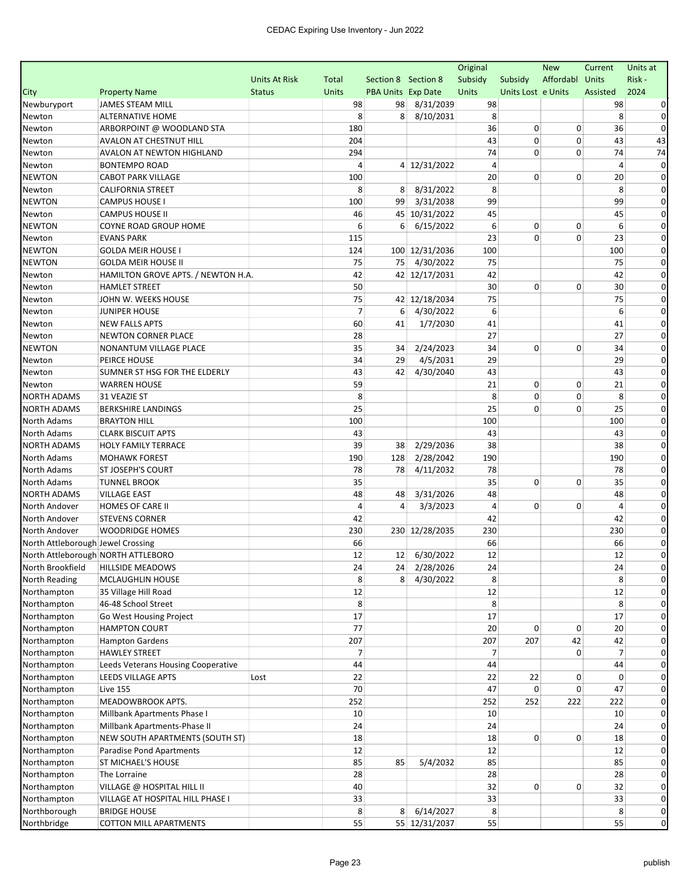|                                    |                                                      |                      |                |                     |                            | Original       |                    | <b>New</b>  | Current        | Units at      |
|------------------------------------|------------------------------------------------------|----------------------|----------------|---------------------|----------------------------|----------------|--------------------|-------------|----------------|---------------|
|                                    |                                                      | <b>Units At Risk</b> | Total          | Section 8 Section 8 |                            | Subsidy        | Subsidy            | Affordabl   | Units          | Risk -        |
| City                               | <b>Property Name</b>                                 | <b>Status</b>        | <b>Units</b>   | PBA Units Exp Date  |                            | Units          | Units Lost e Units |             | Assisted       | 2024          |
| Newburyport                        | <b>JAMES STEAM MILL</b>                              |                      | 98             | 98                  | 8/31/2039                  | 98             |                    |             | 98             |               |
| Newton                             | <b>ALTERNATIVE HOME</b>                              |                      | 8              | 8                   | 8/10/2031                  | 8              |                    |             | 8              | 0             |
| Newton                             | ARBORPOINT @ WOODLAND STA                            |                      | 180            |                     |                            | 36             | 0                  | 0           | 36             | 0             |
| Newton                             | AVALON AT CHESTNUT HILL                              |                      | 204            |                     |                            | 43             | 0                  | 0           | 43             | 43            |
| Newton                             | AVALON AT NEWTON HIGHLAND                            |                      | 294            |                     |                            | 74             | 0                  | 0           | 74             | 74            |
| Newton                             | <b>BONTEMPO ROAD</b>                                 |                      | 4              |                     | 4 12/31/2022               | 4              |                    |             | 4              | $\Omega$      |
| <b>NEWTON</b>                      | <b>CABOT PARK VILLAGE</b>                            |                      | 100            |                     |                            | 20             | 0                  | 0           | 20             | 0             |
| Newton                             | <b>CALIFORNIA STREET</b>                             |                      | 8              | 8                   | 8/31/2022                  | 8              |                    |             | 8              | 0             |
| <b>NEWTON</b>                      | <b>CAMPUS HOUSE I</b>                                |                      | 100            | 99                  | 3/31/2038                  | 99             |                    |             | 99             | 0             |
| Newton                             | <b>CAMPUS HOUSE II</b>                               |                      | 46             |                     | 45 10/31/2022              | 45             |                    |             | 45             | $\Omega$      |
| <b>NEWTON</b>                      | <b>COYNE ROAD GROUP HOME</b>                         |                      | 6              | 6                   | 6/15/2022                  | 6              | 0                  | 0           | 6              | $\Omega$      |
| Newton                             | <b>EVANS PARK</b>                                    |                      | 115            |                     |                            | 23             | 0                  | $\mathbf 0$ | 23             | 0             |
| <b>NEWTON</b>                      | <b>GOLDA MEIR HOUSE I</b>                            |                      | 124            |                     | 100 12/31/2036             | 100            |                    |             | 100            | $\Omega$      |
| <b>NEWTON</b>                      | <b>GOLDA MEIR HOUSE II</b>                           |                      | 75             | 75                  | 4/30/2022                  | 75             |                    |             | 75             | $\Omega$      |
| Newton                             | HAMILTON GROVE APTS. / NEWTON H.A.                   |                      | 42<br>50       |                     | 42 12/17/2031              | 42<br>30       | 0                  | 0           | 42             | $\Omega$<br>0 |
| Newton                             | <b>HAMLET STREET</b>                                 |                      | 75             |                     |                            | 75             |                    |             | 30             | 0             |
| Newton                             | JOHN W. WEEKS HOUSE<br><b>JUNIPER HOUSE</b>          |                      | $\overline{7}$ | 6                   | 42 12/18/2034<br>4/30/2022 | 6              |                    |             | 75<br>6        | 0             |
| Newton                             | <b>NEW FALLS APTS</b>                                |                      | 60             | 41                  |                            | 41             |                    |             | 41             | 0             |
| Newton                             |                                                      |                      | 28             |                     | 1/7/2030                   | 27             |                    |             | 27             | 0             |
| Newton<br><b>NEWTON</b>            | <b>NEWTON CORNER PLACE</b><br>NONANTUM VILLAGE PLACE |                      | 35             | 34                  | 2/24/2023                  | 34             | 0                  | 0           | 34             | $\Omega$      |
|                                    | PEIRCE HOUSE                                         |                      | 34             | 29                  | 4/5/2031                   | 29             |                    |             | 29             | 0             |
| Newton<br>Newton                   | SUMNER ST HSG FOR THE ELDERLY                        |                      | 43             | 42                  | 4/30/2040                  | 43             |                    |             | 43             | $\Omega$      |
| Newton                             | <b>WARREN HOUSE</b>                                  |                      | 59             |                     |                            | 21             | 0                  | 0           | 21             | 0             |
| <b>NORTH ADAMS</b>                 | 31 VEAZIE ST                                         |                      | 8              |                     |                            | 8              | 0                  | 0           | 8              | 0             |
| <b>NORTH ADAMS</b>                 | <b>BERKSHIRE LANDINGS</b>                            |                      | 25             |                     |                            | 25             | 0                  | 0           | 25             | 0             |
| North Adams                        | <b>BRAYTON HILL</b>                                  |                      | 100            |                     |                            | 100            |                    |             | 100            | 0             |
| North Adams                        | <b>CLARK BISCUIT APTS</b>                            |                      | 43             |                     |                            | 43             |                    |             | 43             | 0             |
| <b>NORTH ADAMS</b>                 | <b>HOLY FAMILY TERRACE</b>                           |                      | 39             | 38                  | 2/29/2036                  | 38             |                    |             | 38             | 0             |
| North Adams                        | <b>MOHAWK FOREST</b>                                 |                      | 190            | 128                 | 2/28/2042                  | 190            |                    |             | 190            | $\Omega$      |
| <b>North Adams</b>                 | <b>ST JOSEPH'S COURT</b>                             |                      | 78             | 78                  | 4/11/2032                  | 78             |                    |             | 78             | $\Omega$      |
| North Adams                        | <b>TUNNEL BROOK</b>                                  |                      | 35             |                     |                            | 35             | 0                  | 0           | 35             | 0             |
| <b>NORTH ADAMS</b>                 | <b>VILLAGE EAST</b>                                  |                      | 48             | 48                  | 3/31/2026                  | 48             |                    |             | 48             | 0             |
| North Andover                      | HOMES OF CARE II                                     |                      | 4              | 4                   | 3/3/2023                   | $\overline{4}$ | 0                  | 0           | 4              | 0             |
| North Andover                      | <b>STEVENS CORNER</b>                                |                      | 42             |                     |                            | 42             |                    |             | 42             | 0             |
| North Andover                      | <b>WOODRIDGE HOMES</b>                               |                      | 230            |                     | 230 12/28/2035             | 230            |                    |             | 230            | 0             |
| North Attleborough Jewel Crossing  |                                                      |                      | 66             |                     |                            | 66             |                    |             | 66             | 0             |
| North Attleborough NORTH ATTLEBORO |                                                      |                      | 12             |                     | 12 6/30/2022               | 12             |                    |             | 12             | 0             |
|                                    | North Brookfield   HILLSIDE MEADOWS                  |                      | 24             |                     | 24 2/28/2026               | 24             |                    |             | 24             |               |
| North Reading                      | MCLAUGHLIN HOUSE                                     |                      | 8              | 8                   | 4/30/2022                  | 8              |                    |             | 8              | 0             |
| Northampton                        | 35 Village Hill Road                                 |                      | 12             |                     |                            | 12             |                    |             | 12             |               |
| Northampton                        | 46-48 School Street                                  |                      | 8              |                     |                            | 8              |                    |             | 8              |               |
| Northampton                        | Go West Housing Project                              |                      | 17             |                     |                            | 17             |                    |             | 17             |               |
| Northampton                        | <b>HAMPTON COURT</b>                                 |                      | 77             |                     |                            | 20             | 0                  | 0           | 20             | 0             |
| Northampton                        | <b>Hampton Gardens</b>                               |                      | 207            |                     |                            | 207            | 207                | 42          | 42             | 0             |
| Northampton                        | <b>HAWLEY STREET</b>                                 |                      | 7              |                     |                            | 7              |                    | 0           | $\overline{7}$ | 0             |
| Northampton                        | Leeds Veterans Housing Cooperative                   |                      | 44             |                     |                            | 44             |                    |             | 44             | 0             |
| Northampton                        | LEEDS VILLAGE APTS                                   | Lost                 | 22             |                     |                            | 22             | 22                 | 0           | 0              |               |
| Northampton                        | <b>Live 155</b>                                      |                      | 70             |                     |                            | 47             | 0                  | 0           | 47             | 0             |
| Northampton                        | MEADOWBROOK APTS.                                    |                      | 252            |                     |                            | 252            | 252                | 222         | 222            | 0             |
| Northampton                        | Millbank Apartments Phase I                          |                      | 10             |                     |                            | 10             |                    |             | 10             | $\Omega$      |
| Northampton                        | Millbank Apartments-Phase II                         |                      | 24             |                     |                            | 24             |                    |             | 24             | 0             |
| Northampton                        | NEW SOUTH APARTMENTS (SOUTH ST)                      |                      | 18             |                     |                            | 18             | 0                  | 0           | 18             |               |
| Northampton                        | Paradise Pond Apartments                             |                      | 12             |                     |                            | 12             |                    |             | 12             | 0             |
| Northampton                        | <b>ST MICHAEL'S HOUSE</b>                            |                      | 85             | 85                  | 5/4/2032                   | 85             |                    |             | 85             | 0             |
| Northampton                        | The Lorraine                                         |                      | 28             |                     |                            | 28             |                    |             | 28             | 0             |
| Northampton                        | VILLAGE @ HOSPITAL HILL II                           |                      | 40             |                     |                            | 32             | 0                  | 0           | 32             | 0             |
| Northampton                        | VILLAGE AT HOSPITAL HILL PHASE I                     |                      | 33             |                     |                            | 33             |                    |             | 33             | 0             |
| Northborough                       | <b>BRIDGE HOUSE</b>                                  |                      | 8              | 8 <sup>1</sup>      | 6/14/2027                  | 8              |                    |             | 8              | 0             |
| Northbridge                        | <b>COTTON MILL APARTMENTS</b>                        |                      | 55             |                     | 55 12/31/2037              | 55             |                    |             | 55             | $\mathbf 0$   |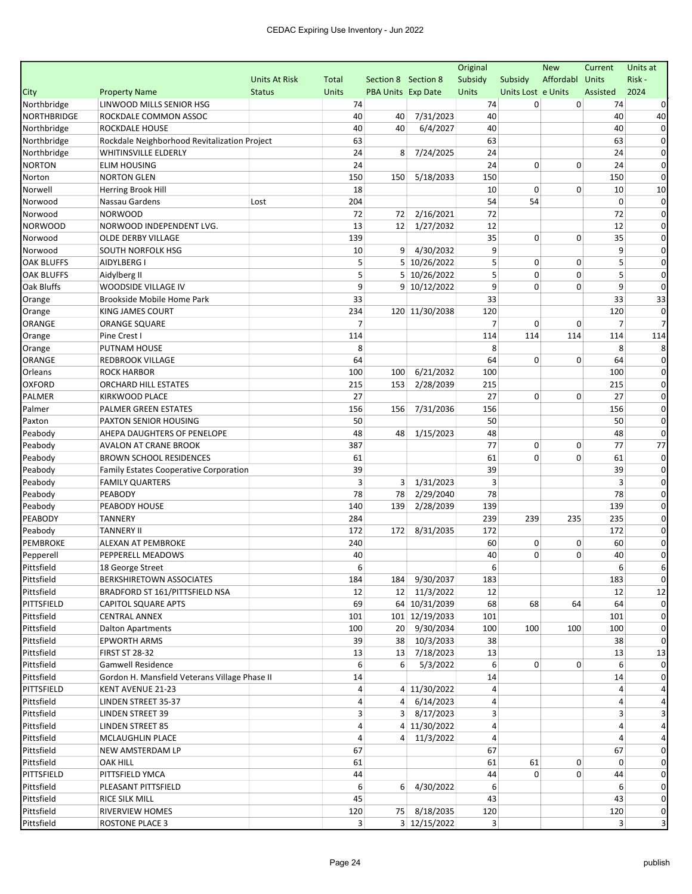|                   |                                               |                      |                |                           |                | Original       |                    | <b>New</b>      | Current        | Units at    |
|-------------------|-----------------------------------------------|----------------------|----------------|---------------------------|----------------|----------------|--------------------|-----------------|----------------|-------------|
|                   |                                               | <b>Units At Risk</b> | Total          | Section 8 Section 8       |                | Subsidy        | Subsidy            | Affordabl Units |                | Risk-       |
| City              | <b>Property Name</b>                          | <b>Status</b>        | <b>Units</b>   | <b>PBA Units Exp Date</b> |                | Units          | Units Lost e Units |                 | Assisted       | 2024        |
| Northbridge       | LINWOOD MILLS SENIOR HSG                      |                      | 74             |                           |                | 74             | 0                  | 0               | 74             |             |
| NORTHBRIDGE       | ROCKDALE COMMON ASSOC                         |                      | 40             | 40                        | 7/31/2023      | 40             |                    |                 | 40             | 40          |
| Northbridge       | ROCKDALE HOUSE                                |                      | 40             | 40                        | 6/4/2027       | 40             |                    |                 | 40             | $\Omega$    |
| Northbridge       | Rockdale Neighborhood Revitalization Project  |                      | 63             |                           |                | 63             |                    |                 | 63             | $\Omega$    |
| Northbridge       | <b>WHITINSVILLE ELDERLY</b>                   |                      | 24             | 8                         | 7/24/2025      | 24             |                    |                 | 24             | $\Omega$    |
| <b>NORTON</b>     | <b>ELIM HOUSING</b>                           |                      | 24             |                           |                | 24             | 0                  | 0               | 24             | $\Omega$    |
| Norton            | <b>NORTON GLEN</b>                            |                      | 150            | 150                       | 5/18/2033      | 150            |                    |                 | 150            | $\Omega$    |
| Norwell           | Herring Brook Hill                            |                      | 18             |                           |                | 10             | 0                  | 0               | 10             | 10          |
| Norwood           | Nassau Gardens                                | Lost                 | 204            |                           |                | 54             | 54                 |                 | $\mathbf 0$    | $\Omega$    |
| Norwood           | <b>NORWOOD</b>                                |                      | 72             | 72                        | 2/16/2021      | 72             |                    |                 | 72             | $\Omega$    |
| <b>NORWOOD</b>    | NORWOOD INDEPENDENT LVG.                      |                      | 13             | 12                        | 1/27/2032      | 12             |                    |                 | 12             | 0           |
| Norwood           | OLDE DERBY VILLAGE                            |                      | 139            |                           |                | 35             | 0                  | 0               | 35             | 0           |
| Norwood           | SOUTH NORFOLK HSG                             |                      | 10             | 9                         | 4/30/2032      | 9              |                    |                 | 9              | $\Omega$    |
| <b>OAK BLUFFS</b> | AIDYLBERG I                                   |                      | 5              |                           | 5 10/26/2022   | 5              | 0                  | 0               | 5              | $\Omega$    |
| <b>OAK BLUFFS</b> | Aidylberg II                                  |                      | 5              |                           | 5 10/26/2022   | 5              | 0                  | $\mathbf 0$     | 5              | $\Omega$    |
| Oak Bluffs        | WOODSIDE VILLAGE IV                           |                      | 9              |                           | 9 10/12/2022   | 9              | 0                  | 0               | 9              | $\Omega$    |
| Orange            | Brookside Mobile Home Park                    |                      | 33             |                           |                | 33             |                    |                 | 33             | 33          |
| Orange            | KING JAMES COURT                              |                      | 234            |                           | 120 11/30/2038 | 120            |                    |                 | 120            | $\Omega$    |
| ORANGE            | ORANGE SQUARE                                 |                      | 7              |                           |                | $\overline{7}$ | 0                  | 0               | 7              |             |
| Orange            | Pine Crest I                                  |                      | 114            |                           |                | 114            | 114                | 114             | 114            | 114         |
| Orange            | PUTNAM HOUSE                                  |                      | 8              |                           |                | 8              |                    |                 | 8              |             |
| ORANGE            | <b>REDBROOK VILLAGE</b>                       |                      | 64             |                           |                | 64             | 0                  | 0               | 64             | $\Omega$    |
| Orleans           | <b>ROCK HARBOR</b>                            |                      | 100            | 100                       | 6/21/2032      | 100            |                    |                 | 100            | $\Omega$    |
| <b>OXFORD</b>     | <b>ORCHARD HILL ESTATES</b>                   |                      | 215            | 153                       | 2/28/2039      | 215            |                    |                 | 215            | $\Omega$    |
| PALMER            | KIRKWOOD PLACE                                |                      | 27             |                           |                | 27             | 0                  | $\mathbf 0$     | 27             | $\Omega$    |
| Palmer            | PALMER GREEN ESTATES                          |                      | 156            | 156                       | 7/31/2036      | 156            |                    |                 | 156            | 0           |
| Paxton            | PAXTON SENIOR HOUSING                         |                      | 50             |                           |                | 50             |                    |                 | 50             | 0           |
| Peabody           | AHEPA DAUGHTERS OF PENELOPE                   |                      | 48             | 48                        | 1/15/2023      | 48             |                    |                 | 48             | $\Omega$    |
| Peabody           | AVALON AT CRANE BROOK                         |                      | 387            |                           |                | 77             | 0                  | 0               | 77             | 77          |
| Peabody           | <b>BROWN SCHOOL RESIDENCES</b>                |                      | 61             |                           |                | 61             | 0                  | 0               | 61             | 0           |
| Peabody           | Family Estates Cooperative Corporation        |                      | 39             |                           |                | 39             |                    |                 | 39             | 0           |
| Peabody           | <b>FAMILY QUARTERS</b>                        |                      | 3              | 3                         | 1/31/2023      | 3              |                    |                 | 3              | 0           |
| Peabody           | PEABODY                                       |                      | 78             | 78                        | 2/29/2040      | 78             |                    |                 | 78             | $\Omega$    |
| Peabody           | PEABODY HOUSE                                 |                      | 140            | 139                       | 2/28/2039      | 139            |                    |                 | 139            | $\Omega$    |
| PEABODY           | <b>TANNERY</b>                                |                      | 284            |                           |                | 239            | 239                | 235             | 235            | 0           |
| Peabody           | <b>TANNERY II</b>                             |                      | 172            | 172                       | 8/31/2035      | 172            |                    |                 | 172            | $\Omega$    |
| PEMBROKE          | ALEXAN AT PEMBROKE                            |                      | 240            |                           |                | 60             | 0                  | 0               | 60             | 0           |
| Pepperell         | PEPPERELL MEADOWS                             |                      | 40             |                           |                | 40             | 0                  | $\mathbf 0$     | 40             | 0           |
| Pittsfield        | 18 George Street                              |                      | $6 \mid$       |                           |                | 6              |                    |                 | $6 \mid$       |             |
| Pittsfield        | BERKSHIRETOWN ASSOCIATES                      |                      | 184            |                           | 184 9/30/2037  | 183            |                    |                 | 183            | $\mathbf 0$ |
| Pittsfield        | BRADFORD ST 161/PITTSFIELD NSA                |                      | 12             |                           | 12 11/3/2022   | 12             |                    |                 | 12             | 12          |
| PITTSFIELD        | <b>CAPITOL SQUARE APTS</b>                    |                      | 69             |                           | 64 10/31/2039  | 68             | 68                 | 64              | 64             | $\Omega$    |
| Pittsfield        | <b>CENTRAL ANNEX</b>                          |                      | 101            |                           | 101 12/19/2033 | 101            |                    |                 | 101            | $\Omega$    |
| Pittsfield        | <b>Dalton Apartments</b>                      |                      | 100            |                           | 20 9/30/2034   | 100            | 100                | 100             | 100            | 0           |
| Pittsfield        | <b>EPWORTH ARMS</b>                           |                      | 39             |                           | 38 10/3/2033   | 38             |                    |                 | 38             | $\Omega$    |
| Pittsfield        | <b>FIRST ST 28-32</b>                         |                      | 13             |                           | 13 7/18/2023   | 13             |                    |                 | 13             | 13          |
| Pittsfield        | <b>Gamwell Residence</b>                      |                      | 6              | 6                         | 5/3/2022       | 6              | 0                  | 0               | 6              | $\Omega$    |
| Pittsfield        | Gordon H. Mansfield Veterans Village Phase II |                      | 14             |                           |                | 14             |                    |                 | 14             |             |
| PITTSFIELD        | KENT AVENUE 21-23                             |                      | 4              |                           | 4 11/30/2022   | $\overline{4}$ |                    |                 | 4              |             |
| Pittsfield        | LINDEN STREET 35-37                           |                      | 4              | $\overline{4}$            | 6/14/2023      | 4              |                    |                 | 4              |             |
| Pittsfield        | <b>LINDEN STREET 39</b>                       |                      | 3              | 3 <sup>1</sup>            | 8/17/2023      | 3              |                    |                 | 3              |             |
| Pittsfield        | <b>LINDEN STREET 85</b>                       |                      | 4              |                           | 4 11/30/2022   | 4              |                    |                 | 4              |             |
| Pittsfield        | MCLAUGHLIN PLACE                              |                      | 4              |                           | 4 11/3/2022    | 4              |                    |                 | 4              |             |
| Pittsfield        | NEW AMSTERDAM LP                              |                      | 67             |                           |                | 67             |                    |                 | 67             | 0           |
| Pittsfield        | <b>OAK HILL</b>                               |                      | 61             |                           |                | 61             | 61                 | 0               | 0              | 0           |
| PITTSFIELD        | PITTSFIELD YMCA                               |                      | 44             |                           |                | 44             | $\overline{0}$     | 0               | 44             | $\mathbf 0$ |
| Pittsfield        | PLEASANT PITTSFIELD                           |                      | 6              | 6                         | 4/30/2022      | 6              |                    |                 | 6              | 0           |
| Pittsfield        | RICE SILK MILL                                |                      | 45             |                           |                | 43             |                    |                 | 43             | $\mathbf 0$ |
| Pittsfield        | RIVERVIEW HOMES                               |                      | 120            |                           | 75 8/18/2035   | 120            |                    |                 | 120            | $\mathbf 0$ |
| Pittsfield        | <b>ROSTONE PLACE 3</b>                        |                      | 3 <sup>1</sup> |                           | 3 12/15/2022   | $\overline{3}$ |                    |                 | 3 <sup>1</sup> | 3           |
|                   |                                               |                      |                |                           |                |                |                    |                 |                |             |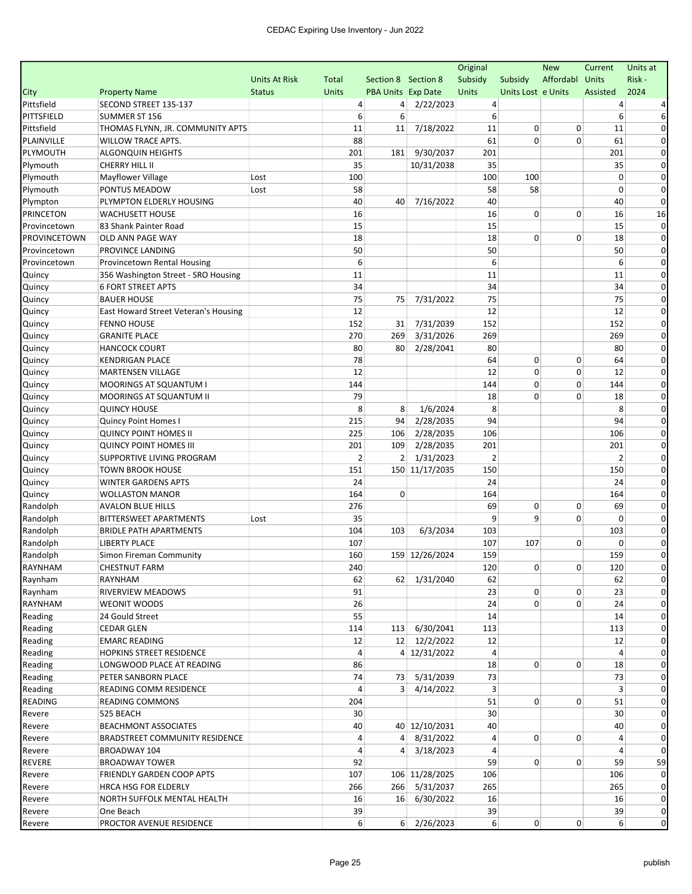|                     |                                      |                      |                |                           |                       | Original       |                    | <b>New</b>  | Current        | Units at     |
|---------------------|--------------------------------------|----------------------|----------------|---------------------------|-----------------------|----------------|--------------------|-------------|----------------|--------------|
|                     |                                      | <b>Units At Risk</b> | Total          | Section 8 Section 8       |                       | Subsidy        | Subsidy            | Affordabl   | Units          | Risk-        |
| City                | <b>Property Name</b>                 | <b>Status</b>        | <b>Units</b>   | <b>PBA Units Exp Date</b> |                       | Units          | Units Lost e Units |             | Assisted       | 2024         |
| Pittsfield          | SECOND STREET 135-137                |                      | 4              | 4                         | 2/22/2023             | 4              |                    |             | 4              |              |
| PITTSFIELD          | <b>SUMMER ST 156</b>                 |                      | 6              | 6                         |                       | 6              |                    |             | 6              |              |
| Pittsfield          | THOMAS FLYNN, JR. COMMUNITY APTS     |                      | 11             | 11                        | 7/18/2022             | 11             | 0                  | 0           | 11             | 0            |
| PLAINVILLE          | <b>WILLOW TRACE APTS.</b>            |                      | 88             |                           |                       | 61             | 0                  | $\Omega$    | 61             | $\Omega$     |
| PLYMOUTH            | ALGONQUIN HEIGHTS                    |                      | 201            | 181                       | 9/30/2037             | 201            |                    |             | 201            | 0            |
| Plymouth            | <b>CHERRY HILL II</b>                |                      | 35             |                           | 10/31/2038            | 35             |                    |             | 35             |              |
| Plymouth            | <b>Mayflower Village</b>             | Lost                 | 100            |                           |                       | 100            | 100                |             | 0              | 0            |
| Plymouth            | PONTUS MEADOW                        | Lost                 | 58             |                           |                       | 58             | 58                 |             | 0              | 0            |
| Plympton            | PLYMPTON ELDERLY HOUSING             |                      | 40             | 40                        | 7/16/2022             | 40             |                    |             | 40             | $\Omega$     |
| <b>PRINCETON</b>    | <b>WACHUSETT HOUSE</b>               |                      | 16             |                           |                       | 16             | 0                  | 0           | 16             | 16           |
| Provincetown        | 83 Shank Painter Road                |                      | 15             |                           |                       | 15             |                    |             | 15             | 0            |
| <b>PROVINCETOWN</b> | OLD ANN PAGE WAY                     |                      | 18             |                           |                       | 18             | 0                  | 0           | 18             | 0            |
| Provincetown        | PROVINCE LANDING                     |                      | 50             |                           |                       | 50             |                    |             | 50             | $\Omega$     |
| Provincetown        | Provincetown Rental Housing          |                      | 6              |                           |                       | 6              |                    |             | 6              | $\Omega$     |
| Quincy              | 356 Washington Street - SRO Housing  |                      | 11             |                           |                       | 11             |                    |             | 11             | 0            |
| Quincy              | <b>6 FORT STREET APTS</b>            |                      | 34             |                           |                       | 34             |                    |             | 34             |              |
| Quincy              | <b>BAUER HOUSE</b>                   |                      | 75             | 75                        | 7/31/2022             | 75             |                    |             | 75             | 0            |
| Quincy              | East Howard Street Veteran's Housing |                      | 12             |                           |                       | 12             |                    |             | 12             | $\Omega$     |
| Quincy              | <b>FENNO HOUSE</b>                   |                      | 152            | 31                        | 7/31/2039             | 152            |                    |             | 152            | 0            |
| Quincy              | <b>GRANITE PLACE</b>                 |                      | 270            | 269                       | 3/31/2026             | 269            |                    |             | 269            | 0            |
| Quincy              | <b>HANCOCK COURT</b>                 |                      | 80             | 80                        | 2/28/2041             | 80             |                    |             | 80             | 0            |
| Quincy              | <b>KENDRIGAN PLACE</b>               |                      | 78             |                           |                       | 64             | 0                  | 0           | 64             | $\Omega$     |
| Quincy              | <b>MARTENSEN VILLAGE</b>             |                      | 12             |                           |                       | 12             | 0                  | $\mathbf 0$ | 12             | $\Omega$     |
| Quincy              | MOORINGS AT SQUANTUM I               |                      | 144            |                           |                       | 144            | 0                  | 0           | 144            | $\Omega$     |
| Quincy              | <b>MOORINGS AT SQUANTUM II</b>       |                      | 79             |                           |                       | 18             | 0                  | 0           | 18             | 0            |
| Quincy              | <b>QUINCY HOUSE</b>                  |                      | 8              | 8                         | 1/6/2024              | 8              |                    |             | 8              |              |
| Quincy              | Quincy Point Homes I                 |                      | 215            | 94                        | 2/28/2035             | 94             |                    |             | 94             | 0            |
| Quincy              | <b>QUINCY POINT HOMES II</b>         |                      | 225            | 106                       | 2/28/2035             | 106            |                    |             | 106            | $\Omega$     |
| Quincy              | <b>QUINCY POINT HOMES III</b>        |                      | 201            | 109                       | 2/28/2035             | 201            |                    |             | 201            | $\Omega$     |
| Quincy              | SUPPORTIVE LIVING PROGRAM            |                      | $\overline{2}$ | 2                         | 1/31/2023             | $\overline{2}$ |                    |             | $\overline{2}$ | 0            |
| Quincy              | <b>TOWN BROOK HOUSE</b>              |                      | 151            |                           | 150 11/17/2035        | 150            |                    |             | 150            | $\Omega$     |
| Quincy              | <b>WINTER GARDENS APTS</b>           |                      | 24             |                           |                       | 24             |                    |             | 24             | $\Omega$     |
| Quincy              | <b>WOLLASTON MANOR</b>               |                      | 164            | 0                         |                       | 164            |                    |             | 164            | $\Omega$     |
| Randolph            | <b>AVALON BLUE HILLS</b>             |                      | 276            |                           |                       | 69             | 0                  | 0           | 69             | $\Omega$     |
| Randolph            | <b>BITTERSWEET APARTMENTS</b>        | Lost                 | 35             |                           |                       | 9              | 9                  | 0           | 0              | 0            |
| Randolph            | <b>BRIDLE PATH APARTMENTS</b>        |                      | 104            | 103                       | 6/3/2034              | 103            |                    |             | 103            |              |
| Randolph            | <b>LIBERTY PLACE</b>                 |                      | 107            |                           |                       | 107            | 107                | 0           | $\Omega$       | 0            |
| Randolph            | Simon Fireman Community              |                      | 160            |                           | 159 12/26/2024        | 159            |                    |             | 159            | 0            |
| RAYNHAM             | CHESTNUT FARM                        |                      | 240            |                           |                       | 120            | 0                  | 0           | 120            |              |
| Raynham             | <b>RAYNHAM</b>                       |                      | 62             |                           | 62 1/31/2040          | 62             |                    |             | 62             | $\mathbf{0}$ |
| Raynham             | RIVERVIEW MEADOWS                    |                      | 91             |                           |                       | 23             | 0                  | 0           | 23             |              |
| RAYNHAM             | <b>WEONIT WOODS</b>                  |                      | 26             |                           |                       | 24             | $\overline{0}$     | 0           | 24             | 0            |
| Reading             | 24 Gould Street                      |                      | 55             |                           |                       | 14             |                    |             | 14             | $\Omega$     |
| Reading             | <b>CEDAR GLEN</b>                    |                      | 114            |                           | 113 6/30/2041         | 113            |                    |             | 113            | $\Omega$     |
| Reading             | <b>EMARC READING</b>                 |                      |                |                           | 12 12/2/2022          | 12             |                    |             | 12             | $\Omega$     |
| Reading             | HOPKINS STREET RESIDENCE             |                      | 12<br>4        |                           | 4 12/31/2022          | 4              |                    |             | 4              | 0            |
| Reading             | LONGWOOD PLACE AT READING            |                      | 86             |                           |                       | 18             | 0                  | 0           | 18             | 0            |
|                     | PETER SANBORN PLACE                  |                      |                |                           | 5/31/2039             |                |                    |             |                | 0            |
| Reading             |                                      |                      | 74             | 73                        |                       | 73<br>3        |                    |             | 73             | 0            |
| Reading             | READING COMM RESIDENCE               |                      | 4              | 3 <sup>1</sup>            | 4/14/2022             |                |                    |             | 3              |              |
| <b>READING</b>      | <b>READING COMMONS</b>               |                      | 204            |                           |                       | 51             | 0                  | 0           | 51             | 0            |
| Revere              | 525 BEACH                            |                      | 30             |                           |                       | 30             |                    |             | 30             |              |
| Revere              | <b>BEACHMONT ASSOCIATES</b>          |                      | 40             |                           | 40 12/10/2031         | 40             |                    |             | 40             | $\Omega$     |
| Revere              | BRADSTREET COMMUNITY RESIDENCE       |                      | 4              | $\vert$                   | 8/31/2022             | 4              | 0                  | 0           | 4              | 0            |
| Revere              | BROADWAY 104                         |                      | 4              | $\overline{4}$            | 3/18/2023             | 4              |                    |             | 4              | $\Omega$     |
| <b>REVERE</b>       | <b>BROADWAY TOWER</b>                |                      | 92             |                           |                       | 59             | $\overline{0}$     | 0           | 59             | 59           |
| Revere              | FRIENDLY GARDEN COOP APTS            |                      | 107            |                           | 106 11/28/2025        | 106            |                    |             | 106            | $\Omega$     |
| Revere              | HRCA HSG FOR ELDERLY                 |                      | 266            |                           | 266 5/31/2037         | 265            |                    |             | 265            | 0            |
| Revere              | NORTH SUFFOLK MENTAL HEALTH          |                      | 16             | 16                        | 6/30/2022             | 16             |                    |             | 16             | 0            |
| Revere              | One Beach                            |                      | 39             |                           |                       | 39             |                    |             | 39             | $\mathbf{0}$ |
| Revere              | PROCTOR AVENUE RESIDENCE             |                      | 6              |                           | $6\frac{2}{26}$ /2023 | $6 \mid$       | 0                  | 0           | 6              | $\pmb{0}$    |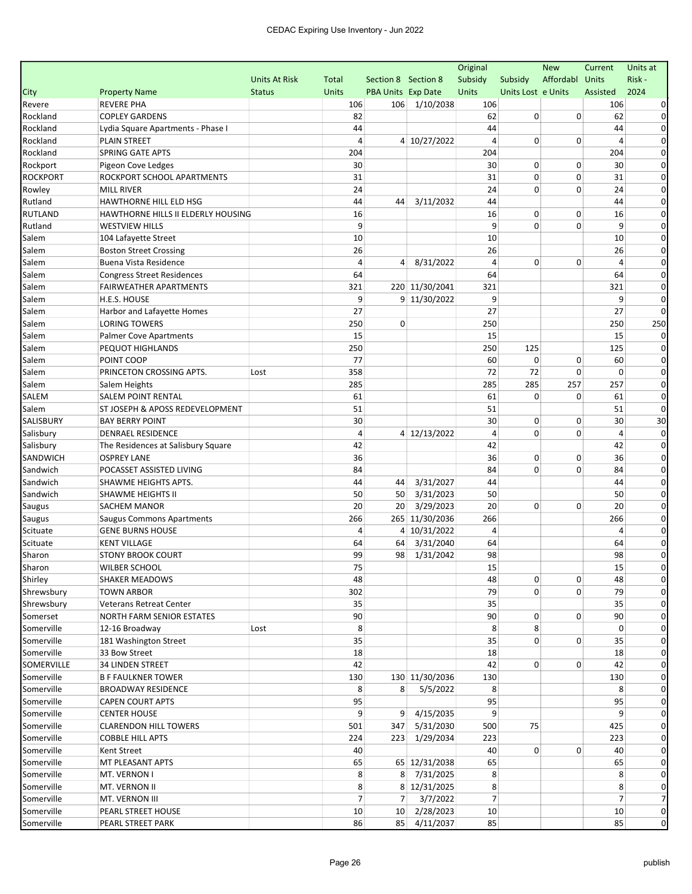|                          |                                                      |               |                |                     |                | Original        |                     | <b>New</b>  | Current        | Units at         |
|--------------------------|------------------------------------------------------|---------------|----------------|---------------------|----------------|-----------------|---------------------|-------------|----------------|------------------|
|                          |                                                      | Units At Risk | Total          | Section 8 Section 8 |                | Subsidy         | Subsidy             | Affordabl   | Units          | Risk -           |
| City                     | <b>Property Name</b>                                 | <b>Status</b> | <b>Units</b>   | PBA Units Exp Date  |                | Units           | Units Lost e Units  |             | Assisted       | 2024             |
| Revere                   | <b>REVERE PHA</b>                                    |               | 106            |                     | 106 1/10/2038  | 106             |                     |             | 106            |                  |
| Rockland                 | <b>COPLEY GARDENS</b>                                |               | 82             |                     |                | 62              | 0                   | 0           | 62             | 0                |
| Rockland                 | Lydia Square Apartments - Phase I                    |               | 44             |                     |                | 44              |                     |             | 44             | 0                |
| Rockland                 | <b>PLAIN STREET</b>                                  |               | 4              |                     | 4 10/27/2022   | $\overline{4}$  | 0                   | 0           | 4              | 0                |
| Rockland                 | <b>SPRING GATE APTS</b>                              |               | 204            |                     |                | 204             |                     |             | 204            | 0                |
| Rockport                 | Pigeon Cove Ledges                                   |               | 30             |                     |                | 30              | 0                   | 0           | 30             | 0                |
| <b>ROCKPORT</b>          | ROCKPORT SCHOOL APARTMENTS                           |               | 31             |                     |                | 31              | 0                   | 0           | 31             | $\Omega$         |
| Rowley                   | <b>MILL RIVER</b>                                    |               | 24             |                     |                | 24              | 0                   | $\mathbf 0$ | 24             | 0                |
| Rutland                  | HAWTHORNE HILL ELD HSG                               |               | 44             | 44                  | 3/11/2032      | 44              |                     |             | 44             | 0                |
| RUTLAND                  | HAWTHORNE HILLS II ELDERLY HOUSING                   |               | 16             |                     |                | 16              | 0                   | 0           | 16             | 0                |
| Rutland                  | <b>WESTVIEW HILLS</b>                                |               | 9              |                     |                | 9               | 0                   | 0           | 9              | 0                |
| Salem                    | 104 Lafayette Street                                 |               | 10             |                     |                | 10              |                     |             | 10             | 0                |
| Salem                    | <b>Boston Street Crossing</b>                        |               | 26             |                     |                | 26              |                     |             | 26             | 0                |
| Salem                    | Buena Vista Residence                                |               | 4              | $\vert$             | 8/31/2022      | $\overline{4}$  | 0                   | 0           | $\overline{a}$ | 0                |
| Salem                    | <b>Congress Street Residences</b>                    |               | 64             |                     |                | 64              |                     |             | 64             | 0                |
| Salem                    | <b>FAIRWEATHER APARTMENTS</b>                        |               | 321            |                     | 220 11/30/2041 | 321             |                     |             | 321            | 0                |
| Salem                    | H.E.S. HOUSE                                         |               | 9              |                     | 9 11/30/2022   | 9               |                     |             | 9              | 0                |
| Salem                    | Harbor and Lafayette Homes                           |               | 27             |                     |                | 27              |                     |             | 27             | $\Omega$         |
| Salem                    | <b>LORING TOWERS</b>                                 |               | 250            | 0                   |                | 250             |                     |             | 250            | 250              |
| Salem                    | <b>Palmer Cove Apartments</b>                        |               | 15             |                     |                | 15              |                     |             | 15             | 0                |
| Salem                    | PEQUOT HIGHLANDS                                     |               | 250            |                     |                | 250             | 125                 |             | 125            | 0                |
| Salem                    | POINT COOP                                           |               | 77             |                     |                | 60              | 0                   | 0           | 60             | 0                |
| Salem                    | PRINCETON CROSSING APTS.                             | Lost          | 358            |                     |                | 72              | 72                  | 0           | 0              | $\Omega$         |
| Salem                    | Salem Heights                                        |               | 285            |                     |                | 285             | 285                 | 257         | 257            | 0                |
| SALEM                    | <b>SALEM POINT RENTAL</b>                            |               | 61             |                     |                | 61              | 0                   | 0           | 61             | 0                |
| Salem                    | ST JOSEPH & APOSS REDEVELOPMENT                      |               | 51             |                     |                | 51              |                     |             | 51             | $\Omega$         |
| SALISBURY                | <b>BAY BERRY POINT</b>                               |               | 30             |                     |                | 30              | 0                   | 0           | 30             | 30               |
| Salisbury                | DENRAEL RESIDENCE                                    |               | 4              |                     | 4 12/13/2022   | 4               | 0                   | 0           | $\overline{4}$ | 0                |
| Salisbury                | The Residences at Salisbury Square                   |               | 42             |                     |                | 42              |                     |             | 42             | $\Omega$         |
| SANDWICH                 | <b>OSPREY LANE</b>                                   |               | 36             |                     |                | 36              | 0                   | $\mathbf 0$ | 36             | 0                |
| Sandwich                 | POCASSET ASSISTED LIVING                             |               | 84             |                     |                | 84              | 0                   | 0           | 84             | 0                |
| Sandwich                 | SHAWME HEIGHTS APTS.                                 |               | 44             | 44                  | 3/31/2027      | 44              |                     |             | 44             | 0                |
| Sandwich                 | SHAWME HEIGHTS II                                    |               | 50             | 50                  | 3/31/2023      | 50              |                     |             | 50             | 0                |
| Saugus                   | <b>SACHEM MANOR</b>                                  |               | 20             | 20                  | 3/29/2023      | 20              | 0                   | 0           | 20             | 0                |
| Saugus                   | <b>Saugus Commons Apartments</b>                     |               | 266            |                     | 265 11/30/2036 | 266             |                     |             | 266            | 0                |
| Scituate                 | <b>GENE BURNS HOUSE</b>                              |               | 4              |                     | 4 10/31/2022   | $\overline{4}$  |                     |             | 4              | 0                |
| Scituate                 | <b>KENT VILLAGE</b>                                  |               | 64             | 64                  | 3/31/2040      | 64              |                     |             | 64             | 0                |
| Sharon                   | <b>STONY BROOK COURT</b>                             |               | 99             | 98                  | 1/31/2042      | 98              |                     |             | 98             | 0                |
| Sharon                   | <b>WILBER SCHOOL</b>                                 |               | 75             |                     |                | 15              |                     |             | 15             |                  |
| Shirley                  | <b>SHAKER MEADOWS</b>                                |               | 48             |                     |                | 48              | 0<br>$\overline{0}$ | 0           | 48             | $\mathbf{0}$     |
| Shrewsbury               | <b>TOWN ARBOR</b>                                    |               | 302            |                     |                | 79              |                     | 0           | 79             | 0                |
| Shrewsbury               | Veterans Retreat Center                              |               | 35             |                     |                | 35              |                     |             | 35             | 0                |
| Somerset                 | NORTH FARM SENIOR ESTATES                            |               | 90             |                     |                | 90              | 0<br>8              | 0           | 90<br>0        | 0<br>$\Omega$    |
| Somerville               | 12-16 Broadway                                       | Lost          | 8              |                     |                | 8               | 0                   |             |                |                  |
| Somerville               | 181 Washington Street                                |               | 35             |                     |                | 35              |                     | 0           | 35             | 0<br>$\mathbf 0$ |
| Somerville               | 33 Bow Street                                        |               | 18             |                     |                | 18              | $\overline{0}$      |             | 18             | $\Omega$         |
| SOMERVILLE               | <b>34 LINDEN STREET</b>                              |               | 42             |                     | 130 11/30/2036 | 42<br>130       |                     | 0           | 42             | $\Omega$         |
| Somerville               | <b>B F FAULKNER TOWER</b>                            |               | 130            | 8                   |                | 8               |                     |             | 130            | 0                |
| Somerville               | <b>BROADWAY RESIDENCE</b><br><b>CAPEN COURT APTS</b> |               | 8<br>95        |                     | 5/5/2022       | 95              |                     |             | 8              | 0                |
| Somerville               |                                                      |               | 9              |                     | 9 4/15/2035    | 9               |                     |             | 95<br>q        | $\Omega$         |
| Somerville<br>Somerville | <b>CENTER HOUSE</b><br><b>CLARENDON HILL TOWERS</b>  |               | 501            |                     | 347 5/31/2030  | 500             | 75                  |             | 425            | 0                |
| Somerville               | <b>COBBLE HILL APTS</b>                              |               | 224            |                     | 223 1/29/2034  | 223             |                     |             | 223            | $\Omega$         |
| Somerville               |                                                      |               | 40             |                     |                | 40              | $\overline{0}$      | 0           | 40             | 0                |
|                          | Kent Street                                          |               | 65             |                     | 65 12/31/2038  | 65              |                     |             |                | 0                |
| Somerville<br>Somerville | MT PLEASANT APTS<br>MT. VERNON I                     |               | 8              |                     | 8 7/31/2025    | 8               |                     |             | 65<br>8        | $\mathbf 0$      |
| Somerville               | MT. VERNON II                                        |               | 8              |                     | 8 12/31/2025   | 8               |                     |             | 8              | 0                |
| Somerville               | MT. VERNON III                                       |               | $\overline{7}$ | 7 <sup>1</sup>      | 3/7/2022       | $\overline{7}$  |                     |             | 7              | $\overline{7}$   |
| Somerville               | PEARL STREET HOUSE                                   |               | 10             |                     | 10 2/28/2023   | 10 <sup>1</sup> |                     |             | 10             | $\mathbf 0$      |
| Somerville               | PEARL STREET PARK                                    |               | 86             |                     | 85 4/11/2037   | 85              |                     |             | 85             | $\pmb{0}$        |
|                          |                                                      |               |                |                     |                |                 |                     |             |                |                  |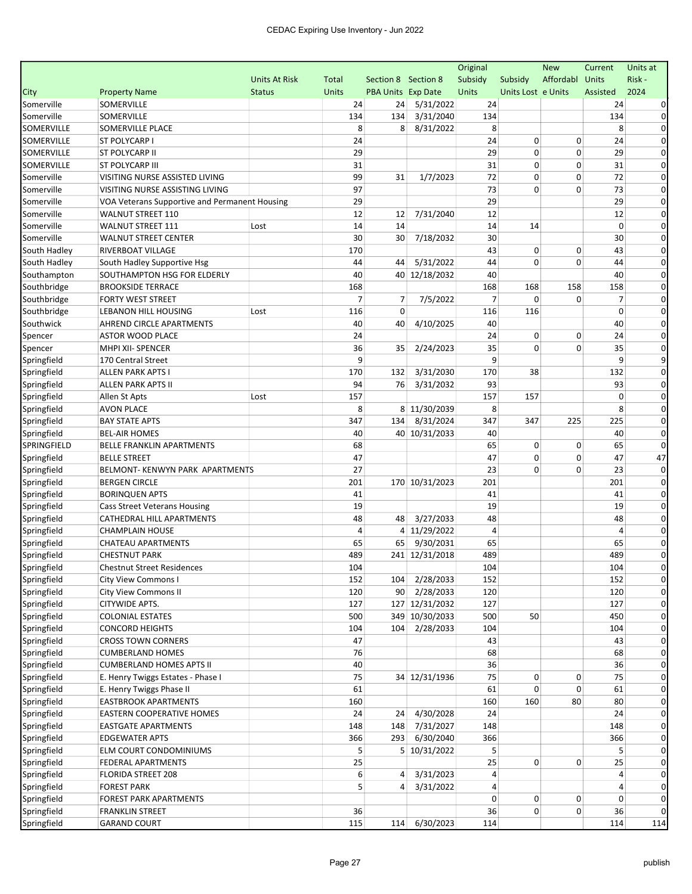|              |                                               |                      |              |                     |                | Original    |                    | <b>New</b>  | Current      | Units at      |
|--------------|-----------------------------------------------|----------------------|--------------|---------------------|----------------|-------------|--------------------|-------------|--------------|---------------|
|              |                                               | <b>Units At Risk</b> | Total        | Section 8 Section 8 |                | Subsidy     | Subsidy            | Affordabl   | <b>Units</b> | Risk-         |
| City         | <b>Property Name</b>                          | <b>Status</b>        | <b>Units</b> | PBA Units Exp Date  |                | Units       | Units Lost e Units |             | Assisted     | 2024          |
| Somerville   | SOMERVILLE                                    |                      | 24           | 24                  | 5/31/2022      | 24          |                    |             | 24           |               |
| Somerville   | SOMERVILLE                                    |                      | 134          | 134                 | 3/31/2040      | 134         |                    |             | 134          | 0             |
| SOMERVILLE   | SOMERVILLE PLACE                              |                      | 8            | 8                   | 8/31/2022      | 8           |                    |             | 8            | $\Omega$      |
| SOMERVILLE   | <b>ST POLYCARP I</b>                          |                      | 24           |                     |                | 24          | 0                  | 0           | 24           | 0             |
| SOMERVILLE   | <b>ST POLYCARP II</b>                         |                      | 29           |                     |                | 29          | 0                  | $\mathbf 0$ | 29           | 0             |
| SOMERVILLE   | <b>ST POLYCARP III</b>                        |                      | 31           |                     |                | 31          | 0                  | 0           | 31           | 0             |
| Somerville   | VISITING NURSE ASSISTED LIVING                |                      | 99           | 31                  | 1/7/2023       | 72          | 0                  | 0           | 72           | $\Omega$      |
| Somerville   | VISITING NURSE ASSISTING LIVING               |                      | 97           |                     |                | 73          | 0                  | 0           | 73           | $\Omega$      |
| Somerville   | VOA Veterans Supportive and Permanent Housing |                      | 29           |                     |                | 29          |                    |             | 29           | $\Omega$      |
| Somerville   | <b>WALNUT STREET 110</b>                      |                      | 12           | 12                  | 7/31/2040      | 12          |                    |             | 12           | 0             |
| Somerville   | <b>WALNUT STREET 111</b>                      | Lost                 | 14           | 14                  |                | 14          | 14                 |             | $\Omega$     | $\Omega$      |
| Somerville   | <b>WALNUT STREET CENTER</b>                   |                      | 30           | 30                  | 7/18/2032      | 30          |                    |             | 30           | 0             |
| South Hadley | RIVERBOAT VILLAGE                             |                      | 170          |                     |                | 43          | 0                  | 0           | 43           | 0             |
| South Hadley | South Hadley Supportive Hsg                   |                      | 44           | 44                  | 5/31/2022      | 44          | 0                  | $\Omega$    | 44           | $\Omega$      |
| Southampton  | SOUTHAMPTON HSG FOR ELDERLY                   |                      | 40           |                     | 40 12/18/2032  | 40          |                    |             | 40           | $\Omega$      |
| Southbridge  | <b>BROOKSIDE TERRACE</b>                      |                      | 168          |                     |                | 168         | 168                | 158         | 158          | $\Omega$      |
| Southbridge  | <b>FORTY WEST STREET</b>                      |                      | 7            | 7                   | 7/5/2022       | 7           | 0                  | 0           | 7            | 0             |
| Southbridge  | LEBANON HILL HOUSING                          | Lost                 | 116          | $\Omega$            |                | 116         | 116                |             | $\mathbf 0$  | $\Omega$      |
| Southwick    | AHREND CIRCLE APARTMENTS                      |                      | 40           | 40                  | 4/10/2025      | 40          |                    |             | 40           | $\Omega$      |
| Spencer      | <b>ASTOR WOOD PLACE</b>                       |                      | 24           |                     |                | 24          | 0                  | 0           | 24           | 0             |
| Spencer      | MHPI XII- SPENCER                             |                      | 36           | 35                  | 2/24/2023      | 35          | $\Omega$           | 0           | 35           | 0             |
| Springfield  | 170 Central Street                            |                      | 9            |                     |                | 9           |                    |             | 9            | 9             |
| Springfield  | <b>ALLEN PARK APTS I</b>                      |                      | 170          | 132                 | 3/31/2030      | 170         | 38                 |             | 132          | $\Omega$      |
| Springfield  | <b>ALLEN PARK APTS II</b>                     |                      | 94           | 76                  | 3/31/2032      | 93          |                    |             | 93           | $\Omega$      |
| Springfield  | Allen St Apts                                 | Lost                 | 157          |                     |                | 157         | 157                |             | 0            | 0             |
| Springfield  | <b>AVON PLACE</b>                             |                      | 8            |                     | 8 11/30/2039   | 8           |                    |             | 8            | 0             |
| Springfield  | <b>BAY STATE APTS</b>                         |                      | 347          | 134                 | 8/31/2024      | 347         | 347                | 225         | 225          | 0             |
| Springfield  | <b>BEL-AIR HOMES</b>                          |                      | 40           |                     | 40 10/31/2033  | 40          |                    |             | 40           | 0             |
| SPRINGFIELD  | BELLE FRANKLIN APARTMENTS                     |                      | 68           |                     |                | 65          | 0                  | 0           | 65           | $\Omega$      |
| Springfield  | <b>BELLE STREET</b>                           |                      | 47           |                     |                | 47          | 0                  | $\mathbf 0$ | 47           | 47            |
| Springfield  | BELMONT- KENWYN PARK APARTMENTS               |                      | 27           |                     |                | 23          | $\Omega$           | 0           | 23           | $\Omega$      |
| Springfield  | <b>BERGEN CIRCLE</b>                          |                      | 201          |                     | 170 10/31/2023 | 201         |                    |             | 201          | $\Omega$      |
| Springfield  | <b>BORINQUEN APTS</b>                         |                      | 41           |                     |                | 41          |                    |             | 41           | 0             |
| Springfield  | <b>Cass Street Veterans Housing</b>           |                      | 19           |                     |                | 19          |                    |             | 19           | $\Omega$      |
| Springfield  | CATHEDRAL HILL APARTMENTS                     |                      | 48           | 48                  | 3/27/2033      | 48          |                    |             | 48           | 0             |
| Springfield  | <b>CHAMPLAIN HOUSE</b>                        |                      | 4            |                     | 4 11/29/2022   | 4           |                    |             | 4            | 0             |
| Springfield  | CHATEAU APARTMENTS                            |                      | 65           | 65                  | 9/30/2031      | 65          |                    |             | 65           | 0             |
| Springfield  | <b>CHESTNUT PARK</b>                          |                      | 489          |                     | 241 12/31/2018 | 489         |                    |             | 489          | $\mathbf 0$   |
| Springfield  | <b>Chestnut Street Residences</b>             |                      | 104          |                     |                | 104         |                    |             | 104          |               |
|              |                                               |                      |              |                     |                | 152         |                    |             |              | $\mathbf{0}$  |
| Springfield  | City View Commons I                           |                      | 152          |                     | 104 2/28/2033  |             |                    |             | 152          |               |
| Springfield  | <b>City View Commons II</b>                   |                      | 120          |                     | 90 2/28/2033   | 120         |                    |             | 120          |               |
| Springfield  | CITYWIDE APTS.                                |                      | 127          |                     | 127 12/31/2032 | 127         |                    |             | 127          | 0             |
| Springfield  | <b>COLONIAL ESTATES</b>                       |                      | 500          |                     | 349 10/30/2033 | 500         | 50                 |             | 450          | 0<br>$\Omega$ |
| Springfield  | <b>CONCORD HEIGHTS</b>                        |                      | 104          |                     | 104 2/28/2033  | 104         |                    |             | 104          |               |
| Springfield  | <b>CROSS TOWN CORNERS</b>                     |                      | 47           |                     |                | 43          |                    |             | 43           | 0             |
| Springfield  | <b>CUMBERLAND HOMES</b>                       |                      | 76           |                     |                | 68          |                    |             | 68           | 0             |
| Springfield  | <b>CUMBERLAND HOMES APTS II</b>               |                      | 40           |                     |                | 36          |                    |             | 36           | 0             |
| Springfield  | E. Henry Twiggs Estates - Phase I             |                      | 75           |                     | 34 12/31/1936  | 75          | 0                  | 0           | 75           | 0             |
| Springfield  | E. Henry Twiggs Phase II                      |                      | 61           |                     |                | 61          | 0                  | 0           | 61           | $\Omega$      |
| Springfield  | <b>EASTBROOK APARTMENTS</b>                   |                      | 160          |                     |                | 160         | 160                | 80          | 80           | 0             |
| Springfield  | EASTERN COOPERATIVE HOMES                     |                      | 24           | 24                  | 4/30/2028      | 24          |                    |             | 24           |               |
| Springfield  | <b>EASTGATE APARTMENTS</b>                    |                      | 148          |                     | 148 7/31/2027  | 148         |                    |             | 148          | $\Omega$      |
| Springfield  | <b>EDGEWATER APTS</b>                         |                      | 366          | 293                 | 6/30/2040      | 366         |                    |             | 366          | $\Omega$      |
| Springfield  | ELM COURT CONDOMINIUMS                        |                      | 5            |                     | 5 10/31/2022   | 5           |                    |             | 5            | 0             |
| Springfield  | FEDERAL APARTMENTS                            |                      | 25           |                     |                | 25          | $\overline{0}$     | 0           | 25           | 0             |
| Springfield  | FLORIDA STREET 208                            |                      | 6            | 4                   | 3/31/2023      | 4           |                    |             | 4            | $\mathbf 0$   |
| Springfield  | <b>FOREST PARK</b>                            |                      | 5            | $\vert$             | 3/31/2022      | 4           |                    |             | 4            | 0             |
| Springfield  | FOREST PARK APARTMENTS                        |                      |              |                     |                | $\mathbf 0$ | 0                  | 0           | 0            | 0             |
| Springfield  | <b>FRANKLIN STREET</b>                        |                      | 36           |                     |                | 36          | 0                  | 0           | 36           | $\Omega$      |
| Springfield  | <b>GARAND COURT</b>                           |                      | 115          |                     | 114 6/30/2023  | 114         |                    |             | 114          | 114           |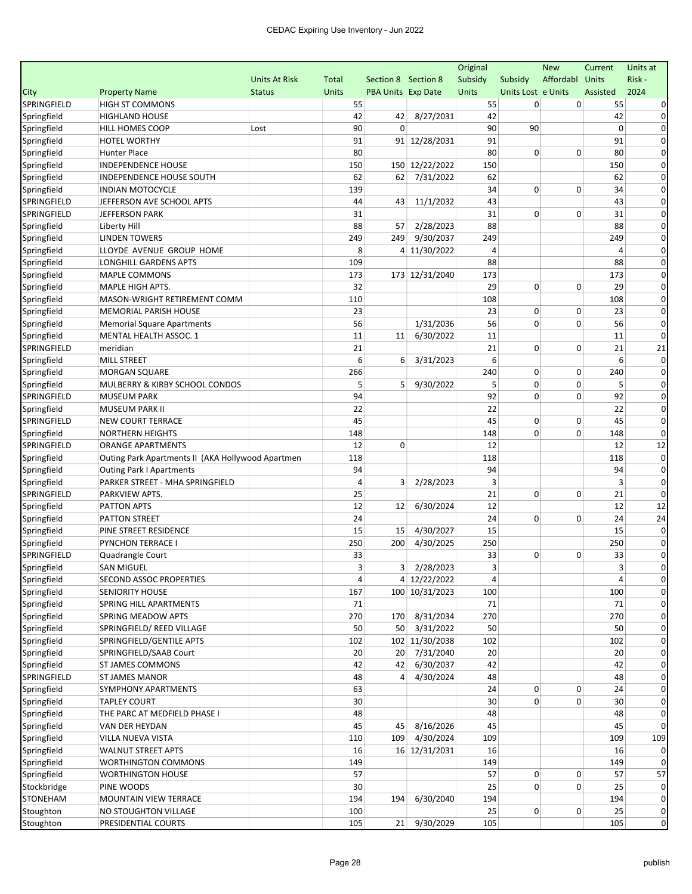| Original                                                                                                                  | <b>New</b>      | Current                 | Units at     |
|---------------------------------------------------------------------------------------------------------------------------|-----------------|-------------------------|--------------|
| Subsidy<br><b>Units At Risk</b><br>Total<br>Section 8 Section 8<br>Subsidy                                                | Affordabl Units |                         | Risk-        |
| Units Lost e Units<br>City<br><b>Property Name</b><br><b>Units</b><br><b>PBA Units Exp Date</b><br>Units<br><b>Status</b> |                 | Assisted                | 2024         |
| SPRINGFIELD<br><b>HIGH ST COMMONS</b><br>0<br>55<br>55                                                                    | 0               | 55                      |              |
| Springfield<br>8/27/2031<br><b>HIGHLAND HOUSE</b><br>42<br>42<br>42                                                       |                 | 42                      |              |
| 90<br>$\Omega$<br>90<br>90<br>Springfield<br>HILL HOMES COOP<br>Lost                                                      |                 | $\mathbf 0$             | $\Omega$     |
| Springfield<br>91<br>91 12/28/2031<br>91<br>HOTEL WORTHY                                                                  |                 | 91                      | 0            |
| Springfield<br>80<br>80<br>0<br><b>Hunter Place</b>                                                                       | 0               | 80                      | 0            |
| 150 12/22/2022<br>150<br>Springfield<br><b>INDEPENDENCE HOUSE</b><br>150                                                  |                 | 150                     | $\Omega$     |
| Springfield<br>7/31/2022<br>62<br>INDEPENDENCE HOUSE SOUTH<br>62<br>62                                                    |                 | 62                      | $\Omega$     |
| 139<br>34<br>0<br>Springfield<br><b>INDIAN MOTOCYCLE</b>                                                                  | 0               | 34                      | $\Omega$     |
| SPRINGFIELD<br>44<br>11/1/2032<br>43<br>JEFFERSON AVE SCHOOL APTS<br>43                                                   |                 | 43                      | $\Omega$     |
| 0<br>SPRINGFIELD<br>31<br>31<br><b>JEFFERSON PARK</b>                                                                     | $\mathbf 0$     | 31                      | 0            |
| 2/28/2023<br>88<br>Springfield<br>88<br>57<br>Liberty Hill                                                                |                 | 88                      | $\Omega$     |
| 9/30/2037<br>249<br>Springfield<br><b>LINDEN TOWERS</b><br>249<br>249                                                     |                 | 249                     | 0            |
| Springfield<br>8<br>LLOYDE AVENUE GROUP HOME<br>4 11/30/2022<br>$\overline{4}$                                            |                 | 4                       | $\Omega$     |
| 109<br>88<br>Springfield<br>LONGHILL GARDENS APTS                                                                         |                 | 88                      | 0            |
| 173 12/31/2040<br>173<br>Springfield<br>MAPLE COMMONS<br>173                                                              |                 | 173                     | 0            |
| 29<br>0<br>Springfield<br>MAPLE HIGH APTS.<br>32                                                                          | 0               | 29                      | 0            |
| Springfield<br>MASON-WRIGHT RETIREMENT COMM<br>110<br>108                                                                 |                 | 108                     | $\Omega$     |
| Springfield<br>23<br>23<br>0<br>MEMORIAL PARISH HOUSE                                                                     | 0               | 23                      | $\Omega$     |
| 56<br>0<br>1/31/2036<br>56<br>Springfield<br><b>Memorial Square Apartments</b>                                            | 0               | 56                      | $\Omega$     |
| 11<br>6/30/2022<br>11<br>Springfield<br>MENTAL HEALTH ASSOC. 1<br>11                                                      |                 | 11                      | $\Omega$     |
| SPRINGFIELD<br>meridian<br>21<br>21<br>0                                                                                  | $\mathbf 0$     | 21                      | 21           |
| 6<br>6<br>Springfield<br><b>MILL STREET</b><br>6<br>3/31/2023                                                             |                 | 6                       | $\Omega$     |
| 266<br>240<br>0<br>Springfield<br><b>MORGAN SQUARE</b>                                                                    | 0               | 240                     | 0            |
| 0<br>5<br>9/30/2022<br>5<br>Springfield<br>MULBERRY & KIRBY SCHOOL CONDOS<br>5                                            | 0               | 5                       | $\Omega$     |
| 0<br>SPRINGFIELD<br>94<br>92<br><b>MUSEUM PARK</b>                                                                        | $\mathbf 0$     | 92                      | 0            |
| 22<br>Springfield<br><b>MUSEUM PARK II</b><br>22                                                                          |                 | 22                      | 0            |
| SPRINGFIELD<br>0<br>NEW COURT TERRACE<br>45<br>45                                                                         | 0               | 45                      | 0            |
| 148<br>0<br>Springfield<br><b>NORTHERN HEIGHTS</b><br>148                                                                 | 0               | 148                     | $\Omega$     |
| SPRINGFIELD<br>12<br>$\mathbf 0$<br>12<br><b>ORANGE APARTMENTS</b>                                                        |                 | 12                      | 12           |
| 118<br>Springfield<br>Outing Park Apartments II (AKA Hollywood Apartmen<br>118                                            |                 | 118                     | $\Omega$     |
| 94<br>94<br>Springfield<br><b>Outing Park I Apartments</b>                                                                |                 | 94                      | $\Omega$     |
| 3<br>Springfield<br>PARKER STREET - MHA SPRINGFIELD<br>$\overline{a}$<br>3<br>2/28/2023                                   |                 | 3                       | 0            |
| SPRINGFIELD<br>25<br>21<br>0<br>PARKVIEW APTS.                                                                            | $\mathbf 0$     | 21                      | $\Omega$     |
| 12<br>6/30/2024<br>12<br>Springfield<br>PATTON APTS<br>12                                                                 |                 | 12                      | 12           |
| 24<br>24<br>0<br>Springfield<br><b>PATTON STREET</b>                                                                      | 0               | 24                      | 24           |
| 4/30/2027<br>15<br>Springfield<br>PINE STREET RESIDENCE<br>15<br>15                                                       |                 | 15                      | $\Omega$     |
| Springfield<br><b>PYNCHON TERRACE I</b><br>250<br>200<br>4/30/2025<br>250                                                 |                 | 250                     | 0            |
| 33<br>33<br>0<br>SPRINGFIELD<br>Quadrangle Court                                                                          | $\mathbf 0$     | 33                      | 0            |
| Springfield<br>3<br>$3 \mid 2/28/2023$<br>3<br><b>SAN MIGUEL</b>                                                          |                 | $\overline{\mathbf{3}}$ |              |
| Springfield<br>4 12/22/2022<br>4<br>SECOND ASSOC PROPERTIES<br>4                                                          |                 | 4                       | $\mathbf{0}$ |
| Springfield<br>100 10/31/2023<br><b>SENIORITY HOUSE</b><br>100<br>167                                                     |                 | 100                     |              |
| Springfield<br>SPRING HILL APARTMENTS<br>71<br>71                                                                         |                 | 71                      | 0            |
| Springfield<br>8/31/2034<br>270<br>SPRING MEADOW APTS<br>270<br>170                                                       |                 | 270                     | $\Omega$     |
| Springfield<br>50<br>50 3/31/2022<br>50<br>SPRINGFIELD/ REED VILLAGE                                                      |                 | 50                      | $\Omega$     |
| Springfield<br>SPRINGFIELD/GENTILE APTS<br>102 11/30/2038<br>102<br>102                                                   |                 | 102                     | 0            |
| 20 7/31/2040<br>Springfield<br>SPRINGFIELD/SAAB Court<br>20<br>20                                                         |                 | 20                      | 0            |
| Springfield<br>6/30/2037<br>ST JAMES COMMONS<br>42<br>42<br>42                                                            |                 | 42                      | 0            |
| SPRINGFIELD<br>48<br>4/30/2024<br>48<br><b>ST JAMES MANOR</b><br>4                                                        |                 | 48                      | $\Omega$     |
| 63<br>24<br>0<br>Springfield<br>SYMPHONY APARTMENTS                                                                       | 0               | 24                      | 0            |
| 0<br>Springfield<br><b>TAPLEY COURT</b><br>30<br>30                                                                       | 0               | 30                      |              |
| Springfield<br>THE PARC AT MEDFIELD PHASE I<br>48<br>48                                                                   |                 | 48                      |              |
| Springfield<br>8/16/2026<br>45<br>VAN DER HEYDAN<br>45<br>45                                                              |                 | 45                      |              |
| Springfield<br>4/30/2024<br>109<br>VILLA NUEVA VISTA<br>110<br>109                                                        |                 | 109                     | 109          |
| Springfield<br>16<br>16 12/31/2031<br>16<br><b>WALNUT STREET APTS</b>                                                     |                 | 16                      |              |
| Springfield<br><b>WORTHINGTON COMMONS</b><br>149<br>149                                                                   |                 | 149                     |              |
| 0<br>Springfield<br><b>WORTHINGTON HOUSE</b><br>57<br>57                                                                  | 0               | 57                      | 57           |
| 25<br>0<br>Stockbridge<br>PINE WOODS<br>30                                                                                | 0               | 25                      | $\Omega$     |
| STONEHAM<br>194<br>6/30/2040<br>194<br>MOUNTAIN VIEW TERRACE<br>194                                                       |                 | 194                     | 0            |
| 25<br>$\overline{0}$<br>Stoughton<br>NO STOUGHTON VILLAGE<br>100                                                          | 0               | 25                      | $\mathbf 0$  |
| 21 9/30/2029<br>Stoughton<br>PRESIDENTIAL COURTS<br>105<br>105                                                            |                 | 105                     | $\mathbf 0$  |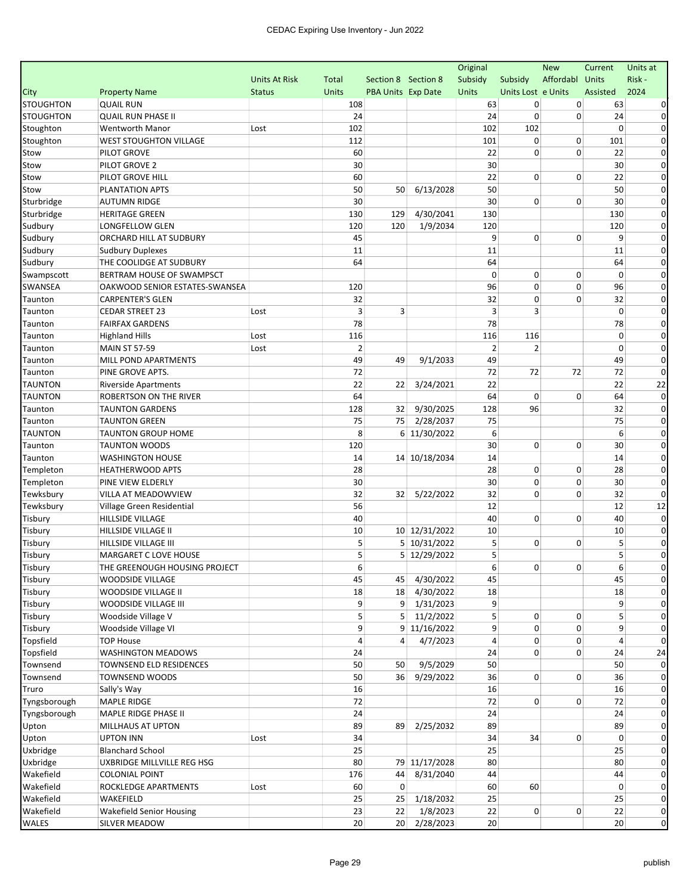| Affordabl Units<br>Risk-<br><b>Units At Risk</b><br>Total<br>Section 8 Section 8<br>Subsidy<br>Subsidy<br>2024<br><b>Property Name</b><br><b>Units</b><br>PBA Units Exp Date<br>Units<br>Units Lost e Units<br>Assisted<br><b>Status</b><br><b>QUAIL RUN</b><br>63<br>0<br>0<br>63<br>108<br>0<br>$\mathbf 0$<br>24<br><b>QUAIL RUN PHASE II</b><br>24<br>24<br>0<br>102<br>102<br>102<br>0<br><b>Wentworth Manor</b><br>0<br>Lost<br>101<br>0<br>0<br>101<br><b>WEST STOUGHTON VILLAGE</b><br>112<br>$\Omega$<br>60<br>22<br>0<br>$\mathbf 0$<br>22<br>PILOT GROVE<br>0<br>30<br>PILOT GROVE 2<br>30<br>30<br>0<br>22<br>0<br>PILOT GROVE HILL<br>60<br>0<br>22<br>0<br>50<br>50<br>6/13/2028<br>50<br>50<br><b>PLANTATION APTS</b><br>$\Omega$<br>30<br>30<br>0<br>$\mathbf 0$<br>30<br><b>AUTUMN RIDGE</b><br>0<br>4/30/2041<br>130<br><b>HERITAGE GREEN</b><br>130<br>129<br>130<br>0<br>1/9/2034<br>120<br>LONGFELLOW GLEN<br>120<br>120<br>120<br>$\Omega$<br>45<br>0<br>0<br>ORCHARD HILL AT SUDBURY<br>9<br>9<br>$\Omega$<br>11<br>11<br><b>Sudbury Duplexes</b><br>11<br>0<br>64<br>64<br>64<br>THE COOLIDGE AT SUDBURY<br>$\Omega$<br>$\mathbf 0$<br>0<br>0<br>$\mathbf 0$<br>BERTRAM HOUSE OF SWAMPSCT<br>$\Omega$<br>0<br>120<br>96<br>0<br>96<br>$\Omega$<br>OAKWOOD SENIOR ESTATES-SWANSEA<br>32<br>0<br><b>CARPENTER'S GLEN</b><br>32<br>0<br>32<br>0<br>3<br>3<br>3<br>3<br>$\mathbf 0$<br><b>CEDAR STREET 23</b><br>0<br>Lost<br>78<br>78<br>78<br><b>FAIRFAX GARDENS</b><br>$\Omega$<br>116<br>0<br>Lost<br>116<br>116<br>0<br><b>Highland Hills</b><br>$\overline{2}$<br>2<br>2<br><b>MAIN ST 57-59</b><br>Lost<br>$\Omega$<br>0<br>9/1/2033<br>MILL POND APARTMENTS<br>49<br>49<br>49<br>49<br>0<br>72<br>72<br>72<br>72<br>72<br>PINE GROVE APTS.<br>$\Omega$<br>22<br>22<br>3/24/2021<br>22<br>22<br>22<br><b>Riverside Apartments</b><br>64<br>64<br>0<br>0<br>64<br>0<br>ROBERTSON ON THE RIVER<br>9/30/2025<br>128<br>96<br><b>TAUNTON GARDENS</b><br>128<br>32<br>32<br>$\Omega$<br>75<br>75<br>75<br><b>TAUNTON GREEN</b><br>75<br>2/28/2037<br>$\Omega$<br>6 11/30/2022<br>6<br><b>TAUNTON GROUP HOME</b><br>8<br>6<br>0<br>0<br>120<br>30<br>0<br>30<br><b>TAUNTON WOODS</b><br>0<br>14 10/18/2034<br>14<br><b>WASHINGTON HOUSE</b><br>14<br>14<br>0<br>0<br><b>HEATHERWOOD APTS</b><br>28<br>28<br>0<br>28<br>0<br>30<br>30<br>0<br>0<br>30<br>PINE VIEW ELDERLY<br>0<br>32<br>32<br>5/22/2022<br>32<br>0<br>0<br>32<br>VILLA AT MEADOWVIEW<br>$\Omega$<br>56<br>12<br>12<br>12<br>Village Green Residential<br>40<br>40<br>0<br>0<br>40<br>$\mathbf 0$<br>HILLSIDE VILLAGE<br>HILLSIDE VILLAGE II<br>10<br>10 12/31/2022<br>10<br>10<br>0<br>5<br>5<br>0<br>HILLSIDE VILLAGE III<br>5 10/31/2022<br>0<br>5<br>0<br>5<br>5 12/29/2022<br>5<br>5<br>0<br>MARGARET C LOVE HOUSE<br>6<br>THE GREENOUGH HOUSING PROJECT<br>6<br>0<br>0<br>$6 \mid$<br>4/30/2022<br>45<br><b>WOODSIDE VILLAGE</b><br>45<br>45<br>$\mathbf{0}$<br>45<br>4/30/2022<br>WOODSIDE VILLAGE II<br>18<br>18<br>18<br>18<br>9<br>WOODSIDE VILLAGE III<br>9<br>1/31/2023<br>9<br>0<br>9<br>Woodside Village V<br>5<br>11/2/2022<br>5<br>0<br>5<br>0<br>5<br>0<br>0<br>9<br>9 11/16/2022<br>9<br>0<br>9<br>$\Omega$<br>Woodside Village VI<br>0<br><b>TOP House</b><br>$\overline{4}$<br>0<br>4<br>4/7/2023<br>4<br>$\Omega$<br>4<br>24<br>0<br>0<br>WASHINGTON MEADOWS<br>24<br>24<br>24<br>9/5/2029<br>$\Omega$<br>TOWNSEND ELD RESIDENCES<br>50<br>50<br>50<br>50<br>50<br>9/29/2022<br>36<br>0<br>36<br><b>TOWNSEND WOODS</b><br>36<br>0<br>0<br>16<br>16<br>16<br>Sally's Way<br>$\Omega$<br>72<br>72<br>$\overline{0}$<br>0<br>72<br><b>MAPLE RIDGE</b><br>0<br>Tyngsborough<br>24<br>MAPLE RIDGE PHASE II<br>24<br>24<br>$\Omega$<br>2/25/2032<br>MILLHAUS AT UPTON<br>89<br>89<br>89<br>89<br>0<br><b>UPTON INN</b><br>34<br>34<br>34<br>Lost<br>0<br>0<br>0<br>25<br>Uxbridge<br><b>Blanchard School</b><br>25<br>25<br>$\Omega$<br>79 11/17/2028<br>80<br>UXBRIDGE MILLVILLE REG HSG<br>80<br>80<br>0<br>8/31/2040<br>44<br><b>COLONIAL POINT</b><br>176<br>44<br>44<br>0<br>60<br>0<br>ROCKLEDGE APARTMENTS<br>60<br>$\overline{0}$<br>60<br>$\Omega$<br>Lost<br>Wakefield<br>1/18/2032<br>$\mathbf 0$<br>WAKEFIELD<br>25<br>25<br>25<br>25<br>23<br>1/8/2023<br>22<br>0<br>0<br>22<br>$\Omega$<br><b>Wakefield Senior Housing</b><br>22<br>20<br>20 2/28/2023<br>20 <sup>2</sup><br>20 |                  |                      |  |  | Original | <b>New</b> | Current | Units at    |
|--------------------------------------------------------------------------------------------------------------------------------------------------------------------------------------------------------------------------------------------------------------------------------------------------------------------------------------------------------------------------------------------------------------------------------------------------------------------------------------------------------------------------------------------------------------------------------------------------------------------------------------------------------------------------------------------------------------------------------------------------------------------------------------------------------------------------------------------------------------------------------------------------------------------------------------------------------------------------------------------------------------------------------------------------------------------------------------------------------------------------------------------------------------------------------------------------------------------------------------------------------------------------------------------------------------------------------------------------------------------------------------------------------------------------------------------------------------------------------------------------------------------------------------------------------------------------------------------------------------------------------------------------------------------------------------------------------------------------------------------------------------------------------------------------------------------------------------------------------------------------------------------------------------------------------------------------------------------------------------------------------------------------------------------------------------------------------------------------------------------------------------------------------------------------------------------------------------------------------------------------------------------------------------------------------------------------------------------------------------------------------------------------------------------------------------------------------------------------------------------------------------------------------------------------------------------------------------------------------------------------------------------------------------------------------------------------------------------------------------------------------------------------------------------------------------------------------------------------------------------------------------------------------------------------------------------------------------------------------------------------------------------------------------------------------------------------------------------------------------------------------------------------------------------------------------------------------------------------------------------------------------------------------------------------------------------------------------------------------------------------------------------------------------------------------------------------------------------------------------------------------------------------------------------------------------------------------------------------------------------------------------------------------------------------------------------------------------------------------------------------------------------------------------------------------------------------------------------------------------------------------------------------------------------------------------------------------------------------------------------------------------------------------------------------------------------------------------------------------------------------------------------------------------------------------------------------------------------------------------------------------------------------------------------------------------------------------------------------------------------------------------------------|------------------|----------------------|--|--|----------|------------|---------|-------------|
|                                                                                                                                                                                                                                                                                                                                                                                                                                                                                                                                                                                                                                                                                                                                                                                                                                                                                                                                                                                                                                                                                                                                                                                                                                                                                                                                                                                                                                                                                                                                                                                                                                                                                                                                                                                                                                                                                                                                                                                                                                                                                                                                                                                                                                                                                                                                                                                                                                                                                                                                                                                                                                                                                                                                                                                                                                                                                                                                                                                                                                                                                                                                                                                                                                                                                                                                                                                                                                                                                                                                                                                                                                                                                                                                                                                                                                                                                                                                                                                                                                                                                                                                                                                                                                                                                                                                                                                                  |                  |                      |  |  |          |            |         |             |
|                                                                                                                                                                                                                                                                                                                                                                                                                                                                                                                                                                                                                                                                                                                                                                                                                                                                                                                                                                                                                                                                                                                                                                                                                                                                                                                                                                                                                                                                                                                                                                                                                                                                                                                                                                                                                                                                                                                                                                                                                                                                                                                                                                                                                                                                                                                                                                                                                                                                                                                                                                                                                                                                                                                                                                                                                                                                                                                                                                                                                                                                                                                                                                                                                                                                                                                                                                                                                                                                                                                                                                                                                                                                                                                                                                                                                                                                                                                                                                                                                                                                                                                                                                                                                                                                                                                                                                                                  | City             |                      |  |  |          |            |         |             |
|                                                                                                                                                                                                                                                                                                                                                                                                                                                                                                                                                                                                                                                                                                                                                                                                                                                                                                                                                                                                                                                                                                                                                                                                                                                                                                                                                                                                                                                                                                                                                                                                                                                                                                                                                                                                                                                                                                                                                                                                                                                                                                                                                                                                                                                                                                                                                                                                                                                                                                                                                                                                                                                                                                                                                                                                                                                                                                                                                                                                                                                                                                                                                                                                                                                                                                                                                                                                                                                                                                                                                                                                                                                                                                                                                                                                                                                                                                                                                                                                                                                                                                                                                                                                                                                                                                                                                                                                  | <b>STOUGHTON</b> |                      |  |  |          |            |         |             |
|                                                                                                                                                                                                                                                                                                                                                                                                                                                                                                                                                                                                                                                                                                                                                                                                                                                                                                                                                                                                                                                                                                                                                                                                                                                                                                                                                                                                                                                                                                                                                                                                                                                                                                                                                                                                                                                                                                                                                                                                                                                                                                                                                                                                                                                                                                                                                                                                                                                                                                                                                                                                                                                                                                                                                                                                                                                                                                                                                                                                                                                                                                                                                                                                                                                                                                                                                                                                                                                                                                                                                                                                                                                                                                                                                                                                                                                                                                                                                                                                                                                                                                                                                                                                                                                                                                                                                                                                  | <b>STOUGHTON</b> |                      |  |  |          |            |         |             |
|                                                                                                                                                                                                                                                                                                                                                                                                                                                                                                                                                                                                                                                                                                                                                                                                                                                                                                                                                                                                                                                                                                                                                                                                                                                                                                                                                                                                                                                                                                                                                                                                                                                                                                                                                                                                                                                                                                                                                                                                                                                                                                                                                                                                                                                                                                                                                                                                                                                                                                                                                                                                                                                                                                                                                                                                                                                                                                                                                                                                                                                                                                                                                                                                                                                                                                                                                                                                                                                                                                                                                                                                                                                                                                                                                                                                                                                                                                                                                                                                                                                                                                                                                                                                                                                                                                                                                                                                  | Stoughton        |                      |  |  |          |            |         |             |
|                                                                                                                                                                                                                                                                                                                                                                                                                                                                                                                                                                                                                                                                                                                                                                                                                                                                                                                                                                                                                                                                                                                                                                                                                                                                                                                                                                                                                                                                                                                                                                                                                                                                                                                                                                                                                                                                                                                                                                                                                                                                                                                                                                                                                                                                                                                                                                                                                                                                                                                                                                                                                                                                                                                                                                                                                                                                                                                                                                                                                                                                                                                                                                                                                                                                                                                                                                                                                                                                                                                                                                                                                                                                                                                                                                                                                                                                                                                                                                                                                                                                                                                                                                                                                                                                                                                                                                                                  | Stoughton        |                      |  |  |          |            |         |             |
|                                                                                                                                                                                                                                                                                                                                                                                                                                                                                                                                                                                                                                                                                                                                                                                                                                                                                                                                                                                                                                                                                                                                                                                                                                                                                                                                                                                                                                                                                                                                                                                                                                                                                                                                                                                                                                                                                                                                                                                                                                                                                                                                                                                                                                                                                                                                                                                                                                                                                                                                                                                                                                                                                                                                                                                                                                                                                                                                                                                                                                                                                                                                                                                                                                                                                                                                                                                                                                                                                                                                                                                                                                                                                                                                                                                                                                                                                                                                                                                                                                                                                                                                                                                                                                                                                                                                                                                                  | Stow             |                      |  |  |          |            |         |             |
|                                                                                                                                                                                                                                                                                                                                                                                                                                                                                                                                                                                                                                                                                                                                                                                                                                                                                                                                                                                                                                                                                                                                                                                                                                                                                                                                                                                                                                                                                                                                                                                                                                                                                                                                                                                                                                                                                                                                                                                                                                                                                                                                                                                                                                                                                                                                                                                                                                                                                                                                                                                                                                                                                                                                                                                                                                                                                                                                                                                                                                                                                                                                                                                                                                                                                                                                                                                                                                                                                                                                                                                                                                                                                                                                                                                                                                                                                                                                                                                                                                                                                                                                                                                                                                                                                                                                                                                                  | Stow             |                      |  |  |          |            |         |             |
|                                                                                                                                                                                                                                                                                                                                                                                                                                                                                                                                                                                                                                                                                                                                                                                                                                                                                                                                                                                                                                                                                                                                                                                                                                                                                                                                                                                                                                                                                                                                                                                                                                                                                                                                                                                                                                                                                                                                                                                                                                                                                                                                                                                                                                                                                                                                                                                                                                                                                                                                                                                                                                                                                                                                                                                                                                                                                                                                                                                                                                                                                                                                                                                                                                                                                                                                                                                                                                                                                                                                                                                                                                                                                                                                                                                                                                                                                                                                                                                                                                                                                                                                                                                                                                                                                                                                                                                                  | Stow             |                      |  |  |          |            |         |             |
|                                                                                                                                                                                                                                                                                                                                                                                                                                                                                                                                                                                                                                                                                                                                                                                                                                                                                                                                                                                                                                                                                                                                                                                                                                                                                                                                                                                                                                                                                                                                                                                                                                                                                                                                                                                                                                                                                                                                                                                                                                                                                                                                                                                                                                                                                                                                                                                                                                                                                                                                                                                                                                                                                                                                                                                                                                                                                                                                                                                                                                                                                                                                                                                                                                                                                                                                                                                                                                                                                                                                                                                                                                                                                                                                                                                                                                                                                                                                                                                                                                                                                                                                                                                                                                                                                                                                                                                                  | Stow             |                      |  |  |          |            |         |             |
|                                                                                                                                                                                                                                                                                                                                                                                                                                                                                                                                                                                                                                                                                                                                                                                                                                                                                                                                                                                                                                                                                                                                                                                                                                                                                                                                                                                                                                                                                                                                                                                                                                                                                                                                                                                                                                                                                                                                                                                                                                                                                                                                                                                                                                                                                                                                                                                                                                                                                                                                                                                                                                                                                                                                                                                                                                                                                                                                                                                                                                                                                                                                                                                                                                                                                                                                                                                                                                                                                                                                                                                                                                                                                                                                                                                                                                                                                                                                                                                                                                                                                                                                                                                                                                                                                                                                                                                                  | Sturbridge       |                      |  |  |          |            |         |             |
|                                                                                                                                                                                                                                                                                                                                                                                                                                                                                                                                                                                                                                                                                                                                                                                                                                                                                                                                                                                                                                                                                                                                                                                                                                                                                                                                                                                                                                                                                                                                                                                                                                                                                                                                                                                                                                                                                                                                                                                                                                                                                                                                                                                                                                                                                                                                                                                                                                                                                                                                                                                                                                                                                                                                                                                                                                                                                                                                                                                                                                                                                                                                                                                                                                                                                                                                                                                                                                                                                                                                                                                                                                                                                                                                                                                                                                                                                                                                                                                                                                                                                                                                                                                                                                                                                                                                                                                                  | Sturbridge       |                      |  |  |          |            |         |             |
|                                                                                                                                                                                                                                                                                                                                                                                                                                                                                                                                                                                                                                                                                                                                                                                                                                                                                                                                                                                                                                                                                                                                                                                                                                                                                                                                                                                                                                                                                                                                                                                                                                                                                                                                                                                                                                                                                                                                                                                                                                                                                                                                                                                                                                                                                                                                                                                                                                                                                                                                                                                                                                                                                                                                                                                                                                                                                                                                                                                                                                                                                                                                                                                                                                                                                                                                                                                                                                                                                                                                                                                                                                                                                                                                                                                                                                                                                                                                                                                                                                                                                                                                                                                                                                                                                                                                                                                                  | Sudbury          |                      |  |  |          |            |         |             |
|                                                                                                                                                                                                                                                                                                                                                                                                                                                                                                                                                                                                                                                                                                                                                                                                                                                                                                                                                                                                                                                                                                                                                                                                                                                                                                                                                                                                                                                                                                                                                                                                                                                                                                                                                                                                                                                                                                                                                                                                                                                                                                                                                                                                                                                                                                                                                                                                                                                                                                                                                                                                                                                                                                                                                                                                                                                                                                                                                                                                                                                                                                                                                                                                                                                                                                                                                                                                                                                                                                                                                                                                                                                                                                                                                                                                                                                                                                                                                                                                                                                                                                                                                                                                                                                                                                                                                                                                  | Sudbury          |                      |  |  |          |            |         |             |
|                                                                                                                                                                                                                                                                                                                                                                                                                                                                                                                                                                                                                                                                                                                                                                                                                                                                                                                                                                                                                                                                                                                                                                                                                                                                                                                                                                                                                                                                                                                                                                                                                                                                                                                                                                                                                                                                                                                                                                                                                                                                                                                                                                                                                                                                                                                                                                                                                                                                                                                                                                                                                                                                                                                                                                                                                                                                                                                                                                                                                                                                                                                                                                                                                                                                                                                                                                                                                                                                                                                                                                                                                                                                                                                                                                                                                                                                                                                                                                                                                                                                                                                                                                                                                                                                                                                                                                                                  | Sudbury          |                      |  |  |          |            |         |             |
|                                                                                                                                                                                                                                                                                                                                                                                                                                                                                                                                                                                                                                                                                                                                                                                                                                                                                                                                                                                                                                                                                                                                                                                                                                                                                                                                                                                                                                                                                                                                                                                                                                                                                                                                                                                                                                                                                                                                                                                                                                                                                                                                                                                                                                                                                                                                                                                                                                                                                                                                                                                                                                                                                                                                                                                                                                                                                                                                                                                                                                                                                                                                                                                                                                                                                                                                                                                                                                                                                                                                                                                                                                                                                                                                                                                                                                                                                                                                                                                                                                                                                                                                                                                                                                                                                                                                                                                                  | Sudbury          |                      |  |  |          |            |         |             |
|                                                                                                                                                                                                                                                                                                                                                                                                                                                                                                                                                                                                                                                                                                                                                                                                                                                                                                                                                                                                                                                                                                                                                                                                                                                                                                                                                                                                                                                                                                                                                                                                                                                                                                                                                                                                                                                                                                                                                                                                                                                                                                                                                                                                                                                                                                                                                                                                                                                                                                                                                                                                                                                                                                                                                                                                                                                                                                                                                                                                                                                                                                                                                                                                                                                                                                                                                                                                                                                                                                                                                                                                                                                                                                                                                                                                                                                                                                                                                                                                                                                                                                                                                                                                                                                                                                                                                                                                  | Swampscott       |                      |  |  |          |            |         |             |
|                                                                                                                                                                                                                                                                                                                                                                                                                                                                                                                                                                                                                                                                                                                                                                                                                                                                                                                                                                                                                                                                                                                                                                                                                                                                                                                                                                                                                                                                                                                                                                                                                                                                                                                                                                                                                                                                                                                                                                                                                                                                                                                                                                                                                                                                                                                                                                                                                                                                                                                                                                                                                                                                                                                                                                                                                                                                                                                                                                                                                                                                                                                                                                                                                                                                                                                                                                                                                                                                                                                                                                                                                                                                                                                                                                                                                                                                                                                                                                                                                                                                                                                                                                                                                                                                                                                                                                                                  | <b>SWANSEA</b>   |                      |  |  |          |            |         |             |
|                                                                                                                                                                                                                                                                                                                                                                                                                                                                                                                                                                                                                                                                                                                                                                                                                                                                                                                                                                                                                                                                                                                                                                                                                                                                                                                                                                                                                                                                                                                                                                                                                                                                                                                                                                                                                                                                                                                                                                                                                                                                                                                                                                                                                                                                                                                                                                                                                                                                                                                                                                                                                                                                                                                                                                                                                                                                                                                                                                                                                                                                                                                                                                                                                                                                                                                                                                                                                                                                                                                                                                                                                                                                                                                                                                                                                                                                                                                                                                                                                                                                                                                                                                                                                                                                                                                                                                                                  | Taunton          |                      |  |  |          |            |         |             |
|                                                                                                                                                                                                                                                                                                                                                                                                                                                                                                                                                                                                                                                                                                                                                                                                                                                                                                                                                                                                                                                                                                                                                                                                                                                                                                                                                                                                                                                                                                                                                                                                                                                                                                                                                                                                                                                                                                                                                                                                                                                                                                                                                                                                                                                                                                                                                                                                                                                                                                                                                                                                                                                                                                                                                                                                                                                                                                                                                                                                                                                                                                                                                                                                                                                                                                                                                                                                                                                                                                                                                                                                                                                                                                                                                                                                                                                                                                                                                                                                                                                                                                                                                                                                                                                                                                                                                                                                  | Taunton          |                      |  |  |          |            |         |             |
|                                                                                                                                                                                                                                                                                                                                                                                                                                                                                                                                                                                                                                                                                                                                                                                                                                                                                                                                                                                                                                                                                                                                                                                                                                                                                                                                                                                                                                                                                                                                                                                                                                                                                                                                                                                                                                                                                                                                                                                                                                                                                                                                                                                                                                                                                                                                                                                                                                                                                                                                                                                                                                                                                                                                                                                                                                                                                                                                                                                                                                                                                                                                                                                                                                                                                                                                                                                                                                                                                                                                                                                                                                                                                                                                                                                                                                                                                                                                                                                                                                                                                                                                                                                                                                                                                                                                                                                                  | Taunton          |                      |  |  |          |            |         |             |
|                                                                                                                                                                                                                                                                                                                                                                                                                                                                                                                                                                                                                                                                                                                                                                                                                                                                                                                                                                                                                                                                                                                                                                                                                                                                                                                                                                                                                                                                                                                                                                                                                                                                                                                                                                                                                                                                                                                                                                                                                                                                                                                                                                                                                                                                                                                                                                                                                                                                                                                                                                                                                                                                                                                                                                                                                                                                                                                                                                                                                                                                                                                                                                                                                                                                                                                                                                                                                                                                                                                                                                                                                                                                                                                                                                                                                                                                                                                                                                                                                                                                                                                                                                                                                                                                                                                                                                                                  | Taunton          |                      |  |  |          |            |         |             |
|                                                                                                                                                                                                                                                                                                                                                                                                                                                                                                                                                                                                                                                                                                                                                                                                                                                                                                                                                                                                                                                                                                                                                                                                                                                                                                                                                                                                                                                                                                                                                                                                                                                                                                                                                                                                                                                                                                                                                                                                                                                                                                                                                                                                                                                                                                                                                                                                                                                                                                                                                                                                                                                                                                                                                                                                                                                                                                                                                                                                                                                                                                                                                                                                                                                                                                                                                                                                                                                                                                                                                                                                                                                                                                                                                                                                                                                                                                                                                                                                                                                                                                                                                                                                                                                                                                                                                                                                  | Taunton          |                      |  |  |          |            |         |             |
|                                                                                                                                                                                                                                                                                                                                                                                                                                                                                                                                                                                                                                                                                                                                                                                                                                                                                                                                                                                                                                                                                                                                                                                                                                                                                                                                                                                                                                                                                                                                                                                                                                                                                                                                                                                                                                                                                                                                                                                                                                                                                                                                                                                                                                                                                                                                                                                                                                                                                                                                                                                                                                                                                                                                                                                                                                                                                                                                                                                                                                                                                                                                                                                                                                                                                                                                                                                                                                                                                                                                                                                                                                                                                                                                                                                                                                                                                                                                                                                                                                                                                                                                                                                                                                                                                                                                                                                                  | Taunton          |                      |  |  |          |            |         |             |
|                                                                                                                                                                                                                                                                                                                                                                                                                                                                                                                                                                                                                                                                                                                                                                                                                                                                                                                                                                                                                                                                                                                                                                                                                                                                                                                                                                                                                                                                                                                                                                                                                                                                                                                                                                                                                                                                                                                                                                                                                                                                                                                                                                                                                                                                                                                                                                                                                                                                                                                                                                                                                                                                                                                                                                                                                                                                                                                                                                                                                                                                                                                                                                                                                                                                                                                                                                                                                                                                                                                                                                                                                                                                                                                                                                                                                                                                                                                                                                                                                                                                                                                                                                                                                                                                                                                                                                                                  | Taunton          |                      |  |  |          |            |         |             |
|                                                                                                                                                                                                                                                                                                                                                                                                                                                                                                                                                                                                                                                                                                                                                                                                                                                                                                                                                                                                                                                                                                                                                                                                                                                                                                                                                                                                                                                                                                                                                                                                                                                                                                                                                                                                                                                                                                                                                                                                                                                                                                                                                                                                                                                                                                                                                                                                                                                                                                                                                                                                                                                                                                                                                                                                                                                                                                                                                                                                                                                                                                                                                                                                                                                                                                                                                                                                                                                                                                                                                                                                                                                                                                                                                                                                                                                                                                                                                                                                                                                                                                                                                                                                                                                                                                                                                                                                  | <b>TAUNTON</b>   |                      |  |  |          |            |         |             |
|                                                                                                                                                                                                                                                                                                                                                                                                                                                                                                                                                                                                                                                                                                                                                                                                                                                                                                                                                                                                                                                                                                                                                                                                                                                                                                                                                                                                                                                                                                                                                                                                                                                                                                                                                                                                                                                                                                                                                                                                                                                                                                                                                                                                                                                                                                                                                                                                                                                                                                                                                                                                                                                                                                                                                                                                                                                                                                                                                                                                                                                                                                                                                                                                                                                                                                                                                                                                                                                                                                                                                                                                                                                                                                                                                                                                                                                                                                                                                                                                                                                                                                                                                                                                                                                                                                                                                                                                  | <b>TAUNTON</b>   |                      |  |  |          |            |         |             |
|                                                                                                                                                                                                                                                                                                                                                                                                                                                                                                                                                                                                                                                                                                                                                                                                                                                                                                                                                                                                                                                                                                                                                                                                                                                                                                                                                                                                                                                                                                                                                                                                                                                                                                                                                                                                                                                                                                                                                                                                                                                                                                                                                                                                                                                                                                                                                                                                                                                                                                                                                                                                                                                                                                                                                                                                                                                                                                                                                                                                                                                                                                                                                                                                                                                                                                                                                                                                                                                                                                                                                                                                                                                                                                                                                                                                                                                                                                                                                                                                                                                                                                                                                                                                                                                                                                                                                                                                  | Taunton          |                      |  |  |          |            |         |             |
|                                                                                                                                                                                                                                                                                                                                                                                                                                                                                                                                                                                                                                                                                                                                                                                                                                                                                                                                                                                                                                                                                                                                                                                                                                                                                                                                                                                                                                                                                                                                                                                                                                                                                                                                                                                                                                                                                                                                                                                                                                                                                                                                                                                                                                                                                                                                                                                                                                                                                                                                                                                                                                                                                                                                                                                                                                                                                                                                                                                                                                                                                                                                                                                                                                                                                                                                                                                                                                                                                                                                                                                                                                                                                                                                                                                                                                                                                                                                                                                                                                                                                                                                                                                                                                                                                                                                                                                                  | Taunton          |                      |  |  |          |            |         |             |
|                                                                                                                                                                                                                                                                                                                                                                                                                                                                                                                                                                                                                                                                                                                                                                                                                                                                                                                                                                                                                                                                                                                                                                                                                                                                                                                                                                                                                                                                                                                                                                                                                                                                                                                                                                                                                                                                                                                                                                                                                                                                                                                                                                                                                                                                                                                                                                                                                                                                                                                                                                                                                                                                                                                                                                                                                                                                                                                                                                                                                                                                                                                                                                                                                                                                                                                                                                                                                                                                                                                                                                                                                                                                                                                                                                                                                                                                                                                                                                                                                                                                                                                                                                                                                                                                                                                                                                                                  | <b>TAUNTON</b>   |                      |  |  |          |            |         |             |
|                                                                                                                                                                                                                                                                                                                                                                                                                                                                                                                                                                                                                                                                                                                                                                                                                                                                                                                                                                                                                                                                                                                                                                                                                                                                                                                                                                                                                                                                                                                                                                                                                                                                                                                                                                                                                                                                                                                                                                                                                                                                                                                                                                                                                                                                                                                                                                                                                                                                                                                                                                                                                                                                                                                                                                                                                                                                                                                                                                                                                                                                                                                                                                                                                                                                                                                                                                                                                                                                                                                                                                                                                                                                                                                                                                                                                                                                                                                                                                                                                                                                                                                                                                                                                                                                                                                                                                                                  | Taunton          |                      |  |  |          |            |         |             |
|                                                                                                                                                                                                                                                                                                                                                                                                                                                                                                                                                                                                                                                                                                                                                                                                                                                                                                                                                                                                                                                                                                                                                                                                                                                                                                                                                                                                                                                                                                                                                                                                                                                                                                                                                                                                                                                                                                                                                                                                                                                                                                                                                                                                                                                                                                                                                                                                                                                                                                                                                                                                                                                                                                                                                                                                                                                                                                                                                                                                                                                                                                                                                                                                                                                                                                                                                                                                                                                                                                                                                                                                                                                                                                                                                                                                                                                                                                                                                                                                                                                                                                                                                                                                                                                                                                                                                                                                  | Taunton          |                      |  |  |          |            |         |             |
|                                                                                                                                                                                                                                                                                                                                                                                                                                                                                                                                                                                                                                                                                                                                                                                                                                                                                                                                                                                                                                                                                                                                                                                                                                                                                                                                                                                                                                                                                                                                                                                                                                                                                                                                                                                                                                                                                                                                                                                                                                                                                                                                                                                                                                                                                                                                                                                                                                                                                                                                                                                                                                                                                                                                                                                                                                                                                                                                                                                                                                                                                                                                                                                                                                                                                                                                                                                                                                                                                                                                                                                                                                                                                                                                                                                                                                                                                                                                                                                                                                                                                                                                                                                                                                                                                                                                                                                                  | Templeton        |                      |  |  |          |            |         |             |
|                                                                                                                                                                                                                                                                                                                                                                                                                                                                                                                                                                                                                                                                                                                                                                                                                                                                                                                                                                                                                                                                                                                                                                                                                                                                                                                                                                                                                                                                                                                                                                                                                                                                                                                                                                                                                                                                                                                                                                                                                                                                                                                                                                                                                                                                                                                                                                                                                                                                                                                                                                                                                                                                                                                                                                                                                                                                                                                                                                                                                                                                                                                                                                                                                                                                                                                                                                                                                                                                                                                                                                                                                                                                                                                                                                                                                                                                                                                                                                                                                                                                                                                                                                                                                                                                                                                                                                                                  | Templeton        |                      |  |  |          |            |         |             |
|                                                                                                                                                                                                                                                                                                                                                                                                                                                                                                                                                                                                                                                                                                                                                                                                                                                                                                                                                                                                                                                                                                                                                                                                                                                                                                                                                                                                                                                                                                                                                                                                                                                                                                                                                                                                                                                                                                                                                                                                                                                                                                                                                                                                                                                                                                                                                                                                                                                                                                                                                                                                                                                                                                                                                                                                                                                                                                                                                                                                                                                                                                                                                                                                                                                                                                                                                                                                                                                                                                                                                                                                                                                                                                                                                                                                                                                                                                                                                                                                                                                                                                                                                                                                                                                                                                                                                                                                  | Tewksbury        |                      |  |  |          |            |         |             |
|                                                                                                                                                                                                                                                                                                                                                                                                                                                                                                                                                                                                                                                                                                                                                                                                                                                                                                                                                                                                                                                                                                                                                                                                                                                                                                                                                                                                                                                                                                                                                                                                                                                                                                                                                                                                                                                                                                                                                                                                                                                                                                                                                                                                                                                                                                                                                                                                                                                                                                                                                                                                                                                                                                                                                                                                                                                                                                                                                                                                                                                                                                                                                                                                                                                                                                                                                                                                                                                                                                                                                                                                                                                                                                                                                                                                                                                                                                                                                                                                                                                                                                                                                                                                                                                                                                                                                                                                  | Tewksbury        |                      |  |  |          |            |         |             |
|                                                                                                                                                                                                                                                                                                                                                                                                                                                                                                                                                                                                                                                                                                                                                                                                                                                                                                                                                                                                                                                                                                                                                                                                                                                                                                                                                                                                                                                                                                                                                                                                                                                                                                                                                                                                                                                                                                                                                                                                                                                                                                                                                                                                                                                                                                                                                                                                                                                                                                                                                                                                                                                                                                                                                                                                                                                                                                                                                                                                                                                                                                                                                                                                                                                                                                                                                                                                                                                                                                                                                                                                                                                                                                                                                                                                                                                                                                                                                                                                                                                                                                                                                                                                                                                                                                                                                                                                  | Tisbury          |                      |  |  |          |            |         |             |
|                                                                                                                                                                                                                                                                                                                                                                                                                                                                                                                                                                                                                                                                                                                                                                                                                                                                                                                                                                                                                                                                                                                                                                                                                                                                                                                                                                                                                                                                                                                                                                                                                                                                                                                                                                                                                                                                                                                                                                                                                                                                                                                                                                                                                                                                                                                                                                                                                                                                                                                                                                                                                                                                                                                                                                                                                                                                                                                                                                                                                                                                                                                                                                                                                                                                                                                                                                                                                                                                                                                                                                                                                                                                                                                                                                                                                                                                                                                                                                                                                                                                                                                                                                                                                                                                                                                                                                                                  | Tisbury          |                      |  |  |          |            |         |             |
|                                                                                                                                                                                                                                                                                                                                                                                                                                                                                                                                                                                                                                                                                                                                                                                                                                                                                                                                                                                                                                                                                                                                                                                                                                                                                                                                                                                                                                                                                                                                                                                                                                                                                                                                                                                                                                                                                                                                                                                                                                                                                                                                                                                                                                                                                                                                                                                                                                                                                                                                                                                                                                                                                                                                                                                                                                                                                                                                                                                                                                                                                                                                                                                                                                                                                                                                                                                                                                                                                                                                                                                                                                                                                                                                                                                                                                                                                                                                                                                                                                                                                                                                                                                                                                                                                                                                                                                                  | Tisbury          |                      |  |  |          |            |         |             |
|                                                                                                                                                                                                                                                                                                                                                                                                                                                                                                                                                                                                                                                                                                                                                                                                                                                                                                                                                                                                                                                                                                                                                                                                                                                                                                                                                                                                                                                                                                                                                                                                                                                                                                                                                                                                                                                                                                                                                                                                                                                                                                                                                                                                                                                                                                                                                                                                                                                                                                                                                                                                                                                                                                                                                                                                                                                                                                                                                                                                                                                                                                                                                                                                                                                                                                                                                                                                                                                                                                                                                                                                                                                                                                                                                                                                                                                                                                                                                                                                                                                                                                                                                                                                                                                                                                                                                                                                  | Tisbury          |                      |  |  |          |            |         |             |
|                                                                                                                                                                                                                                                                                                                                                                                                                                                                                                                                                                                                                                                                                                                                                                                                                                                                                                                                                                                                                                                                                                                                                                                                                                                                                                                                                                                                                                                                                                                                                                                                                                                                                                                                                                                                                                                                                                                                                                                                                                                                                                                                                                                                                                                                                                                                                                                                                                                                                                                                                                                                                                                                                                                                                                                                                                                                                                                                                                                                                                                                                                                                                                                                                                                                                                                                                                                                                                                                                                                                                                                                                                                                                                                                                                                                                                                                                                                                                                                                                                                                                                                                                                                                                                                                                                                                                                                                  | <b>Tisbury</b>   |                      |  |  |          |            |         |             |
|                                                                                                                                                                                                                                                                                                                                                                                                                                                                                                                                                                                                                                                                                                                                                                                                                                                                                                                                                                                                                                                                                                                                                                                                                                                                                                                                                                                                                                                                                                                                                                                                                                                                                                                                                                                                                                                                                                                                                                                                                                                                                                                                                                                                                                                                                                                                                                                                                                                                                                                                                                                                                                                                                                                                                                                                                                                                                                                                                                                                                                                                                                                                                                                                                                                                                                                                                                                                                                                                                                                                                                                                                                                                                                                                                                                                                                                                                                                                                                                                                                                                                                                                                                                                                                                                                                                                                                                                  | Tisbury          |                      |  |  |          |            |         |             |
|                                                                                                                                                                                                                                                                                                                                                                                                                                                                                                                                                                                                                                                                                                                                                                                                                                                                                                                                                                                                                                                                                                                                                                                                                                                                                                                                                                                                                                                                                                                                                                                                                                                                                                                                                                                                                                                                                                                                                                                                                                                                                                                                                                                                                                                                                                                                                                                                                                                                                                                                                                                                                                                                                                                                                                                                                                                                                                                                                                                                                                                                                                                                                                                                                                                                                                                                                                                                                                                                                                                                                                                                                                                                                                                                                                                                                                                                                                                                                                                                                                                                                                                                                                                                                                                                                                                                                                                                  | Tisbury          |                      |  |  |          |            |         |             |
|                                                                                                                                                                                                                                                                                                                                                                                                                                                                                                                                                                                                                                                                                                                                                                                                                                                                                                                                                                                                                                                                                                                                                                                                                                                                                                                                                                                                                                                                                                                                                                                                                                                                                                                                                                                                                                                                                                                                                                                                                                                                                                                                                                                                                                                                                                                                                                                                                                                                                                                                                                                                                                                                                                                                                                                                                                                                                                                                                                                                                                                                                                                                                                                                                                                                                                                                                                                                                                                                                                                                                                                                                                                                                                                                                                                                                                                                                                                                                                                                                                                                                                                                                                                                                                                                                                                                                                                                  | Tisbury          |                      |  |  |          |            |         |             |
|                                                                                                                                                                                                                                                                                                                                                                                                                                                                                                                                                                                                                                                                                                                                                                                                                                                                                                                                                                                                                                                                                                                                                                                                                                                                                                                                                                                                                                                                                                                                                                                                                                                                                                                                                                                                                                                                                                                                                                                                                                                                                                                                                                                                                                                                                                                                                                                                                                                                                                                                                                                                                                                                                                                                                                                                                                                                                                                                                                                                                                                                                                                                                                                                                                                                                                                                                                                                                                                                                                                                                                                                                                                                                                                                                                                                                                                                                                                                                                                                                                                                                                                                                                                                                                                                                                                                                                                                  | Tisbury          |                      |  |  |          |            |         |             |
|                                                                                                                                                                                                                                                                                                                                                                                                                                                                                                                                                                                                                                                                                                                                                                                                                                                                                                                                                                                                                                                                                                                                                                                                                                                                                                                                                                                                                                                                                                                                                                                                                                                                                                                                                                                                                                                                                                                                                                                                                                                                                                                                                                                                                                                                                                                                                                                                                                                                                                                                                                                                                                                                                                                                                                                                                                                                                                                                                                                                                                                                                                                                                                                                                                                                                                                                                                                                                                                                                                                                                                                                                                                                                                                                                                                                                                                                                                                                                                                                                                                                                                                                                                                                                                                                                                                                                                                                  | Tisbury          |                      |  |  |          |            |         |             |
|                                                                                                                                                                                                                                                                                                                                                                                                                                                                                                                                                                                                                                                                                                                                                                                                                                                                                                                                                                                                                                                                                                                                                                                                                                                                                                                                                                                                                                                                                                                                                                                                                                                                                                                                                                                                                                                                                                                                                                                                                                                                                                                                                                                                                                                                                                                                                                                                                                                                                                                                                                                                                                                                                                                                                                                                                                                                                                                                                                                                                                                                                                                                                                                                                                                                                                                                                                                                                                                                                                                                                                                                                                                                                                                                                                                                                                                                                                                                                                                                                                                                                                                                                                                                                                                                                                                                                                                                  | Topsfield        |                      |  |  |          |            |         |             |
|                                                                                                                                                                                                                                                                                                                                                                                                                                                                                                                                                                                                                                                                                                                                                                                                                                                                                                                                                                                                                                                                                                                                                                                                                                                                                                                                                                                                                                                                                                                                                                                                                                                                                                                                                                                                                                                                                                                                                                                                                                                                                                                                                                                                                                                                                                                                                                                                                                                                                                                                                                                                                                                                                                                                                                                                                                                                                                                                                                                                                                                                                                                                                                                                                                                                                                                                                                                                                                                                                                                                                                                                                                                                                                                                                                                                                                                                                                                                                                                                                                                                                                                                                                                                                                                                                                                                                                                                  | Topsfield        |                      |  |  |          |            |         |             |
|                                                                                                                                                                                                                                                                                                                                                                                                                                                                                                                                                                                                                                                                                                                                                                                                                                                                                                                                                                                                                                                                                                                                                                                                                                                                                                                                                                                                                                                                                                                                                                                                                                                                                                                                                                                                                                                                                                                                                                                                                                                                                                                                                                                                                                                                                                                                                                                                                                                                                                                                                                                                                                                                                                                                                                                                                                                                                                                                                                                                                                                                                                                                                                                                                                                                                                                                                                                                                                                                                                                                                                                                                                                                                                                                                                                                                                                                                                                                                                                                                                                                                                                                                                                                                                                                                                                                                                                                  | Townsend         |                      |  |  |          |            |         |             |
|                                                                                                                                                                                                                                                                                                                                                                                                                                                                                                                                                                                                                                                                                                                                                                                                                                                                                                                                                                                                                                                                                                                                                                                                                                                                                                                                                                                                                                                                                                                                                                                                                                                                                                                                                                                                                                                                                                                                                                                                                                                                                                                                                                                                                                                                                                                                                                                                                                                                                                                                                                                                                                                                                                                                                                                                                                                                                                                                                                                                                                                                                                                                                                                                                                                                                                                                                                                                                                                                                                                                                                                                                                                                                                                                                                                                                                                                                                                                                                                                                                                                                                                                                                                                                                                                                                                                                                                                  | Townsend         |                      |  |  |          |            |         |             |
|                                                                                                                                                                                                                                                                                                                                                                                                                                                                                                                                                                                                                                                                                                                                                                                                                                                                                                                                                                                                                                                                                                                                                                                                                                                                                                                                                                                                                                                                                                                                                                                                                                                                                                                                                                                                                                                                                                                                                                                                                                                                                                                                                                                                                                                                                                                                                                                                                                                                                                                                                                                                                                                                                                                                                                                                                                                                                                                                                                                                                                                                                                                                                                                                                                                                                                                                                                                                                                                                                                                                                                                                                                                                                                                                                                                                                                                                                                                                                                                                                                                                                                                                                                                                                                                                                                                                                                                                  | Truro            |                      |  |  |          |            |         |             |
|                                                                                                                                                                                                                                                                                                                                                                                                                                                                                                                                                                                                                                                                                                                                                                                                                                                                                                                                                                                                                                                                                                                                                                                                                                                                                                                                                                                                                                                                                                                                                                                                                                                                                                                                                                                                                                                                                                                                                                                                                                                                                                                                                                                                                                                                                                                                                                                                                                                                                                                                                                                                                                                                                                                                                                                                                                                                                                                                                                                                                                                                                                                                                                                                                                                                                                                                                                                                                                                                                                                                                                                                                                                                                                                                                                                                                                                                                                                                                                                                                                                                                                                                                                                                                                                                                                                                                                                                  | Tyngsborough     |                      |  |  |          |            |         |             |
|                                                                                                                                                                                                                                                                                                                                                                                                                                                                                                                                                                                                                                                                                                                                                                                                                                                                                                                                                                                                                                                                                                                                                                                                                                                                                                                                                                                                                                                                                                                                                                                                                                                                                                                                                                                                                                                                                                                                                                                                                                                                                                                                                                                                                                                                                                                                                                                                                                                                                                                                                                                                                                                                                                                                                                                                                                                                                                                                                                                                                                                                                                                                                                                                                                                                                                                                                                                                                                                                                                                                                                                                                                                                                                                                                                                                                                                                                                                                                                                                                                                                                                                                                                                                                                                                                                                                                                                                  |                  |                      |  |  |          |            |         |             |
|                                                                                                                                                                                                                                                                                                                                                                                                                                                                                                                                                                                                                                                                                                                                                                                                                                                                                                                                                                                                                                                                                                                                                                                                                                                                                                                                                                                                                                                                                                                                                                                                                                                                                                                                                                                                                                                                                                                                                                                                                                                                                                                                                                                                                                                                                                                                                                                                                                                                                                                                                                                                                                                                                                                                                                                                                                                                                                                                                                                                                                                                                                                                                                                                                                                                                                                                                                                                                                                                                                                                                                                                                                                                                                                                                                                                                                                                                                                                                                                                                                                                                                                                                                                                                                                                                                                                                                                                  | Upton            |                      |  |  |          |            |         |             |
|                                                                                                                                                                                                                                                                                                                                                                                                                                                                                                                                                                                                                                                                                                                                                                                                                                                                                                                                                                                                                                                                                                                                                                                                                                                                                                                                                                                                                                                                                                                                                                                                                                                                                                                                                                                                                                                                                                                                                                                                                                                                                                                                                                                                                                                                                                                                                                                                                                                                                                                                                                                                                                                                                                                                                                                                                                                                                                                                                                                                                                                                                                                                                                                                                                                                                                                                                                                                                                                                                                                                                                                                                                                                                                                                                                                                                                                                                                                                                                                                                                                                                                                                                                                                                                                                                                                                                                                                  | Upton            |                      |  |  |          |            |         |             |
|                                                                                                                                                                                                                                                                                                                                                                                                                                                                                                                                                                                                                                                                                                                                                                                                                                                                                                                                                                                                                                                                                                                                                                                                                                                                                                                                                                                                                                                                                                                                                                                                                                                                                                                                                                                                                                                                                                                                                                                                                                                                                                                                                                                                                                                                                                                                                                                                                                                                                                                                                                                                                                                                                                                                                                                                                                                                                                                                                                                                                                                                                                                                                                                                                                                                                                                                                                                                                                                                                                                                                                                                                                                                                                                                                                                                                                                                                                                                                                                                                                                                                                                                                                                                                                                                                                                                                                                                  |                  |                      |  |  |          |            |         |             |
|                                                                                                                                                                                                                                                                                                                                                                                                                                                                                                                                                                                                                                                                                                                                                                                                                                                                                                                                                                                                                                                                                                                                                                                                                                                                                                                                                                                                                                                                                                                                                                                                                                                                                                                                                                                                                                                                                                                                                                                                                                                                                                                                                                                                                                                                                                                                                                                                                                                                                                                                                                                                                                                                                                                                                                                                                                                                                                                                                                                                                                                                                                                                                                                                                                                                                                                                                                                                                                                                                                                                                                                                                                                                                                                                                                                                                                                                                                                                                                                                                                                                                                                                                                                                                                                                                                                                                                                                  | Uxbridge         |                      |  |  |          |            |         |             |
|                                                                                                                                                                                                                                                                                                                                                                                                                                                                                                                                                                                                                                                                                                                                                                                                                                                                                                                                                                                                                                                                                                                                                                                                                                                                                                                                                                                                                                                                                                                                                                                                                                                                                                                                                                                                                                                                                                                                                                                                                                                                                                                                                                                                                                                                                                                                                                                                                                                                                                                                                                                                                                                                                                                                                                                                                                                                                                                                                                                                                                                                                                                                                                                                                                                                                                                                                                                                                                                                                                                                                                                                                                                                                                                                                                                                                                                                                                                                                                                                                                                                                                                                                                                                                                                                                                                                                                                                  | Wakefield        |                      |  |  |          |            |         |             |
|                                                                                                                                                                                                                                                                                                                                                                                                                                                                                                                                                                                                                                                                                                                                                                                                                                                                                                                                                                                                                                                                                                                                                                                                                                                                                                                                                                                                                                                                                                                                                                                                                                                                                                                                                                                                                                                                                                                                                                                                                                                                                                                                                                                                                                                                                                                                                                                                                                                                                                                                                                                                                                                                                                                                                                                                                                                                                                                                                                                                                                                                                                                                                                                                                                                                                                                                                                                                                                                                                                                                                                                                                                                                                                                                                                                                                                                                                                                                                                                                                                                                                                                                                                                                                                                                                                                                                                                                  | Wakefield        |                      |  |  |          |            |         |             |
|                                                                                                                                                                                                                                                                                                                                                                                                                                                                                                                                                                                                                                                                                                                                                                                                                                                                                                                                                                                                                                                                                                                                                                                                                                                                                                                                                                                                                                                                                                                                                                                                                                                                                                                                                                                                                                                                                                                                                                                                                                                                                                                                                                                                                                                                                                                                                                                                                                                                                                                                                                                                                                                                                                                                                                                                                                                                                                                                                                                                                                                                                                                                                                                                                                                                                                                                                                                                                                                                                                                                                                                                                                                                                                                                                                                                                                                                                                                                                                                                                                                                                                                                                                                                                                                                                                                                                                                                  |                  |                      |  |  |          |            |         |             |
|                                                                                                                                                                                                                                                                                                                                                                                                                                                                                                                                                                                                                                                                                                                                                                                                                                                                                                                                                                                                                                                                                                                                                                                                                                                                                                                                                                                                                                                                                                                                                                                                                                                                                                                                                                                                                                                                                                                                                                                                                                                                                                                                                                                                                                                                                                                                                                                                                                                                                                                                                                                                                                                                                                                                                                                                                                                                                                                                                                                                                                                                                                                                                                                                                                                                                                                                                                                                                                                                                                                                                                                                                                                                                                                                                                                                                                                                                                                                                                                                                                                                                                                                                                                                                                                                                                                                                                                                  | Wakefield        |                      |  |  |          |            |         |             |
|                                                                                                                                                                                                                                                                                                                                                                                                                                                                                                                                                                                                                                                                                                                                                                                                                                                                                                                                                                                                                                                                                                                                                                                                                                                                                                                                                                                                                                                                                                                                                                                                                                                                                                                                                                                                                                                                                                                                                                                                                                                                                                                                                                                                                                                                                                                                                                                                                                                                                                                                                                                                                                                                                                                                                                                                                                                                                                                                                                                                                                                                                                                                                                                                                                                                                                                                                                                                                                                                                                                                                                                                                                                                                                                                                                                                                                                                                                                                                                                                                                                                                                                                                                                                                                                                                                                                                                                                  | <b>WALES</b>     | <b>SILVER MEADOW</b> |  |  |          |            |         | $\mathbf 0$ |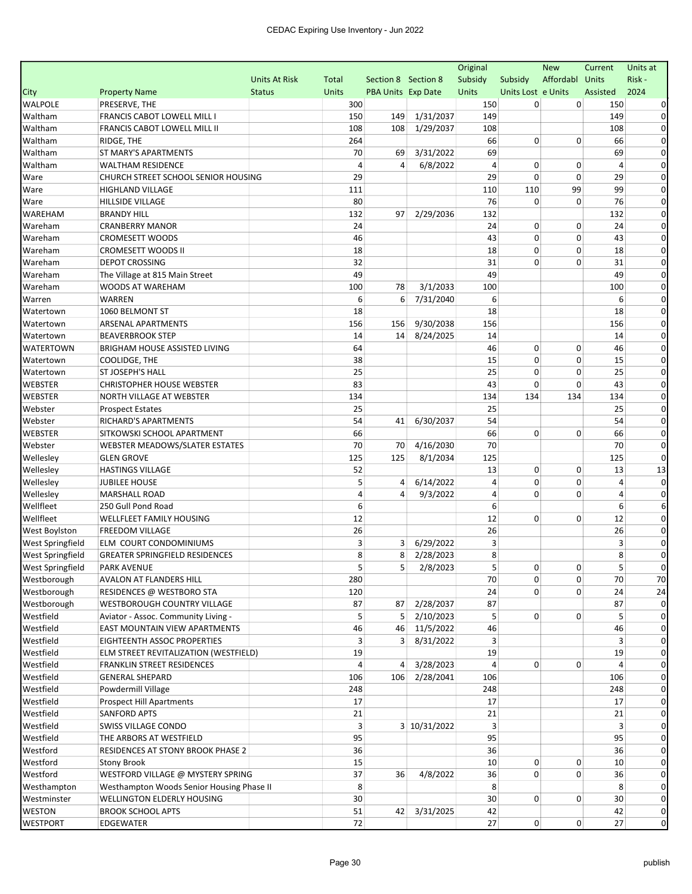|                         |                                           |                      |              |                           |              | Original       |                    | <b>New</b>      | Current        | Units at    |
|-------------------------|-------------------------------------------|----------------------|--------------|---------------------------|--------------|----------------|--------------------|-----------------|----------------|-------------|
|                         |                                           | <b>Units At Risk</b> | Total        | Section 8 Section 8       |              | Subsidy        | Subsidy            | Affordabl Units |                | Risk -      |
| City                    | <b>Property Name</b>                      | <b>Status</b>        | <b>Units</b> | <b>PBA Units Exp Date</b> |              | Units          | Units Lost e Units |                 | Assisted       | 2024        |
| <b>WALPOLE</b>          | PRESERVE, THE                             |                      | 300          |                           |              | 150            | 0                  | 0               | 150            |             |
| Waltham                 | FRANCIS CABOT LOWELL MILL I               |                      | 150          | 149                       | 1/31/2037    | 149            |                    |                 | 149            |             |
| Waltham                 | FRANCIS CABOT LOWELL MILL II              |                      | 108          | 108                       | 1/29/2037    | 108            |                    |                 | 108            | $\Omega$    |
| Waltham                 | RIDGE, THE                                |                      | 264          |                           |              | 66             | 0                  | $\Omega$        | 66             | 0           |
| Waltham                 | ST MARY'S APARTMENTS                      |                      | 70           | 69                        | 3/31/2022    | 69             |                    |                 | 69             | 0           |
| Waltham                 | <b>WALTHAM RESIDENCE</b>                  |                      | 4            | 4                         | 6/8/2022     | $\overline{a}$ | 0                  | 0               | $\overline{a}$ |             |
| Ware                    | CHURCH STREET SCHOOL SENIOR HOUSING       |                      | 29           |                           |              | 29             | 0                  | 0               | 29             | 0           |
| Ware                    | <b>HIGHLAND VILLAGE</b>                   |                      | 111          |                           |              | 110            | 110                | 99              | 99             | 0           |
| Ware                    | <b>HILLSIDE VILLAGE</b>                   |                      | 80           |                           |              | 76             | 0                  | $\Omega$        | 76             | 0           |
| <b>WAREHAM</b>          | <b>BRANDY HILL</b>                        |                      | 132          | 97                        | 2/29/2036    | 132            |                    |                 | 132            | 0           |
| Wareham                 | <b>CRANBERRY MANOR</b>                    |                      | 24           |                           |              | 24             | 0                  | 0               | 24             | 0           |
| Wareham                 | CROMESETT WOODS                           |                      | 46           |                           |              | 43             | 0                  | 0               | 43             | 0           |
| Wareham                 | <b>CROMESETT WOODS II</b>                 |                      | 18           |                           |              | 18             | 0                  | 0               | 18             | $\Omega$    |
| Wareham                 | <b>DEPOT CROSSING</b>                     |                      | 32           |                           |              | 31             | 0                  | $\Omega$        | 31             | $\Omega$    |
| Wareham                 | The Village at 815 Main Street            |                      | 49           |                           |              | 49             |                    |                 | 49             | 0           |
| Wareham                 | <b>WOODS AT WAREHAM</b>                   |                      | 100          | 78                        | 3/1/2033     | 100            |                    |                 | 100            |             |
| Warren                  | <b>WARREN</b>                             |                      | 6            | 6                         | 7/31/2040    | 6              |                    |                 | 6              | 0           |
| Watertown               | 1060 BELMONT ST                           |                      | 18           |                           |              | 18             |                    |                 | 18             | $\Omega$    |
| Watertown               | <b>ARSENAL APARTMENTS</b>                 |                      | 156          | 156                       | 9/30/2038    | 156            |                    |                 | 156            | 0           |
| Watertown               | <b>BEAVERBROOK STEP</b>                   |                      | 14           | 14                        | 8/24/2025    | 14             |                    |                 | 14             | 0           |
| WATERTOWN               | <b>BRIGHAM HOUSE ASSISTED LIVING</b>      |                      | 64           |                           |              | 46             | 0                  | 0               | 46             | $\Omega$    |
| Watertown               | COOLIDGE, THE                             |                      | 38           |                           |              | 15             | 0                  | 0               | 15             | 0           |
| Watertown               | ST JOSEPH'S HALL                          |                      | 25           |                           |              | 25             | 0                  | 0               | 25             | 0           |
| <b>WEBSTER</b>          | <b>CHRISTOPHER HOUSE WEBSTER</b>          |                      | 83           |                           |              | 43             | 0                  | 0               | 43             | $\Omega$    |
| <b>WEBSTER</b>          | NORTH VILLAGE AT WEBSTER                  |                      | 134          |                           |              | 134            | 134                | 134             | 134            | $\Omega$    |
| Webster                 | <b>Prospect Estates</b>                   |                      | 25           |                           |              | 25             |                    |                 | 25             | $\Omega$    |
| Webster                 | RICHARD'S APARTMENTS                      |                      | 54           | 41                        | 6/30/2037    | 54             |                    |                 | 54             | 0           |
| <b>WEBSTER</b>          | SITKOWSKI SCHOOL APARTMENT                |                      | 66           |                           |              | 66             | 0                  | 0               | 66             | 0           |
| Webster                 | WEBSTER MEADOWS/SLATER ESTATES            |                      | 70           | 70                        | 4/16/2030    | 70             |                    |                 | 70             | $\Omega$    |
| Wellesley               | <b>GLEN GROVE</b>                         |                      | 125          | 125                       | 8/1/2034     | 125            |                    |                 | 125            | 0           |
| Wellesley               | <b>HASTINGS VILLAGE</b>                   |                      | 52           |                           |              | 13             | 0                  | 0               | 13             | 13          |
| Wellesley               | <b>JUBILEE HOUSE</b>                      |                      | 5            | 4                         | 6/14/2022    | 4              | 0                  | 0               | 4              | $\Omega$    |
| Wellesley               | <b>MARSHALL ROAD</b>                      |                      | 4            | 4                         | 9/3/2022     | $\overline{4}$ | 0                  | 0               | 4              |             |
| Wellfleet               | 250 Gull Pond Road                        |                      | 6            |                           |              | 6              |                    |                 | 6              | 6           |
| Wellfleet               | WELLFLEET FAMILY HOUSING                  |                      | 12           |                           |              | 12             | 0                  | 0               | 12             | 0           |
| <b>West Boylston</b>    | <b>FREEDOM VILLAGE</b>                    |                      | 26           |                           |              | 26             |                    |                 | 26             | 0           |
| <b>West Springfield</b> | ELM COURT CONDOMINIUMS                    |                      | 3            | 3                         | 6/29/2022    | 3              |                    |                 | 3              | 0           |
| West Springfield        | <b>GREATER SPRINGFIELD RESIDENCES</b>     |                      | 8            | 8                         | 2/28/2023    | 8              |                    |                 | 8              | 0           |
| West Springfield        | <b>PARK AVENUE</b>                        |                      | 5            | 5 <sup>2</sup>            | 2/8/2023     | 5 <sup>1</sup> | $\mathbf{0}$       | 0               | 5 <sup>2</sup> |             |
| Westborough             | AVALON AT FLANDERS HILL                   |                      | 280          |                           |              | 70             | 0                  | 0               | 70             | 70          |
| Westborough             | RESIDENCES @ WESTBORO STA                 |                      | 120          |                           |              | 24             | 0                  | 0               | 24             | 24          |
| Westborough             | WESTBOROUGH COUNTRY VILLAGE               |                      | 87           | 87                        | 2/28/2037    | 87             |                    |                 | 87             |             |
| Westfield               | Aviator - Assoc. Community Living -       |                      | 5            | 5                         | 2/10/2023    | 5              | 0                  | 0               | 5              |             |
| Westfield               | <b>EAST MOUNTAIN VIEW APARTMENTS</b>      |                      | 46           | 46                        | 11/5/2022    | 46             |                    |                 | 46             | 0           |
| Westfield               | EIGHTEENTH ASSOC PROPERTIES               |                      | 3            | 3 <sup>1</sup>            | 8/31/2022    | 3              |                    |                 | 3              | $\Omega$    |
| Westfield               | ELM STREET REVITALIZATION (WESTFIELD)     |                      | 19           |                           |              | 19             |                    |                 | 19             | $\Omega$    |
| Westfield               | FRANKLIN STREET RESIDENCES                |                      | 4            | 4                         | 3/28/2023    | 4              | 0                  | 0               | 4              | 0           |
| Westfield               | <b>GENERAL SHEPARD</b>                    |                      | 106          | 106                       | 2/28/2041    | 106            |                    |                 | 106            |             |
| Westfield               | Powdermill Village                        |                      | 248          |                           |              | 248            |                    |                 | 248            |             |
| Westfield               | <b>Prospect Hill Apartments</b>           |                      | 17           |                           |              | 17             |                    |                 | 17             |             |
| Westfield               | <b>SANFORD APTS</b>                       |                      | 21           |                           |              | 21             |                    |                 | 21             |             |
| Westfield               | SWISS VILLAGE CONDO                       |                      | 3            |                           | 3 10/31/2022 | 3              |                    |                 | 3              |             |
| Westfield               | THE ARBORS AT WESTFIELD                   |                      | 95           |                           |              | 95             |                    |                 | 95             |             |
| Westford                | RESIDENCES AT STONY BROOK PHASE 2         |                      | 36           |                           |              | 36             |                    |                 | 36             | 0           |
| Westford                | <b>Stony Brook</b>                        |                      | 15           |                           |              | 10             | 0                  | 0               | 10             | 0           |
| Westford                | WESTFORD VILLAGE @ MYSTERY SPRING         |                      | 37           | 36                        | 4/8/2022     | 36             | 0                  | 0               | 36             | $\Omega$    |
| Westhampton             | Westhampton Woods Senior Housing Phase II |                      | 8            |                           |              | 8              |                    |                 | 8              | 0           |
| Westminster             | WELLINGTON ELDERLY HOUSING                |                      | 30           |                           |              | 30             | $\overline{0}$     | 0               | 30             | 0           |
| WESTON                  | <b>BROOK SCHOOL APTS</b>                  |                      | 51           |                           | 42 3/31/2025 | 42             |                    |                 | 42             | 0           |
| <b>WESTPORT</b>         |                                           |                      | 72           |                           |              | 27             | $\overline{0}$     | 0               | 27             | $\mathbf 0$ |
|                         | EDGEWATER                                 |                      |              |                           |              |                |                    |                 |                |             |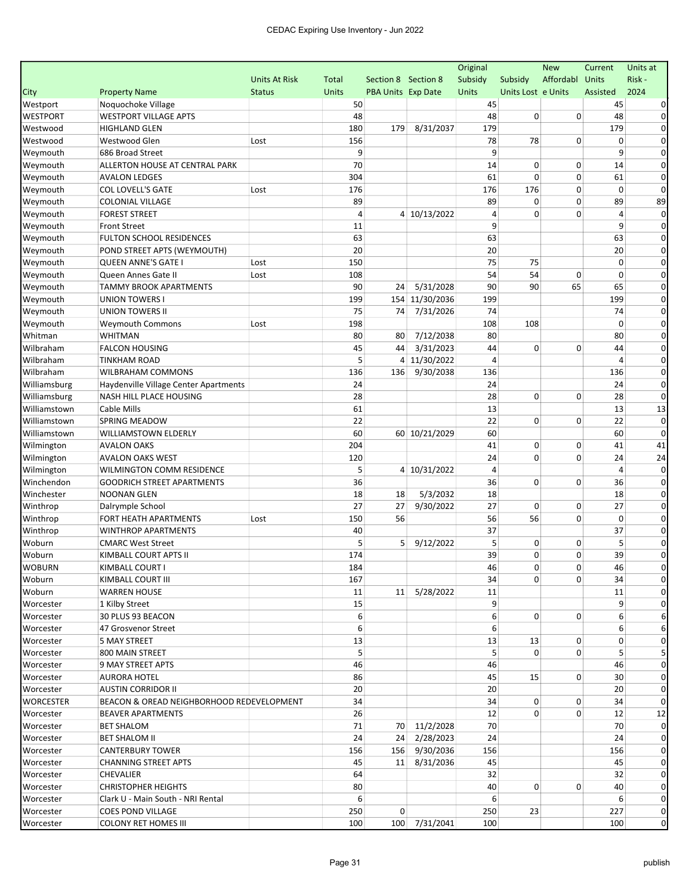|                  |                                           |                      |              |                           |                | Original       |                    | <b>New</b>  | Current        | Units at       |
|------------------|-------------------------------------------|----------------------|--------------|---------------------------|----------------|----------------|--------------------|-------------|----------------|----------------|
|                  |                                           | <b>Units At Risk</b> | Total        | Section 8 Section 8       |                | Subsidy        | Subsidy            | Affordabl   | <b>Units</b>   | Risk -         |
| City             | <b>Property Name</b>                      | <b>Status</b>        | <b>Units</b> | <b>PBA Units Exp Date</b> |                | Units          | Units Lost e Units |             | Assisted       | 2024           |
| Westport         | Noquochoke Village                        |                      | 50           |                           |                | 45             |                    |             | 45             |                |
| <b>WESTPORT</b>  | <b>WESTPORT VILLAGE APTS</b>              |                      | 48           |                           |                | 48             | 0                  | $\mathbf 0$ | 48             | 0              |
| Westwood         | <b>HIGHLAND GLEN</b>                      |                      | 180          | 179                       | 8/31/2037      | 179            |                    |             | 179            | $\Omega$       |
| Westwood         | Westwood Glen                             | Lost                 | 156          |                           |                | 78             | 78                 | 0           | 0              | $\Omega$       |
| Weymouth         | 686 Broad Street                          |                      | 9            |                           |                | 9              |                    |             | 9              | 0              |
| Weymouth         | ALLERTON HOUSE AT CENTRAL PARK            |                      | 70           |                           |                | 14             | 0                  | 0           | 14             | $\Omega$       |
| Weymouth         | <b>AVALON LEDGES</b>                      |                      | 304          |                           |                | 61             | 0                  | 0           | 61             | 0              |
| Weymouth         | <b>COL LOVELL'S GATE</b>                  | Lost                 | 176          |                           |                | 176            | 176                | $\mathbf 0$ | 0              | $\Omega$       |
| Weymouth         | <b>COLONIAL VILLAGE</b>                   |                      | 89           |                           |                | 89             | 0                  | 0           | 89             | 89             |
| Weymouth         | <b>FOREST STREET</b>                      |                      | 4            |                           | 4 10/13/2022   | 4              | $\Omega$           | 0           | $\overline{a}$ | 0              |
| Weymouth         | <b>Front Street</b>                       |                      | 11           |                           |                | 9              |                    |             | 9              | 0              |
| Weymouth         | <b>FULTON SCHOOL RESIDENCES</b>           |                      | 63           |                           |                | 63             |                    |             | 63             | 0              |
| Weymouth         | POND STREET APTS (WEYMOUTH)               |                      | 20           |                           |                | 20             |                    |             | 20             | $\Omega$       |
| Weymouth         | <b>QUEEN ANNE'S GATE I</b>                | Lost                 | 150          |                           |                | 75             | 75                 |             | $\mathbf 0$    | $\Omega$       |
| Weymouth         | Queen Annes Gate II                       | Lost                 | 108          |                           |                | 54             | 54                 | $\mathbf 0$ | $\Omega$       | $\Omega$       |
| Weymouth         | <b>TAMMY BROOK APARTMENTS</b>             |                      | 90           | 24                        | 5/31/2028      | 90             | 90                 | 65          | 65             | $\Omega$       |
| Weymouth         | <b>UNION TOWERS I</b>                     |                      | 199          |                           | 154 11/30/2036 | 199            |                    |             | 199            | 0              |
| Weymouth         | <b>UNION TOWERS II</b>                    |                      | 75           | 74                        | 7/31/2026      | 74             |                    |             | 74             | $\Omega$       |
| Weymouth         | <b>Weymouth Commons</b>                   | Lost                 | 198          |                           |                | 108            | 108                |             | $\mathbf 0$    | 0              |
| Whitman          | <b>WHITMAN</b>                            |                      | 80           | 80                        | 7/12/2038      | 80             |                    |             | 80             | 0              |
| Wilbraham        | <b>FALCON HOUSING</b>                     |                      | 45           | 44                        | 3/31/2023      | 44             | 0                  | 0           | 44             | $\Omega$       |
| Wilbraham        | <b>TINKHAM ROAD</b>                       |                      | 5            | 4                         | 11/30/2022     | 4              |                    |             | 4              | 0              |
| Wilbraham        | <b>WILBRAHAM COMMONS</b>                  |                      | 136          | 136                       | 9/30/2038      | 136            |                    |             | 136            | $\Omega$       |
| Williamsburg     | Haydenville Village Center Apartments     |                      | 24           |                           |                | 24             |                    |             | 24             | 0              |
| Williamsburg     | NASH HILL PLACE HOUSING                   |                      | 28           |                           |                | 28             | 0                  | 0           | 28             | $\Omega$       |
| Williamstown     | Cable Mills                               |                      | 61           |                           |                | 13             |                    |             | 13             | 13             |
| Williamstown     | <b>SPRING MEADOW</b>                      |                      | 22           |                           |                | 22             | 0                  | 0           | 22             | $\Omega$       |
| Williamstown     | WILLIAMSTOWN ELDERLY                      |                      | 60           |                           | 60 10/21/2029  | 60             |                    |             | 60             | $\Omega$       |
| Wilmington       | <b>AVALON OAKS</b>                        |                      | 204          |                           |                | 41             | 0                  | $\mathbf 0$ | 41             | 41             |
| Wilmington       | <b>AVALON OAKS WEST</b>                   |                      | 120          |                           |                | 24             | 0                  | $\mathbf 0$ | 24             | 24             |
| Wilmington       | WILMINGTON COMM RESIDENCE                 |                      | 5            |                           | 4 10/31/2022   | $\overline{4}$ |                    |             | 4              | $\Omega$       |
| Winchendon       | <b>GOODRICH STREET APARTMENTS</b>         |                      | 36           |                           |                | 36             | 0                  | 0           | 36             | 0              |
| Winchester       | <b>NOONAN GLEN</b>                        |                      | 18           | 18                        | 5/3/2032       | 18             |                    |             | 18             | $\Omega$       |
| Winthrop         | Dalrymple School                          |                      | 27           | 27                        | 9/30/2022      | 27             | 0                  | 0           | 27             | 0              |
| Winthrop         | FORT HEATH APARTMENTS                     | Lost                 | 150          | 56                        |                | 56             | 56                 | $\mathbf 0$ | $\mathbf 0$    | $\Omega$       |
| Winthrop         | <b>WINTHROP APARTMENTS</b>                |                      | 40           |                           |                | 37             |                    |             | 37             | $\Omega$       |
| Woburn           | <b>CMARC West Street</b>                  |                      | 5            | 5                         | 9/12/2022      | 5              | 0                  | 0           | 5              | 0              |
| Woburn           | KIMBALL COURT APTS II                     |                      | 174          |                           |                | 39             | 0                  | 0           | 39             | 0              |
| <b>WOBURN</b>    | KIMBALL COURT I                           |                      | 184          |                           |                | 46             | 0                  | 0           | 46             |                |
| Woburn           | KIMBALL COURT III                         |                      | 167          |                           |                | 34             | $\overline{0}$     | 0           | 34             | 0              |
| Woburn           | <b>WARREN HOUSE</b>                       |                      | 11           |                           | 11 5/28/2022   | 11             |                    |             | 11             |                |
| Worcester        | 1 Kilby Street                            |                      | 15           |                           |                | 9              |                    |             | 9              |                |
| Worcester        | 30 PLUS 93 BEACON                         |                      | 6            |                           |                | 6              | $\overline{0}$     | 0           | 6              |                |
| Worcester        | 47 Grosvenor Street                       |                      | 6            |                           |                | 6              |                    |             | 6              |                |
| Worcester        | 5 MAY STREET                              |                      | 13           |                           |                | 13             | 13                 | 0           | 0              | 0              |
| Worcester        | 800 MAIN STREET                           |                      | 5            |                           |                | 5              | $\Omega$           | 0           | 5              |                |
| Worcester        | 9 MAY STREET APTS                         |                      | 46           |                           |                | 46             |                    |             | 46             |                |
| Worcester        | <b>AURORA HOTEL</b>                       |                      | 86           |                           |                | 45             | 15                 | 0           | 30             |                |
| Worcester        | <b>AUSTIN CORRIDOR II</b>                 |                      | 20           |                           |                | 20             |                    |             | 20             | $\Omega$       |
| <b>WORCESTER</b> | BEACON & OREAD NEIGHBORHOOD REDEVELOPMENT |                      | 34           |                           |                | 34             | 0                  | 0           | 34             |                |
| Worcester        | <b>BEAVER APARTMENTS</b>                  |                      | 26           |                           |                | 12             | 0                  | 0           | 12             | 12             |
| Worcester        | <b>BET SHALOM</b>                         |                      | 71           |                           | 70 11/2/2028   | 70             |                    |             | 70             |                |
| Worcester        | <b>BET SHALOM II</b>                      |                      | 24           |                           | 24 2/28/2023   | 24             |                    |             | 24             |                |
| Worcester        | <b>CANTERBURY TOWER</b>                   |                      | 156          |                           | 156 9/30/2036  | 156            |                    |             | 156            |                |
| Worcester        | <b>CHANNING STREET APTS</b>               |                      | 45           |                           | 11 8/31/2036   | 45             |                    |             | 45             | $\Omega$       |
| Worcester        | <b>CHEVALIER</b>                          |                      | 64           |                           |                | 32             |                    |             | 32             | $\Omega$       |
| Worcester        | <b>CHRISTOPHER HEIGHTS</b>                |                      | 80           |                           |                | 40             | 0                  | 0           | 40             | 0              |
| Worcester        | Clark U - Main South - NRI Rental         |                      | 6            |                           |                | 6              |                    |             | 6              | 0              |
| Worcester        | <b>COES POND VILLAGE</b>                  |                      | 250          | $\Omega$                  |                | 250            | 23                 |             | 227            | 0              |
| Worcester        | <b>COLONY RET HOMES III</b>               |                      | 100          |                           | 100 7/31/2041  | 100            |                    |             | 100            | $\overline{0}$ |